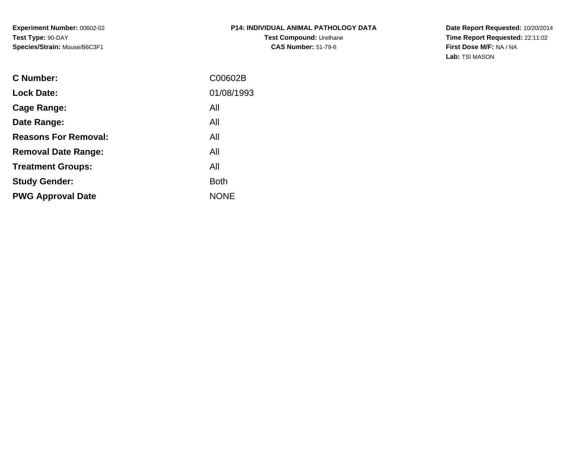**Experiment Number:** 00602-02**Test Type:** 90-DAY**Species/Strain:** Mouse/B6C3F1

**Date Report Requested:** 10/20/2014 **Time Report Requested:** 22:11:02**First Dose M/F:** NA / NA**Lab:** TSI MASON

| C00602B     |
|-------------|
| 01/08/1993  |
| All         |
| All         |
| All         |
| All         |
| All         |
| <b>Both</b> |
| <b>NONE</b> |
|             |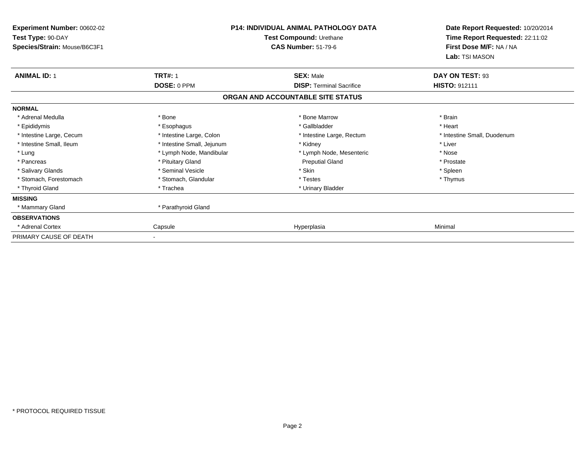| Experiment Number: 00602-02<br>Test Type: 90-DAY<br>Species/Strain: Mouse/B6C3F1 |                            | <b>P14: INDIVIDUAL ANIMAL PATHOLOGY DATA</b><br>Test Compound: Urethane<br><b>CAS Number: 51-79-6</b> | Date Report Requested: 10/20/2014<br>Time Report Requested: 22:11:02<br>First Dose M/F: NA / NA<br>Lab: TSI MASON |
|----------------------------------------------------------------------------------|----------------------------|-------------------------------------------------------------------------------------------------------|-------------------------------------------------------------------------------------------------------------------|
| <b>ANIMAL ID: 1</b>                                                              | <b>TRT#: 1</b>             | <b>SEX: Male</b>                                                                                      | DAY ON TEST: 93                                                                                                   |
|                                                                                  | DOSE: 0 PPM                | <b>DISP: Terminal Sacrifice</b>                                                                       | HISTO: 912111                                                                                                     |
|                                                                                  |                            | ORGAN AND ACCOUNTABLE SITE STATUS                                                                     |                                                                                                                   |
| <b>NORMAL</b>                                                                    |                            |                                                                                                       |                                                                                                                   |
| * Adrenal Medulla                                                                | * Bone                     | * Bone Marrow                                                                                         | * Brain                                                                                                           |
| * Epididymis                                                                     | * Esophagus                | * Gallbladder                                                                                         | * Heart                                                                                                           |
| * Intestine Large, Cecum                                                         | * Intestine Large, Colon   | * Intestine Large, Rectum                                                                             | * Intestine Small, Duodenum                                                                                       |
| * Intestine Small, Ileum                                                         | * Intestine Small, Jejunum | * Kidney                                                                                              | * Liver                                                                                                           |
| * Lung                                                                           | * Lymph Node, Mandibular   | * Lymph Node, Mesenteric                                                                              | * Nose                                                                                                            |
| * Pancreas                                                                       | * Pituitary Gland          | <b>Preputial Gland</b>                                                                                | * Prostate                                                                                                        |
| * Salivary Glands                                                                | * Seminal Vesicle          | * Skin                                                                                                | * Spleen                                                                                                          |
| * Stomach, Forestomach                                                           | * Stomach, Glandular       | * Testes                                                                                              | * Thymus                                                                                                          |
| * Thyroid Gland                                                                  | * Trachea                  | * Urinary Bladder                                                                                     |                                                                                                                   |
| <b>MISSING</b>                                                                   |                            |                                                                                                       |                                                                                                                   |
| * Mammary Gland                                                                  | * Parathyroid Gland        |                                                                                                       |                                                                                                                   |
| <b>OBSERVATIONS</b>                                                              |                            |                                                                                                       |                                                                                                                   |
| Adrenal Cortex                                                                   | Capsule                    | Hyperplasia                                                                                           | Minimal                                                                                                           |
| PRIMARY CAUSE OF DEATH                                                           |                            |                                                                                                       |                                                                                                                   |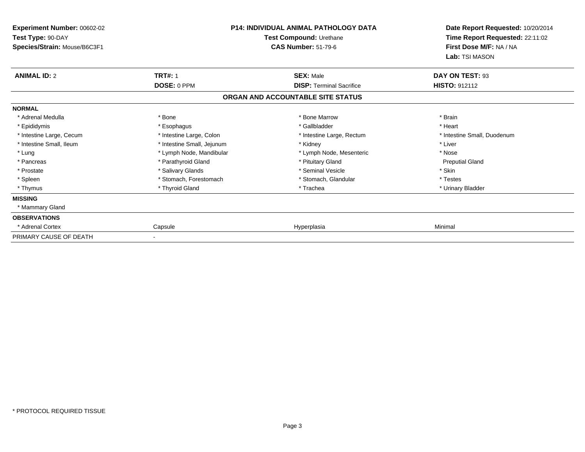| <b>Experiment Number: 00602-02</b><br>Test Type: 90-DAY<br>Species/Strain: Mouse/B6C3F1 |                            | P14: INDIVIDUAL ANIMAL PATHOLOGY DATA<br>Test Compound: Urethane<br><b>CAS Number: 51-79-6</b> | Date Report Requested: 10/20/2014<br>Time Report Requested: 22:11:02<br>First Dose M/F: NA / NA<br>Lab: TSI MASON |
|-----------------------------------------------------------------------------------------|----------------------------|------------------------------------------------------------------------------------------------|-------------------------------------------------------------------------------------------------------------------|
| <b>ANIMAL ID: 2</b>                                                                     | <b>TRT#: 1</b>             | <b>SEX: Male</b>                                                                               | DAY ON TEST: 93                                                                                                   |
|                                                                                         | DOSE: 0 PPM                | <b>DISP: Terminal Sacrifice</b>                                                                | <b>HISTO: 912112</b>                                                                                              |
|                                                                                         |                            | ORGAN AND ACCOUNTABLE SITE STATUS                                                              |                                                                                                                   |
| <b>NORMAL</b>                                                                           |                            |                                                                                                |                                                                                                                   |
| * Adrenal Medulla                                                                       | * Bone                     | * Bone Marrow                                                                                  | * Brain                                                                                                           |
| * Epididymis                                                                            | * Esophagus                | * Gallbladder                                                                                  | * Heart                                                                                                           |
| * Intestine Large, Cecum                                                                | * Intestine Large, Colon   | * Intestine Large, Rectum                                                                      | * Intestine Small, Duodenum                                                                                       |
| * Intestine Small, Ileum                                                                | * Intestine Small, Jejunum | * Kidney                                                                                       | * Liver                                                                                                           |
| * Lung                                                                                  | * Lymph Node, Mandibular   | * Lymph Node, Mesenteric                                                                       | * Nose                                                                                                            |
| * Pancreas                                                                              | * Parathyroid Gland        | * Pituitary Gland                                                                              | <b>Preputial Gland</b>                                                                                            |
| * Prostate                                                                              | * Salivary Glands          | * Seminal Vesicle                                                                              | * Skin                                                                                                            |
| * Spleen                                                                                | * Stomach, Forestomach     | * Stomach, Glandular                                                                           | * Testes                                                                                                          |
| * Thymus                                                                                | * Thyroid Gland            | * Trachea                                                                                      | * Urinary Bladder                                                                                                 |
| <b>MISSING</b>                                                                          |                            |                                                                                                |                                                                                                                   |
| * Mammary Gland                                                                         |                            |                                                                                                |                                                                                                                   |
| <b>OBSERVATIONS</b>                                                                     |                            |                                                                                                |                                                                                                                   |
| Adrenal Cortex                                                                          | Capsule                    | Hyperplasia                                                                                    | Minimal                                                                                                           |
| PRIMARY CAUSE OF DEATH                                                                  |                            |                                                                                                |                                                                                                                   |

-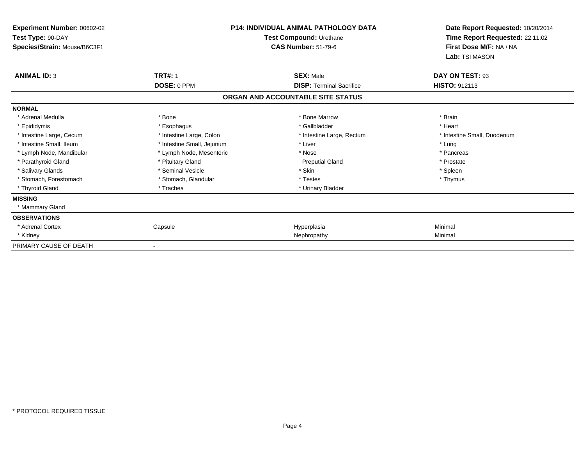| Experiment Number: 00602-02<br>Test Type: 90-DAY<br>Species/Strain: Mouse/B6C3F1 |                            | <b>P14: INDIVIDUAL ANIMAL PATHOLOGY DATA</b><br>Test Compound: Urethane<br><b>CAS Number: 51-79-6</b> | Date Report Requested: 10/20/2014<br>Time Report Requested: 22:11:02<br>First Dose M/F: NA / NA<br>Lab: TSI MASON |
|----------------------------------------------------------------------------------|----------------------------|-------------------------------------------------------------------------------------------------------|-------------------------------------------------------------------------------------------------------------------|
| <b>ANIMAL ID: 3</b>                                                              | <b>TRT#: 1</b>             | <b>SEX: Male</b>                                                                                      | DAY ON TEST: 93                                                                                                   |
|                                                                                  | DOSE: 0 PPM                | <b>DISP: Terminal Sacrifice</b>                                                                       | <b>HISTO: 912113</b>                                                                                              |
|                                                                                  |                            | ORGAN AND ACCOUNTABLE SITE STATUS                                                                     |                                                                                                                   |
| <b>NORMAL</b>                                                                    |                            |                                                                                                       |                                                                                                                   |
| * Adrenal Medulla                                                                | * Bone                     | * Bone Marrow                                                                                         | * Brain                                                                                                           |
| * Epididymis                                                                     | * Esophagus                | * Gallbladder                                                                                         | * Heart                                                                                                           |
| * Intestine Large, Cecum                                                         | * Intestine Large, Colon   | * Intestine Large, Rectum                                                                             | * Intestine Small, Duodenum                                                                                       |
| * Intestine Small, Ileum                                                         | * Intestine Small, Jejunum | * Liver                                                                                               | * Lung                                                                                                            |
| * Lymph Node, Mandibular                                                         | * Lymph Node, Mesenteric   | * Nose                                                                                                | * Pancreas                                                                                                        |
| * Parathyroid Gland                                                              | * Pituitary Gland          | <b>Preputial Gland</b>                                                                                | * Prostate                                                                                                        |
| * Salivary Glands                                                                | * Seminal Vesicle          | * Skin                                                                                                | * Spleen                                                                                                          |
| * Stomach, Forestomach                                                           | * Stomach, Glandular       | * Testes                                                                                              | * Thymus                                                                                                          |
| * Thyroid Gland                                                                  | * Trachea                  | * Urinary Bladder                                                                                     |                                                                                                                   |
| <b>MISSING</b>                                                                   |                            |                                                                                                       |                                                                                                                   |
| * Mammary Gland                                                                  |                            |                                                                                                       |                                                                                                                   |
| <b>OBSERVATIONS</b>                                                              |                            |                                                                                                       |                                                                                                                   |
| * Adrenal Cortex                                                                 | Capsule                    | Hyperplasia                                                                                           | Minimal                                                                                                           |
| * Kidney                                                                         |                            | Nephropathy                                                                                           | Minimal                                                                                                           |
| PRIMARY CAUSE OF DEATH                                                           |                            |                                                                                                       |                                                                                                                   |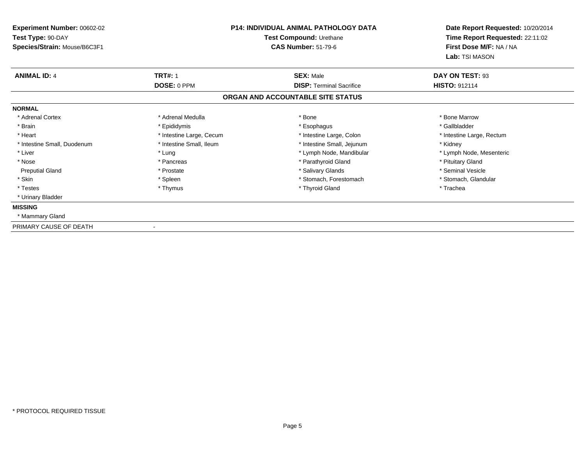| Experiment Number: 00602-02  | P14: INDIVIDUAL ANIMAL PATHOLOGY DATA<br>Test Compound: Urethane |                                   | Date Report Requested: 10/20/2014 |
|------------------------------|------------------------------------------------------------------|-----------------------------------|-----------------------------------|
| Test Type: 90-DAY            |                                                                  |                                   | Time Report Requested: 22:11:02   |
| Species/Strain: Mouse/B6C3F1 |                                                                  | <b>CAS Number: 51-79-6</b>        | First Dose M/F: NA / NA           |
|                              |                                                                  |                                   | Lab: TSI MASON                    |
| <b>ANIMAL ID: 4</b>          | <b>TRT#: 1</b>                                                   | <b>SEX: Male</b>                  | DAY ON TEST: 93                   |
|                              | DOSE: 0 PPM                                                      | <b>DISP: Terminal Sacrifice</b>   | <b>HISTO: 912114</b>              |
|                              |                                                                  | ORGAN AND ACCOUNTABLE SITE STATUS |                                   |
| <b>NORMAL</b>                |                                                                  |                                   |                                   |
| * Adrenal Cortex             | * Adrenal Medulla                                                | * Bone                            | * Bone Marrow                     |
| * Brain                      | * Epididymis                                                     | * Esophagus                       | * Gallbladder                     |
| * Heart                      | * Intestine Large, Cecum                                         | * Intestine Large, Colon          | * Intestine Large, Rectum         |
| * Intestine Small, Duodenum  | * Intestine Small, Ileum                                         | * Intestine Small, Jejunum        | * Kidney                          |
| * Liver                      | * Lung                                                           | * Lymph Node, Mandibular          | * Lymph Node, Mesenteric          |
| * Nose                       | * Pancreas                                                       | * Parathyroid Gland               | * Pituitary Gland                 |
| <b>Preputial Gland</b>       | * Prostate                                                       | * Salivary Glands                 | * Seminal Vesicle                 |
| * Skin                       | * Spleen                                                         | * Stomach, Forestomach            | * Stomach, Glandular              |
| * Testes                     | * Thymus                                                         | * Thyroid Gland                   | * Trachea                         |
| * Urinary Bladder            |                                                                  |                                   |                                   |
| <b>MISSING</b>               |                                                                  |                                   |                                   |
| * Mammary Gland              |                                                                  |                                   |                                   |
| PRIMARY CAUSE OF DEATH       |                                                                  |                                   |                                   |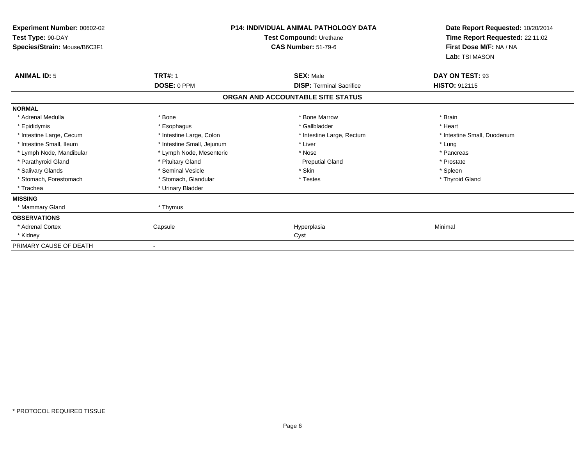| <b>P14: INDIVIDUAL ANIMAL PATHOLOGY DATA</b><br>Experiment Number: 00602-02<br>Test Type: 90-DAY |                            | Test Compound: Urethane           | Date Report Requested: 10/20/2014<br>Time Report Requested: 22:11:02 |
|--------------------------------------------------------------------------------------------------|----------------------------|-----------------------------------|----------------------------------------------------------------------|
| Species/Strain: Mouse/B6C3F1                                                                     |                            | <b>CAS Number: 51-79-6</b>        | First Dose M/F: NA / NA<br>Lab: TSI MASON                            |
| <b>ANIMAL ID: 5</b>                                                                              | <b>TRT#: 1</b>             | <b>SEX: Male</b>                  | DAY ON TEST: 93                                                      |
|                                                                                                  | DOSE: 0 PPM                | <b>DISP: Terminal Sacrifice</b>   | <b>HISTO: 912115</b>                                                 |
|                                                                                                  |                            | ORGAN AND ACCOUNTABLE SITE STATUS |                                                                      |
| <b>NORMAL</b>                                                                                    |                            |                                   |                                                                      |
| * Adrenal Medulla                                                                                | * Bone                     | * Bone Marrow                     | * Brain                                                              |
| * Epididymis                                                                                     | * Esophagus                | * Gallbladder                     | * Heart                                                              |
| * Intestine Large, Cecum                                                                         | * Intestine Large, Colon   | * Intestine Large, Rectum         | * Intestine Small, Duodenum                                          |
| * Intestine Small, Ileum                                                                         | * Intestine Small, Jejunum | * Liver                           | * Lung                                                               |
| * Lymph Node, Mandibular                                                                         | * Lymph Node, Mesenteric   | * Nose                            | * Pancreas                                                           |
| * Parathyroid Gland                                                                              | * Pituitary Gland          | <b>Preputial Gland</b>            | * Prostate                                                           |
| * Salivary Glands                                                                                | * Seminal Vesicle          | * Skin                            | * Spleen                                                             |
| * Stomach, Forestomach                                                                           | * Stomach, Glandular       | * Testes                          | * Thyroid Gland                                                      |
| * Trachea                                                                                        | * Urinary Bladder          |                                   |                                                                      |
| <b>MISSING</b>                                                                                   |                            |                                   |                                                                      |
| * Mammary Gland                                                                                  | * Thymus                   |                                   |                                                                      |
| <b>OBSERVATIONS</b>                                                                              |                            |                                   |                                                                      |
| * Adrenal Cortex                                                                                 | Capsule                    | Hyperplasia                       | Minimal                                                              |
| * Kidney                                                                                         |                            | Cyst                              |                                                                      |
| PRIMARY CAUSE OF DEATH                                                                           |                            |                                   |                                                                      |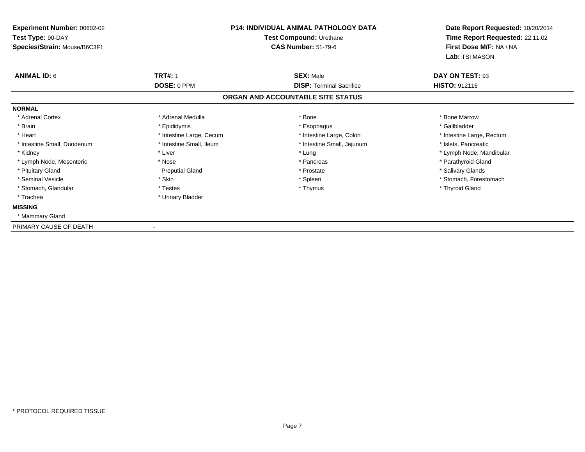| <b>Experiment Number: 00602-02</b> | <b>P14: INDIVIDUAL ANIMAL PATHOLOGY DATA</b><br>Test Compound: Urethane |                                   | Date Report Requested: 10/20/2014 |
|------------------------------------|-------------------------------------------------------------------------|-----------------------------------|-----------------------------------|
| Test Type: 90-DAY                  |                                                                         |                                   | Time Report Requested: 22:11:02   |
| Species/Strain: Mouse/B6C3F1       |                                                                         | <b>CAS Number: 51-79-6</b>        | First Dose M/F: NA / NA           |
|                                    |                                                                         |                                   | Lab: TSI MASON                    |
| <b>ANIMAL ID: 6</b>                | <b>TRT#: 1</b>                                                          | <b>SEX: Male</b>                  | DAY ON TEST: 93                   |
|                                    | DOSE: 0 PPM                                                             | <b>DISP: Terminal Sacrifice</b>   | <b>HISTO: 912116</b>              |
|                                    |                                                                         | ORGAN AND ACCOUNTABLE SITE STATUS |                                   |
| <b>NORMAL</b>                      |                                                                         |                                   |                                   |
| * Adrenal Cortex                   | * Adrenal Medulla                                                       | * Bone                            | * Bone Marrow                     |
| * Brain                            | * Epididymis                                                            | * Esophagus                       | * Gallbladder                     |
| * Heart                            | * Intestine Large, Cecum                                                | * Intestine Large, Colon          | * Intestine Large, Rectum         |
| * Intestine Small, Duodenum        | * Intestine Small, Ileum                                                | * Intestine Small, Jejunum        | * Islets, Pancreatic              |
| * Kidney                           | * Liver                                                                 | * Lung                            | * Lymph Node, Mandibular          |
| * Lymph Node, Mesenteric           | * Nose                                                                  | * Pancreas                        | * Parathyroid Gland               |
| * Pituitary Gland                  | <b>Preputial Gland</b>                                                  | * Prostate                        | * Salivary Glands                 |
| * Seminal Vesicle                  | * Skin                                                                  | * Spleen                          | * Stomach, Forestomach            |
| * Stomach, Glandular               | * Testes                                                                | * Thymus                          | * Thyroid Gland                   |
| * Trachea                          | * Urinary Bladder                                                       |                                   |                                   |
| <b>MISSING</b>                     |                                                                         |                                   |                                   |
| * Mammary Gland                    |                                                                         |                                   |                                   |
| PRIMARY CAUSE OF DEATH             |                                                                         |                                   |                                   |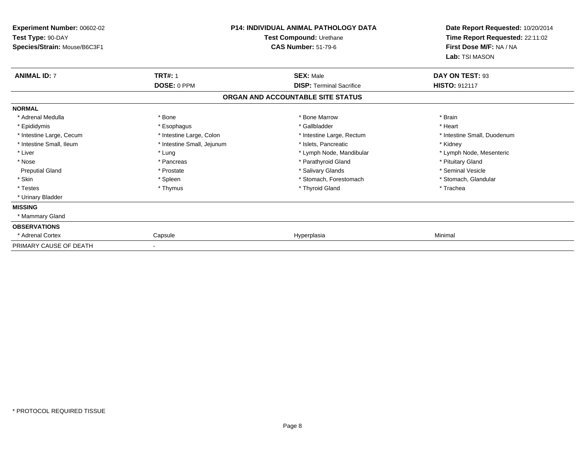| <b>Experiment Number: 00602-02</b><br>Test Type: 90-DAY<br>Species/Strain: Mouse/B6C3F1 |                            | <b>P14: INDIVIDUAL ANIMAL PATHOLOGY DATA</b><br>Test Compound: Urethane<br><b>CAS Number: 51-79-6</b> | Date Report Requested: 10/20/2014<br>Time Report Requested: 22:11:02<br>First Dose M/F: NA / NA |
|-----------------------------------------------------------------------------------------|----------------------------|-------------------------------------------------------------------------------------------------------|-------------------------------------------------------------------------------------------------|
|                                                                                         |                            |                                                                                                       | Lab: TSI MASON                                                                                  |
| <b>ANIMAL ID: 7</b>                                                                     | <b>TRT#: 1</b>             | <b>SEX: Male</b>                                                                                      | DAY ON TEST: 93                                                                                 |
|                                                                                         | DOSE: 0 PPM                | <b>DISP: Terminal Sacrifice</b>                                                                       | <b>HISTO: 912117</b>                                                                            |
|                                                                                         |                            | ORGAN AND ACCOUNTABLE SITE STATUS                                                                     |                                                                                                 |
| <b>NORMAL</b>                                                                           |                            |                                                                                                       |                                                                                                 |
| * Adrenal Medulla                                                                       | * Bone                     | * Bone Marrow                                                                                         | * Brain                                                                                         |
| * Epididymis                                                                            | * Esophagus                | * Gallbladder                                                                                         | * Heart                                                                                         |
| * Intestine Large, Cecum                                                                | * Intestine Large, Colon   | * Intestine Large, Rectum                                                                             | * Intestine Small, Duodenum                                                                     |
| * Intestine Small. Ileum                                                                | * Intestine Small, Jejunum | * Islets, Pancreatic                                                                                  | * Kidney                                                                                        |
| * Liver                                                                                 | * Lung                     | * Lymph Node, Mandibular                                                                              | * Lymph Node, Mesenteric                                                                        |
| * Nose                                                                                  | * Pancreas                 | * Parathyroid Gland                                                                                   | * Pituitary Gland                                                                               |
| <b>Preputial Gland</b>                                                                  | * Prostate                 | * Salivary Glands                                                                                     | * Seminal Vesicle                                                                               |
| * Skin                                                                                  | * Spleen                   | * Stomach, Forestomach                                                                                | * Stomach, Glandular                                                                            |
| * Testes                                                                                | * Thymus                   | * Thyroid Gland                                                                                       | * Trachea                                                                                       |
| * Urinary Bladder                                                                       |                            |                                                                                                       |                                                                                                 |
| <b>MISSING</b>                                                                          |                            |                                                                                                       |                                                                                                 |
| * Mammary Gland                                                                         |                            |                                                                                                       |                                                                                                 |
| <b>OBSERVATIONS</b>                                                                     |                            |                                                                                                       |                                                                                                 |
| * Adrenal Cortex                                                                        | Capsule                    | Hyperplasia                                                                                           | Minimal                                                                                         |
| PRIMARY CAUSE OF DEATH                                                                  |                            |                                                                                                       |                                                                                                 |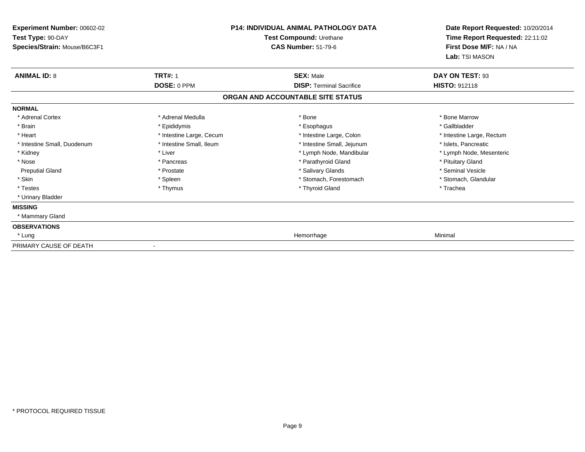| Experiment Number: 00602-02  | <b>P14: INDIVIDUAL ANIMAL PATHOLOGY DATA</b> |                                   |                                 | Date Report Requested: 10/20/2014 |
|------------------------------|----------------------------------------------|-----------------------------------|---------------------------------|-----------------------------------|
| Test Type: 90-DAY            |                                              | Test Compound: Urethane           | Time Report Requested: 22:11:02 |                                   |
| Species/Strain: Mouse/B6C3F1 |                                              | <b>CAS Number: 51-79-6</b>        | First Dose M/F: NA / NA         |                                   |
|                              |                                              |                                   | Lab: TSI MASON                  |                                   |
| <b>ANIMAL ID: 8</b>          | <b>TRT#: 1</b>                               | <b>SEX: Male</b>                  | DAY ON TEST: 93                 |                                   |
|                              | DOSE: 0 PPM                                  | <b>DISP: Terminal Sacrifice</b>   | HISTO: 912118                   |                                   |
|                              |                                              | ORGAN AND ACCOUNTABLE SITE STATUS |                                 |                                   |
| <b>NORMAL</b>                |                                              |                                   |                                 |                                   |
| * Adrenal Cortex             | * Adrenal Medulla                            | * Bone                            | * Bone Marrow                   |                                   |
| * Brain                      | * Epididymis                                 | * Esophagus                       | * Gallbladder                   |                                   |
| * Heart                      | * Intestine Large, Cecum                     | * Intestine Large, Colon          | * Intestine Large, Rectum       |                                   |
| * Intestine Small, Duodenum  | * Intestine Small, Ileum                     | * Intestine Small, Jejunum        | * Islets, Pancreatic            |                                   |
| * Kidney                     | * Liver                                      | * Lymph Node, Mandibular          | * Lymph Node, Mesenteric        |                                   |
| * Nose                       | * Pancreas                                   | * Parathyroid Gland               | * Pituitary Gland               |                                   |
| <b>Preputial Gland</b>       | * Prostate                                   | * Salivary Glands                 | * Seminal Vesicle               |                                   |
| * Skin                       | * Spleen                                     | * Stomach, Forestomach            | * Stomach, Glandular            |                                   |
| * Testes                     | * Thymus                                     | * Thyroid Gland                   | * Trachea                       |                                   |
| * Urinary Bladder            |                                              |                                   |                                 |                                   |
| <b>MISSING</b>               |                                              |                                   |                                 |                                   |
| * Mammary Gland              |                                              |                                   |                                 |                                   |
| <b>OBSERVATIONS</b>          |                                              |                                   |                                 |                                   |
| * Lung                       |                                              | Hemorrhage                        | Minimal                         |                                   |
| PRIMARY CAUSE OF DEATH       |                                              |                                   |                                 |                                   |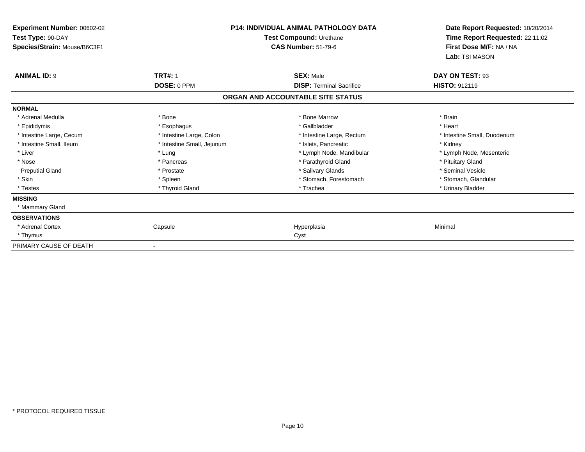| Experiment Number: 00602-02  | <b>P14: INDIVIDUAL ANIMAL PATHOLOGY DATA</b><br>Test Compound: Urethane |                                   | Date Report Requested: 10/20/2014 |
|------------------------------|-------------------------------------------------------------------------|-----------------------------------|-----------------------------------|
| Test Type: 90-DAY            |                                                                         |                                   | Time Report Requested: 22:11:02   |
| Species/Strain: Mouse/B6C3F1 |                                                                         | <b>CAS Number: 51-79-6</b>        | First Dose M/F: NA / NA           |
|                              |                                                                         |                                   | Lab: TSI MASON                    |
| <b>ANIMAL ID: 9</b>          | <b>TRT#: 1</b>                                                          | <b>SEX: Male</b>                  | DAY ON TEST: 93                   |
|                              | DOSE: 0 PPM                                                             | <b>DISP: Terminal Sacrifice</b>   | <b>HISTO: 912119</b>              |
|                              |                                                                         | ORGAN AND ACCOUNTABLE SITE STATUS |                                   |
| <b>NORMAL</b>                |                                                                         |                                   |                                   |
| * Adrenal Medulla            | * Bone                                                                  | * Bone Marrow                     | * Brain                           |
| * Epididymis                 | * Esophagus                                                             | * Gallbladder                     | * Heart                           |
| * Intestine Large, Cecum     | * Intestine Large, Colon                                                | * Intestine Large, Rectum         | * Intestine Small, Duodenum       |
| * Intestine Small, Ileum     | * Intestine Small, Jejunum                                              | * Islets, Pancreatic              | * Kidney                          |
| * Liver                      | * Lung                                                                  | * Lymph Node, Mandibular          | * Lymph Node, Mesenteric          |
| * Nose                       | * Pancreas                                                              | * Parathyroid Gland               | * Pituitary Gland                 |
| <b>Preputial Gland</b>       | * Prostate                                                              | * Salivary Glands                 | * Seminal Vesicle                 |
| * Skin                       | * Spleen                                                                | * Stomach, Forestomach            | * Stomach, Glandular              |
| * Testes                     | * Thyroid Gland                                                         | * Trachea                         | * Urinary Bladder                 |
| <b>MISSING</b>               |                                                                         |                                   |                                   |
| * Mammary Gland              |                                                                         |                                   |                                   |
| <b>OBSERVATIONS</b>          |                                                                         |                                   |                                   |
| * Adrenal Cortex             | Capsule                                                                 | Hyperplasia                       | Minimal                           |
| * Thymus                     |                                                                         | Cyst                              |                                   |
| PRIMARY CAUSE OF DEATH       |                                                                         |                                   |                                   |

-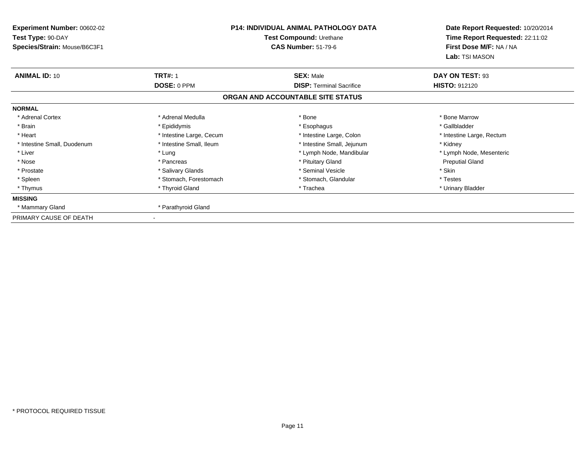| <b>Experiment Number: 00602-02</b><br>Test Type: 90-DAY | P14: INDIVIDUAL ANIMAL PATHOLOGY DATA<br>Test Compound: Urethane |                                   | Date Report Requested: 10/20/2014<br>Time Report Requested: 22:11:02 |
|---------------------------------------------------------|------------------------------------------------------------------|-----------------------------------|----------------------------------------------------------------------|
| Species/Strain: Mouse/B6C3F1                            |                                                                  | <b>CAS Number: 51-79-6</b>        | First Dose M/F: NA / NA<br>Lab: TSI MASON                            |
| <b>ANIMAL ID: 10</b>                                    | <b>TRT#: 1</b>                                                   | <b>SEX: Male</b>                  | DAY ON TEST: 93                                                      |
|                                                         | DOSE: 0 PPM                                                      | <b>DISP: Terminal Sacrifice</b>   | <b>HISTO: 912120</b>                                                 |
|                                                         |                                                                  | ORGAN AND ACCOUNTABLE SITE STATUS |                                                                      |
| <b>NORMAL</b>                                           |                                                                  |                                   |                                                                      |
| * Adrenal Cortex                                        | * Adrenal Medulla                                                | * Bone                            | * Bone Marrow                                                        |
| * Brain                                                 | * Epididymis                                                     | * Esophagus                       | * Gallbladder                                                        |
| * Heart                                                 | * Intestine Large, Cecum                                         | * Intestine Large, Colon          | * Intestine Large, Rectum                                            |
| * Intestine Small, Duodenum                             | * Intestine Small, Ileum                                         | * Intestine Small, Jejunum        | * Kidney                                                             |
| * Liver                                                 | * Lung                                                           | * Lymph Node, Mandibular          | * Lymph Node, Mesenteric                                             |
| * Nose                                                  | * Pancreas                                                       | * Pituitary Gland                 | <b>Preputial Gland</b>                                               |
| * Prostate                                              | * Salivary Glands                                                | * Seminal Vesicle                 | * Skin                                                               |
| * Spleen                                                | * Stomach, Forestomach                                           | * Stomach, Glandular              | * Testes                                                             |
| * Thymus                                                | * Thyroid Gland                                                  | * Trachea                         | * Urinary Bladder                                                    |
| <b>MISSING</b>                                          |                                                                  |                                   |                                                                      |
| * Mammary Gland                                         | * Parathyroid Gland                                              |                                   |                                                                      |
| PRIMARY CAUSE OF DEATH                                  |                                                                  |                                   |                                                                      |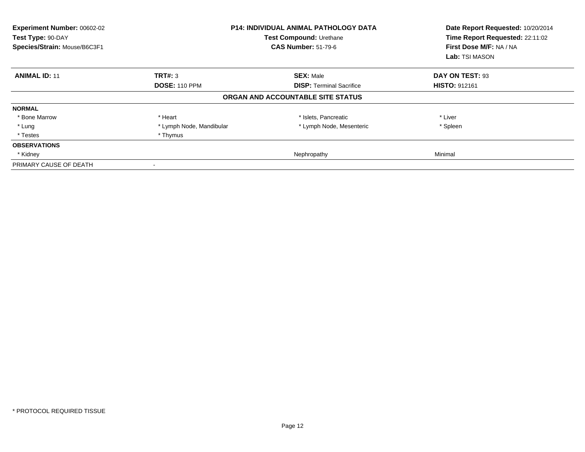| Experiment Number: 00602-02<br>Test Type: 90-DAY<br>Species/Strain: Mouse/B6C3F1 |                          | <b>P14: INDIVIDUAL ANIMAL PATHOLOGY DATA</b><br>Test Compound: Urethane<br><b>CAS Number: 51-79-6</b> | Date Report Requested: 10/20/2014<br>Time Report Requested: 22:11:02<br>First Dose M/F: NA / NA<br>Lab: TSI MASON |
|----------------------------------------------------------------------------------|--------------------------|-------------------------------------------------------------------------------------------------------|-------------------------------------------------------------------------------------------------------------------|
| <b>ANIMAL ID: 11</b>                                                             | TRT#: 3                  | <b>SEX: Male</b>                                                                                      | DAY ON TEST: 93                                                                                                   |
|                                                                                  | <b>DOSE: 110 PPM</b>     | <b>DISP: Terminal Sacrifice</b>                                                                       | <b>HISTO: 912161</b>                                                                                              |
|                                                                                  |                          | ORGAN AND ACCOUNTABLE SITE STATUS                                                                     |                                                                                                                   |
| <b>NORMAL</b>                                                                    |                          |                                                                                                       |                                                                                                                   |
| * Bone Marrow                                                                    | * Heart                  | * Islets, Pancreatic                                                                                  | * Liver                                                                                                           |
| * Lung                                                                           | * Lymph Node, Mandibular | * Lymph Node, Mesenteric                                                                              | * Spleen                                                                                                          |
| * Testes                                                                         | * Thymus                 |                                                                                                       |                                                                                                                   |
| <b>OBSERVATIONS</b>                                                              |                          |                                                                                                       |                                                                                                                   |
| * Kidney                                                                         |                          | Nephropathy                                                                                           | Minimal                                                                                                           |
| PRIMARY CAUSE OF DEATH                                                           |                          |                                                                                                       |                                                                                                                   |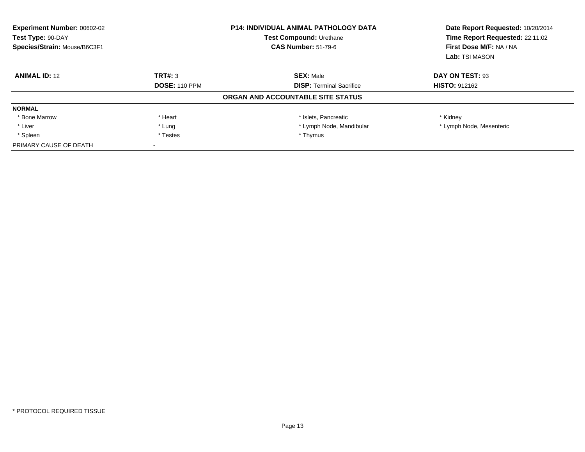| <b>Experiment Number: 00602-02</b><br>Test Type: 90-DAY<br>Species/Strain: Mouse/B6C3F1 |                      | <b>P14: INDIVIDUAL ANIMAL PATHOLOGY DATA</b><br>Test Compound: Urethane<br><b>CAS Number: 51-79-6</b> | Date Report Requested: 10/20/2014<br>Time Report Requested: 22:11:02<br>First Dose M/F: NA / NA<br>Lab: TSI MASON |
|-----------------------------------------------------------------------------------------|----------------------|-------------------------------------------------------------------------------------------------------|-------------------------------------------------------------------------------------------------------------------|
| <b>ANIMAL ID: 12</b>                                                                    | TRT#: 3              | <b>SEX: Male</b>                                                                                      | DAY ON TEST: 93                                                                                                   |
|                                                                                         | <b>DOSE: 110 PPM</b> | <b>DISP: Terminal Sacrifice</b>                                                                       | <b>HISTO: 912162</b>                                                                                              |
|                                                                                         |                      | ORGAN AND ACCOUNTABLE SITE STATUS                                                                     |                                                                                                                   |
| <b>NORMAL</b>                                                                           |                      |                                                                                                       |                                                                                                                   |
| * Bone Marrow                                                                           | * Heart              | * Islets, Pancreatic                                                                                  | * Kidney                                                                                                          |
| * Liver                                                                                 | * Lung               | * Lymph Node, Mandibular                                                                              | * Lymph Node, Mesenteric                                                                                          |
| * Spleen                                                                                | * Testes             | * Thymus                                                                                              |                                                                                                                   |
| PRIMARY CAUSE OF DEATH                                                                  |                      |                                                                                                       |                                                                                                                   |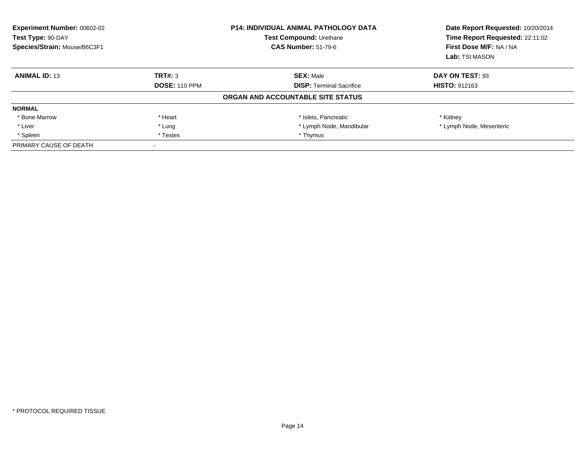| <b>Experiment Number: 00602-02</b><br>Test Type: 90-DAY<br>Species/Strain: Mouse/B6C3F1 |                      | <b>P14: INDIVIDUAL ANIMAL PATHOLOGY DATA</b><br>Test Compound: Urethane<br><b>CAS Number: 51-79-6</b> | Date Report Requested: 10/20/2014<br>Time Report Requested: 22:11:02<br>First Dose M/F: NA / NA<br>Lab: TSI MASON |
|-----------------------------------------------------------------------------------------|----------------------|-------------------------------------------------------------------------------------------------------|-------------------------------------------------------------------------------------------------------------------|
| <b>ANIMAL ID: 13</b>                                                                    | TRT#: 3              | <b>SEX: Male</b>                                                                                      | DAY ON TEST: 93                                                                                                   |
|                                                                                         | <b>DOSE: 110 PPM</b> | <b>DISP: Terminal Sacrifice</b>                                                                       | <b>HISTO: 912163</b>                                                                                              |
|                                                                                         |                      | ORGAN AND ACCOUNTABLE SITE STATUS                                                                     |                                                                                                                   |
| <b>NORMAL</b>                                                                           |                      |                                                                                                       |                                                                                                                   |
| * Bone Marrow                                                                           | * Heart              | * Islets, Pancreatic                                                                                  | * Kidney                                                                                                          |
| * Liver                                                                                 | * Lung               | * Lymph Node, Mandibular                                                                              | * Lymph Node, Mesenteric                                                                                          |
| * Spleen                                                                                | * Thymus<br>* Testes |                                                                                                       |                                                                                                                   |
| PRIMARY CAUSE OF DEATH                                                                  |                      |                                                                                                       |                                                                                                                   |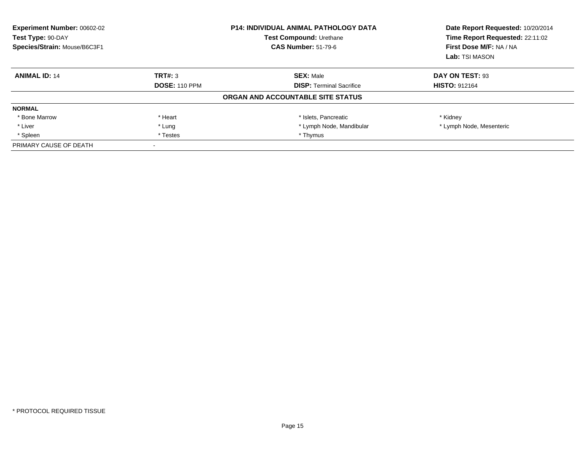| <b>Experiment Number: 00602-02</b><br>Test Type: 90-DAY<br>Species/Strain: Mouse/B6C3F1 |                      | <b>P14: INDIVIDUAL ANIMAL PATHOLOGY DATA</b><br>Test Compound: Urethane<br><b>CAS Number: 51-79-6</b> | Date Report Requested: 10/20/2014<br>Time Report Requested: 22:11:02<br>First Dose M/F: NA / NA<br>Lab: TSI MASON |
|-----------------------------------------------------------------------------------------|----------------------|-------------------------------------------------------------------------------------------------------|-------------------------------------------------------------------------------------------------------------------|
| <b>ANIMAL ID: 14</b>                                                                    | TRT#: 3              | <b>SEX: Male</b>                                                                                      | DAY ON TEST: 93                                                                                                   |
|                                                                                         | <b>DOSE: 110 PPM</b> | <b>DISP: Terminal Sacrifice</b>                                                                       | <b>HISTO: 912164</b>                                                                                              |
|                                                                                         |                      | ORGAN AND ACCOUNTABLE SITE STATUS                                                                     |                                                                                                                   |
| <b>NORMAL</b>                                                                           |                      |                                                                                                       |                                                                                                                   |
| * Bone Marrow                                                                           | * Heart              | * Islets, Pancreatic                                                                                  | * Kidney                                                                                                          |
| * Liver                                                                                 | * Lung               | * Lymph Node, Mandibular                                                                              | * Lymph Node, Mesenteric                                                                                          |
| * Spleen                                                                                | * Testes             | * Thymus                                                                                              |                                                                                                                   |
| PRIMARY CAUSE OF DEATH                                                                  |                      |                                                                                                       |                                                                                                                   |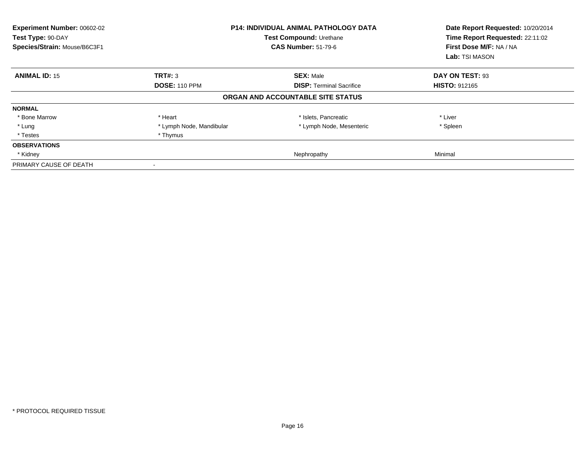| Experiment Number: 00602-02<br>Test Type: 90-DAY<br>Species/Strain: Mouse/B6C3F1 |                          | <b>P14: INDIVIDUAL ANIMAL PATHOLOGY DATA</b><br>Test Compound: Urethane<br><b>CAS Number: 51-79-6</b> | Date Report Requested: 10/20/2014<br>Time Report Requested: 22:11:02<br>First Dose M/F: NA / NA<br>Lab: TSI MASON |
|----------------------------------------------------------------------------------|--------------------------|-------------------------------------------------------------------------------------------------------|-------------------------------------------------------------------------------------------------------------------|
| <b>ANIMAL ID: 15</b>                                                             | TRT#: 3                  | <b>SEX: Male</b>                                                                                      | DAY ON TEST: 93                                                                                                   |
|                                                                                  | <b>DOSE: 110 PPM</b>     | <b>DISP: Terminal Sacrifice</b>                                                                       | <b>HISTO: 912165</b>                                                                                              |
|                                                                                  |                          | ORGAN AND ACCOUNTABLE SITE STATUS                                                                     |                                                                                                                   |
| <b>NORMAL</b>                                                                    |                          |                                                                                                       |                                                                                                                   |
| * Bone Marrow                                                                    | * Heart                  | * Islets, Pancreatic                                                                                  | * Liver                                                                                                           |
| * Lung                                                                           | * Lymph Node, Mandibular | * Lymph Node, Mesenteric                                                                              | * Spleen                                                                                                          |
| * Testes                                                                         | * Thymus                 |                                                                                                       |                                                                                                                   |
| <b>OBSERVATIONS</b>                                                              |                          |                                                                                                       |                                                                                                                   |
| * Kidney                                                                         |                          | Nephropathy                                                                                           | Minimal                                                                                                           |
| PRIMARY CAUSE OF DEATH                                                           |                          |                                                                                                       |                                                                                                                   |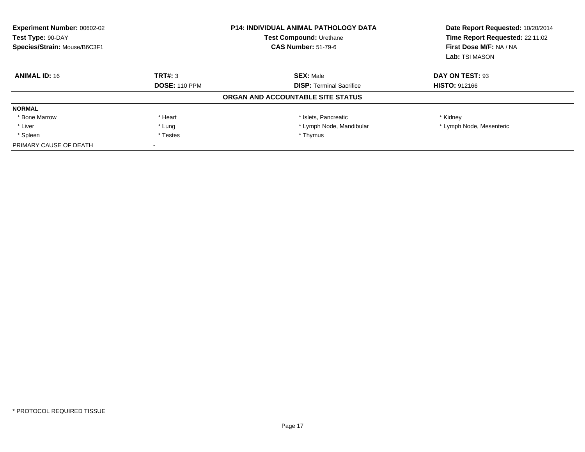| <b>Experiment Number: 00602-02</b><br>Test Type: 90-DAY<br>Species/Strain: Mouse/B6C3F1 |                      | <b>P14: INDIVIDUAL ANIMAL PATHOLOGY DATA</b><br>Test Compound: Urethane<br><b>CAS Number: 51-79-6</b> | Date Report Requested: 10/20/2014<br>Time Report Requested: 22:11:02<br>First Dose M/F: NA / NA<br>Lab: TSI MASON |
|-----------------------------------------------------------------------------------------|----------------------|-------------------------------------------------------------------------------------------------------|-------------------------------------------------------------------------------------------------------------------|
| <b>ANIMAL ID: 16</b>                                                                    | TRT#: 3              | <b>SEX: Male</b>                                                                                      | DAY ON TEST: 93                                                                                                   |
|                                                                                         | <b>DOSE: 110 PPM</b> | <b>DISP: Terminal Sacrifice</b>                                                                       | <b>HISTO: 912166</b>                                                                                              |
|                                                                                         |                      | ORGAN AND ACCOUNTABLE SITE STATUS                                                                     |                                                                                                                   |
| <b>NORMAL</b>                                                                           |                      |                                                                                                       |                                                                                                                   |
| * Bone Marrow                                                                           | * Heart              | * Islets, Pancreatic                                                                                  | * Kidney                                                                                                          |
| * Liver                                                                                 | * Lung               | * Lymph Node, Mandibular                                                                              | * Lymph Node, Mesenteric                                                                                          |
| * Spleen                                                                                | * Testes             | * Thymus                                                                                              |                                                                                                                   |
| PRIMARY CAUSE OF DEATH                                                                  |                      |                                                                                                       |                                                                                                                   |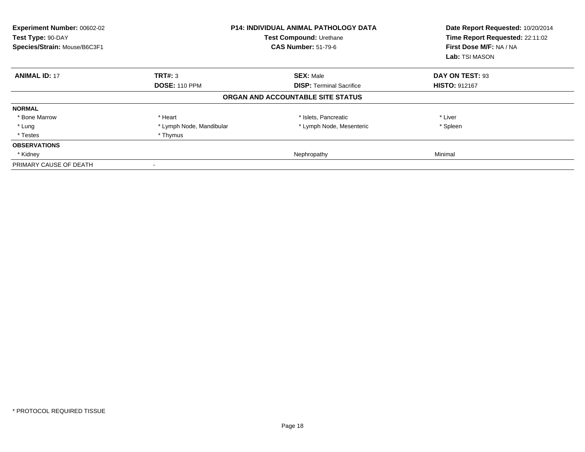| Experiment Number: 00602-02<br>Test Type: 90-DAY<br>Species/Strain: Mouse/B6C3F1 |                          | <b>P14: INDIVIDUAL ANIMAL PATHOLOGY DATA</b><br>Test Compound: Urethane<br><b>CAS Number: 51-79-6</b> | Date Report Requested: 10/20/2014<br>Time Report Requested: 22:11:02<br>First Dose M/F: NA / NA<br>Lab: TSI MASON |
|----------------------------------------------------------------------------------|--------------------------|-------------------------------------------------------------------------------------------------------|-------------------------------------------------------------------------------------------------------------------|
| <b>ANIMAL ID: 17</b>                                                             | TRT#: 3                  | <b>SEX: Male</b>                                                                                      | DAY ON TEST: 93                                                                                                   |
|                                                                                  | <b>DOSE: 110 PPM</b>     | <b>DISP:</b> Terminal Sacrifice                                                                       | <b>HISTO: 912167</b>                                                                                              |
|                                                                                  |                          | ORGAN AND ACCOUNTABLE SITE STATUS                                                                     |                                                                                                                   |
| <b>NORMAL</b>                                                                    |                          |                                                                                                       |                                                                                                                   |
| * Bone Marrow                                                                    | * Heart                  | * Islets, Pancreatic                                                                                  | * Liver                                                                                                           |
| * Lung                                                                           | * Lymph Node, Mandibular | * Lymph Node, Mesenteric                                                                              | * Spleen                                                                                                          |
| * Testes                                                                         | * Thymus                 |                                                                                                       |                                                                                                                   |
| <b>OBSERVATIONS</b>                                                              |                          |                                                                                                       |                                                                                                                   |
| * Kidney                                                                         |                          | Nephropathy                                                                                           | Minimal                                                                                                           |
| PRIMARY CAUSE OF DEATH                                                           |                          |                                                                                                       |                                                                                                                   |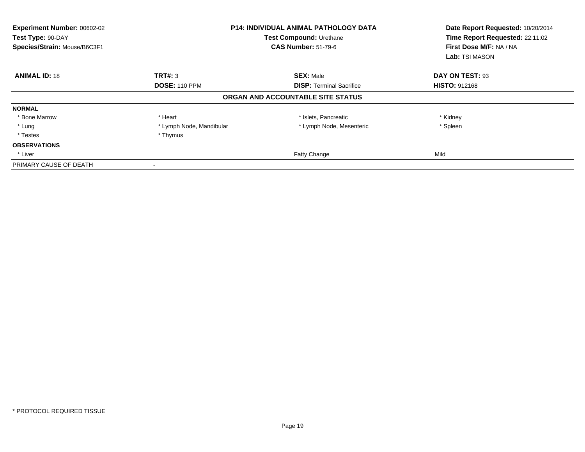| Experiment Number: 00602-02<br>Test Type: 90-DAY<br>Species/Strain: Mouse/B6C3F1 |                          | <b>P14: INDIVIDUAL ANIMAL PATHOLOGY DATA</b><br>Test Compound: Urethane<br><b>CAS Number: 51-79-6</b> | Date Report Requested: 10/20/2014<br>Time Report Requested: 22:11:02<br>First Dose M/F: NA / NA<br>Lab: TSI MASON |
|----------------------------------------------------------------------------------|--------------------------|-------------------------------------------------------------------------------------------------------|-------------------------------------------------------------------------------------------------------------------|
| <b>ANIMAL ID: 18</b>                                                             | TRT#: 3                  | <b>SEX: Male</b>                                                                                      | DAY ON TEST: 93                                                                                                   |
|                                                                                  | <b>DOSE: 110 PPM</b>     | <b>DISP: Terminal Sacrifice</b>                                                                       | <b>HISTO: 912168</b>                                                                                              |
|                                                                                  |                          | ORGAN AND ACCOUNTABLE SITE STATUS                                                                     |                                                                                                                   |
| <b>NORMAL</b>                                                                    |                          |                                                                                                       |                                                                                                                   |
| * Bone Marrow                                                                    | * Heart                  | * Islets, Pancreatic                                                                                  | * Kidney                                                                                                          |
| * Lung                                                                           | * Lymph Node, Mandibular | * Lymph Node, Mesenteric                                                                              | * Spleen                                                                                                          |
| * Testes                                                                         | * Thymus                 |                                                                                                       |                                                                                                                   |
| <b>OBSERVATIONS</b>                                                              |                          |                                                                                                       |                                                                                                                   |
| * Liver                                                                          |                          | Fatty Change                                                                                          | Mild                                                                                                              |
| PRIMARY CAUSE OF DEATH                                                           |                          |                                                                                                       |                                                                                                                   |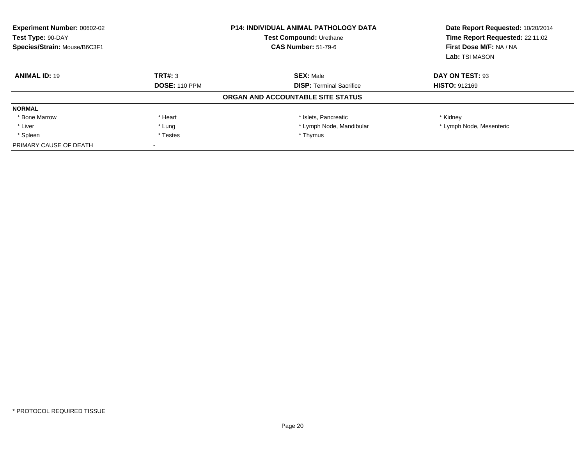| <b>Experiment Number: 00602-02</b><br>Test Type: 90-DAY<br>Species/Strain: Mouse/B6C3F1 |                      | <b>P14: INDIVIDUAL ANIMAL PATHOLOGY DATA</b><br>Test Compound: Urethane<br><b>CAS Number: 51-79-6</b> | Date Report Requested: 10/20/2014<br>Time Report Requested: 22:11:02<br>First Dose M/F: NA / NA<br>Lab: TSI MASON |
|-----------------------------------------------------------------------------------------|----------------------|-------------------------------------------------------------------------------------------------------|-------------------------------------------------------------------------------------------------------------------|
| <b>ANIMAL ID: 19</b>                                                                    | TRT#: 3              | <b>SEX: Male</b>                                                                                      | DAY ON TEST: 93                                                                                                   |
|                                                                                         | <b>DOSE: 110 PPM</b> | <b>DISP: Terminal Sacrifice</b>                                                                       | <b>HISTO: 912169</b>                                                                                              |
|                                                                                         |                      | ORGAN AND ACCOUNTABLE SITE STATUS                                                                     |                                                                                                                   |
| <b>NORMAL</b>                                                                           |                      |                                                                                                       |                                                                                                                   |
| * Bone Marrow                                                                           | * Heart              | * Islets, Pancreatic                                                                                  | * Kidney                                                                                                          |
| * Liver                                                                                 | * Lung               | * Lymph Node, Mandibular                                                                              | * Lymph Node, Mesenteric                                                                                          |
| * Spleen                                                                                | * Testes             | * Thymus                                                                                              |                                                                                                                   |
| PRIMARY CAUSE OF DEATH                                                                  |                      |                                                                                                       |                                                                                                                   |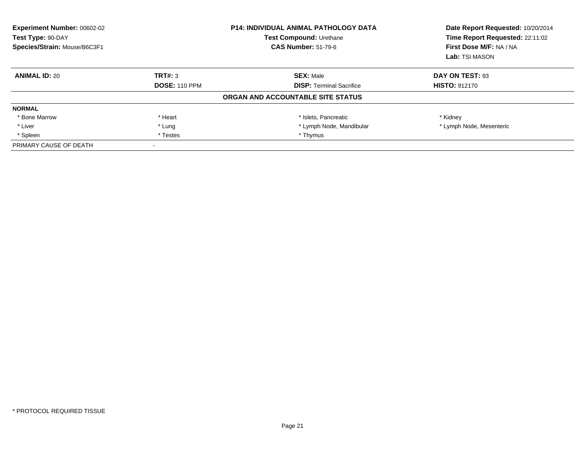| Experiment Number: 00602-02<br><b>P14: INDIVIDUAL ANIMAL PATHOLOGY DATA</b><br>Test Type: 90-DAY<br><b>Test Compound: Urethane</b><br>Species/Strain: Mouse/B6C3F1<br><b>CAS Number: 51-79-6</b> |                      | Date Report Requested: 10/20/2014<br>Time Report Requested: 22:11:02<br>First Dose M/F: NA / NA<br>Lab: TSI MASON |                          |
|--------------------------------------------------------------------------------------------------------------------------------------------------------------------------------------------------|----------------------|-------------------------------------------------------------------------------------------------------------------|--------------------------|
| <b>ANIMAL ID: 20</b>                                                                                                                                                                             | TRT#: 3              | <b>SEX: Male</b>                                                                                                  | DAY ON TEST: 93          |
|                                                                                                                                                                                                  | <b>DOSE: 110 PPM</b> | <b>DISP:</b> Terminal Sacrifice                                                                                   | <b>HISTO: 912170</b>     |
|                                                                                                                                                                                                  |                      | ORGAN AND ACCOUNTABLE SITE STATUS                                                                                 |                          |
| <b>NORMAL</b>                                                                                                                                                                                    |                      |                                                                                                                   |                          |
| * Bone Marrow                                                                                                                                                                                    | * Heart              | * Islets, Pancreatic                                                                                              | * Kidney                 |
| * Liver                                                                                                                                                                                          | * Lung               | * Lymph Node, Mandibular                                                                                          | * Lymph Node, Mesenteric |
| * Spleen                                                                                                                                                                                         | * Testes             | * Thymus                                                                                                          |                          |
| PRIMARY CAUSE OF DEATH                                                                                                                                                                           |                      |                                                                                                                   |                          |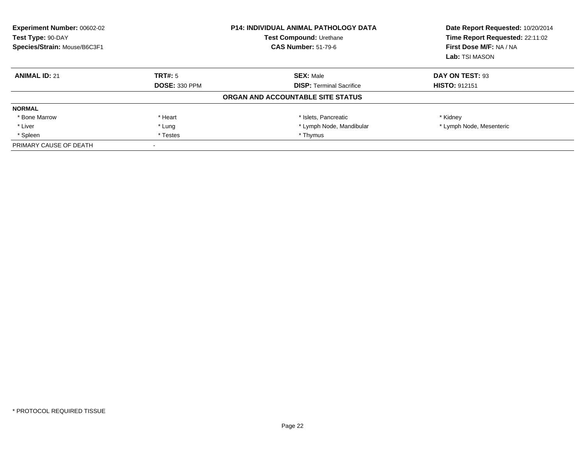| Experiment Number: 00602-02<br>Test Type: 90-DAY<br>Species/Strain: Mouse/B6C3F1 |                      | <b>P14: INDIVIDUAL ANIMAL PATHOLOGY DATA</b><br>Test Compound: Urethane<br><b>CAS Number: 51-79-6</b> | Date Report Requested: 10/20/2014<br>Time Report Requested: 22:11:02<br>First Dose M/F: NA / NA<br>Lab: TSI MASON |
|----------------------------------------------------------------------------------|----------------------|-------------------------------------------------------------------------------------------------------|-------------------------------------------------------------------------------------------------------------------|
| <b>ANIMAL ID: 21</b>                                                             | TRT#: 5              | <b>SEX: Male</b>                                                                                      | DAY ON TEST: 93                                                                                                   |
|                                                                                  | <b>DOSE: 330 PPM</b> | <b>DISP:</b> Terminal Sacrifice                                                                       | <b>HISTO: 912151</b>                                                                                              |
|                                                                                  |                      | ORGAN AND ACCOUNTABLE SITE STATUS                                                                     |                                                                                                                   |
| <b>NORMAL</b>                                                                    |                      |                                                                                                       |                                                                                                                   |
| * Bone Marrow                                                                    | * Heart              | * Islets, Pancreatic                                                                                  | * Kidney                                                                                                          |
| * Liver                                                                          | * Lung               | * Lymph Node, Mandibular                                                                              | * Lymph Node, Mesenteric                                                                                          |
| * Spleen                                                                         | * Testes             | * Thymus                                                                                              |                                                                                                                   |
| PRIMARY CAUSE OF DEATH                                                           |                      |                                                                                                       |                                                                                                                   |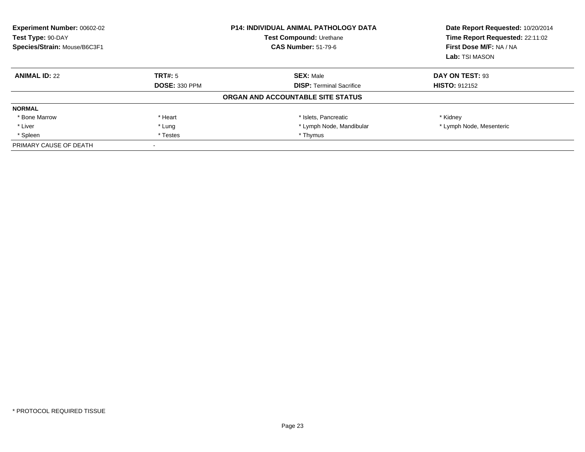| Experiment Number: 00602-02<br>Test Type: 90-DAY<br>Species/Strain: Mouse/B6C3F1 |                      | <b>P14: INDIVIDUAL ANIMAL PATHOLOGY DATA</b><br>Test Compound: Urethane<br><b>CAS Number: 51-79-6</b> | Date Report Requested: 10/20/2014<br>Time Report Requested: 22:11:02<br>First Dose M/F: NA / NA<br>Lab: TSI MASON |
|----------------------------------------------------------------------------------|----------------------|-------------------------------------------------------------------------------------------------------|-------------------------------------------------------------------------------------------------------------------|
| <b>ANIMAL ID: 22</b>                                                             | TRT#: 5              | <b>SEX: Male</b>                                                                                      | DAY ON TEST: 93                                                                                                   |
|                                                                                  | <b>DOSE: 330 PPM</b> | <b>DISP:</b> Terminal Sacrifice                                                                       | <b>HISTO: 912152</b>                                                                                              |
|                                                                                  |                      | ORGAN AND ACCOUNTABLE SITE STATUS                                                                     |                                                                                                                   |
| <b>NORMAL</b>                                                                    |                      |                                                                                                       |                                                                                                                   |
| * Bone Marrow                                                                    | * Heart              | * Islets, Pancreatic                                                                                  | * Kidney                                                                                                          |
| * Liver                                                                          | * Lung               | * Lymph Node, Mandibular                                                                              | * Lymph Node, Mesenteric                                                                                          |
| * Spleen                                                                         | * Testes             | * Thymus                                                                                              |                                                                                                                   |
| PRIMARY CAUSE OF DEATH                                                           |                      |                                                                                                       |                                                                                                                   |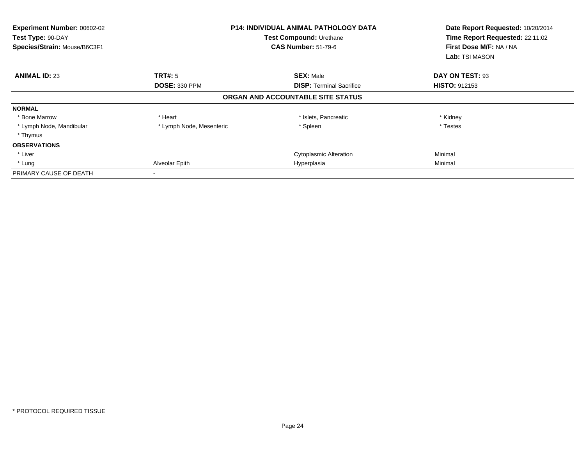| Experiment Number: 00602-02<br>Test Type: 90-DAY<br>Species/Strain: Mouse/B6C3F1 | <b>P14: INDIVIDUAL ANIMAL PATHOLOGY DATA</b><br>Test Compound: Urethane<br><b>CAS Number: 51-79-6</b> |                                   | Date Report Requested: 10/20/2014<br>Time Report Requested: 22:11:02<br>First Dose M/F: NA / NA<br>Lab: TSI MASON |
|----------------------------------------------------------------------------------|-------------------------------------------------------------------------------------------------------|-----------------------------------|-------------------------------------------------------------------------------------------------------------------|
| <b>ANIMAL ID: 23</b>                                                             | TRT#: 5                                                                                               | <b>SEX: Male</b>                  | DAY ON TEST: 93                                                                                                   |
|                                                                                  | <b>DOSE: 330 PPM</b>                                                                                  | <b>DISP:</b> Terminal Sacrifice   | <b>HISTO: 912153</b>                                                                                              |
|                                                                                  |                                                                                                       | ORGAN AND ACCOUNTABLE SITE STATUS |                                                                                                                   |
| <b>NORMAL</b>                                                                    |                                                                                                       |                                   |                                                                                                                   |
| * Bone Marrow                                                                    | * Heart                                                                                               | * Islets, Pancreatic              | * Kidney                                                                                                          |
| * Lymph Node, Mandibular                                                         | * Lymph Node, Mesenteric                                                                              | * Spleen                          | * Testes                                                                                                          |
| * Thymus                                                                         |                                                                                                       |                                   |                                                                                                                   |
| <b>OBSERVATIONS</b>                                                              |                                                                                                       |                                   |                                                                                                                   |
| * Liver                                                                          |                                                                                                       | <b>Cytoplasmic Alteration</b>     | Minimal                                                                                                           |
| * Lung                                                                           | Alveolar Epith                                                                                        | Hyperplasia                       | Minimal                                                                                                           |
| PRIMARY CAUSE OF DEATH                                                           |                                                                                                       |                                   |                                                                                                                   |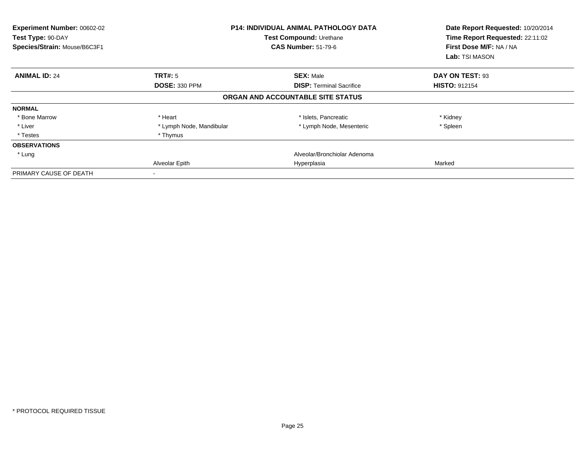| Experiment Number: 00602-02<br>Test Type: 90-DAY<br>Species/Strain: Mouse/B6C3F1 |                          | <b>P14: INDIVIDUAL ANIMAL PATHOLOGY DATA</b><br>Test Compound: Urethane<br><b>CAS Number: 51-79-6</b> | Date Report Requested: 10/20/2014<br>Time Report Requested: 22:11:02<br>First Dose M/F: NA / NA<br>Lab: TSI MASON |
|----------------------------------------------------------------------------------|--------------------------|-------------------------------------------------------------------------------------------------------|-------------------------------------------------------------------------------------------------------------------|
| <b>ANIMAL ID: 24</b>                                                             | TRT#: 5                  | <b>SEX: Male</b>                                                                                      | DAY ON TEST: 93                                                                                                   |
|                                                                                  | <b>DOSE: 330 PPM</b>     | <b>DISP: Terminal Sacrifice</b>                                                                       | <b>HISTO: 912154</b>                                                                                              |
|                                                                                  |                          | ORGAN AND ACCOUNTABLE SITE STATUS                                                                     |                                                                                                                   |
| <b>NORMAL</b>                                                                    |                          |                                                                                                       |                                                                                                                   |
| * Bone Marrow                                                                    | * Heart                  | * Islets, Pancreatic                                                                                  | * Kidney                                                                                                          |
| * Liver                                                                          | * Lymph Node, Mandibular | * Lymph Node, Mesenteric                                                                              | * Spleen                                                                                                          |
| * Testes                                                                         | * Thymus                 |                                                                                                       |                                                                                                                   |
| <b>OBSERVATIONS</b>                                                              |                          |                                                                                                       |                                                                                                                   |
| * Lung                                                                           |                          | Alveolar/Bronchiolar Adenoma                                                                          |                                                                                                                   |
|                                                                                  | Alveolar Epith           | Hyperplasia                                                                                           | Marked                                                                                                            |
| PRIMARY CAUSE OF DEATH                                                           |                          |                                                                                                       |                                                                                                                   |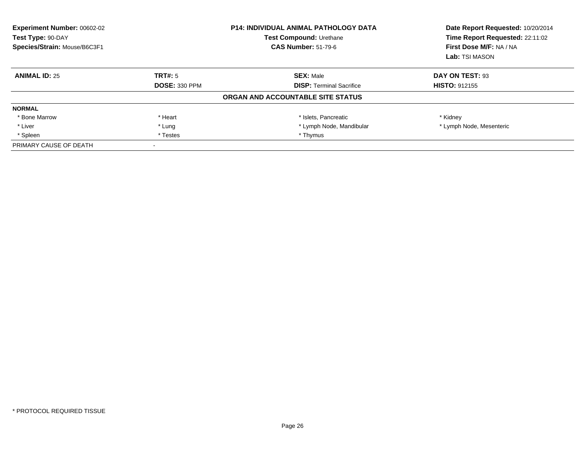| <b>Experiment Number: 00602-02</b><br>Test Type: 90-DAY<br>Test Compound: Urethane<br>Species/Strain: Mouse/B6C3F1<br><b>CAS Number: 51-79-6</b> |                      | <b>P14: INDIVIDUAL ANIMAL PATHOLOGY DATA</b> | Date Report Requested: 10/20/2014<br>Time Report Requested: 22:11:02<br>First Dose M/F: NA / NA<br>Lab: TSI MASON |
|--------------------------------------------------------------------------------------------------------------------------------------------------|----------------------|----------------------------------------------|-------------------------------------------------------------------------------------------------------------------|
| <b>ANIMAL ID: 25</b>                                                                                                                             | TRT#: 5              | <b>SEX: Male</b>                             | DAY ON TEST: 93                                                                                                   |
|                                                                                                                                                  | <b>DOSE: 330 PPM</b> | <b>DISP: Terminal Sacrifice</b>              | <b>HISTO: 912155</b>                                                                                              |
|                                                                                                                                                  |                      | ORGAN AND ACCOUNTABLE SITE STATUS            |                                                                                                                   |
| <b>NORMAL</b>                                                                                                                                    |                      |                                              |                                                                                                                   |
| * Bone Marrow                                                                                                                                    | * Heart              | * Islets, Pancreatic                         | * Kidney                                                                                                          |
| * Liver                                                                                                                                          | * Lung               | * Lymph Node, Mandibular                     | * Lymph Node, Mesenteric                                                                                          |
| * Spleen                                                                                                                                         | * Testes             | * Thymus                                     |                                                                                                                   |
| PRIMARY CAUSE OF DEATH                                                                                                                           |                      |                                              |                                                                                                                   |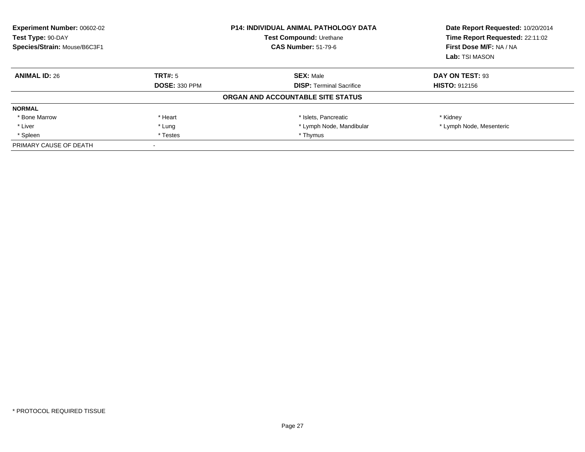| <b>Experiment Number: 00602-02</b><br>Test Type: 90-DAY<br>Test Compound: Urethane<br>Species/Strain: Mouse/B6C3F1<br><b>CAS Number: 51-79-6</b> |                      | <b>P14: INDIVIDUAL ANIMAL PATHOLOGY DATA</b> | Date Report Requested: 10/20/2014<br>Time Report Requested: 22:11:02<br>First Dose M/F: NA / NA<br>Lab: TSI MASON |
|--------------------------------------------------------------------------------------------------------------------------------------------------|----------------------|----------------------------------------------|-------------------------------------------------------------------------------------------------------------------|
| <b>ANIMAL ID: 26</b>                                                                                                                             | TRT#: 5              | <b>SEX: Male</b>                             | DAY ON TEST: 93                                                                                                   |
|                                                                                                                                                  | <b>DOSE: 330 PPM</b> | <b>DISP: Terminal Sacrifice</b>              | <b>HISTO: 912156</b>                                                                                              |
|                                                                                                                                                  |                      | ORGAN AND ACCOUNTABLE SITE STATUS            |                                                                                                                   |
| <b>NORMAL</b>                                                                                                                                    |                      |                                              |                                                                                                                   |
| * Bone Marrow                                                                                                                                    | * Heart              | * Islets, Pancreatic                         | * Kidney                                                                                                          |
| * Liver                                                                                                                                          | * Lung               | * Lymph Node, Mandibular                     | * Lymph Node, Mesenteric                                                                                          |
| * Spleen                                                                                                                                         | * Testes             | * Thymus                                     |                                                                                                                   |
| PRIMARY CAUSE OF DEATH                                                                                                                           |                      |                                              |                                                                                                                   |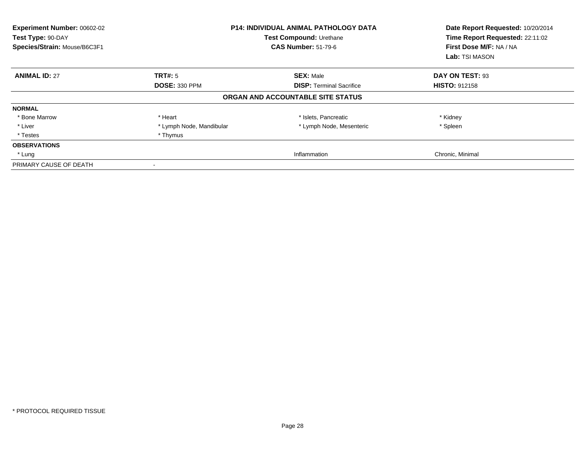| Experiment Number: 00602-02<br>Test Type: 90-DAY<br>Species/Strain: Mouse/B6C3F1 |                          | <b>P14: INDIVIDUAL ANIMAL PATHOLOGY DATA</b><br>Test Compound: Urethane<br><b>CAS Number: 51-79-6</b> | Date Report Requested: 10/20/2014<br>Time Report Requested: 22:11:02<br>First Dose M/F: NA / NA<br>Lab: TSI MASON |
|----------------------------------------------------------------------------------|--------------------------|-------------------------------------------------------------------------------------------------------|-------------------------------------------------------------------------------------------------------------------|
| <b>ANIMAL ID: 27</b>                                                             | TRT#: 5                  | <b>SEX: Male</b>                                                                                      | DAY ON TEST: 93                                                                                                   |
|                                                                                  | <b>DOSE: 330 PPM</b>     | <b>DISP:</b> Terminal Sacrifice                                                                       | <b>HISTO: 912158</b>                                                                                              |
|                                                                                  |                          | ORGAN AND ACCOUNTABLE SITE STATUS                                                                     |                                                                                                                   |
| <b>NORMAL</b>                                                                    |                          |                                                                                                       |                                                                                                                   |
| * Bone Marrow                                                                    | * Heart                  | * Islets, Pancreatic                                                                                  | * Kidney                                                                                                          |
| * Liver                                                                          | * Lymph Node, Mandibular | * Lymph Node, Mesenteric                                                                              | * Spleen                                                                                                          |
| * Testes                                                                         | * Thymus                 |                                                                                                       |                                                                                                                   |
| <b>OBSERVATIONS</b>                                                              |                          |                                                                                                       |                                                                                                                   |
| * Lung                                                                           |                          | Inflammation                                                                                          | Chronic, Minimal                                                                                                  |
| PRIMARY CAUSE OF DEATH                                                           |                          |                                                                                                       |                                                                                                                   |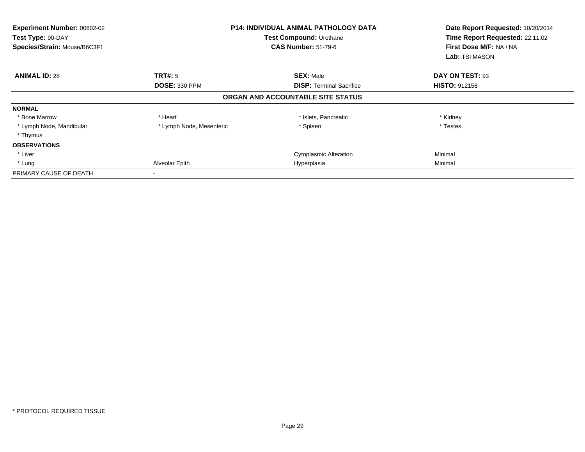| Experiment Number: 00602-02<br>Test Type: 90-DAY<br>Species/Strain: Mouse/B6C3F1 |                          | <b>P14: INDIVIDUAL ANIMAL PATHOLOGY DATA</b><br>Test Compound: Urethane<br><b>CAS Number: 51-79-6</b> | Date Report Requested: 10/20/2014<br>Time Report Requested: 22:11:02<br>First Dose M/F: NA / NA<br>Lab: TSI MASON |
|----------------------------------------------------------------------------------|--------------------------|-------------------------------------------------------------------------------------------------------|-------------------------------------------------------------------------------------------------------------------|
| <b>ANIMAL ID: 28</b>                                                             | TRT#: 5                  | <b>SEX: Male</b>                                                                                      | DAY ON TEST: 93                                                                                                   |
|                                                                                  | <b>DOSE: 330 PPM</b>     | <b>DISP:</b> Terminal Sacrifice                                                                       | <b>HISTO: 912158</b>                                                                                              |
|                                                                                  |                          | ORGAN AND ACCOUNTABLE SITE STATUS                                                                     |                                                                                                                   |
| <b>NORMAL</b>                                                                    |                          |                                                                                                       |                                                                                                                   |
| * Bone Marrow                                                                    | * Heart                  | * Islets, Pancreatic                                                                                  | * Kidney                                                                                                          |
| * Lymph Node, Mandibular                                                         | * Lymph Node, Mesenteric | * Spleen                                                                                              | * Testes                                                                                                          |
| * Thymus                                                                         |                          |                                                                                                       |                                                                                                                   |
| <b>OBSERVATIONS</b>                                                              |                          |                                                                                                       |                                                                                                                   |
| * Liver                                                                          |                          | <b>Cytoplasmic Alteration</b>                                                                         | Minimal                                                                                                           |
| * Lung                                                                           | Alveolar Epith           | Hyperplasia                                                                                           | Minimal                                                                                                           |
| PRIMARY CAUSE OF DEATH                                                           |                          |                                                                                                       |                                                                                                                   |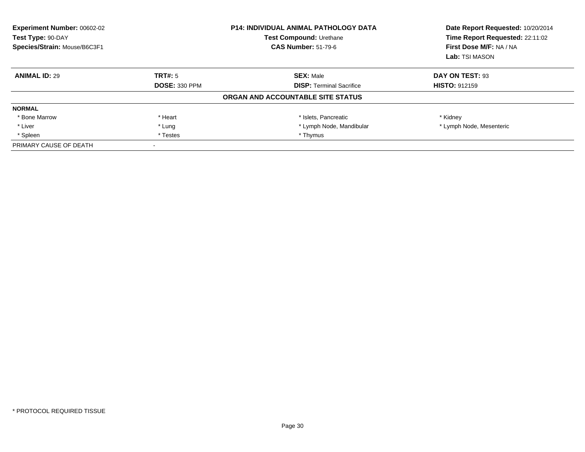| Experiment Number: 00602-02<br><b>P14: INDIVIDUAL ANIMAL PATHOLOGY DATA</b><br>Test Type: 90-DAY<br>Test Compound: Urethane<br>Species/Strain: Mouse/B6C3F1<br><b>CAS Number: 51-79-6</b> |                      | Date Report Requested: 10/20/2014<br>Time Report Requested: 22:11:02<br>First Dose M/F: NA / NA<br>Lab: TSI MASON |                          |
|-------------------------------------------------------------------------------------------------------------------------------------------------------------------------------------------|----------------------|-------------------------------------------------------------------------------------------------------------------|--------------------------|
| <b>ANIMAL ID: 29</b>                                                                                                                                                                      | TRT#: 5              | <b>SEX: Male</b>                                                                                                  | DAY ON TEST: 93          |
|                                                                                                                                                                                           | <b>DOSE: 330 PPM</b> | <b>DISP:</b> Terminal Sacrifice                                                                                   | <b>HISTO: 912159</b>     |
|                                                                                                                                                                                           |                      | ORGAN AND ACCOUNTABLE SITE STATUS                                                                                 |                          |
| <b>NORMAL</b>                                                                                                                                                                             |                      |                                                                                                                   |                          |
| * Bone Marrow                                                                                                                                                                             | * Heart              | * Islets, Pancreatic                                                                                              | * Kidney                 |
| * Liver                                                                                                                                                                                   | * Lung               | * Lymph Node, Mandibular                                                                                          | * Lymph Node, Mesenteric |
| * Spleen                                                                                                                                                                                  | * Testes             | * Thymus                                                                                                          |                          |
| PRIMARY CAUSE OF DEATH                                                                                                                                                                    |                      |                                                                                                                   |                          |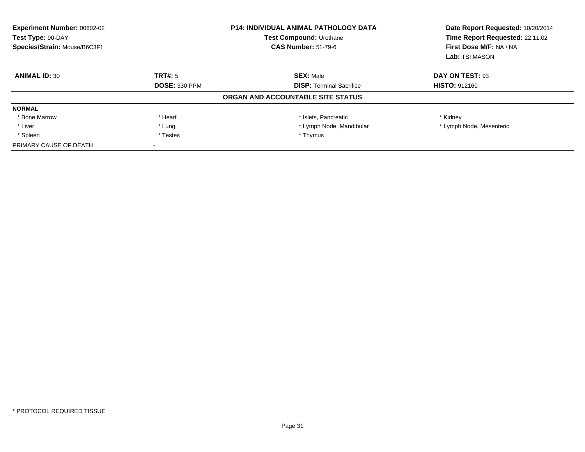| Experiment Number: 00602-02<br>Test Type: 90-DAY<br>Species/Strain: Mouse/B6C3F1 | <b>P14: INDIVIDUAL ANIMAL PATHOLOGY DATA</b><br>Test Compound: Urethane<br><b>CAS Number: 51-79-6</b> |                                   | Date Report Requested: 10/20/2014<br>Time Report Requested: 22:11:02<br>First Dose M/F: NA / NA<br>Lab: TSI MASON |
|----------------------------------------------------------------------------------|-------------------------------------------------------------------------------------------------------|-----------------------------------|-------------------------------------------------------------------------------------------------------------------|
| <b>ANIMAL ID: 30</b>                                                             | TRT#: 5                                                                                               | <b>SEX: Male</b>                  | DAY ON TEST: 93                                                                                                   |
|                                                                                  | <b>DOSE: 330 PPM</b>                                                                                  | <b>DISP:</b> Terminal Sacrifice   | <b>HISTO: 912160</b>                                                                                              |
|                                                                                  |                                                                                                       | ORGAN AND ACCOUNTABLE SITE STATUS |                                                                                                                   |
| <b>NORMAL</b>                                                                    |                                                                                                       |                                   |                                                                                                                   |
| * Bone Marrow                                                                    | * Heart                                                                                               | * Islets, Pancreatic              | * Kidney                                                                                                          |
| * Liver                                                                          | * Lung                                                                                                | * Lymph Node, Mandibular          | * Lymph Node, Mesenteric                                                                                          |
| * Spleen                                                                         | * Testes                                                                                              | * Thymus                          |                                                                                                                   |
| PRIMARY CAUSE OF DEATH                                                           |                                                                                                       |                                   |                                                                                                                   |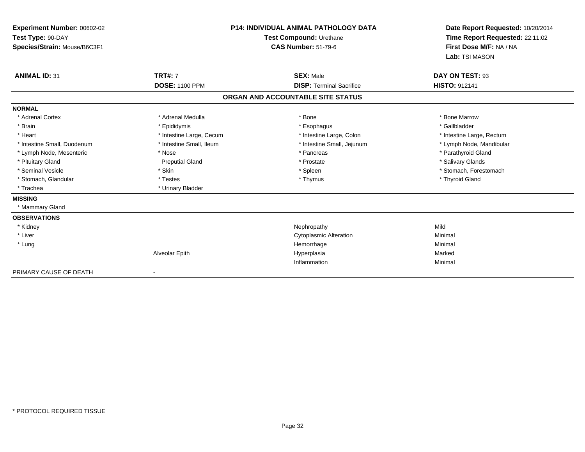| Experiment Number: 00602-02<br>Test Type: 90-DAY<br>Species/Strain: Mouse/B6C3F1<br><b>ANIMAL ID: 31</b> | <b>TRT#: 7</b>           | <b>P14: INDIVIDUAL ANIMAL PATHOLOGY DATA</b><br>Test Compound: Urethane<br><b>CAS Number: 51-79-6</b><br><b>SEX: Male</b> | Date Report Requested: 10/20/2014<br>Time Report Requested: 22:11:02<br>First Dose M/F: NA / NA<br>Lab: TSI MASON<br>DAY ON TEST: 93 |
|----------------------------------------------------------------------------------------------------------|--------------------------|---------------------------------------------------------------------------------------------------------------------------|--------------------------------------------------------------------------------------------------------------------------------------|
|                                                                                                          | <b>DOSE: 1100 PPM</b>    | <b>DISP: Terminal Sacrifice</b>                                                                                           | <b>HISTO: 912141</b>                                                                                                                 |
|                                                                                                          |                          | ORGAN AND ACCOUNTABLE SITE STATUS                                                                                         |                                                                                                                                      |
| <b>NORMAL</b>                                                                                            |                          |                                                                                                                           |                                                                                                                                      |
| * Adrenal Cortex                                                                                         | * Adrenal Medulla        | * Bone                                                                                                                    | * Bone Marrow                                                                                                                        |
| * Brain                                                                                                  | * Epididymis             | * Esophagus                                                                                                               | * Gallbladder                                                                                                                        |
| * Heart                                                                                                  | * Intestine Large, Cecum | * Intestine Large, Colon                                                                                                  | * Intestine Large, Rectum                                                                                                            |
| * Intestine Small, Duodenum                                                                              | * Intestine Small, Ileum | * Intestine Small, Jejunum                                                                                                | * Lymph Node, Mandibular                                                                                                             |
| * Lymph Node, Mesenteric                                                                                 | * Nose                   | * Pancreas                                                                                                                | * Parathyroid Gland                                                                                                                  |
| * Pituitary Gland                                                                                        | <b>Preputial Gland</b>   | * Prostate                                                                                                                | * Salivary Glands                                                                                                                    |
| * Seminal Vesicle                                                                                        | * Skin                   | * Spleen                                                                                                                  | * Stomach, Forestomach                                                                                                               |
| * Stomach, Glandular                                                                                     | * Testes                 | * Thymus                                                                                                                  | * Thyroid Gland                                                                                                                      |
| * Trachea                                                                                                | * Urinary Bladder        |                                                                                                                           |                                                                                                                                      |
| <b>MISSING</b>                                                                                           |                          |                                                                                                                           |                                                                                                                                      |
| * Mammary Gland                                                                                          |                          |                                                                                                                           |                                                                                                                                      |
| <b>OBSERVATIONS</b>                                                                                      |                          |                                                                                                                           |                                                                                                                                      |
| * Kidney                                                                                                 |                          | Nephropathy                                                                                                               | Mild                                                                                                                                 |
| * Liver                                                                                                  |                          | <b>Cytoplasmic Alteration</b>                                                                                             | Minimal                                                                                                                              |
| * Lung                                                                                                   |                          | Hemorrhage                                                                                                                | Minimal                                                                                                                              |
|                                                                                                          | Alveolar Epith           | Hyperplasia                                                                                                               | Marked                                                                                                                               |
|                                                                                                          |                          | Inflammation                                                                                                              | Minimal                                                                                                                              |
| PRIMARY CAUSE OF DEATH                                                                                   |                          |                                                                                                                           |                                                                                                                                      |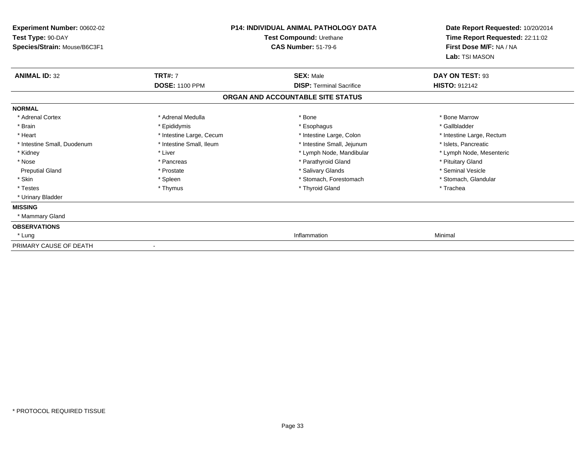| <b>Experiment Number: 00602-02</b> |                          | <b>P14: INDIVIDUAL ANIMAL PATHOLOGY DATA</b> | Date Report Requested: 10/20/2014 |
|------------------------------------|--------------------------|----------------------------------------------|-----------------------------------|
| Test Type: 90-DAY                  |                          | Test Compound: Urethane                      | Time Report Requested: 22:11:02   |
| Species/Strain: Mouse/B6C3F1       |                          | <b>CAS Number: 51-79-6</b>                   | First Dose M/F: NA / NA           |
|                                    |                          |                                              | Lab: TSI MASON                    |
| <b>ANIMAL ID: 32</b>               | <b>TRT#: 7</b>           | <b>SEX: Male</b>                             | DAY ON TEST: 93                   |
|                                    | <b>DOSE: 1100 PPM</b>    | <b>DISP: Terminal Sacrifice</b>              | <b>HISTO: 912142</b>              |
|                                    |                          | ORGAN AND ACCOUNTABLE SITE STATUS            |                                   |
| <b>NORMAL</b>                      |                          |                                              |                                   |
| * Adrenal Cortex                   | * Adrenal Medulla        | * Bone                                       | * Bone Marrow                     |
| * Brain                            | * Epididymis             | * Esophagus                                  | * Gallbladder                     |
| * Heart                            | * Intestine Large, Cecum | * Intestine Large, Colon                     | * Intestine Large, Rectum         |
| * Intestine Small. Duodenum        | * Intestine Small, Ileum | * Intestine Small, Jejunum                   | * Islets. Pancreatic              |
| * Kidney                           | * Liver                  | * Lymph Node, Mandibular                     | * Lymph Node, Mesenteric          |
| * Nose                             | * Pancreas               | * Parathyroid Gland                          | * Pituitary Gland                 |
| <b>Preputial Gland</b>             | * Prostate               | * Salivary Glands                            | * Seminal Vesicle                 |
| * Skin                             | * Spleen                 | * Stomach, Forestomach                       | * Stomach, Glandular              |
| * Testes                           | * Thymus                 | * Thyroid Gland                              | * Trachea                         |
| * Urinary Bladder                  |                          |                                              |                                   |
| <b>MISSING</b>                     |                          |                                              |                                   |
| * Mammary Gland                    |                          |                                              |                                   |
| <b>OBSERVATIONS</b>                |                          |                                              |                                   |
| * Lung                             |                          | Inflammation                                 | Minimal                           |
| PRIMARY CAUSE OF DEATH             |                          |                                              |                                   |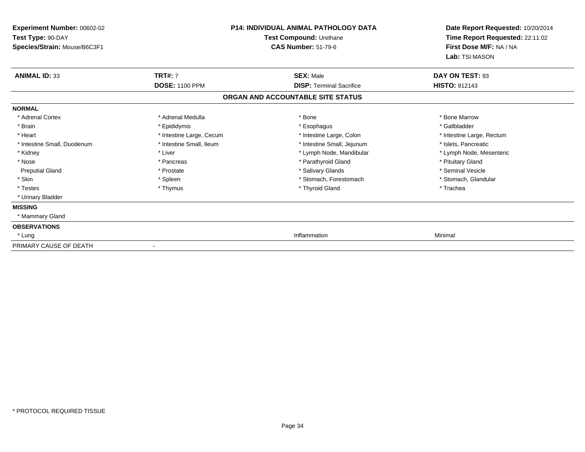| <b>Experiment Number: 00602-02</b> |                          | <b>P14: INDIVIDUAL ANIMAL PATHOLOGY DATA</b> | Date Report Requested: 10/20/2014<br>Time Report Requested: 22:11:02 |
|------------------------------------|--------------------------|----------------------------------------------|----------------------------------------------------------------------|
| Test Type: 90-DAY                  |                          | Test Compound: Urethane                      |                                                                      |
| Species/Strain: Mouse/B6C3F1       |                          | <b>CAS Number: 51-79-6</b>                   | First Dose M/F: NA / NA                                              |
|                                    |                          |                                              | Lab: TSI MASON                                                       |
| <b>ANIMAL ID: 33</b>               | <b>TRT#: 7</b>           | <b>SEX: Male</b>                             | DAY ON TEST: 93                                                      |
|                                    | <b>DOSE: 1100 PPM</b>    | <b>DISP: Terminal Sacrifice</b>              | <b>HISTO: 912143</b>                                                 |
|                                    |                          | ORGAN AND ACCOUNTABLE SITE STATUS            |                                                                      |
| <b>NORMAL</b>                      |                          |                                              |                                                                      |
| * Adrenal Cortex                   | * Adrenal Medulla        | * Bone                                       | * Bone Marrow                                                        |
| * Brain                            | * Epididymis             | * Esophagus                                  | * Gallbladder                                                        |
| * Heart                            | * Intestine Large, Cecum | * Intestine Large, Colon                     | * Intestine Large, Rectum                                            |
| * Intestine Small. Duodenum        | * Intestine Small, Ileum | * Intestine Small, Jejunum                   | * Islets. Pancreatic                                                 |
| * Kidney                           | * Liver                  | * Lymph Node, Mandibular                     | * Lymph Node, Mesenteric                                             |
| * Nose                             | * Pancreas               | * Parathyroid Gland                          | * Pituitary Gland                                                    |
| <b>Preputial Gland</b>             | * Prostate               | * Salivary Glands                            | * Seminal Vesicle                                                    |
| * Skin                             | * Spleen                 | * Stomach, Forestomach                       | * Stomach, Glandular                                                 |
| * Testes                           | * Thymus                 | * Thyroid Gland                              | * Trachea                                                            |
| * Urinary Bladder                  |                          |                                              |                                                                      |
| <b>MISSING</b>                     |                          |                                              |                                                                      |
| * Mammary Gland                    |                          |                                              |                                                                      |
| <b>OBSERVATIONS</b>                |                          |                                              |                                                                      |
| * Lung                             |                          | Inflammation                                 | Minimal                                                              |
| PRIMARY CAUSE OF DEATH             |                          |                                              |                                                                      |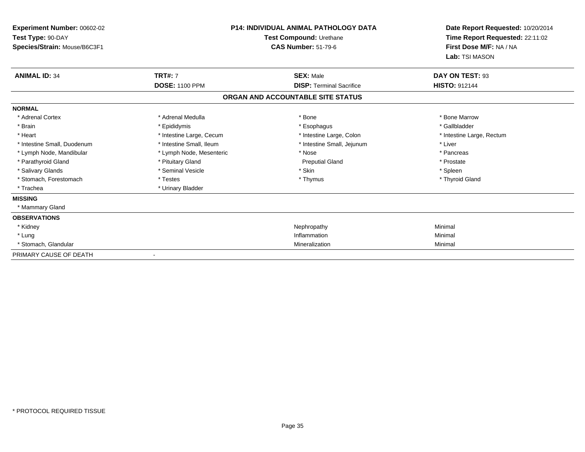| Experiment Number: 00602-02  |                          | <b>P14: INDIVIDUAL ANIMAL PATHOLOGY DATA</b> | Date Report Requested: 10/20/2014                          |
|------------------------------|--------------------------|----------------------------------------------|------------------------------------------------------------|
| Test Type: 90-DAY            |                          | Test Compound: Urethane                      | Time Report Requested: 22:11:02<br>First Dose M/F: NA / NA |
| Species/Strain: Mouse/B6C3F1 |                          | <b>CAS Number: 51-79-6</b>                   |                                                            |
|                              |                          |                                              | Lab: TSI MASON                                             |
| <b>ANIMAL ID: 34</b>         | <b>TRT#: 7</b>           | <b>SEX: Male</b>                             | DAY ON TEST: 93                                            |
|                              | <b>DOSE: 1100 PPM</b>    | <b>DISP: Terminal Sacrifice</b>              | <b>HISTO: 912144</b>                                       |
|                              |                          | ORGAN AND ACCOUNTABLE SITE STATUS            |                                                            |
| <b>NORMAL</b>                |                          |                                              |                                                            |
| * Adrenal Cortex             | * Adrenal Medulla        | * Bone                                       | * Bone Marrow                                              |
| * Brain                      | * Epididymis             | * Esophagus                                  | * Gallbladder                                              |
| * Heart                      | * Intestine Large, Cecum | * Intestine Large, Colon                     | * Intestine Large, Rectum                                  |
| * Intestine Small, Duodenum  | * Intestine Small. Ileum | * Intestine Small, Jejunum                   | * Liver                                                    |
| * Lymph Node, Mandibular     | * Lymph Node, Mesenteric | * Nose                                       | * Pancreas                                                 |
| * Parathyroid Gland          | * Pituitary Gland        | <b>Preputial Gland</b>                       | * Prostate                                                 |
| * Salivary Glands            | * Seminal Vesicle        | * Skin                                       | * Spleen                                                   |
| * Stomach, Forestomach       | * Testes                 | * Thymus                                     | * Thyroid Gland                                            |
| * Trachea                    | * Urinary Bladder        |                                              |                                                            |
| <b>MISSING</b>               |                          |                                              |                                                            |
| * Mammary Gland              |                          |                                              |                                                            |
| <b>OBSERVATIONS</b>          |                          |                                              |                                                            |
| * Kidney                     |                          | Nephropathy                                  | Minimal                                                    |
| * Lung                       |                          | Inflammation                                 | Minimal                                                    |
| * Stomach, Glandular         |                          | Mineralization                               | Minimal                                                    |
| PRIMARY CAUSE OF DEATH       |                          |                                              |                                                            |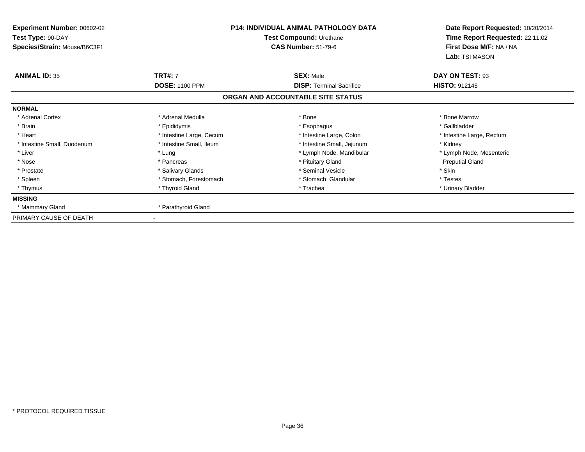| Experiment Number: 00602-02<br>Test Type: 90-DAY<br>Species/Strain: Mouse/B6C3F1 | <b>P14: INDIVIDUAL ANIMAL PATHOLOGY DATA</b><br>Test Compound: Urethane<br><b>CAS Number: 51-79-6</b> |                                   | Date Report Requested: 10/20/2014<br>Time Report Requested: 22:11:02<br>First Dose M/F: NA / NA |
|----------------------------------------------------------------------------------|-------------------------------------------------------------------------------------------------------|-----------------------------------|-------------------------------------------------------------------------------------------------|
| <b>ANIMAL ID: 35</b>                                                             | <b>TRT#: 7</b>                                                                                        | <b>SEX: Male</b>                  | Lab: TSI MASON<br>DAY ON TEST: 93                                                               |
|                                                                                  | <b>DOSE: 1100 PPM</b>                                                                                 | <b>DISP: Terminal Sacrifice</b>   | <b>HISTO: 912145</b>                                                                            |
|                                                                                  |                                                                                                       | ORGAN AND ACCOUNTABLE SITE STATUS |                                                                                                 |
| <b>NORMAL</b>                                                                    |                                                                                                       |                                   |                                                                                                 |
| * Adrenal Cortex                                                                 | * Adrenal Medulla                                                                                     | * Bone                            | * Bone Marrow                                                                                   |
| * Brain                                                                          | * Epididymis                                                                                          | * Esophagus                       | * Gallbladder                                                                                   |
| * Heart                                                                          | * Intestine Large, Cecum                                                                              | * Intestine Large, Colon          | * Intestine Large, Rectum                                                                       |
| * Intestine Small, Duodenum                                                      | * Intestine Small, Ileum                                                                              | * Intestine Small, Jejunum        | * Kidney                                                                                        |
| * Liver                                                                          | * Lung                                                                                                | * Lymph Node, Mandibular          | * Lymph Node, Mesenteric                                                                        |
| * Nose                                                                           | * Pancreas                                                                                            | * Pituitary Gland                 | <b>Preputial Gland</b>                                                                          |
| * Prostate                                                                       | * Salivary Glands                                                                                     | * Seminal Vesicle                 | * Skin                                                                                          |
| * Spleen                                                                         | * Stomach, Forestomach                                                                                | * Stomach, Glandular              | * Testes                                                                                        |
| * Thymus                                                                         | * Thyroid Gland                                                                                       | * Trachea                         | * Urinary Bladder                                                                               |
| <b>MISSING</b>                                                                   |                                                                                                       |                                   |                                                                                                 |
| * Mammary Gland                                                                  | * Parathyroid Gland                                                                                   |                                   |                                                                                                 |
| PRIMARY CAUSE OF DEATH                                                           |                                                                                                       |                                   |                                                                                                 |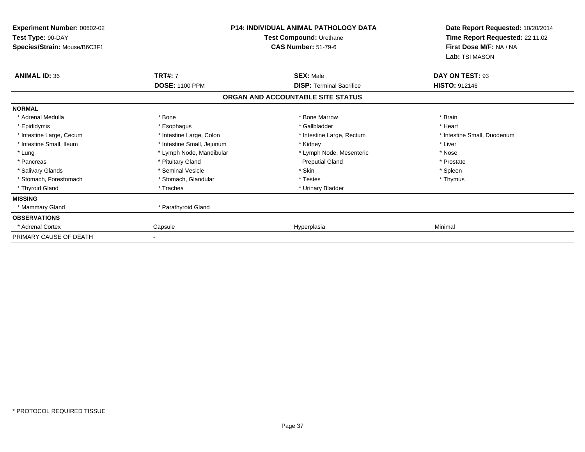| Experiment Number: 00602-02<br>Test Type: 90-DAY<br>Species/Strain: Mouse/B6C3F1 |                            | P14: INDIVIDUAL ANIMAL PATHOLOGY DATA<br>Test Compound: Urethane<br><b>CAS Number: 51-79-6</b> | Date Report Requested: 10/20/2014<br>Time Report Requested: 22:11:02<br>First Dose M/F: NA / NA<br>Lab: TSI MASON |
|----------------------------------------------------------------------------------|----------------------------|------------------------------------------------------------------------------------------------|-------------------------------------------------------------------------------------------------------------------|
| <b>ANIMAL ID: 36</b>                                                             | <b>TRT#: 7</b>             | <b>SEX: Male</b>                                                                               | DAY ON TEST: 93                                                                                                   |
|                                                                                  | <b>DOSE: 1100 PPM</b>      | <b>DISP: Terminal Sacrifice</b>                                                                | <b>HISTO: 912146</b>                                                                                              |
|                                                                                  |                            | ORGAN AND ACCOUNTABLE SITE STATUS                                                              |                                                                                                                   |
| <b>NORMAL</b>                                                                    |                            |                                                                                                |                                                                                                                   |
| * Adrenal Medulla                                                                | * Bone                     | * Bone Marrow                                                                                  | * Brain                                                                                                           |
| * Epididymis                                                                     | * Esophagus                | * Gallbladder                                                                                  | * Heart                                                                                                           |
| * Intestine Large, Cecum                                                         | * Intestine Large, Colon   | * Intestine Large, Rectum                                                                      | * Intestine Small, Duodenum                                                                                       |
| * Intestine Small, Ileum                                                         | * Intestine Small, Jejunum | * Kidney                                                                                       | * Liver                                                                                                           |
| * Lung                                                                           | * Lymph Node, Mandibular   | * Lymph Node, Mesenteric                                                                       | * Nose                                                                                                            |
| * Pancreas                                                                       | * Pituitary Gland          | <b>Preputial Gland</b>                                                                         | * Prostate                                                                                                        |
| * Salivary Glands                                                                | * Seminal Vesicle          | * Skin                                                                                         | * Spleen                                                                                                          |
| * Stomach, Forestomach                                                           | * Stomach, Glandular       | * Testes                                                                                       | * Thymus                                                                                                          |
| * Thyroid Gland                                                                  | * Trachea                  | * Urinary Bladder                                                                              |                                                                                                                   |
| <b>MISSING</b>                                                                   |                            |                                                                                                |                                                                                                                   |
| * Mammary Gland                                                                  | * Parathyroid Gland        |                                                                                                |                                                                                                                   |
| <b>OBSERVATIONS</b>                                                              |                            |                                                                                                |                                                                                                                   |
| Adrenal Cortex                                                                   | Capsule                    | Hyperplasia                                                                                    | Minimal                                                                                                           |
| PRIMARY CAUSE OF DEATH                                                           |                            |                                                                                                |                                                                                                                   |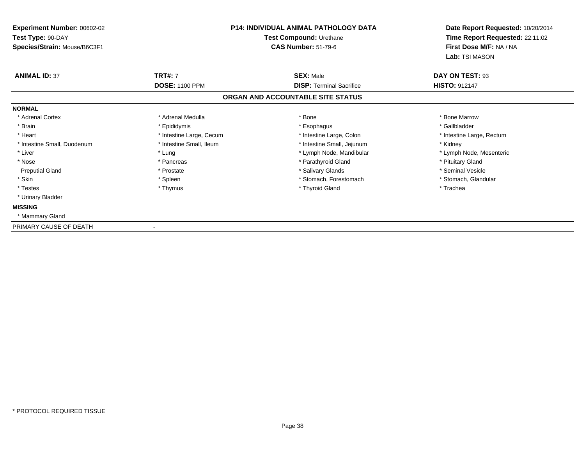| <b>Experiment Number: 00602-02</b> | <b>P14: INDIVIDUAL ANIMAL PATHOLOGY DATA</b><br>Test Compound: Urethane |                                   | Date Report Requested: 10/20/2014<br>Time Report Requested: 22:11:02 |
|------------------------------------|-------------------------------------------------------------------------|-----------------------------------|----------------------------------------------------------------------|
| Test Type: 90-DAY                  |                                                                         |                                   |                                                                      |
| Species/Strain: Mouse/B6C3F1       |                                                                         | <b>CAS Number: 51-79-6</b>        | First Dose M/F: NA / NA                                              |
|                                    |                                                                         |                                   | Lab: TSI MASON                                                       |
| <b>ANIMAL ID: 37</b>               | <b>TRT#: 7</b>                                                          | <b>SEX: Male</b>                  | DAY ON TEST: 93                                                      |
|                                    | <b>DOSE: 1100 PPM</b>                                                   | <b>DISP: Terminal Sacrifice</b>   | <b>HISTO: 912147</b>                                                 |
|                                    |                                                                         | ORGAN AND ACCOUNTABLE SITE STATUS |                                                                      |
| <b>NORMAL</b>                      |                                                                         |                                   |                                                                      |
| * Adrenal Cortex                   | * Adrenal Medulla                                                       | * Bone                            | * Bone Marrow                                                        |
| * Brain                            | * Epididymis                                                            | * Esophagus                       | * Gallbladder                                                        |
| * Heart                            | * Intestine Large, Cecum                                                | * Intestine Large, Colon          | * Intestine Large, Rectum                                            |
| * Intestine Small, Duodenum        | * Intestine Small, Ileum                                                | * Intestine Small, Jejunum        | * Kidney                                                             |
| * Liver                            | * Lung                                                                  | * Lymph Node, Mandibular          | * Lymph Node, Mesenteric                                             |
| * Nose                             | * Pancreas                                                              | * Parathyroid Gland               | * Pituitary Gland                                                    |
| <b>Preputial Gland</b>             | * Prostate                                                              | * Salivary Glands                 | * Seminal Vesicle                                                    |
| * Skin                             | * Spleen                                                                | * Stomach, Forestomach            | * Stomach, Glandular                                                 |
| * Testes                           | * Thymus                                                                | * Thyroid Gland                   | * Trachea                                                            |
| * Urinary Bladder                  |                                                                         |                                   |                                                                      |
| <b>MISSING</b>                     |                                                                         |                                   |                                                                      |
| * Mammary Gland                    |                                                                         |                                   |                                                                      |
| PRIMARY CAUSE OF DEATH             |                                                                         |                                   |                                                                      |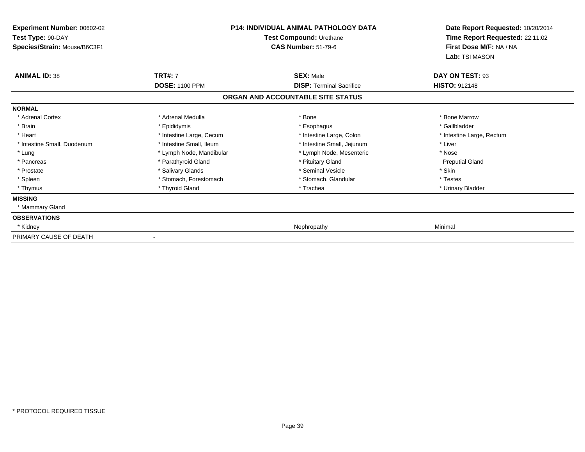| <b>Experiment Number: 00602-02</b><br>Test Type: 90-DAY<br>Species/Strain: Mouse/B6C3F1 |                          | <b>P14: INDIVIDUAL ANIMAL PATHOLOGY DATA</b><br>Test Compound: Urethane<br><b>CAS Number: 51-79-6</b> | Date Report Requested: 10/20/2014<br>Time Report Requested: 22:11:02<br>First Dose M/F: NA / NA<br>Lab: TSI MASON |
|-----------------------------------------------------------------------------------------|--------------------------|-------------------------------------------------------------------------------------------------------|-------------------------------------------------------------------------------------------------------------------|
| <b>ANIMAL ID: 38</b>                                                                    | <b>TRT#: 7</b>           | <b>SEX: Male</b>                                                                                      | DAY ON TEST: 93                                                                                                   |
|                                                                                         | <b>DOSE: 1100 PPM</b>    | <b>DISP: Terminal Sacrifice</b>                                                                       | <b>HISTO: 912148</b>                                                                                              |
|                                                                                         |                          | ORGAN AND ACCOUNTABLE SITE STATUS                                                                     |                                                                                                                   |
| <b>NORMAL</b>                                                                           |                          |                                                                                                       |                                                                                                                   |
| * Adrenal Cortex                                                                        | * Adrenal Medulla        | * Bone                                                                                                | * Bone Marrow                                                                                                     |
| * Brain                                                                                 | * Epididymis             | * Esophagus                                                                                           | * Gallbladder                                                                                                     |
| * Heart                                                                                 | * Intestine Large, Cecum | * Intestine Large, Colon                                                                              | * Intestine Large, Rectum                                                                                         |
| * Intestine Small, Duodenum                                                             | * Intestine Small, Ileum | * Intestine Small, Jejunum                                                                            | * Liver                                                                                                           |
| * Lung                                                                                  | * Lymph Node, Mandibular | * Lymph Node, Mesenteric                                                                              | * Nose                                                                                                            |
| * Pancreas                                                                              | * Parathyroid Gland      | * Pituitary Gland                                                                                     | <b>Preputial Gland</b>                                                                                            |
| * Prostate                                                                              | * Salivary Glands        | * Seminal Vesicle                                                                                     | * Skin                                                                                                            |
| * Spleen                                                                                | * Stomach, Forestomach   | * Stomach, Glandular                                                                                  | * Testes                                                                                                          |
| * Thymus                                                                                | * Thyroid Gland          | * Trachea                                                                                             | * Urinary Bladder                                                                                                 |
| <b>MISSING</b>                                                                          |                          |                                                                                                       |                                                                                                                   |
| * Mammary Gland                                                                         |                          |                                                                                                       |                                                                                                                   |
| <b>OBSERVATIONS</b>                                                                     |                          |                                                                                                       |                                                                                                                   |
| * Kidney                                                                                |                          | Nephropathy                                                                                           | Minimal                                                                                                           |
| PRIMARY CAUSE OF DEATH                                                                  |                          |                                                                                                       |                                                                                                                   |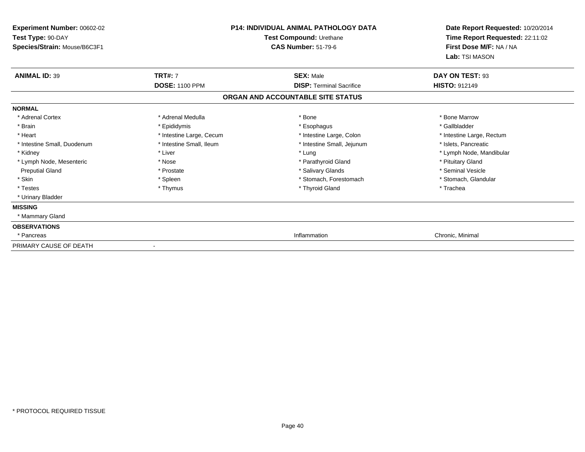| Experiment Number: 00602-02<br>Test Type: 90-DAY<br>Species/Strain: Mouse/B6C3F1 |                          | <b>P14: INDIVIDUAL ANIMAL PATHOLOGY DATA</b><br>Test Compound: Urethane<br><b>CAS Number: 51-79-6</b> | Date Report Requested: 10/20/2014<br>Time Report Requested: 22:11:02<br>First Dose M/F: NA / NA |
|----------------------------------------------------------------------------------|--------------------------|-------------------------------------------------------------------------------------------------------|-------------------------------------------------------------------------------------------------|
|                                                                                  |                          |                                                                                                       | Lab: TSI MASON                                                                                  |
| <b>ANIMAL ID: 39</b>                                                             | <b>TRT#: 7</b>           | <b>SEX: Male</b>                                                                                      | DAY ON TEST: 93                                                                                 |
|                                                                                  | <b>DOSE: 1100 PPM</b>    | <b>DISP: Terminal Sacrifice</b>                                                                       | <b>HISTO: 912149</b>                                                                            |
|                                                                                  |                          | ORGAN AND ACCOUNTABLE SITE STATUS                                                                     |                                                                                                 |
| <b>NORMAL</b>                                                                    |                          |                                                                                                       |                                                                                                 |
| * Adrenal Cortex                                                                 | * Adrenal Medulla        | * Bone                                                                                                | * Bone Marrow                                                                                   |
| * Brain                                                                          | * Epididymis             | * Esophagus                                                                                           | * Gallbladder                                                                                   |
| * Heart                                                                          | * Intestine Large, Cecum | * Intestine Large, Colon                                                                              | * Intestine Large, Rectum                                                                       |
| * Intestine Small, Duodenum                                                      | * Intestine Small, Ileum | * Intestine Small, Jejunum                                                                            | * Islets, Pancreatic                                                                            |
| * Kidney                                                                         | * Liver                  | * Lung                                                                                                | * Lymph Node, Mandibular                                                                        |
| * Lymph Node, Mesenteric                                                         | * Nose                   | * Parathyroid Gland                                                                                   | * Pituitary Gland                                                                               |
| <b>Preputial Gland</b>                                                           | * Prostate               | * Salivary Glands                                                                                     | * Seminal Vesicle                                                                               |
| * Skin                                                                           | * Spleen                 | * Stomach, Forestomach                                                                                | * Stomach, Glandular                                                                            |
| * Testes                                                                         | * Thymus                 | * Thyroid Gland                                                                                       | * Trachea                                                                                       |
| * Urinary Bladder                                                                |                          |                                                                                                       |                                                                                                 |
| <b>MISSING</b>                                                                   |                          |                                                                                                       |                                                                                                 |
| * Mammary Gland                                                                  |                          |                                                                                                       |                                                                                                 |
| <b>OBSERVATIONS</b>                                                              |                          |                                                                                                       |                                                                                                 |
| * Pancreas                                                                       |                          | Inflammation                                                                                          | Chronic, Minimal                                                                                |
| PRIMARY CAUSE OF DEATH                                                           |                          |                                                                                                       |                                                                                                 |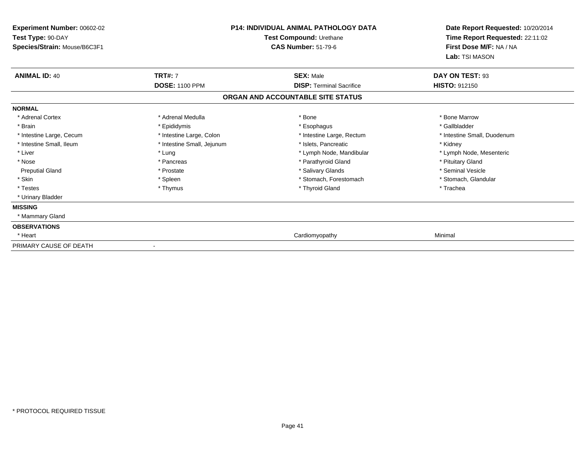| <b>Experiment Number: 00602-02</b><br>Test Type: 90-DAY<br>Species/Strain: Mouse/B6C3F1 |                            | <b>P14: INDIVIDUAL ANIMAL PATHOLOGY DATA</b><br>Test Compound: Urethane<br><b>CAS Number: 51-79-6</b> | Date Report Requested: 10/20/2014<br>Time Report Requested: 22:11:02<br>First Dose M/F: NA / NA |
|-----------------------------------------------------------------------------------------|----------------------------|-------------------------------------------------------------------------------------------------------|-------------------------------------------------------------------------------------------------|
|                                                                                         |                            |                                                                                                       | Lab: TSI MASON                                                                                  |
| <b>ANIMAL ID: 40</b>                                                                    | <b>TRT#: 7</b>             | <b>SEX: Male</b>                                                                                      | DAY ON TEST: 93                                                                                 |
|                                                                                         | <b>DOSE: 1100 PPM</b>      | <b>DISP: Terminal Sacrifice</b>                                                                       | <b>HISTO: 912150</b>                                                                            |
|                                                                                         |                            | ORGAN AND ACCOUNTABLE SITE STATUS                                                                     |                                                                                                 |
| <b>NORMAL</b>                                                                           |                            |                                                                                                       |                                                                                                 |
| * Adrenal Cortex                                                                        | * Adrenal Medulla          | * Bone                                                                                                | * Bone Marrow                                                                                   |
| * Brain                                                                                 | * Epididymis               | * Esophagus                                                                                           | * Gallbladder                                                                                   |
| * Intestine Large, Cecum                                                                | * Intestine Large, Colon   | * Intestine Large, Rectum                                                                             | * Intestine Small, Duodenum                                                                     |
| * Intestine Small, Ileum                                                                | * Intestine Small, Jejunum | * Islets, Pancreatic                                                                                  | * Kidney                                                                                        |
| * Liver                                                                                 | * Lung                     | * Lymph Node, Mandibular                                                                              | * Lymph Node, Mesenteric                                                                        |
| * Nose                                                                                  | * Pancreas                 | * Parathyroid Gland                                                                                   | * Pituitary Gland                                                                               |
| <b>Preputial Gland</b>                                                                  | * Prostate                 | * Salivary Glands                                                                                     | * Seminal Vesicle                                                                               |
| * Skin                                                                                  | * Spleen                   | * Stomach, Forestomach                                                                                | * Stomach, Glandular                                                                            |
| * Testes                                                                                | * Thymus                   | * Thyroid Gland                                                                                       | * Trachea                                                                                       |
| * Urinary Bladder                                                                       |                            |                                                                                                       |                                                                                                 |
| <b>MISSING</b>                                                                          |                            |                                                                                                       |                                                                                                 |
| * Mammary Gland                                                                         |                            |                                                                                                       |                                                                                                 |
| <b>OBSERVATIONS</b>                                                                     |                            |                                                                                                       |                                                                                                 |
| * Heart                                                                                 |                            | Cardiomyopathy                                                                                        | Minimal                                                                                         |
| PRIMARY CAUSE OF DEATH                                                                  |                            |                                                                                                       |                                                                                                 |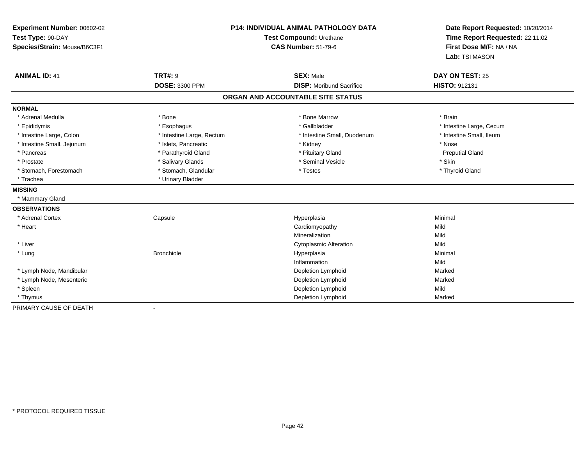| Experiment Number: 00602-02  | <b>P14: INDIVIDUAL ANIMAL PATHOLOGY DATA</b> |                                   | Date Report Requested: 10/20/2014                          |  |
|------------------------------|----------------------------------------------|-----------------------------------|------------------------------------------------------------|--|
| Test Type: 90-DAY            |                                              | Test Compound: Urethane           |                                                            |  |
| Species/Strain: Mouse/B6C3F1 |                                              | <b>CAS Number: 51-79-6</b>        | Time Report Requested: 22:11:02<br>First Dose M/F: NA / NA |  |
|                              |                                              |                                   | Lab: TSI MASON                                             |  |
| <b>ANIMAL ID: 41</b>         | <b>TRT#: 9</b>                               | <b>SEX: Male</b>                  | DAY ON TEST: 25                                            |  |
|                              | <b>DOSE: 3300 PPM</b>                        | <b>DISP:</b> Moribund Sacrifice   | <b>HISTO: 912131</b>                                       |  |
|                              |                                              | ORGAN AND ACCOUNTABLE SITE STATUS |                                                            |  |
| <b>NORMAL</b>                |                                              |                                   |                                                            |  |
| * Adrenal Medulla            | * Bone                                       | * Bone Marrow                     | * Brain                                                    |  |
| * Epididymis                 | * Esophagus                                  | * Gallbladder                     | * Intestine Large, Cecum                                   |  |
| * Intestine Large, Colon     | * Intestine Large, Rectum                    | * Intestine Small, Duodenum       | * Intestine Small, Ileum                                   |  |
| * Intestine Small, Jejunum   | * Islets, Pancreatic                         | * Kidney                          | * Nose                                                     |  |
| * Pancreas                   | * Parathyroid Gland                          | * Pituitary Gland                 | <b>Preputial Gland</b>                                     |  |
| * Prostate                   | * Salivary Glands                            | * Seminal Vesicle                 | * Skin                                                     |  |
| * Stomach, Forestomach       | * Stomach, Glandular                         | * Testes                          | * Thyroid Gland                                            |  |
| * Trachea                    | * Urinary Bladder                            |                                   |                                                            |  |
| <b>MISSING</b>               |                                              |                                   |                                                            |  |
| * Mammary Gland              |                                              |                                   |                                                            |  |
| <b>OBSERVATIONS</b>          |                                              |                                   |                                                            |  |
| * Adrenal Cortex             | Capsule                                      | Hyperplasia                       | Minimal                                                    |  |
| * Heart                      |                                              | Cardiomyopathy                    | Mild                                                       |  |
|                              |                                              | Mineralization                    | Mild                                                       |  |
| * Liver                      |                                              | <b>Cytoplasmic Alteration</b>     | Mild                                                       |  |
| * Lung                       | <b>Bronchiole</b>                            | Hyperplasia                       | Minimal                                                    |  |
|                              |                                              | Inflammation                      | Mild                                                       |  |
| * Lymph Node, Mandibular     |                                              | Depletion Lymphoid                | Marked                                                     |  |
| * Lymph Node, Mesenteric     |                                              | Depletion Lymphoid                | Marked                                                     |  |
| * Spleen                     |                                              | Depletion Lymphoid                | Mild                                                       |  |
| * Thymus                     |                                              | Depletion Lymphoid                | Marked                                                     |  |
| PRIMARY CAUSE OF DEATH       |                                              |                                   |                                                            |  |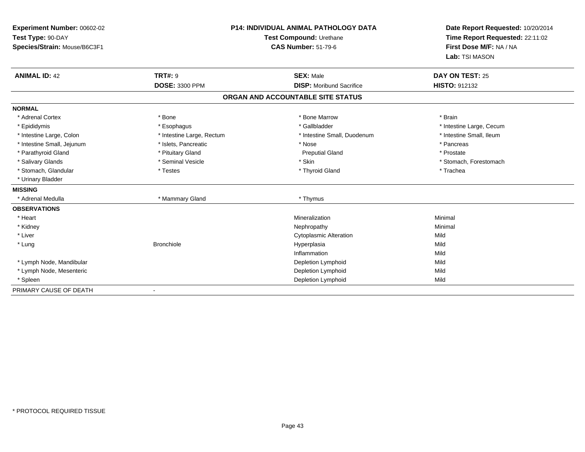| Experiment Number: 00602-02  | <b>P14: INDIVIDUAL ANIMAL PATHOLOGY DATA</b><br>Test Compound: Urethane |                                   | Date Report Requested: 10/20/2014 |
|------------------------------|-------------------------------------------------------------------------|-----------------------------------|-----------------------------------|
| Test Type: 90-DAY            |                                                                         |                                   | Time Report Requested: 22:11:02   |
| Species/Strain: Mouse/B6C3F1 |                                                                         | <b>CAS Number: 51-79-6</b>        | First Dose M/F: NA / NA           |
|                              |                                                                         |                                   | Lab: TSI MASON                    |
| <b>ANIMAL ID: 42</b>         | <b>TRT#: 9</b>                                                          | <b>SEX: Male</b>                  | DAY ON TEST: 25                   |
|                              | <b>DOSE: 3300 PPM</b>                                                   | <b>DISP:</b> Moribund Sacrifice   | <b>HISTO: 912132</b>              |
|                              |                                                                         | ORGAN AND ACCOUNTABLE SITE STATUS |                                   |
| <b>NORMAL</b>                |                                                                         |                                   |                                   |
| * Adrenal Cortex             | * Bone                                                                  | * Bone Marrow                     | * Brain                           |
| * Epididymis                 | * Esophagus                                                             | * Gallbladder                     | * Intestine Large, Cecum          |
| * Intestine Large, Colon     | * Intestine Large, Rectum                                               | * Intestine Small, Duodenum       | * Intestine Small, Ileum          |
| * Intestine Small, Jejunum   | * Islets, Pancreatic                                                    | * Nose                            | * Pancreas                        |
| * Parathyroid Gland          | * Pituitary Gland                                                       | <b>Preputial Gland</b>            | * Prostate                        |
| * Salivary Glands            | * Seminal Vesicle                                                       | * Skin                            | * Stomach, Forestomach            |
| * Stomach, Glandular         | * Testes                                                                | * Thyroid Gland                   | * Trachea                         |
| * Urinary Bladder            |                                                                         |                                   |                                   |
| <b>MISSING</b>               |                                                                         |                                   |                                   |
| * Adrenal Medulla            | * Mammary Gland                                                         | * Thymus                          |                                   |
| <b>OBSERVATIONS</b>          |                                                                         |                                   |                                   |
| * Heart                      |                                                                         | Mineralization                    | Minimal                           |
| * Kidney                     |                                                                         | Nephropathy                       | Minimal                           |
| * Liver                      |                                                                         | <b>Cytoplasmic Alteration</b>     | Mild                              |
| * Lung                       | <b>Bronchiole</b>                                                       | Hyperplasia                       | Mild                              |
|                              |                                                                         | Inflammation                      | Mild                              |
| * Lymph Node, Mandibular     |                                                                         | Depletion Lymphoid                | Mild                              |
| * Lymph Node, Mesenteric     |                                                                         | Depletion Lymphoid                | Mild                              |
| * Spleen                     |                                                                         | Depletion Lymphoid                | Mild                              |
| PRIMARY CAUSE OF DEATH       |                                                                         |                                   |                                   |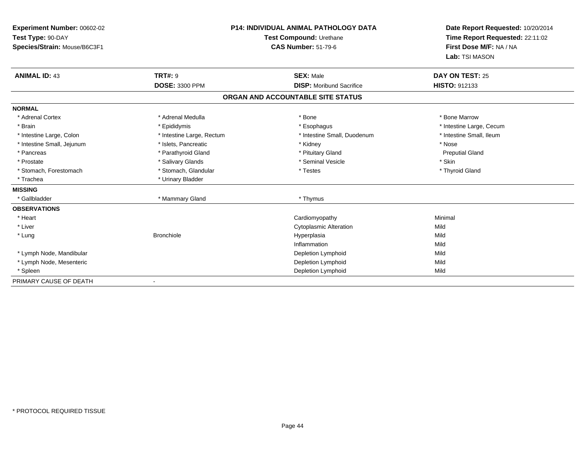| Experiment Number: 00602-02  | P14: INDIVIDUAL ANIMAL PATHOLOGY DATA |                                   | Date Report Requested: 10/20/2014 |  |
|------------------------------|---------------------------------------|-----------------------------------|-----------------------------------|--|
| Test Type: 90-DAY            |                                       | Test Compound: Urethane           | Time Report Requested: 22:11:02   |  |
| Species/Strain: Mouse/B6C3F1 |                                       | <b>CAS Number: 51-79-6</b>        | First Dose M/F: NA / NA           |  |
|                              |                                       |                                   | Lab: TSI MASON                    |  |
| <b>ANIMAL ID: 43</b>         | <b>TRT#: 9</b>                        | <b>SEX: Male</b>                  | DAY ON TEST: 25                   |  |
|                              | <b>DOSE: 3300 PPM</b>                 | <b>DISP:</b> Moribund Sacrifice   | <b>HISTO: 912133</b>              |  |
|                              |                                       | ORGAN AND ACCOUNTABLE SITE STATUS |                                   |  |
| <b>NORMAL</b>                |                                       |                                   |                                   |  |
| * Adrenal Cortex             | * Adrenal Medulla                     | * Bone                            | * Bone Marrow                     |  |
| * Brain                      | * Epididymis                          | * Esophagus                       | * Intestine Large, Cecum          |  |
| * Intestine Large, Colon     | * Intestine Large, Rectum             | * Intestine Small, Duodenum       | * Intestine Small, Ileum          |  |
| * Intestine Small, Jejunum   | * Islets, Pancreatic                  | * Kidney                          | * Nose                            |  |
| * Pancreas                   | * Parathyroid Gland                   | * Pituitary Gland                 | <b>Preputial Gland</b>            |  |
| * Prostate                   | * Salivary Glands                     | * Seminal Vesicle                 | * Skin                            |  |
| * Stomach, Forestomach       | * Stomach, Glandular                  | * Testes                          | * Thyroid Gland                   |  |
| * Trachea                    | * Urinary Bladder                     |                                   |                                   |  |
| <b>MISSING</b>               |                                       |                                   |                                   |  |
| * Gallbladder                | * Mammary Gland                       | * Thymus                          |                                   |  |
| <b>OBSERVATIONS</b>          |                                       |                                   |                                   |  |
| * Heart                      |                                       | Cardiomyopathy                    | Minimal                           |  |
| * Liver                      |                                       | <b>Cytoplasmic Alteration</b>     | Mild                              |  |
| * Lung                       | <b>Bronchiole</b>                     | Hyperplasia                       | Mild                              |  |
|                              |                                       | Inflammation                      | Mild                              |  |
| * Lymph Node, Mandibular     |                                       | Depletion Lymphoid                | Mild                              |  |
| * Lymph Node, Mesenteric     |                                       | Depletion Lymphoid                | Mild                              |  |
| * Spleen                     |                                       | Depletion Lymphoid                | Mild                              |  |
| PRIMARY CAUSE OF DEATH       |                                       |                                   |                                   |  |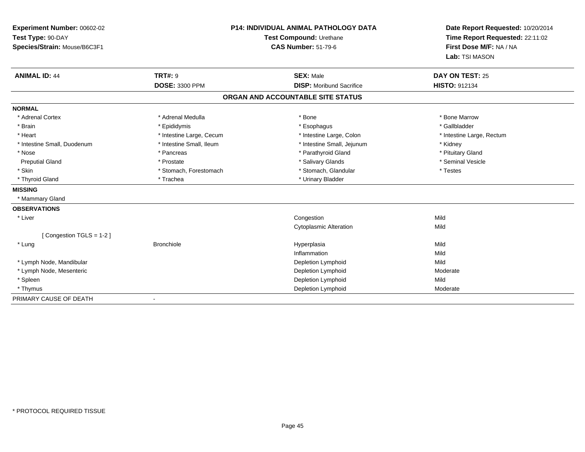| Experiment Number: 00602-02<br>Test Type: 90-DAY |                          | P14: INDIVIDUAL ANIMAL PATHOLOGY DATA<br>Test Compound: Urethane | Date Report Requested: 10/20/2014<br>Time Report Requested: 22:11:02<br>First Dose M/F: NA / NA |
|--------------------------------------------------|--------------------------|------------------------------------------------------------------|-------------------------------------------------------------------------------------------------|
| Species/Strain: Mouse/B6C3F1                     |                          | <b>CAS Number: 51-79-6</b>                                       |                                                                                                 |
|                                                  |                          |                                                                  | Lab: TSI MASON                                                                                  |
| <b>ANIMAL ID: 44</b>                             | <b>TRT#: 9</b>           | <b>SEX: Male</b>                                                 | DAY ON TEST: 25                                                                                 |
|                                                  | <b>DOSE: 3300 PPM</b>    | <b>DISP:</b> Moribund Sacrifice                                  | <b>HISTO: 912134</b>                                                                            |
|                                                  |                          | ORGAN AND ACCOUNTABLE SITE STATUS                                |                                                                                                 |
| <b>NORMAL</b>                                    |                          |                                                                  |                                                                                                 |
| * Adrenal Cortex                                 | * Adrenal Medulla        | * Bone                                                           | * Bone Marrow                                                                                   |
| * Brain                                          | * Epididymis             | * Esophagus                                                      | * Gallbladder                                                                                   |
| * Heart                                          | * Intestine Large, Cecum | * Intestine Large, Colon                                         | * Intestine Large, Rectum                                                                       |
| * Intestine Small, Duodenum                      | * Intestine Small, Ileum | * Intestine Small, Jejunum                                       | * Kidney                                                                                        |
| * Nose                                           | * Pancreas               | * Parathyroid Gland                                              | * Pituitary Gland                                                                               |
| <b>Preputial Gland</b>                           | * Prostate               | * Salivary Glands                                                | * Seminal Vesicle                                                                               |
| * Skin                                           | * Stomach, Forestomach   | * Stomach, Glandular                                             | * Testes                                                                                        |
| * Thyroid Gland                                  | * Trachea                | * Urinary Bladder                                                |                                                                                                 |
| <b>MISSING</b>                                   |                          |                                                                  |                                                                                                 |
| * Mammary Gland                                  |                          |                                                                  |                                                                                                 |
| <b>OBSERVATIONS</b>                              |                          |                                                                  |                                                                                                 |
| * Liver                                          |                          | Congestion                                                       | Mild                                                                                            |
|                                                  |                          | <b>Cytoplasmic Alteration</b>                                    | Mild                                                                                            |
| [Congestion TGLS = 1-2]                          |                          |                                                                  |                                                                                                 |
| * Lung                                           | <b>Bronchiole</b>        | Hyperplasia                                                      | Mild                                                                                            |
|                                                  |                          | Inflammation                                                     | Mild                                                                                            |
| * Lymph Node, Mandibular                         |                          | Depletion Lymphoid                                               | Mild                                                                                            |
| * Lymph Node, Mesenteric                         |                          | Depletion Lymphoid                                               | Moderate                                                                                        |
| * Spleen                                         |                          | Depletion Lymphoid                                               | Mild                                                                                            |
| * Thymus                                         |                          | Depletion Lymphoid                                               | Moderate                                                                                        |
| PRIMARY CAUSE OF DEATH                           |                          |                                                                  |                                                                                                 |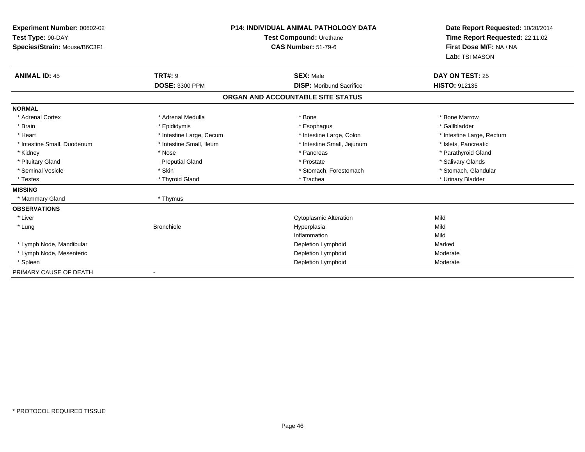| Experiment Number: 00602-02  |                          | <b>P14: INDIVIDUAL ANIMAL PATHOLOGY DATA</b> |                                 |
|------------------------------|--------------------------|----------------------------------------------|---------------------------------|
| Test Type: 90-DAY            | Test Compound: Urethane  |                                              | Time Report Requested: 22:11:02 |
| Species/Strain: Mouse/B6C3F1 |                          | <b>CAS Number: 51-79-6</b>                   | First Dose M/F: NA / NA         |
|                              |                          |                                              | Lab: TSI MASON                  |
| <b>ANIMAL ID: 45</b>         | <b>TRT#: 9</b>           | <b>SEX: Male</b>                             | DAY ON TEST: 25                 |
|                              | <b>DOSE: 3300 PPM</b>    | <b>DISP: Moribund Sacrifice</b>              | <b>HISTO: 912135</b>            |
|                              |                          | ORGAN AND ACCOUNTABLE SITE STATUS            |                                 |
| <b>NORMAL</b>                |                          |                                              |                                 |
| * Adrenal Cortex             | * Adrenal Medulla        | * Bone                                       | * Bone Marrow                   |
| * Brain                      | * Epididymis             | * Esophagus                                  | * Gallbladder                   |
| * Heart                      | * Intestine Large, Cecum | * Intestine Large, Colon                     | * Intestine Large, Rectum       |
| * Intestine Small, Duodenum  | * Intestine Small, Ileum | * Intestine Small, Jejunum                   | * Islets, Pancreatic            |
| * Kidney                     | * Nose                   | * Pancreas                                   | * Parathyroid Gland             |
| * Pituitary Gland            | <b>Preputial Gland</b>   | * Prostate                                   | * Salivary Glands               |
| * Seminal Vesicle            | * Skin                   | * Stomach, Forestomach                       | * Stomach, Glandular            |
| * Testes                     | * Thyroid Gland          | * Trachea                                    | * Urinary Bladder               |
| <b>MISSING</b>               |                          |                                              |                                 |
| * Mammary Gland              | * Thymus                 |                                              |                                 |
| <b>OBSERVATIONS</b>          |                          |                                              |                                 |
| * Liver                      |                          | <b>Cytoplasmic Alteration</b>                | Mild                            |
| * Lung                       | <b>Bronchiole</b>        | Hyperplasia                                  | Mild                            |
|                              |                          | Inflammation                                 | Mild                            |
| * Lymph Node, Mandibular     |                          | Depletion Lymphoid                           | Marked                          |
| * Lymph Node, Mesenteric     |                          | Depletion Lymphoid                           | Moderate                        |
| * Spleen                     |                          | Depletion Lymphoid                           | Moderate                        |
| PRIMARY CAUSE OF DEATH       |                          |                                              |                                 |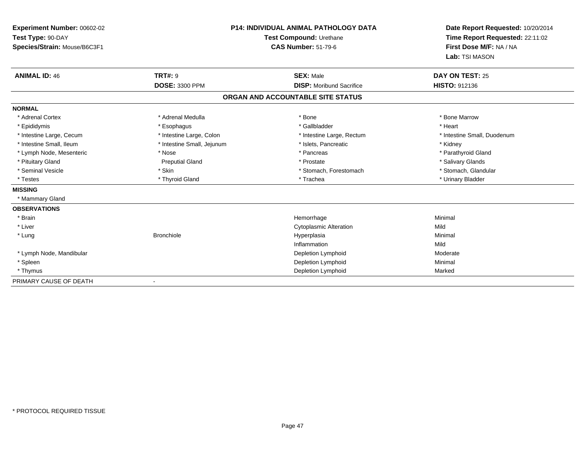| Experiment Number: 00602-02<br>Test Type: 90-DAY<br>Species/Strain: Mouse/B6C3F1 |                            | P14: INDIVIDUAL ANIMAL PATHOLOGY DATA<br>Test Compound: Urethane<br><b>CAS Number: 51-79-6</b> | Date Report Requested: 10/20/2014<br>Time Report Requested: 22:11:02<br>First Dose M/F: NA / NA<br>Lab: TSI MASON |
|----------------------------------------------------------------------------------|----------------------------|------------------------------------------------------------------------------------------------|-------------------------------------------------------------------------------------------------------------------|
| <b>ANIMAL ID: 46</b>                                                             | <b>TRT#: 9</b>             | <b>SEX: Male</b>                                                                               | <b>DAY ON TEST: 25</b>                                                                                            |
|                                                                                  | <b>DOSE: 3300 PPM</b>      | <b>DISP:</b> Moribund Sacrifice                                                                | <b>HISTO: 912136</b>                                                                                              |
|                                                                                  |                            | ORGAN AND ACCOUNTABLE SITE STATUS                                                              |                                                                                                                   |
| <b>NORMAL</b>                                                                    |                            |                                                                                                |                                                                                                                   |
| * Adrenal Cortex                                                                 | * Adrenal Medulla          | * Bone                                                                                         | * Bone Marrow                                                                                                     |
| * Epididymis                                                                     | * Esophagus                | * Gallbladder                                                                                  | * Heart                                                                                                           |
| * Intestine Large, Cecum                                                         | * Intestine Large, Colon   | * Intestine Large, Rectum                                                                      | * Intestine Small, Duodenum                                                                                       |
| * Intestine Small. Ileum                                                         | * Intestine Small, Jejunum | * Islets, Pancreatic                                                                           | * Kidney                                                                                                          |
| * Lymph Node, Mesenteric                                                         | * Nose                     | * Pancreas                                                                                     | * Parathyroid Gland                                                                                               |
| * Pituitary Gland                                                                | <b>Preputial Gland</b>     | * Prostate                                                                                     | * Salivary Glands                                                                                                 |
| * Seminal Vesicle                                                                | * Skin                     | * Stomach, Forestomach                                                                         | * Stomach, Glandular                                                                                              |
| * Testes                                                                         | * Thyroid Gland            | * Trachea                                                                                      | * Urinary Bladder                                                                                                 |
| <b>MISSING</b>                                                                   |                            |                                                                                                |                                                                                                                   |
| * Mammary Gland                                                                  |                            |                                                                                                |                                                                                                                   |
| <b>OBSERVATIONS</b>                                                              |                            |                                                                                                |                                                                                                                   |
| * Brain                                                                          |                            | Hemorrhage                                                                                     | Minimal                                                                                                           |
| * Liver                                                                          |                            | <b>Cytoplasmic Alteration</b>                                                                  | Mild                                                                                                              |
| * Lung                                                                           | <b>Bronchiole</b>          | Hyperplasia                                                                                    | Minimal                                                                                                           |
|                                                                                  |                            | Inflammation                                                                                   | Mild                                                                                                              |
| * Lymph Node, Mandibular                                                         |                            | Depletion Lymphoid                                                                             | Moderate                                                                                                          |
| * Spleen                                                                         |                            | Depletion Lymphoid                                                                             | Minimal                                                                                                           |
| * Thymus                                                                         |                            | Depletion Lymphoid                                                                             | Marked                                                                                                            |
| PRIMARY CAUSE OF DEATH                                                           |                            |                                                                                                |                                                                                                                   |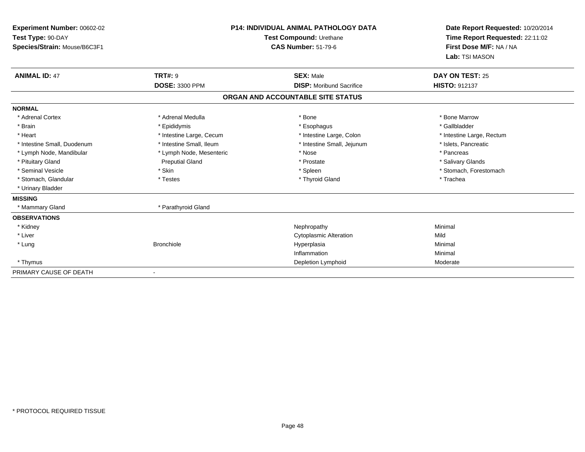| Experiment Number: 00602-02  |                          | <b>P14: INDIVIDUAL ANIMAL PATHOLOGY DATA</b> |                                                            |
|------------------------------|--------------------------|----------------------------------------------|------------------------------------------------------------|
| Test Type: 90-DAY            |                          | Test Compound: Urethane                      | Time Report Requested: 22:11:02<br>First Dose M/F: NA / NA |
| Species/Strain: Mouse/B6C3F1 |                          | <b>CAS Number: 51-79-6</b>                   |                                                            |
|                              |                          |                                              | Lab: TSI MASON                                             |
| <b>ANIMAL ID: 47</b>         | <b>TRT#: 9</b>           | <b>SEX: Male</b>                             | DAY ON TEST: 25                                            |
|                              | <b>DOSE: 3300 PPM</b>    | <b>DISP:</b> Moribund Sacrifice              | <b>HISTO: 912137</b>                                       |
|                              |                          | ORGAN AND ACCOUNTABLE SITE STATUS            |                                                            |
| <b>NORMAL</b>                |                          |                                              |                                                            |
| * Adrenal Cortex             | * Adrenal Medulla        | * Bone                                       | * Bone Marrow                                              |
| * Brain                      | * Epididymis             | * Esophagus                                  | * Gallbladder                                              |
| * Heart                      | * Intestine Large, Cecum | * Intestine Large, Colon                     | * Intestine Large, Rectum                                  |
| * Intestine Small, Duodenum  | * Intestine Small, Ileum | * Intestine Small, Jejunum                   | * Islets, Pancreatic                                       |
| * Lymph Node, Mandibular     | * Lymph Node, Mesenteric | * Nose                                       | * Pancreas                                                 |
| * Pituitary Gland            | <b>Preputial Gland</b>   | * Prostate                                   | * Salivary Glands                                          |
| * Seminal Vesicle            | * Skin                   | * Spleen                                     | * Stomach, Forestomach                                     |
| * Stomach, Glandular         | * Testes                 | * Thyroid Gland                              | * Trachea                                                  |
| * Urinary Bladder            |                          |                                              |                                                            |
| <b>MISSING</b>               |                          |                                              |                                                            |
| * Mammary Gland              | * Parathyroid Gland      |                                              |                                                            |
| <b>OBSERVATIONS</b>          |                          |                                              |                                                            |
| * Kidney                     |                          | Nephropathy                                  | Minimal                                                    |
| * Liver                      |                          | <b>Cytoplasmic Alteration</b>                | Mild                                                       |
| * Lung                       | <b>Bronchiole</b>        | Hyperplasia                                  | Minimal                                                    |
|                              |                          | Inflammation                                 | Minimal                                                    |
| * Thymus                     |                          | Depletion Lymphoid                           | Moderate                                                   |
| PRIMARY CAUSE OF DEATH       |                          |                                              |                                                            |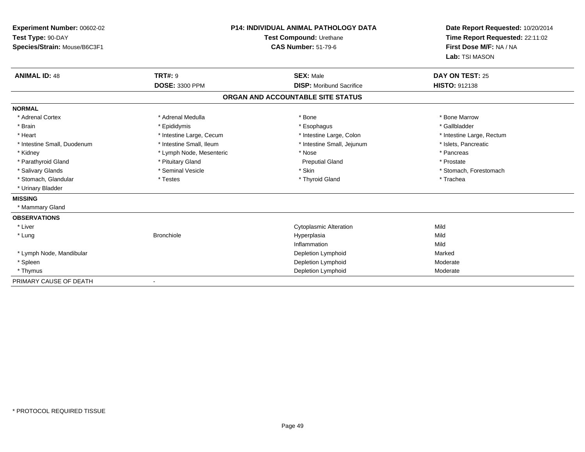| Experiment Number: 00602-02  | <b>P14: INDIVIDUAL ANIMAL PATHOLOGY DATA</b> |                                   | Date Report Requested: 10/20/2014                          |  |
|------------------------------|----------------------------------------------|-----------------------------------|------------------------------------------------------------|--|
| Test Type: 90-DAY            |                                              | Test Compound: Urethane           | Time Report Requested: 22:11:02<br>First Dose M/F: NA / NA |  |
| Species/Strain: Mouse/B6C3F1 |                                              | <b>CAS Number: 51-79-6</b>        |                                                            |  |
|                              |                                              |                                   | Lab: TSI MASON                                             |  |
| <b>ANIMAL ID: 48</b>         | <b>TRT#: 9</b>                               | <b>SEX: Male</b>                  | DAY ON TEST: 25                                            |  |
|                              | <b>DOSE: 3300 PPM</b>                        | <b>DISP:</b> Moribund Sacrifice   | <b>HISTO: 912138</b>                                       |  |
|                              |                                              | ORGAN AND ACCOUNTABLE SITE STATUS |                                                            |  |
| <b>NORMAL</b>                |                                              |                                   |                                                            |  |
| * Adrenal Cortex             | * Adrenal Medulla                            | * Bone                            | * Bone Marrow                                              |  |
| * Brain                      | * Epididymis                                 | * Esophagus                       | * Gallbladder                                              |  |
| * Heart                      | * Intestine Large, Cecum                     | * Intestine Large, Colon          | * Intestine Large, Rectum                                  |  |
| * Intestine Small, Duodenum  | * Intestine Small, Ileum                     | * Intestine Small, Jejunum        | * Islets, Pancreatic                                       |  |
| * Kidney                     | * Lymph Node, Mesenteric                     | * Nose                            | * Pancreas                                                 |  |
| * Parathyroid Gland          | * Pituitary Gland                            | <b>Preputial Gland</b>            | * Prostate                                                 |  |
| * Salivary Glands            | * Seminal Vesicle                            | * Skin                            | * Stomach, Forestomach                                     |  |
| * Stomach, Glandular         | * Testes                                     | * Thyroid Gland                   | * Trachea                                                  |  |
| * Urinary Bladder            |                                              |                                   |                                                            |  |
| <b>MISSING</b>               |                                              |                                   |                                                            |  |
| * Mammary Gland              |                                              |                                   |                                                            |  |
| <b>OBSERVATIONS</b>          |                                              |                                   |                                                            |  |
| * Liver                      |                                              | <b>Cytoplasmic Alteration</b>     | Mild                                                       |  |
| * Lung                       | <b>Bronchiole</b>                            | Hyperplasia                       | Mild                                                       |  |
|                              |                                              | Inflammation                      | Mild                                                       |  |
| * Lymph Node, Mandibular     |                                              | Depletion Lymphoid                | Marked                                                     |  |
| * Spleen                     |                                              | Depletion Lymphoid                | Moderate                                                   |  |
| * Thymus                     |                                              | Depletion Lymphoid                | Moderate                                                   |  |
| PRIMARY CAUSE OF DEATH       |                                              |                                   |                                                            |  |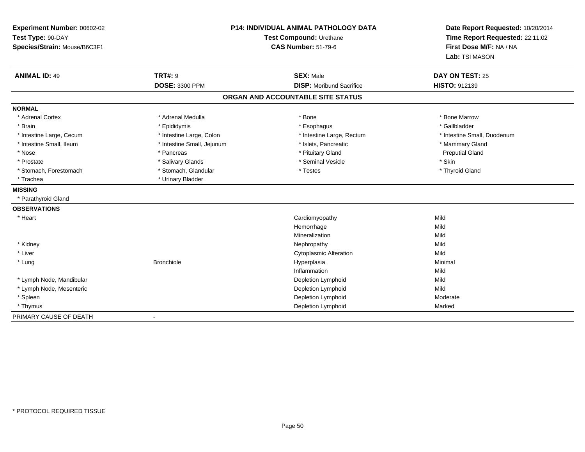| Experiment Number: 00602-02  |                            | <b>P14: INDIVIDUAL ANIMAL PATHOLOGY DATA</b> |                                 |
|------------------------------|----------------------------|----------------------------------------------|---------------------------------|
| Test Type: 90-DAY            | Test Compound: Urethane    |                                              | Time Report Requested: 22:11:02 |
| Species/Strain: Mouse/B6C3F1 |                            | <b>CAS Number: 51-79-6</b>                   | First Dose M/F: NA / NA         |
|                              |                            |                                              | Lab: TSI MASON                  |
| <b>ANIMAL ID: 49</b>         | <b>TRT#: 9</b>             | <b>SEX: Male</b>                             | DAY ON TEST: 25                 |
|                              | DOSE: 3300 PPM             | <b>DISP: Moribund Sacrifice</b>              | HISTO: 912139                   |
|                              |                            | ORGAN AND ACCOUNTABLE SITE STATUS            |                                 |
| <b>NORMAL</b>                |                            |                                              |                                 |
| * Adrenal Cortex             | * Adrenal Medulla          | * Bone                                       | * Bone Marrow                   |
| * Brain                      | * Epididymis               | * Esophagus                                  | * Gallbladder                   |
| * Intestine Large, Cecum     | * Intestine Large, Colon   | * Intestine Large, Rectum                    | * Intestine Small, Duodenum     |
| * Intestine Small, Ileum     | * Intestine Small, Jejunum | * Islets, Pancreatic                         | * Mammary Gland                 |
| * Nose                       | * Pancreas                 | * Pituitary Gland                            | <b>Preputial Gland</b>          |
| * Prostate                   | * Salivary Glands          | * Seminal Vesicle                            | * Skin                          |
| * Stomach, Forestomach       | * Stomach, Glandular       | * Testes                                     | * Thyroid Gland                 |
| * Trachea                    | * Urinary Bladder          |                                              |                                 |
| <b>MISSING</b>               |                            |                                              |                                 |
| * Parathyroid Gland          |                            |                                              |                                 |
| <b>OBSERVATIONS</b>          |                            |                                              |                                 |
| * Heart                      |                            | Cardiomyopathy                               | Mild                            |
|                              |                            | Hemorrhage                                   | Mild                            |
|                              |                            | Mineralization                               | Mild                            |
| * Kidney                     |                            | Nephropathy                                  | Mild                            |
| * Liver                      |                            | <b>Cytoplasmic Alteration</b>                | Mild                            |
| * Lung                       | <b>Bronchiole</b>          | Hyperplasia                                  | Minimal                         |
|                              |                            | Inflammation                                 | Mild                            |
| * Lymph Node, Mandibular     |                            | Depletion Lymphoid                           | Mild                            |
| * Lymph Node, Mesenteric     |                            | Depletion Lymphoid                           | Mild                            |
| * Spleen                     |                            | Depletion Lymphoid                           | Moderate                        |
| * Thymus                     |                            | Depletion Lymphoid                           | Marked                          |
| PRIMARY CAUSE OF DEATH       |                            |                                              |                                 |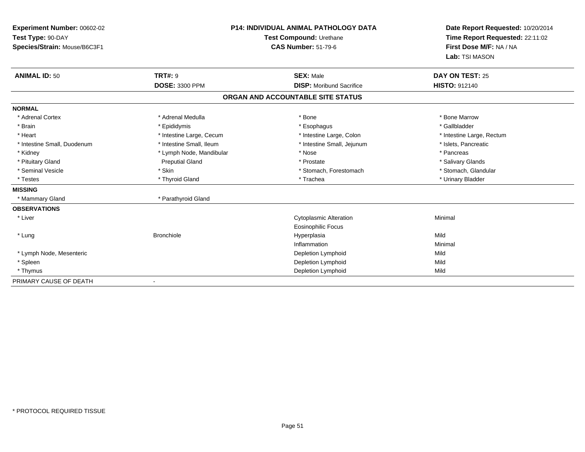| Experiment Number: 00602-02  |                          | <b>P14: INDIVIDUAL ANIMAL PATHOLOGY DATA</b> | Date Report Requested: 10/20/2014 |  |
|------------------------------|--------------------------|----------------------------------------------|-----------------------------------|--|
| Test Type: 90-DAY            |                          | Test Compound: Urethane                      | Time Report Requested: 22:11:02   |  |
| Species/Strain: Mouse/B6C3F1 |                          | <b>CAS Number: 51-79-6</b>                   | First Dose M/F: NA / NA           |  |
|                              |                          |                                              | Lab: TSI MASON                    |  |
| <b>ANIMAL ID: 50</b>         | <b>TRT#: 9</b>           | <b>SEX: Male</b>                             | <b>DAY ON TEST: 25</b>            |  |
|                              | <b>DOSE: 3300 PPM</b>    | <b>DISP:</b> Moribund Sacrifice              | <b>HISTO: 912140</b>              |  |
|                              |                          | ORGAN AND ACCOUNTABLE SITE STATUS            |                                   |  |
| <b>NORMAL</b>                |                          |                                              |                                   |  |
| * Adrenal Cortex             | * Adrenal Medulla        | * Bone                                       | * Bone Marrow                     |  |
| * Brain                      | * Epididymis             | * Esophagus                                  | * Gallbladder                     |  |
| * Heart                      | * Intestine Large, Cecum | * Intestine Large, Colon                     | * Intestine Large, Rectum         |  |
| * Intestine Small, Duodenum  | * Intestine Small. Ileum | * Intestine Small, Jejunum                   | * Islets. Pancreatic              |  |
| * Kidney                     | * Lymph Node, Mandibular | * Nose                                       | * Pancreas                        |  |
| * Pituitary Gland            | <b>Preputial Gland</b>   | * Prostate                                   | * Salivary Glands                 |  |
| * Seminal Vesicle            | * Skin                   | * Stomach, Forestomach                       | * Stomach, Glandular              |  |
| * Testes                     | * Thyroid Gland          | * Trachea                                    | * Urinary Bladder                 |  |
| <b>MISSING</b>               |                          |                                              |                                   |  |
| * Mammary Gland              | * Parathyroid Gland      |                                              |                                   |  |
| <b>OBSERVATIONS</b>          |                          |                                              |                                   |  |
| * Liver                      |                          | <b>Cytoplasmic Alteration</b>                | Minimal                           |  |
|                              |                          | <b>Eosinophilic Focus</b>                    |                                   |  |
| * Lung                       | <b>Bronchiole</b>        | Hyperplasia                                  | Mild                              |  |
|                              |                          | Inflammation                                 | Minimal                           |  |
| * Lymph Node, Mesenteric     |                          | Depletion Lymphoid                           | Mild                              |  |
| * Spleen                     |                          | Depletion Lymphoid                           | Mild                              |  |
| * Thymus                     |                          | Depletion Lymphoid                           | Mild                              |  |
| PRIMARY CAUSE OF DEATH       |                          |                                              |                                   |  |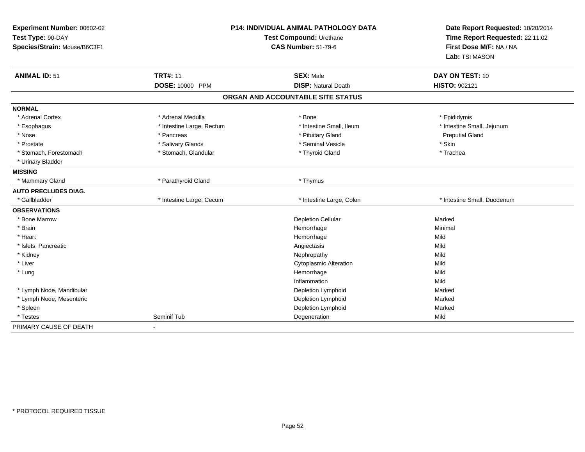| Experiment Number: 00602-02<br>Test Type: 90-DAY<br>Species/Strain: Mouse/B6C3F1 | P14: INDIVIDUAL ANIMAL PATHOLOGY DATA<br>Test Compound: Urethane<br><b>CAS Number: 51-79-6</b> |                                   | Date Report Requested: 10/20/2014<br>Time Report Requested: 22:11:02<br>First Dose M/F: NA / NA<br>Lab: TSI MASON |
|----------------------------------------------------------------------------------|------------------------------------------------------------------------------------------------|-----------------------------------|-------------------------------------------------------------------------------------------------------------------|
| <b>ANIMAL ID: 51</b>                                                             | <b>TRT#: 11</b>                                                                                | <b>SEX: Male</b>                  | DAY ON TEST: 10                                                                                                   |
|                                                                                  | DOSE: 10000 PPM                                                                                | <b>DISP: Natural Death</b>        | HISTO: 902121                                                                                                     |
|                                                                                  |                                                                                                | ORGAN AND ACCOUNTABLE SITE STATUS |                                                                                                                   |
| <b>NORMAL</b>                                                                    |                                                                                                |                                   |                                                                                                                   |
| * Adrenal Cortex                                                                 | * Adrenal Medulla                                                                              | * Bone                            | * Epididymis                                                                                                      |
| * Esophagus                                                                      | * Intestine Large, Rectum                                                                      | * Intestine Small, Ileum          | * Intestine Small, Jejunum                                                                                        |
| * Nose                                                                           | * Pancreas                                                                                     | * Pituitary Gland                 | <b>Preputial Gland</b>                                                                                            |
| * Prostate                                                                       | * Salivary Glands                                                                              | * Seminal Vesicle                 | * Skin                                                                                                            |
| * Stomach, Forestomach                                                           | * Stomach, Glandular                                                                           | * Thyroid Gland                   | * Trachea                                                                                                         |
| * Urinary Bladder                                                                |                                                                                                |                                   |                                                                                                                   |
| <b>MISSING</b>                                                                   |                                                                                                |                                   |                                                                                                                   |
| * Mammary Gland                                                                  | * Parathyroid Gland                                                                            | * Thymus                          |                                                                                                                   |
| <b>AUTO PRECLUDES DIAG.</b>                                                      |                                                                                                |                                   |                                                                                                                   |
| * Gallbladder                                                                    | * Intestine Large, Cecum                                                                       | * Intestine Large, Colon          | * Intestine Small. Duodenum                                                                                       |
| <b>OBSERVATIONS</b>                                                              |                                                                                                |                                   |                                                                                                                   |
| * Bone Marrow                                                                    |                                                                                                | <b>Depletion Cellular</b>         | Marked                                                                                                            |
| * Brain                                                                          |                                                                                                | Hemorrhage                        | Minimal                                                                                                           |
| * Heart                                                                          |                                                                                                | Hemorrhage                        | Mild                                                                                                              |
| * Islets, Pancreatic                                                             |                                                                                                | Angiectasis                       | Mild                                                                                                              |
| * Kidney                                                                         |                                                                                                | Nephropathy                       | Mild                                                                                                              |
| * Liver                                                                          |                                                                                                | <b>Cytoplasmic Alteration</b>     | Mild                                                                                                              |
| * Lung                                                                           |                                                                                                | Hemorrhage                        | Mild                                                                                                              |
|                                                                                  |                                                                                                | Inflammation                      | Mild                                                                                                              |
| * Lymph Node, Mandibular                                                         |                                                                                                | Depletion Lymphoid                | Marked                                                                                                            |
| * Lymph Node, Mesenteric                                                         |                                                                                                | Depletion Lymphoid                | Marked                                                                                                            |
| * Spleen                                                                         |                                                                                                | Depletion Lymphoid                | Marked                                                                                                            |
| * Testes                                                                         | Seminif Tub                                                                                    | Degeneration                      | Mild                                                                                                              |
| PRIMARY CAUSE OF DEATH                                                           | $\blacksquare$                                                                                 |                                   |                                                                                                                   |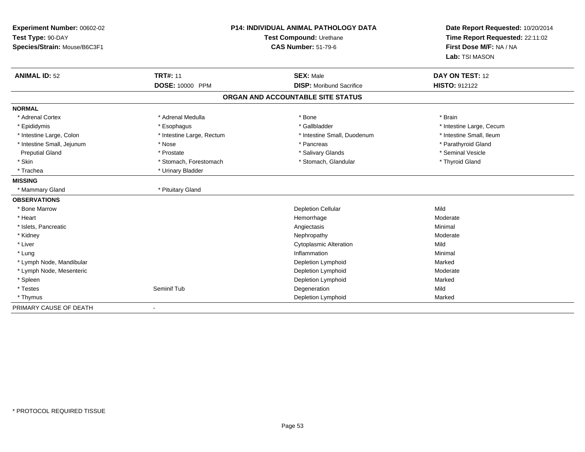| Experiment Number: 00602-02<br>Test Type: 90-DAY<br>Species/Strain: Mouse/B6C3F1 |                           | <b>P14: INDIVIDUAL ANIMAL PATHOLOGY DATA</b><br>Test Compound: Urethane<br><b>CAS Number: 51-79-6</b> |                                   |
|----------------------------------------------------------------------------------|---------------------------|-------------------------------------------------------------------------------------------------------|-----------------------------------|
| <b>ANIMAL ID: 52</b>                                                             | <b>TRT#: 11</b>           | <b>SEX: Male</b>                                                                                      | Lab: TSI MASON<br>DAY ON TEST: 12 |
|                                                                                  | <b>DOSE: 10000 PPM</b>    | <b>DISP:</b> Moribund Sacrifice                                                                       | <b>HISTO: 912122</b>              |
|                                                                                  |                           | ORGAN AND ACCOUNTABLE SITE STATUS                                                                     |                                   |
| <b>NORMAL</b>                                                                    |                           |                                                                                                       |                                   |
| * Adrenal Cortex                                                                 | * Adrenal Medulla         | * Bone                                                                                                | * Brain                           |
| * Epididymis                                                                     | * Esophagus               | * Gallbladder                                                                                         | * Intestine Large, Cecum          |
| * Intestine Large, Colon                                                         | * Intestine Large, Rectum | * Intestine Small, Duodenum                                                                           | * Intestine Small, Ileum          |
| * Intestine Small, Jejunum                                                       | * Nose                    | * Pancreas                                                                                            | * Parathyroid Gland               |
| <b>Preputial Gland</b>                                                           | * Prostate                | * Salivary Glands                                                                                     | * Seminal Vesicle                 |
| * Skin                                                                           | * Stomach, Forestomach    | * Stomach, Glandular                                                                                  | * Thyroid Gland                   |
| * Trachea                                                                        | * Urinary Bladder         |                                                                                                       |                                   |
| <b>MISSING</b>                                                                   |                           |                                                                                                       |                                   |
| * Mammary Gland                                                                  | * Pituitary Gland         |                                                                                                       |                                   |
| <b>OBSERVATIONS</b>                                                              |                           |                                                                                                       |                                   |
| * Bone Marrow                                                                    |                           | <b>Depletion Cellular</b>                                                                             | Mild                              |
| * Heart                                                                          |                           | Hemorrhage                                                                                            | Moderate                          |
| * Islets, Pancreatic                                                             |                           | Angiectasis                                                                                           | Minimal                           |
| * Kidney                                                                         |                           | Nephropathy                                                                                           | Moderate                          |
| * Liver                                                                          |                           | <b>Cytoplasmic Alteration</b>                                                                         | Mild                              |
| * Lung                                                                           |                           | Inflammation                                                                                          | Minimal                           |
| * Lymph Node, Mandibular                                                         |                           | Depletion Lymphoid                                                                                    | Marked                            |
| * Lymph Node, Mesenteric                                                         |                           | Depletion Lymphoid                                                                                    | Moderate                          |
| * Spleen                                                                         |                           | Depletion Lymphoid                                                                                    | Marked                            |
| * Testes                                                                         | Seminif Tub               | Degeneration                                                                                          | Mild                              |
| * Thymus                                                                         |                           | Depletion Lymphoid                                                                                    | Marked                            |
| PRIMARY CAUSE OF DEATH                                                           |                           |                                                                                                       |                                   |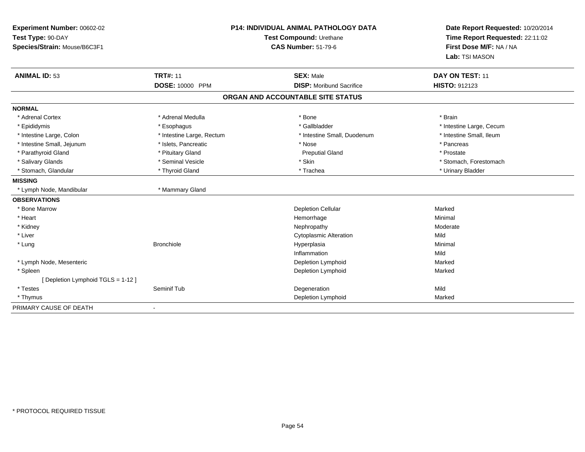| Experiment Number: 00602-02<br>Test Type: 90-DAY<br>Species/Strain: Mouse/B6C3F1 |                           | <b>P14: INDIVIDUAL ANIMAL PATHOLOGY DATA</b><br>Test Compound: Urethane<br><b>CAS Number: 51-79-6</b> | Date Report Requested: 10/20/2014<br>Time Report Requested: 22:11:02<br>First Dose M/F: NA / NA<br>Lab: TSI MASON |  |
|----------------------------------------------------------------------------------|---------------------------|-------------------------------------------------------------------------------------------------------|-------------------------------------------------------------------------------------------------------------------|--|
| <b>ANIMAL ID: 53</b>                                                             | <b>TRT#: 11</b>           | <b>SEX: Male</b>                                                                                      | DAY ON TEST: 11                                                                                                   |  |
|                                                                                  | DOSE: 10000 PPM           | <b>DISP:</b> Moribund Sacrifice                                                                       | <b>HISTO: 912123</b>                                                                                              |  |
|                                                                                  |                           | ORGAN AND ACCOUNTABLE SITE STATUS                                                                     |                                                                                                                   |  |
| <b>NORMAL</b>                                                                    |                           |                                                                                                       |                                                                                                                   |  |
| * Adrenal Cortex                                                                 | * Adrenal Medulla         | * Bone                                                                                                | * Brain                                                                                                           |  |
| * Epididymis                                                                     | * Esophagus               | * Gallbladder                                                                                         | * Intestine Large, Cecum                                                                                          |  |
| * Intestine Large, Colon                                                         | * Intestine Large, Rectum | * Intestine Small, Duodenum                                                                           | * Intestine Small, Ileum                                                                                          |  |
| * Intestine Small, Jejunum                                                       | * Islets, Pancreatic      | * Nose                                                                                                | * Pancreas                                                                                                        |  |
| * Parathyroid Gland                                                              | * Pituitary Gland         | <b>Preputial Gland</b>                                                                                | * Prostate                                                                                                        |  |
| * Salivary Glands                                                                | * Seminal Vesicle         | * Skin                                                                                                | * Stomach, Forestomach                                                                                            |  |
| * Stomach, Glandular                                                             | * Thyroid Gland           | * Trachea                                                                                             | * Urinary Bladder                                                                                                 |  |
| <b>MISSING</b>                                                                   |                           |                                                                                                       |                                                                                                                   |  |
| * Lymph Node, Mandibular                                                         | * Mammary Gland           |                                                                                                       |                                                                                                                   |  |
| <b>OBSERVATIONS</b>                                                              |                           |                                                                                                       |                                                                                                                   |  |
| * Bone Marrow                                                                    |                           | <b>Depletion Cellular</b>                                                                             | Marked                                                                                                            |  |
| * Heart                                                                          |                           | Hemorrhage                                                                                            | Minimal                                                                                                           |  |
| * Kidney                                                                         |                           | Nephropathy                                                                                           | Moderate                                                                                                          |  |
| * Liver                                                                          |                           | <b>Cytoplasmic Alteration</b>                                                                         | Mild                                                                                                              |  |
| * Lung                                                                           | <b>Bronchiole</b>         | Hyperplasia                                                                                           | Minimal                                                                                                           |  |
|                                                                                  |                           | Inflammation                                                                                          | Mild                                                                                                              |  |
| * Lymph Node, Mesenteric                                                         |                           | Depletion Lymphoid                                                                                    | Marked                                                                                                            |  |
| * Spleen                                                                         |                           | Depletion Lymphoid                                                                                    | Marked                                                                                                            |  |
| [Depletion Lymphoid TGLS = 1-12]                                                 |                           |                                                                                                       |                                                                                                                   |  |
| * Testes                                                                         | Seminif Tub               | Degeneration                                                                                          | Mild                                                                                                              |  |
| * Thymus                                                                         |                           | Depletion Lymphoid                                                                                    | Marked                                                                                                            |  |
| PRIMARY CAUSE OF DEATH                                                           |                           |                                                                                                       |                                                                                                                   |  |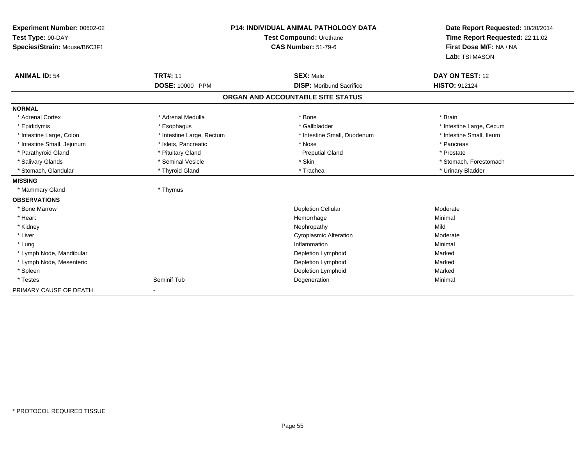| Experiment Number: 00602-02<br>Test Type: 90-DAY<br>Species/Strain: Mouse/B6C3F1 |                           | <b>P14: INDIVIDUAL ANIMAL PATHOLOGY DATA</b><br>Test Compound: Urethane<br><b>CAS Number: 51-79-6</b> | Date Report Requested: 10/20/2014<br>Time Report Requested: 22:11:02<br>First Dose M/F: NA / NA<br>Lab: TSI MASON |
|----------------------------------------------------------------------------------|---------------------------|-------------------------------------------------------------------------------------------------------|-------------------------------------------------------------------------------------------------------------------|
| <b>ANIMAL ID: 54</b>                                                             | <b>TRT#: 11</b>           | <b>SEX: Male</b>                                                                                      | DAY ON TEST: 12                                                                                                   |
|                                                                                  | DOSE: 10000 PPM           | <b>DISP:</b> Moribund Sacrifice                                                                       | <b>HISTO: 912124</b>                                                                                              |
|                                                                                  |                           | ORGAN AND ACCOUNTABLE SITE STATUS                                                                     |                                                                                                                   |
| <b>NORMAL</b>                                                                    |                           |                                                                                                       |                                                                                                                   |
| * Adrenal Cortex                                                                 | * Adrenal Medulla         | * Bone                                                                                                | * Brain                                                                                                           |
| * Epididymis                                                                     | * Esophagus               | * Gallbladder                                                                                         | * Intestine Large, Cecum                                                                                          |
| * Intestine Large, Colon                                                         | * Intestine Large, Rectum | * Intestine Small, Duodenum                                                                           | * Intestine Small, Ileum                                                                                          |
| * Intestine Small, Jejunum                                                       | * Islets, Pancreatic      | * Nose                                                                                                | * Pancreas                                                                                                        |
| * Parathyroid Gland                                                              | * Pituitary Gland         | <b>Preputial Gland</b>                                                                                | * Prostate                                                                                                        |
| * Salivary Glands                                                                | * Seminal Vesicle         | * Skin                                                                                                | * Stomach, Forestomach                                                                                            |
| * Stomach, Glandular                                                             | * Thyroid Gland           | * Trachea                                                                                             | * Urinary Bladder                                                                                                 |
| <b>MISSING</b>                                                                   |                           |                                                                                                       |                                                                                                                   |
| * Mammary Gland                                                                  | * Thymus                  |                                                                                                       |                                                                                                                   |
| <b>OBSERVATIONS</b>                                                              |                           |                                                                                                       |                                                                                                                   |
| * Bone Marrow                                                                    |                           | <b>Depletion Cellular</b>                                                                             | Moderate                                                                                                          |
| * Heart                                                                          |                           | Hemorrhage                                                                                            | Minimal                                                                                                           |
| * Kidney                                                                         |                           | Nephropathy                                                                                           | Mild                                                                                                              |
| * Liver                                                                          |                           | <b>Cytoplasmic Alteration</b>                                                                         | Moderate                                                                                                          |
| * Lung                                                                           |                           | Inflammation                                                                                          | Minimal                                                                                                           |
| * Lymph Node, Mandibular                                                         |                           | Depletion Lymphoid                                                                                    | Marked                                                                                                            |
| * Lymph Node, Mesenteric                                                         |                           | Depletion Lymphoid                                                                                    | Marked                                                                                                            |
| * Spleen                                                                         |                           | Depletion Lymphoid                                                                                    | Marked                                                                                                            |
| * Testes                                                                         | Seminif Tub               | Degeneration                                                                                          | Minimal                                                                                                           |
| PRIMARY CAUSE OF DEATH                                                           |                           |                                                                                                       |                                                                                                                   |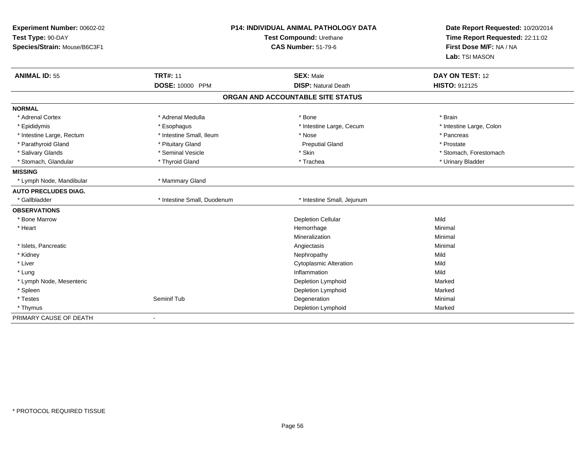| Experiment Number: 00602-02<br>Test Type: 90-DAY<br>Species/Strain: Mouse/B6C3F1 |                             | P14: INDIVIDUAL ANIMAL PATHOLOGY DATA<br>Test Compound: Urethane<br><b>CAS Number: 51-79-6</b> | Date Report Requested: 10/20/2014<br>Time Report Requested: 22:11:02<br>First Dose M/F: NA / NA<br>Lab: TSI MASON |
|----------------------------------------------------------------------------------|-----------------------------|------------------------------------------------------------------------------------------------|-------------------------------------------------------------------------------------------------------------------|
| <b>ANIMAL ID: 55</b>                                                             | <b>TRT#: 11</b>             | <b>SEX: Male</b>                                                                               | DAY ON TEST: 12                                                                                                   |
|                                                                                  | <b>DOSE: 10000 PPM</b>      | <b>DISP: Natural Death</b>                                                                     | HISTO: 912125                                                                                                     |
|                                                                                  |                             | ORGAN AND ACCOUNTABLE SITE STATUS                                                              |                                                                                                                   |
| <b>NORMAL</b>                                                                    |                             |                                                                                                |                                                                                                                   |
| * Adrenal Cortex                                                                 | * Adrenal Medulla           | * Bone                                                                                         | * Brain                                                                                                           |
| * Epididymis                                                                     | * Esophagus                 | * Intestine Large, Cecum                                                                       | * Intestine Large, Colon                                                                                          |
| * Intestine Large, Rectum                                                        | * Intestine Small, Ileum    | * Nose                                                                                         | * Pancreas                                                                                                        |
| * Parathyroid Gland                                                              | * Pituitary Gland           | <b>Preputial Gland</b>                                                                         | * Prostate                                                                                                        |
| * Salivary Glands                                                                | * Seminal Vesicle           | * Skin                                                                                         | * Stomach, Forestomach                                                                                            |
| * Stomach, Glandular                                                             | * Thyroid Gland             | * Trachea                                                                                      | * Urinary Bladder                                                                                                 |
| <b>MISSING</b>                                                                   |                             |                                                                                                |                                                                                                                   |
| * Lymph Node, Mandibular                                                         | * Mammary Gland             |                                                                                                |                                                                                                                   |
| <b>AUTO PRECLUDES DIAG.</b>                                                      |                             |                                                                                                |                                                                                                                   |
| * Gallbladder                                                                    | * Intestine Small, Duodenum | * Intestine Small, Jejunum                                                                     |                                                                                                                   |
| <b>OBSERVATIONS</b>                                                              |                             |                                                                                                |                                                                                                                   |
| * Bone Marrow                                                                    |                             | <b>Depletion Cellular</b>                                                                      | Mild                                                                                                              |
| * Heart                                                                          |                             | Hemorrhage                                                                                     | Minimal                                                                                                           |
|                                                                                  |                             | Mineralization                                                                                 | Minimal                                                                                                           |
| * Islets, Pancreatic                                                             |                             | Angiectasis                                                                                    | Minimal                                                                                                           |
| * Kidney                                                                         |                             | Nephropathy                                                                                    | Mild                                                                                                              |
| * Liver                                                                          |                             | <b>Cytoplasmic Alteration</b>                                                                  | Mild                                                                                                              |
| * Lung                                                                           |                             | Inflammation                                                                                   | Mild                                                                                                              |
| * Lymph Node, Mesenteric                                                         |                             | Depletion Lymphoid                                                                             | Marked                                                                                                            |
| * Spleen                                                                         |                             | Depletion Lymphoid                                                                             | Marked                                                                                                            |
| * Testes                                                                         | Seminif Tub                 | Degeneration                                                                                   | Minimal                                                                                                           |
| * Thymus                                                                         |                             | Depletion Lymphoid                                                                             | Marked                                                                                                            |
| PRIMARY CAUSE OF DEATH                                                           | $\mathbf{r}$                |                                                                                                |                                                                                                                   |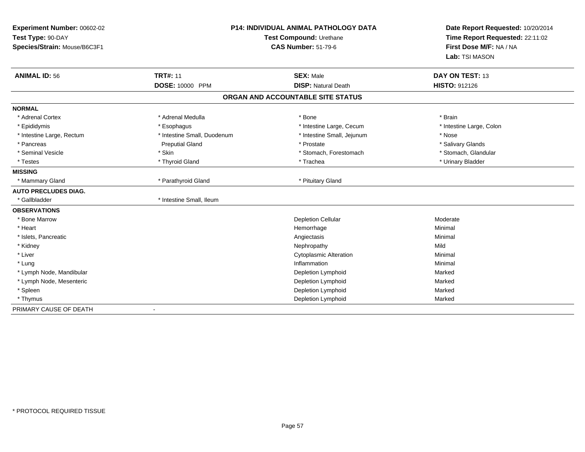| Experiment Number: 00602-02<br>Test Type: 90-DAY<br>Species/Strain: Mouse/B6C3F1 | P14: INDIVIDUAL ANIMAL PATHOLOGY DATA<br>Test Compound: Urethane<br><b>CAS Number: 51-79-6</b> |                                   | Date Report Requested: 10/20/2014<br>Time Report Requested: 22:11:02<br>First Dose M/F: NA / NA<br>Lab: TSI MASON |
|----------------------------------------------------------------------------------|------------------------------------------------------------------------------------------------|-----------------------------------|-------------------------------------------------------------------------------------------------------------------|
| <b>ANIMAL ID: 56</b>                                                             | <b>TRT#: 11</b>                                                                                | <b>SEX: Male</b>                  | <b>DAY ON TEST: 13</b>                                                                                            |
|                                                                                  | DOSE: 10000 PPM                                                                                | <b>DISP: Natural Death</b>        | <b>HISTO: 912126</b>                                                                                              |
|                                                                                  |                                                                                                | ORGAN AND ACCOUNTABLE SITE STATUS |                                                                                                                   |
| <b>NORMAL</b>                                                                    |                                                                                                |                                   |                                                                                                                   |
| * Adrenal Cortex                                                                 | * Adrenal Medulla                                                                              | * Bone                            | * Brain                                                                                                           |
| * Epididymis                                                                     | * Esophagus                                                                                    | * Intestine Large, Cecum          | * Intestine Large, Colon                                                                                          |
| * Intestine Large, Rectum                                                        | * Intestine Small, Duodenum                                                                    | * Intestine Small, Jejunum        | * Nose                                                                                                            |
| * Pancreas                                                                       | <b>Preputial Gland</b>                                                                         | * Prostate                        | * Salivary Glands                                                                                                 |
| * Seminal Vesicle                                                                | * Skin                                                                                         | * Stomach, Forestomach            | * Stomach, Glandular                                                                                              |
| * Testes                                                                         | * Thyroid Gland                                                                                | * Trachea                         | * Urinary Bladder                                                                                                 |
| <b>MISSING</b>                                                                   |                                                                                                |                                   |                                                                                                                   |
| * Mammary Gland                                                                  | * Parathyroid Gland                                                                            | * Pituitary Gland                 |                                                                                                                   |
| <b>AUTO PRECLUDES DIAG.</b>                                                      |                                                                                                |                                   |                                                                                                                   |
| * Gallbladder                                                                    | * Intestine Small. Ileum                                                                       |                                   |                                                                                                                   |
| <b>OBSERVATIONS</b>                                                              |                                                                                                |                                   |                                                                                                                   |
| * Bone Marrow                                                                    |                                                                                                | <b>Depletion Cellular</b>         | Moderate                                                                                                          |
| * Heart                                                                          |                                                                                                | Hemorrhage                        | Minimal                                                                                                           |
| * Islets, Pancreatic                                                             |                                                                                                | Angiectasis                       | Minimal                                                                                                           |
| * Kidney                                                                         |                                                                                                | Nephropathy                       | Mild                                                                                                              |
| * Liver                                                                          |                                                                                                | Cytoplasmic Alteration            | Minimal                                                                                                           |
| * Lung                                                                           |                                                                                                | Inflammation                      | Minimal                                                                                                           |
| * Lymph Node, Mandibular                                                         |                                                                                                | Depletion Lymphoid                | Marked                                                                                                            |
| * Lymph Node, Mesenteric                                                         |                                                                                                | Depletion Lymphoid                | Marked                                                                                                            |
| * Spleen                                                                         |                                                                                                | Depletion Lymphoid                | Marked                                                                                                            |
| * Thymus                                                                         |                                                                                                | Depletion Lymphoid                | Marked                                                                                                            |
| PRIMARY CAUSE OF DEATH                                                           |                                                                                                |                                   |                                                                                                                   |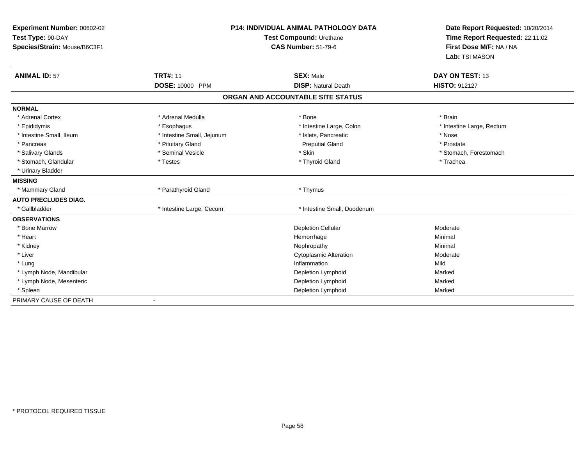| Experiment Number: 00602-02  |                            | P14: INDIVIDUAL ANIMAL PATHOLOGY DATA | Date Report Requested: 10/20/2014<br>Time Report Requested: 22:11:02 |
|------------------------------|----------------------------|---------------------------------------|----------------------------------------------------------------------|
| Test Type: 90-DAY            |                            | Test Compound: Urethane               |                                                                      |
| Species/Strain: Mouse/B6C3F1 |                            | <b>CAS Number: 51-79-6</b>            | First Dose M/F: NA / NA<br>Lab: TSI MASON                            |
|                              |                            |                                       |                                                                      |
| <b>ANIMAL ID: 57</b>         | <b>TRT#: 11</b>            | <b>SEX: Male</b>                      | DAY ON TEST: 13                                                      |
|                              | DOSE: 10000 PPM            | <b>DISP: Natural Death</b>            | <b>HISTO: 912127</b>                                                 |
|                              |                            | ORGAN AND ACCOUNTABLE SITE STATUS     |                                                                      |
| <b>NORMAL</b>                |                            |                                       |                                                                      |
| * Adrenal Cortex             | * Adrenal Medulla          | * Bone                                | * Brain                                                              |
| * Epididymis                 | * Esophagus                | * Intestine Large, Colon              | * Intestine Large, Rectum                                            |
| * Intestine Small, Ileum     | * Intestine Small, Jejunum | * Islets, Pancreatic                  | * Nose                                                               |
| * Pancreas                   | * Pituitary Gland          | <b>Preputial Gland</b>                | * Prostate                                                           |
| * Salivary Glands            | * Seminal Vesicle          | * Skin                                | * Stomach, Forestomach                                               |
| * Stomach, Glandular         | * Testes                   | * Thyroid Gland                       | * Trachea                                                            |
| * Urinary Bladder            |                            |                                       |                                                                      |
| <b>MISSING</b>               |                            |                                       |                                                                      |
| * Mammary Gland              | * Parathyroid Gland        | * Thymus                              |                                                                      |
| <b>AUTO PRECLUDES DIAG.</b>  |                            |                                       |                                                                      |
| * Gallbladder                | * Intestine Large, Cecum   | * Intestine Small, Duodenum           |                                                                      |
| <b>OBSERVATIONS</b>          |                            |                                       |                                                                      |
| * Bone Marrow                |                            | <b>Depletion Cellular</b>             | Moderate                                                             |
| * Heart                      |                            | Hemorrhage                            | Minimal                                                              |
| * Kidney                     |                            | Nephropathy                           | Minimal                                                              |
| * Liver                      |                            | <b>Cytoplasmic Alteration</b>         | Moderate                                                             |
| * Lung                       |                            | Inflammation                          | Mild                                                                 |
| * Lymph Node, Mandibular     |                            | Depletion Lymphoid                    | Marked                                                               |
| * Lymph Node, Mesenteric     |                            | Depletion Lymphoid                    | Marked                                                               |
| * Spleen                     |                            | Depletion Lymphoid                    | Marked                                                               |
| PRIMARY CAUSE OF DEATH       | $\overline{\phantom{a}}$   |                                       |                                                                      |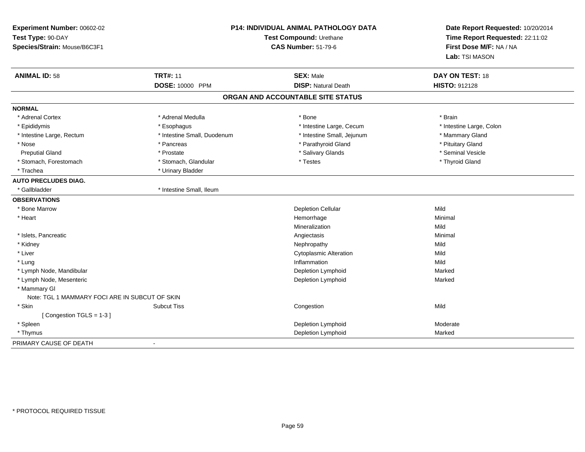| Experiment Number: 00602-02<br>Test Type: 90-DAY<br>Species/Strain: Mouse/B6C3F1 | P14: INDIVIDUAL ANIMAL PATHOLOGY DATA<br>Test Compound: Urethane<br><b>CAS Number: 51-79-6</b> |                                   | Date Report Requested: 10/20/2014<br>Time Report Requested: 22:11:02<br>First Dose M/F: NA / NA<br>Lab: TSI MASON |
|----------------------------------------------------------------------------------|------------------------------------------------------------------------------------------------|-----------------------------------|-------------------------------------------------------------------------------------------------------------------|
| <b>ANIMAL ID: 58</b>                                                             | <b>TRT#: 11</b>                                                                                | <b>SEX: Male</b>                  | DAY ON TEST: 18                                                                                                   |
|                                                                                  | <b>DOSE: 10000 PPM</b>                                                                         | <b>DISP: Natural Death</b>        | HISTO: 912128                                                                                                     |
|                                                                                  |                                                                                                | ORGAN AND ACCOUNTABLE SITE STATUS |                                                                                                                   |
| <b>NORMAL</b>                                                                    |                                                                                                |                                   |                                                                                                                   |
| * Adrenal Cortex                                                                 | * Adrenal Medulla                                                                              | * Bone                            | * Brain                                                                                                           |
| * Epididymis                                                                     | * Esophagus                                                                                    | * Intestine Large, Cecum          | * Intestine Large, Colon                                                                                          |
| * Intestine Large, Rectum                                                        | * Intestine Small, Duodenum                                                                    | * Intestine Small, Jejunum        | * Mammary Gland                                                                                                   |
| * Nose                                                                           | * Pancreas                                                                                     | * Parathyroid Gland               | * Pituitary Gland                                                                                                 |
| <b>Preputial Gland</b>                                                           | * Prostate                                                                                     | * Salivary Glands                 | * Seminal Vesicle                                                                                                 |
| * Stomach, Forestomach                                                           | * Stomach, Glandular                                                                           | * Testes                          | * Thyroid Gland                                                                                                   |
| * Trachea                                                                        | * Urinary Bladder                                                                              |                                   |                                                                                                                   |
| <b>AUTO PRECLUDES DIAG.</b>                                                      |                                                                                                |                                   |                                                                                                                   |
| * Gallbladder                                                                    | * Intestine Small, Ileum                                                                       |                                   |                                                                                                                   |
| <b>OBSERVATIONS</b>                                                              |                                                                                                |                                   |                                                                                                                   |
| * Bone Marrow                                                                    |                                                                                                | <b>Depletion Cellular</b>         | Mild                                                                                                              |
| * Heart                                                                          |                                                                                                | Hemorrhage                        | Minimal                                                                                                           |
|                                                                                  |                                                                                                | Mineralization                    | Mild                                                                                                              |
| * Islets, Pancreatic                                                             |                                                                                                | Angiectasis                       | Minimal                                                                                                           |
| * Kidney                                                                         |                                                                                                | Nephropathy                       | Mild                                                                                                              |
| * Liver                                                                          |                                                                                                | <b>Cytoplasmic Alteration</b>     | Mild                                                                                                              |
| * Lung                                                                           |                                                                                                | Inflammation                      | Mild                                                                                                              |
| * Lymph Node, Mandibular                                                         |                                                                                                | Depletion Lymphoid                | Marked                                                                                                            |
| * Lymph Node, Mesenteric                                                         |                                                                                                | Depletion Lymphoid                | Marked                                                                                                            |
| * Mammary GI                                                                     |                                                                                                |                                   |                                                                                                                   |
| Note: TGL 1 MAMMARY FOCI ARE IN SUBCUT OF SKIN                                   |                                                                                                |                                   |                                                                                                                   |
| * Skin                                                                           | <b>Subcut Tiss</b>                                                                             | Congestion                        | Mild                                                                                                              |
| [Congestion TGLS = $1-3$ ]                                                       |                                                                                                |                                   |                                                                                                                   |
| * Spleen                                                                         |                                                                                                | Depletion Lymphoid                | Moderate                                                                                                          |
| * Thymus                                                                         |                                                                                                | Depletion Lymphoid                | Marked                                                                                                            |
| PRIMARY CAUSE OF DEATH                                                           | $\blacksquare$                                                                                 |                                   |                                                                                                                   |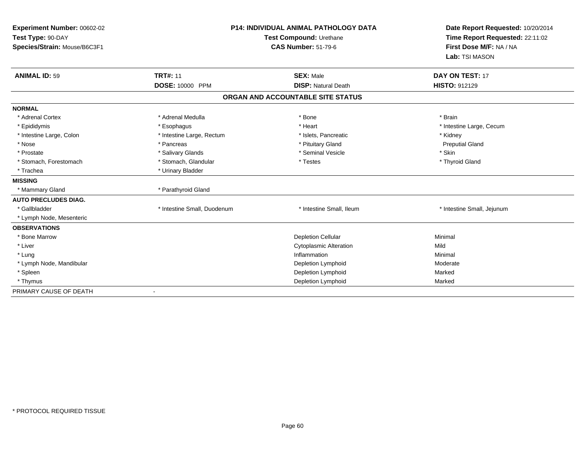| Experiment Number: 00602-02<br>Test Type: 90-DAY<br>Species/Strain: Mouse/B6C3F1 |                             | <b>P14: INDIVIDUAL ANIMAL PATHOLOGY DATA</b><br>Test Compound: Urethane<br><b>CAS Number: 51-79-6</b> | Date Report Requested: 10/20/2014<br>Time Report Requested: 22:11:02<br>First Dose M/F: NA / NA<br>Lab: TSI MASON |
|----------------------------------------------------------------------------------|-----------------------------|-------------------------------------------------------------------------------------------------------|-------------------------------------------------------------------------------------------------------------------|
| <b>ANIMAL ID: 59</b>                                                             | <b>TRT#: 11</b>             | <b>SEX: Male</b>                                                                                      | <b>DAY ON TEST: 17</b>                                                                                            |
|                                                                                  | DOSE: 10000 PPM             | <b>DISP: Natural Death</b>                                                                            | <b>HISTO: 912129</b>                                                                                              |
|                                                                                  |                             | ORGAN AND ACCOUNTABLE SITE STATUS                                                                     |                                                                                                                   |
| <b>NORMAL</b>                                                                    |                             |                                                                                                       |                                                                                                                   |
| * Adrenal Cortex                                                                 | * Adrenal Medulla           | * Bone                                                                                                | * Brain                                                                                                           |
| * Epididymis                                                                     | * Esophagus                 | * Heart                                                                                               | * Intestine Large, Cecum                                                                                          |
| * Intestine Large, Colon                                                         | * Intestine Large, Rectum   | * Islets, Pancreatic                                                                                  | * Kidney                                                                                                          |
| * Nose                                                                           | * Pancreas                  | * Pituitary Gland                                                                                     | <b>Preputial Gland</b>                                                                                            |
| * Prostate                                                                       | * Salivary Glands           | * Seminal Vesicle                                                                                     | * Skin                                                                                                            |
| * Stomach, Forestomach                                                           | * Stomach, Glandular        | * Testes                                                                                              | * Thyroid Gland                                                                                                   |
| * Trachea                                                                        | * Urinary Bladder           |                                                                                                       |                                                                                                                   |
| <b>MISSING</b>                                                                   |                             |                                                                                                       |                                                                                                                   |
| * Mammary Gland                                                                  | * Parathyroid Gland         |                                                                                                       |                                                                                                                   |
| <b>AUTO PRECLUDES DIAG.</b>                                                      |                             |                                                                                                       |                                                                                                                   |
| * Gallbladder                                                                    | * Intestine Small, Duodenum | * Intestine Small, Ileum                                                                              | * Intestine Small, Jejunum                                                                                        |
| * Lymph Node, Mesenteric                                                         |                             |                                                                                                       |                                                                                                                   |
| <b>OBSERVATIONS</b>                                                              |                             |                                                                                                       |                                                                                                                   |
| * Bone Marrow                                                                    |                             | <b>Depletion Cellular</b>                                                                             | Minimal                                                                                                           |
| * Liver                                                                          |                             | <b>Cytoplasmic Alteration</b>                                                                         | Mild                                                                                                              |
| * Lung                                                                           |                             | Inflammation                                                                                          | Minimal                                                                                                           |
| * Lymph Node, Mandibular                                                         |                             | Depletion Lymphoid                                                                                    | Moderate                                                                                                          |
| * Spleen                                                                         |                             | Depletion Lymphoid                                                                                    | Marked                                                                                                            |
| * Thymus                                                                         |                             | Depletion Lymphoid                                                                                    | Marked                                                                                                            |
| PRIMARY CAUSE OF DEATH                                                           |                             |                                                                                                       |                                                                                                                   |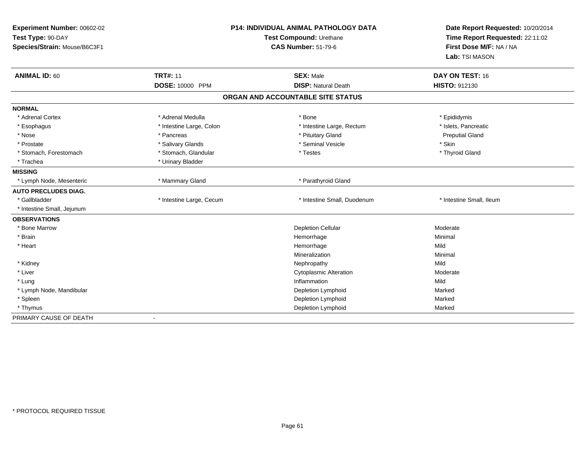| Experiment Number: 00602-02<br>Test Type: 90-DAY<br>Species/Strain: Mouse/B6C3F1 |                          | P14: INDIVIDUAL ANIMAL PATHOLOGY DATA<br>Test Compound: Urethane<br><b>CAS Number: 51-79-6</b> | Date Report Requested: 10/20/2014<br>Time Report Requested: 22:11:02<br>First Dose M/F: NA / NA<br>Lab: TSI MASON |
|----------------------------------------------------------------------------------|--------------------------|------------------------------------------------------------------------------------------------|-------------------------------------------------------------------------------------------------------------------|
| <b>ANIMAL ID: 60</b>                                                             | <b>TRT#: 11</b>          | <b>SEX: Male</b>                                                                               | DAY ON TEST: 16                                                                                                   |
|                                                                                  | DOSE: 10000 PPM          | <b>DISP: Natural Death</b>                                                                     | <b>HISTO: 912130</b>                                                                                              |
|                                                                                  |                          | ORGAN AND ACCOUNTABLE SITE STATUS                                                              |                                                                                                                   |
| <b>NORMAL</b>                                                                    |                          |                                                                                                |                                                                                                                   |
| * Adrenal Cortex                                                                 | * Adrenal Medulla        | * Bone                                                                                         | * Epididymis                                                                                                      |
| * Esophagus                                                                      | * Intestine Large, Colon | * Intestine Large, Rectum                                                                      | * Islets, Pancreatic                                                                                              |
| * Nose                                                                           | * Pancreas               | * Pituitary Gland                                                                              | <b>Preputial Gland</b>                                                                                            |
| * Prostate                                                                       | * Salivary Glands        | * Seminal Vesicle                                                                              | * Skin                                                                                                            |
| * Stomach, Forestomach                                                           | * Stomach, Glandular     | * Testes                                                                                       | * Thyroid Gland                                                                                                   |
| * Trachea                                                                        | * Urinary Bladder        |                                                                                                |                                                                                                                   |
| <b>MISSING</b>                                                                   |                          |                                                                                                |                                                                                                                   |
| * Lymph Node, Mesenteric                                                         | * Mammary Gland          | * Parathyroid Gland                                                                            |                                                                                                                   |
| <b>AUTO PRECLUDES DIAG.</b>                                                      |                          |                                                                                                |                                                                                                                   |
| * Gallbladder                                                                    | * Intestine Large, Cecum | * Intestine Small, Duodenum                                                                    | * Intestine Small, Ileum                                                                                          |
| * Intestine Small, Jejunum                                                       |                          |                                                                                                |                                                                                                                   |
| <b>OBSERVATIONS</b>                                                              |                          |                                                                                                |                                                                                                                   |
| * Bone Marrow                                                                    |                          | <b>Depletion Cellular</b>                                                                      | Moderate                                                                                                          |
| * Brain                                                                          |                          | Hemorrhage                                                                                     | Minimal                                                                                                           |
| * Heart                                                                          |                          | Hemorrhage                                                                                     | Mild                                                                                                              |
|                                                                                  |                          | Mineralization                                                                                 | Minimal                                                                                                           |
| * Kidney                                                                         |                          | Nephropathy                                                                                    | Mild                                                                                                              |
| * Liver                                                                          |                          | <b>Cytoplasmic Alteration</b>                                                                  | Moderate                                                                                                          |
| * Lung                                                                           |                          | Inflammation                                                                                   | Mild                                                                                                              |
| * Lymph Node, Mandibular                                                         |                          | Depletion Lymphoid                                                                             | Marked                                                                                                            |
| * Spleen                                                                         |                          | Depletion Lymphoid                                                                             | Marked                                                                                                            |
| * Thymus                                                                         |                          | Depletion Lymphoid                                                                             | Marked                                                                                                            |
| PRIMARY CAUSE OF DEATH                                                           | $\sim$                   |                                                                                                |                                                                                                                   |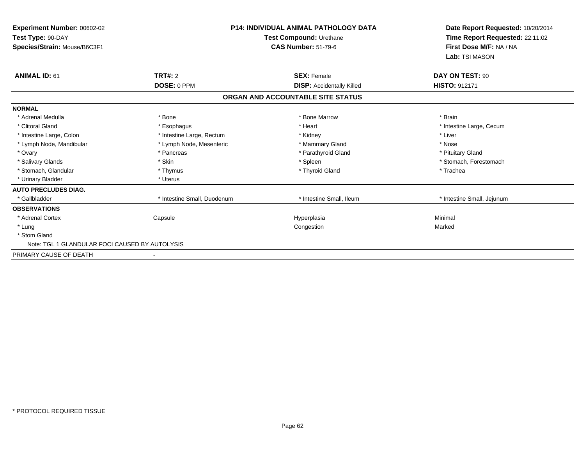| <b>Experiment Number: 00602-02</b><br>Test Type: 90-DAY<br>Species/Strain: Mouse/B6C3F1 |                             | <b>P14: INDIVIDUAL ANIMAL PATHOLOGY DATA</b><br>Test Compound: Urethane<br><b>CAS Number: 51-79-6</b> | Date Report Requested: 10/20/2014<br>Time Report Requested: 22:11:02<br>First Dose M/F: NA / NA<br>Lab: TSI MASON |
|-----------------------------------------------------------------------------------------|-----------------------------|-------------------------------------------------------------------------------------------------------|-------------------------------------------------------------------------------------------------------------------|
| <b>ANIMAL ID: 61</b>                                                                    | <b>TRT#: 2</b>              | <b>SEX: Female</b>                                                                                    | DAY ON TEST: 90                                                                                                   |
|                                                                                         | DOSE: 0 PPM                 | <b>DISP:</b> Accidentally Killed                                                                      | <b>HISTO: 912171</b>                                                                                              |
|                                                                                         |                             | ORGAN AND ACCOUNTABLE SITE STATUS                                                                     |                                                                                                                   |
| <b>NORMAL</b>                                                                           |                             |                                                                                                       |                                                                                                                   |
| * Adrenal Medulla                                                                       | * Bone                      | * Bone Marrow                                                                                         | * Brain                                                                                                           |
| * Clitoral Gland                                                                        | * Esophagus                 | * Heart                                                                                               | * Intestine Large, Cecum                                                                                          |
| * Intestine Large, Colon                                                                | * Intestine Large, Rectum   | * Kidney                                                                                              | * Liver                                                                                                           |
| * Lymph Node, Mandibular                                                                | * Lymph Node, Mesenteric    | * Mammary Gland                                                                                       | * Nose                                                                                                            |
| * Ovary                                                                                 | * Pancreas                  | * Parathyroid Gland                                                                                   | * Pituitary Gland                                                                                                 |
| * Salivary Glands                                                                       | * Skin                      | * Spleen                                                                                              | * Stomach, Forestomach                                                                                            |
| * Stomach, Glandular                                                                    | * Thymus                    | * Thyroid Gland                                                                                       | * Trachea                                                                                                         |
| * Urinary Bladder                                                                       | * Uterus                    |                                                                                                       |                                                                                                                   |
| <b>AUTO PRECLUDES DIAG.</b>                                                             |                             |                                                                                                       |                                                                                                                   |
| * Gallbladder                                                                           | * Intestine Small, Duodenum | * Intestine Small, Ileum                                                                              | * Intestine Small, Jejunum                                                                                        |
| <b>OBSERVATIONS</b>                                                                     |                             |                                                                                                       |                                                                                                                   |
| * Adrenal Cortex                                                                        | Capsule                     | Hyperplasia                                                                                           | Minimal                                                                                                           |
| * Lung                                                                                  |                             | Congestion                                                                                            | Marked                                                                                                            |
| * Stom Gland                                                                            |                             |                                                                                                       |                                                                                                                   |
| Note: TGL 1 GLANDULAR FOCI CAUSED BY AUTOLYSIS                                          |                             |                                                                                                       |                                                                                                                   |
| PRIMARY CAUSE OF DEATH                                                                  |                             |                                                                                                       |                                                                                                                   |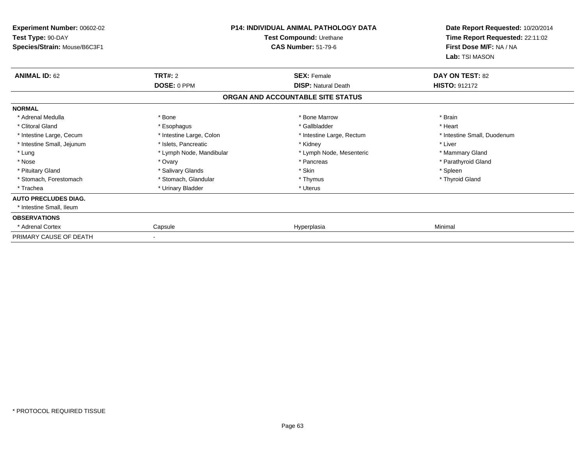| <b>Experiment Number: 00602-02</b><br>Test Type: 90-DAY<br>Species/Strain: Mouse/B6C3F1 |                          | <b>P14: INDIVIDUAL ANIMAL PATHOLOGY DATA</b><br>Test Compound: Urethane<br><b>CAS Number: 51-79-6</b> | Date Report Requested: 10/20/2014<br>Time Report Requested: 22:11:02<br>First Dose M/F: NA / NA<br>Lab: TSI MASON |
|-----------------------------------------------------------------------------------------|--------------------------|-------------------------------------------------------------------------------------------------------|-------------------------------------------------------------------------------------------------------------------|
| <b>ANIMAL ID: 62</b>                                                                    | <b>TRT#: 2</b>           | <b>SEX: Female</b>                                                                                    | DAY ON TEST: 82                                                                                                   |
|                                                                                         | DOSE: 0 PPM              | <b>DISP: Natural Death</b>                                                                            | <b>HISTO: 912172</b>                                                                                              |
|                                                                                         |                          | ORGAN AND ACCOUNTABLE SITE STATUS                                                                     |                                                                                                                   |
| <b>NORMAL</b>                                                                           |                          |                                                                                                       |                                                                                                                   |
| * Adrenal Medulla                                                                       | * Bone                   | * Bone Marrow                                                                                         | * Brain                                                                                                           |
| * Clitoral Gland                                                                        | * Esophagus              | * Gallbladder                                                                                         | * Heart                                                                                                           |
| * Intestine Large, Cecum                                                                | * Intestine Large, Colon | * Intestine Large, Rectum                                                                             | * Intestine Small, Duodenum                                                                                       |
| * Intestine Small, Jejunum                                                              | * Islets, Pancreatic     | * Kidney                                                                                              | * Liver                                                                                                           |
| * Lung                                                                                  | * Lymph Node, Mandibular | * Lymph Node, Mesenteric                                                                              | * Mammary Gland                                                                                                   |
| * Nose                                                                                  | * Ovary                  | * Pancreas                                                                                            | * Parathyroid Gland                                                                                               |
| * Pituitary Gland                                                                       | * Salivary Glands        | * Skin                                                                                                | * Spleen                                                                                                          |
| * Stomach, Forestomach                                                                  | * Stomach, Glandular     | * Thymus                                                                                              | * Thyroid Gland                                                                                                   |
| * Trachea                                                                               | * Urinary Bladder        | * Uterus                                                                                              |                                                                                                                   |
| <b>AUTO PRECLUDES DIAG.</b>                                                             |                          |                                                                                                       |                                                                                                                   |
| * Intestine Small, Ileum                                                                |                          |                                                                                                       |                                                                                                                   |
| <b>OBSERVATIONS</b>                                                                     |                          |                                                                                                       |                                                                                                                   |
| <b>Adrenal Cortex</b>                                                                   | Capsule                  | Hyperplasia                                                                                           | Minimal                                                                                                           |
| PRIMARY CAUSE OF DEATH                                                                  |                          |                                                                                                       |                                                                                                                   |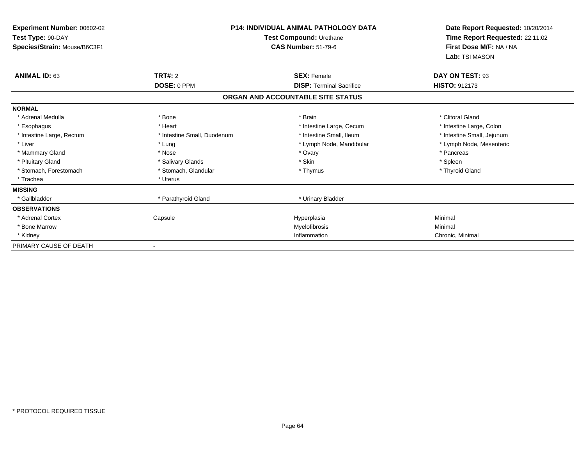| <b>Experiment Number: 00602-02</b><br>Test Type: 90-DAY<br>Species/Strain: Mouse/B6C3F1 |                             | <b>P14: INDIVIDUAL ANIMAL PATHOLOGY DATA</b><br>Test Compound: Urethane<br><b>CAS Number: 51-79-6</b> | Date Report Requested: 10/20/2014<br>Time Report Requested: 22:11:02<br>First Dose M/F: NA / NA |
|-----------------------------------------------------------------------------------------|-----------------------------|-------------------------------------------------------------------------------------------------------|-------------------------------------------------------------------------------------------------|
|                                                                                         |                             |                                                                                                       | Lab: TSI MASON                                                                                  |
| <b>ANIMAL ID: 63</b>                                                                    | <b>TRT#: 2</b>              | <b>SEX: Female</b>                                                                                    | DAY ON TEST: 93                                                                                 |
|                                                                                         | DOSE: 0 PPM                 | <b>DISP: Terminal Sacrifice</b>                                                                       | <b>HISTO: 912173</b>                                                                            |
|                                                                                         |                             | ORGAN AND ACCOUNTABLE SITE STATUS                                                                     |                                                                                                 |
| <b>NORMAL</b>                                                                           |                             |                                                                                                       |                                                                                                 |
| * Adrenal Medulla                                                                       | * Bone                      | * Brain                                                                                               | * Clitoral Gland                                                                                |
| * Esophagus                                                                             | * Heart                     | * Intestine Large, Cecum                                                                              | * Intestine Large, Colon                                                                        |
| * Intestine Large, Rectum                                                               | * Intestine Small, Duodenum | * Intestine Small, Ileum                                                                              | * Intestine Small, Jejunum                                                                      |
| * Liver                                                                                 | * Lung                      | * Lymph Node, Mandibular                                                                              | * Lymph Node, Mesenteric                                                                        |
| * Mammary Gland                                                                         | * Nose                      | * Ovary                                                                                               | * Pancreas                                                                                      |
| * Pituitary Gland                                                                       | * Salivary Glands           | * Skin                                                                                                | * Spleen                                                                                        |
| * Stomach, Forestomach                                                                  | * Stomach, Glandular        | * Thymus                                                                                              | * Thyroid Gland                                                                                 |
| * Trachea                                                                               | * Uterus                    |                                                                                                       |                                                                                                 |
| <b>MISSING</b>                                                                          |                             |                                                                                                       |                                                                                                 |
| * Gallbladder                                                                           | * Parathyroid Gland         | * Urinary Bladder                                                                                     |                                                                                                 |
| <b>OBSERVATIONS</b>                                                                     |                             |                                                                                                       |                                                                                                 |
| * Adrenal Cortex                                                                        | Capsule                     | Hyperplasia                                                                                           | Minimal                                                                                         |
| * Bone Marrow                                                                           |                             | Myelofibrosis                                                                                         | Minimal                                                                                         |
| * Kidney                                                                                |                             | Inflammation                                                                                          | Chronic, Minimal                                                                                |
| PRIMARY CAUSE OF DEATH                                                                  |                             |                                                                                                       |                                                                                                 |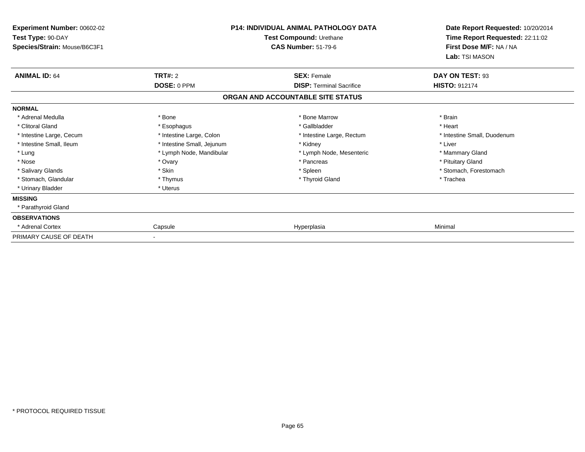| Experiment Number: 00602-02<br>Test Type: 90-DAY<br>Species/Strain: Mouse/B6C3F1 |                            | <b>P14: INDIVIDUAL ANIMAL PATHOLOGY DATA</b><br>Test Compound: Urethane<br><b>CAS Number: 51-79-6</b> | Date Report Requested: 10/20/2014<br>Time Report Requested: 22:11:02<br>First Dose M/F: NA / NA<br>Lab: TSI MASON |
|----------------------------------------------------------------------------------|----------------------------|-------------------------------------------------------------------------------------------------------|-------------------------------------------------------------------------------------------------------------------|
| <b>ANIMAL ID: 64</b>                                                             | TRT#: 2                    | <b>SEX: Female</b>                                                                                    | DAY ON TEST: 93                                                                                                   |
|                                                                                  | DOSE: 0 PPM                | <b>DISP: Terminal Sacrifice</b>                                                                       | <b>HISTO: 912174</b>                                                                                              |
|                                                                                  |                            | ORGAN AND ACCOUNTABLE SITE STATUS                                                                     |                                                                                                                   |
| <b>NORMAL</b>                                                                    |                            |                                                                                                       |                                                                                                                   |
| * Adrenal Medulla                                                                | * Bone                     | * Bone Marrow                                                                                         | * Brain                                                                                                           |
| * Clitoral Gland                                                                 | * Esophagus                | * Gallbladder                                                                                         | * Heart                                                                                                           |
| * Intestine Large, Cecum                                                         | * Intestine Large, Colon   | * Intestine Large, Rectum                                                                             | * Intestine Small, Duodenum                                                                                       |
| * Intestine Small, Ileum                                                         | * Intestine Small, Jejunum | * Kidney                                                                                              | * Liver                                                                                                           |
| * Lung                                                                           | * Lymph Node, Mandibular   | * Lymph Node, Mesenteric                                                                              | * Mammary Gland                                                                                                   |
| * Nose                                                                           | * Ovary                    | * Pancreas                                                                                            | * Pituitary Gland                                                                                                 |
| * Salivary Glands                                                                | * Skin                     | * Spleen                                                                                              | * Stomach, Forestomach                                                                                            |
| * Stomach, Glandular                                                             | * Thymus                   | * Thyroid Gland                                                                                       | * Trachea                                                                                                         |
| * Urinary Bladder                                                                | * Uterus                   |                                                                                                       |                                                                                                                   |
| <b>MISSING</b>                                                                   |                            |                                                                                                       |                                                                                                                   |
| * Parathyroid Gland                                                              |                            |                                                                                                       |                                                                                                                   |
| <b>OBSERVATIONS</b>                                                              |                            |                                                                                                       |                                                                                                                   |
| Adrenal Cortex                                                                   | Capsule                    | Hyperplasia                                                                                           | Minimal                                                                                                           |
| PRIMARY CAUSE OF DEATH                                                           |                            |                                                                                                       |                                                                                                                   |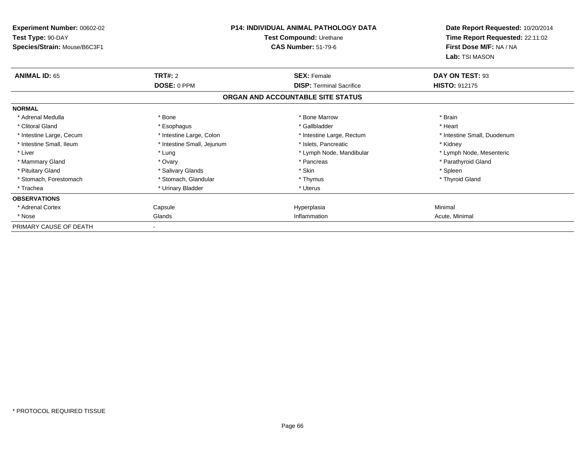| Experiment Number: 00602-02<br>Test Type: 90-DAY |                            | <b>P14: INDIVIDUAL ANIMAL PATHOLOGY DATA</b><br>Test Compound: Urethane | Date Report Requested: 10/20/2014<br>Time Report Requested: 22:11:02 |
|--------------------------------------------------|----------------------------|-------------------------------------------------------------------------|----------------------------------------------------------------------|
| Species/Strain: Mouse/B6C3F1                     |                            | <b>CAS Number: 51-79-6</b>                                              | First Dose M/F: NA / NA<br>Lab: TSI MASON                            |
| <b>ANIMAL ID: 65</b>                             | <b>TRT#: 2</b>             | <b>SEX: Female</b>                                                      | DAY ON TEST: 93                                                      |
|                                                  | DOSE: 0 PPM                | <b>DISP: Terminal Sacrifice</b>                                         | <b>HISTO: 912175</b>                                                 |
|                                                  |                            | ORGAN AND ACCOUNTABLE SITE STATUS                                       |                                                                      |
| <b>NORMAL</b>                                    |                            |                                                                         |                                                                      |
| * Adrenal Medulla                                | * Bone                     | * Bone Marrow                                                           | * Brain                                                              |
| * Clitoral Gland                                 | * Esophagus                | * Gallbladder                                                           | * Heart                                                              |
| * Intestine Large, Cecum                         | * Intestine Large, Colon   | * Intestine Large, Rectum                                               | * Intestine Small, Duodenum                                          |
| * Intestine Small, Ileum                         | * Intestine Small, Jejunum | * Islets, Pancreatic                                                    | * Kidney                                                             |
| * Liver                                          | * Lung                     | * Lymph Node, Mandibular                                                | * Lymph Node, Mesenteric                                             |
| * Mammary Gland                                  | * Ovary                    | * Pancreas                                                              | * Parathyroid Gland                                                  |
| * Pituitary Gland                                | * Salivary Glands          | * Skin                                                                  | * Spleen                                                             |
| * Stomach, Forestomach                           | * Stomach, Glandular       | * Thymus                                                                | * Thyroid Gland                                                      |
| * Trachea                                        | * Urinary Bladder          | * Uterus                                                                |                                                                      |
| <b>OBSERVATIONS</b>                              |                            |                                                                         |                                                                      |
| * Adrenal Cortex                                 | Capsule                    | Hyperplasia                                                             | Minimal                                                              |
| * Nose                                           | Glands                     | Inflammation                                                            | Acute, Minimal                                                       |
| PRIMARY CAUSE OF DEATH                           |                            |                                                                         |                                                                      |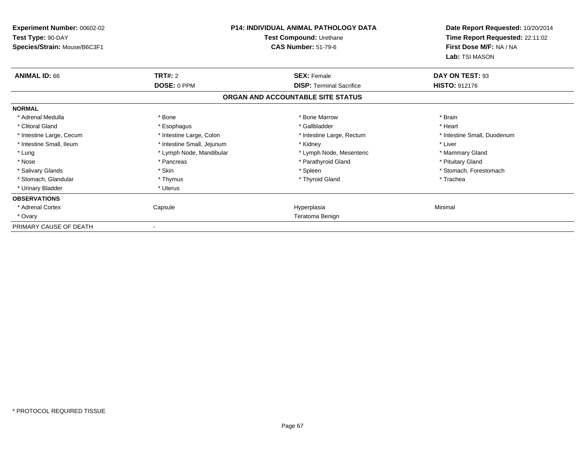| Experiment Number: 00602-02<br>Test Type: 90-DAY<br>Species/Strain: Mouse/B6C3F1 |                            | <b>P14: INDIVIDUAL ANIMAL PATHOLOGY DATA</b><br>Test Compound: Urethane<br><b>CAS Number: 51-79-6</b> | Date Report Requested: 10/20/2014<br>Time Report Requested: 22:11:02<br>First Dose M/F: NA / NA<br>Lab: TSI MASON |
|----------------------------------------------------------------------------------|----------------------------|-------------------------------------------------------------------------------------------------------|-------------------------------------------------------------------------------------------------------------------|
| <b>ANIMAL ID: 66</b>                                                             | <b>TRT#: 2</b>             | <b>SEX: Female</b>                                                                                    | DAY ON TEST: 93                                                                                                   |
|                                                                                  | DOSE: 0 PPM                | <b>DISP: Terminal Sacrifice</b>                                                                       | <b>HISTO: 912176</b>                                                                                              |
|                                                                                  |                            | ORGAN AND ACCOUNTABLE SITE STATUS                                                                     |                                                                                                                   |
| <b>NORMAL</b>                                                                    |                            |                                                                                                       |                                                                                                                   |
| * Adrenal Medulla                                                                | * Bone                     | * Bone Marrow                                                                                         | * Brain                                                                                                           |
| * Clitoral Gland                                                                 | * Esophagus                | * Gallbladder                                                                                         | * Heart                                                                                                           |
| * Intestine Large, Cecum                                                         | * Intestine Large, Colon   | * Intestine Large, Rectum                                                                             | * Intestine Small, Duodenum                                                                                       |
| * Intestine Small, Ileum                                                         | * Intestine Small, Jejunum | * Kidney                                                                                              | * Liver                                                                                                           |
| * Lung                                                                           | * Lymph Node, Mandibular   | * Lymph Node, Mesenteric                                                                              | * Mammary Gland                                                                                                   |
| * Nose                                                                           | * Pancreas                 | * Parathyroid Gland                                                                                   | * Pituitary Gland                                                                                                 |
| * Salivary Glands                                                                | * Skin                     | * Spleen                                                                                              | * Stomach, Forestomach                                                                                            |
| * Stomach, Glandular                                                             | * Thymus                   | * Thyroid Gland                                                                                       | * Trachea                                                                                                         |
| * Urinary Bladder                                                                | * Uterus                   |                                                                                                       |                                                                                                                   |
| <b>OBSERVATIONS</b>                                                              |                            |                                                                                                       |                                                                                                                   |
| * Adrenal Cortex                                                                 | Capsule                    | Hyperplasia                                                                                           | Minimal                                                                                                           |
| * Ovary                                                                          |                            | Teratoma Benign                                                                                       |                                                                                                                   |
| PRIMARY CAUSE OF DEATH                                                           |                            |                                                                                                       |                                                                                                                   |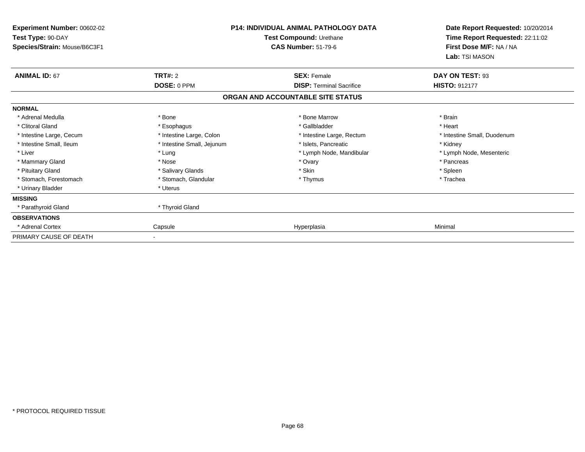| Experiment Number: 00602-02<br>Test Type: 90-DAY<br>Species/Strain: Mouse/B6C3F1 |                            | P14: INDIVIDUAL ANIMAL PATHOLOGY DATA<br>Test Compound: Urethane<br><b>CAS Number: 51-79-6</b> | Date Report Requested: 10/20/2014<br>Time Report Requested: 22:11:02<br>First Dose M/F: NA / NA<br>Lab: TSI MASON |
|----------------------------------------------------------------------------------|----------------------------|------------------------------------------------------------------------------------------------|-------------------------------------------------------------------------------------------------------------------|
| <b>ANIMAL ID: 67</b>                                                             | <b>TRT#: 2</b>             | <b>SEX: Female</b>                                                                             | DAY ON TEST: 93                                                                                                   |
|                                                                                  | DOSE: 0 PPM                | <b>DISP: Terminal Sacrifice</b>                                                                | <b>HISTO: 912177</b>                                                                                              |
|                                                                                  |                            | ORGAN AND ACCOUNTABLE SITE STATUS                                                              |                                                                                                                   |
| <b>NORMAL</b>                                                                    |                            |                                                                                                |                                                                                                                   |
| * Adrenal Medulla                                                                | * Bone                     | * Bone Marrow                                                                                  | * Brain                                                                                                           |
| * Clitoral Gland                                                                 | * Esophagus                | * Gallbladder                                                                                  | * Heart                                                                                                           |
| * Intestine Large, Cecum                                                         | * Intestine Large, Colon   | * Intestine Large, Rectum                                                                      | * Intestine Small, Duodenum                                                                                       |
| * Intestine Small, Ileum                                                         | * Intestine Small, Jejunum | * Islets, Pancreatic                                                                           | * Kidney                                                                                                          |
| * Liver                                                                          | * Lung                     | * Lymph Node, Mandibular                                                                       | * Lymph Node, Mesenteric                                                                                          |
| * Mammary Gland                                                                  | * Nose                     | * Ovary                                                                                        | * Pancreas                                                                                                        |
| * Pituitary Gland                                                                | * Salivary Glands          | * Skin                                                                                         | * Spleen                                                                                                          |
| * Stomach, Forestomach                                                           | * Stomach, Glandular       | * Thymus                                                                                       | * Trachea                                                                                                         |
| * Urinary Bladder                                                                | * Uterus                   |                                                                                                |                                                                                                                   |
| <b>MISSING</b>                                                                   |                            |                                                                                                |                                                                                                                   |
| * Parathyroid Gland                                                              | * Thyroid Gland            |                                                                                                |                                                                                                                   |
| <b>OBSERVATIONS</b>                                                              |                            |                                                                                                |                                                                                                                   |
| Adrenal Cortex                                                                   | Capsule                    | Hyperplasia                                                                                    | Minimal                                                                                                           |
| PRIMARY CAUSE OF DEATH                                                           |                            |                                                                                                |                                                                                                                   |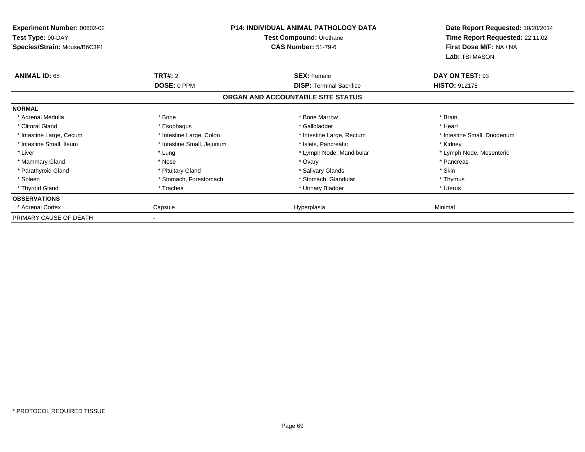| Experiment Number: 00602-02<br>Test Type: 90-DAY<br>Species/Strain: Mouse/B6C3F1 |                            | <b>P14: INDIVIDUAL ANIMAL PATHOLOGY DATA</b><br>Test Compound: Urethane<br><b>CAS Number: 51-79-6</b> | Date Report Requested: 10/20/2014<br>Time Report Requested: 22:11:02<br>First Dose M/F: NA / NA<br>Lab: TSI MASON |
|----------------------------------------------------------------------------------|----------------------------|-------------------------------------------------------------------------------------------------------|-------------------------------------------------------------------------------------------------------------------|
| <b>ANIMAL ID: 68</b>                                                             | <b>TRT#: 2</b>             | <b>SEX: Female</b>                                                                                    | DAY ON TEST: 93                                                                                                   |
|                                                                                  | DOSE: 0 PPM                | <b>DISP: Terminal Sacrifice</b>                                                                       | <b>HISTO: 912178</b>                                                                                              |
|                                                                                  |                            | ORGAN AND ACCOUNTABLE SITE STATUS                                                                     |                                                                                                                   |
| <b>NORMAL</b>                                                                    |                            |                                                                                                       |                                                                                                                   |
| * Adrenal Medulla                                                                | * Bone                     | * Bone Marrow                                                                                         | * Brain                                                                                                           |
| * Clitoral Gland                                                                 | * Esophagus                | * Gallbladder                                                                                         | * Heart                                                                                                           |
| * Intestine Large, Cecum                                                         | * Intestine Large, Colon   | * Intestine Large, Rectum                                                                             | * Intestine Small, Duodenum                                                                                       |
| * Intestine Small, Ileum                                                         | * Intestine Small, Jejunum | * Islets, Pancreatic                                                                                  | * Kidney                                                                                                          |
| * Liver                                                                          | * Lung                     | * Lymph Node, Mandibular                                                                              | * Lymph Node, Mesenteric                                                                                          |
| * Mammary Gland                                                                  | * Nose                     | * Ovary                                                                                               | * Pancreas                                                                                                        |
| * Parathyroid Gland                                                              | * Pituitary Gland          | * Salivary Glands                                                                                     | * Skin                                                                                                            |
| * Spleen                                                                         | * Stomach, Forestomach     | * Stomach, Glandular                                                                                  | * Thymus                                                                                                          |
| * Thyroid Gland                                                                  | * Trachea                  | * Urinary Bladder                                                                                     | * Uterus                                                                                                          |
| <b>OBSERVATIONS</b>                                                              |                            |                                                                                                       |                                                                                                                   |
| * Adrenal Cortex                                                                 | Capsule                    | Hyperplasia                                                                                           | Minimal                                                                                                           |
| PRIMARY CAUSE OF DEATH                                                           |                            |                                                                                                       |                                                                                                                   |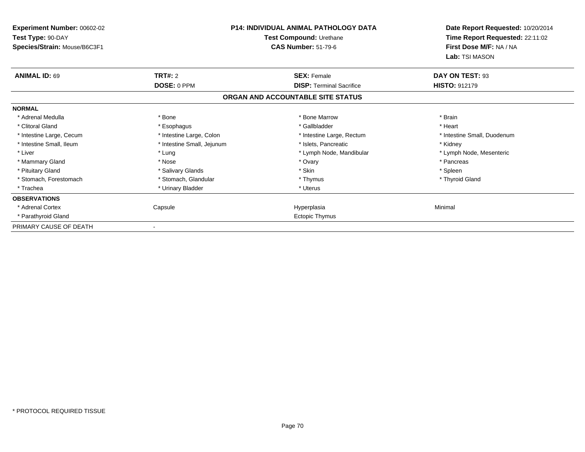| Experiment Number: 00602-02<br>Test Type: 90-DAY<br>Species/Strain: Mouse/B6C3F1 |                            | <b>P14: INDIVIDUAL ANIMAL PATHOLOGY DATA</b><br>Test Compound: Urethane<br><b>CAS Number: 51-79-6</b> | Date Report Requested: 10/20/2014<br>Time Report Requested: 22:11:02<br>First Dose M/F: NA / NA<br>Lab: TSI MASON |
|----------------------------------------------------------------------------------|----------------------------|-------------------------------------------------------------------------------------------------------|-------------------------------------------------------------------------------------------------------------------|
| <b>ANIMAL ID: 69</b>                                                             | TRT#: 2                    | <b>SEX: Female</b>                                                                                    | DAY ON TEST: 93                                                                                                   |
|                                                                                  | DOSE: 0 PPM                | <b>DISP: Terminal Sacrifice</b>                                                                       | <b>HISTO: 912179</b>                                                                                              |
|                                                                                  |                            | ORGAN AND ACCOUNTABLE SITE STATUS                                                                     |                                                                                                                   |
| <b>NORMAL</b>                                                                    |                            |                                                                                                       |                                                                                                                   |
| * Adrenal Medulla                                                                | * Bone                     | * Bone Marrow                                                                                         | * Brain                                                                                                           |
| * Clitoral Gland                                                                 | * Esophagus                | * Gallbladder                                                                                         | * Heart                                                                                                           |
| * Intestine Large, Cecum                                                         | * Intestine Large, Colon   | * Intestine Large, Rectum                                                                             | * Intestine Small, Duodenum                                                                                       |
| * Intestine Small, Ileum                                                         | * Intestine Small, Jejunum | * Islets, Pancreatic                                                                                  | * Kidney                                                                                                          |
| * Liver                                                                          | * Lung                     | * Lymph Node, Mandibular                                                                              | * Lymph Node, Mesenteric                                                                                          |
| * Mammary Gland                                                                  | * Nose                     | * Ovary                                                                                               | * Pancreas                                                                                                        |
| * Pituitary Gland                                                                | * Salivary Glands          | * Skin                                                                                                | * Spleen                                                                                                          |
| * Stomach, Forestomach                                                           | * Stomach, Glandular       | * Thymus                                                                                              | * Thyroid Gland                                                                                                   |
| * Trachea                                                                        | * Urinary Bladder          | * Uterus                                                                                              |                                                                                                                   |
| <b>OBSERVATIONS</b>                                                              |                            |                                                                                                       |                                                                                                                   |
| * Adrenal Cortex                                                                 | Capsule                    | Hyperplasia                                                                                           | Minimal                                                                                                           |
| * Parathyroid Gland                                                              |                            | <b>Ectopic Thymus</b>                                                                                 |                                                                                                                   |
| PRIMARY CAUSE OF DEATH                                                           | $\blacksquare$             |                                                                                                       |                                                                                                                   |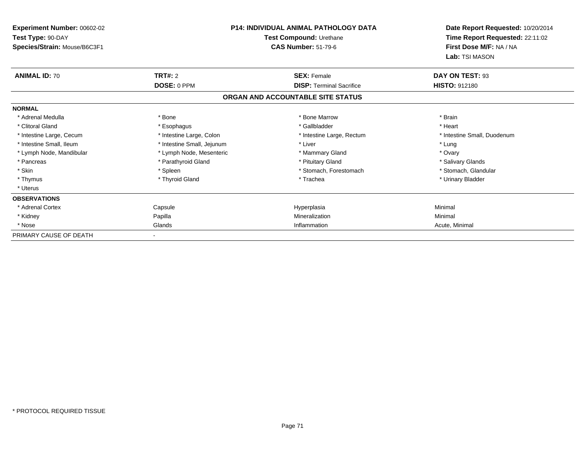| <b>Experiment Number: 00602-02</b><br>Test Type: 90-DAY<br>Species/Strain: Mouse/B6C3F1 |                            | <b>P14: INDIVIDUAL ANIMAL PATHOLOGY DATA</b><br>Test Compound: Urethane<br><b>CAS Number: 51-79-6</b> | Date Report Requested: 10/20/2014<br>Time Report Requested: 22:11:02<br>First Dose M/F: NA / NA<br>Lab: TSI MASON |
|-----------------------------------------------------------------------------------------|----------------------------|-------------------------------------------------------------------------------------------------------|-------------------------------------------------------------------------------------------------------------------|
| <b>ANIMAL ID: 70</b>                                                                    | TRT#: 2                    | <b>SEX: Female</b>                                                                                    | DAY ON TEST: 93                                                                                                   |
|                                                                                         | DOSE: 0 PPM                | <b>DISP: Terminal Sacrifice</b>                                                                       | <b>HISTO: 912180</b>                                                                                              |
|                                                                                         |                            | ORGAN AND ACCOUNTABLE SITE STATUS                                                                     |                                                                                                                   |
| <b>NORMAL</b>                                                                           |                            |                                                                                                       |                                                                                                                   |
| * Adrenal Medulla                                                                       | * Bone                     | * Bone Marrow                                                                                         | * Brain                                                                                                           |
| * Clitoral Gland                                                                        | * Esophagus                | * Gallbladder                                                                                         | * Heart                                                                                                           |
| * Intestine Large, Cecum                                                                | * Intestine Large, Colon   | * Intestine Large, Rectum                                                                             | * Intestine Small, Duodenum                                                                                       |
| * Intestine Small, Ileum                                                                | * Intestine Small, Jejunum | * Liver                                                                                               | * Lung                                                                                                            |
| * Lymph Node, Mandibular                                                                | * Lymph Node, Mesenteric   | * Mammary Gland                                                                                       | * Ovary                                                                                                           |
| * Pancreas                                                                              | * Parathyroid Gland        | * Pituitary Gland                                                                                     | * Salivary Glands                                                                                                 |
| * Skin                                                                                  | * Spleen                   | * Stomach. Forestomach                                                                                | * Stomach, Glandular                                                                                              |
| * Thymus                                                                                | * Thyroid Gland            | * Trachea                                                                                             | * Urinary Bladder                                                                                                 |
| * Uterus                                                                                |                            |                                                                                                       |                                                                                                                   |
| <b>OBSERVATIONS</b>                                                                     |                            |                                                                                                       |                                                                                                                   |
| * Adrenal Cortex                                                                        | Capsule                    | Hyperplasia                                                                                           | Minimal                                                                                                           |
| * Kidney                                                                                | Papilla                    | Mineralization                                                                                        | Minimal                                                                                                           |
| * Nose                                                                                  | Glands                     | Inflammation                                                                                          | Acute, Minimal                                                                                                    |
| PRIMARY CAUSE OF DEATH                                                                  |                            |                                                                                                       |                                                                                                                   |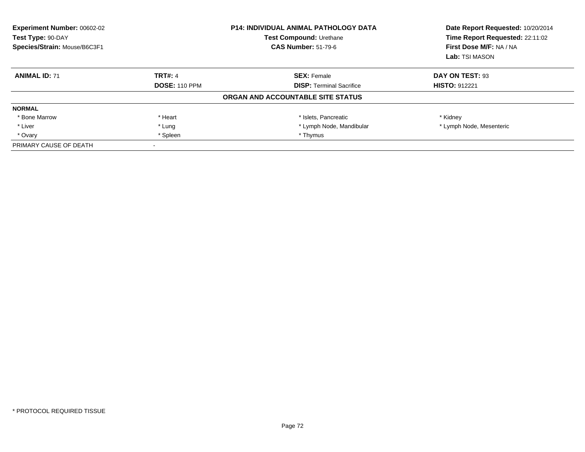| <b>Experiment Number: 00602-02</b><br>Test Type: 90-DAY<br>Species/Strain: Mouse/B6C3F1 | <b>P14: INDIVIDUAL ANIMAL PATHOLOGY DATA</b><br>Test Compound: Urethane<br><b>CAS Number: 51-79-6</b> |                                   |                          |  | Date Report Requested: 10/20/2014<br>Time Report Requested: 22:11:02<br>First Dose M/F: NA / NA<br>Lab: TSI MASON |
|-----------------------------------------------------------------------------------------|-------------------------------------------------------------------------------------------------------|-----------------------------------|--------------------------|--|-------------------------------------------------------------------------------------------------------------------|
| <b>ANIMAL ID: 71</b>                                                                    | <b>TRT#: 4</b>                                                                                        | <b>SEX: Female</b>                | DAY ON TEST: 93          |  |                                                                                                                   |
|                                                                                         | <b>DOSE: 110 PPM</b>                                                                                  | <b>DISP: Terminal Sacrifice</b>   | <b>HISTO: 912221</b>     |  |                                                                                                                   |
|                                                                                         |                                                                                                       | ORGAN AND ACCOUNTABLE SITE STATUS |                          |  |                                                                                                                   |
| <b>NORMAL</b>                                                                           |                                                                                                       |                                   |                          |  |                                                                                                                   |
| * Bone Marrow                                                                           | * Heart                                                                                               | * Islets, Pancreatic              | * Kidney                 |  |                                                                                                                   |
| * Liver                                                                                 | * Lung                                                                                                | * Lymph Node, Mandibular          | * Lymph Node, Mesenteric |  |                                                                                                                   |
| * Ovary                                                                                 | * Spleen                                                                                              | * Thymus                          |                          |  |                                                                                                                   |
| PRIMARY CAUSE OF DEATH                                                                  |                                                                                                       |                                   |                          |  |                                                                                                                   |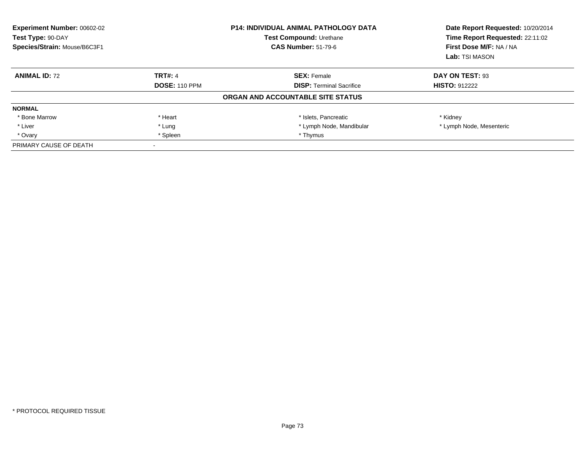| Experiment Number: 00602-02<br>Test Type: 90-DAY<br>Species/Strain: Mouse/B6C3F1 |                      | <b>P14: INDIVIDUAL ANIMAL PATHOLOGY DATA</b><br><b>Test Compound: Urethane</b><br><b>CAS Number: 51-79-6</b> | Date Report Requested: 10/20/2014<br>Time Report Requested: 22:11:02<br>First Dose M/F: NA / NA<br>Lab: TSI MASON |
|----------------------------------------------------------------------------------|----------------------|--------------------------------------------------------------------------------------------------------------|-------------------------------------------------------------------------------------------------------------------|
| <b>ANIMAL ID: 72</b>                                                             | <b>TRT#: 4</b>       | <b>SEX: Female</b>                                                                                           | DAY ON TEST: 93                                                                                                   |
|                                                                                  | <b>DOSE: 110 PPM</b> | <b>DISP:</b> Terminal Sacrifice                                                                              | <b>HISTO: 912222</b>                                                                                              |
|                                                                                  |                      | ORGAN AND ACCOUNTABLE SITE STATUS                                                                            |                                                                                                                   |
| <b>NORMAL</b>                                                                    |                      |                                                                                                              |                                                                                                                   |
| * Bone Marrow                                                                    | * Heart              | * Islets, Pancreatic                                                                                         | * Kidney                                                                                                          |
| * Liver                                                                          | * Lung               | * Lymph Node, Mandibular                                                                                     | * Lymph Node, Mesenteric                                                                                          |
| * Ovary                                                                          | * Spleen             | * Thymus                                                                                                     |                                                                                                                   |
| PRIMARY CAUSE OF DEATH                                                           |                      |                                                                                                              |                                                                                                                   |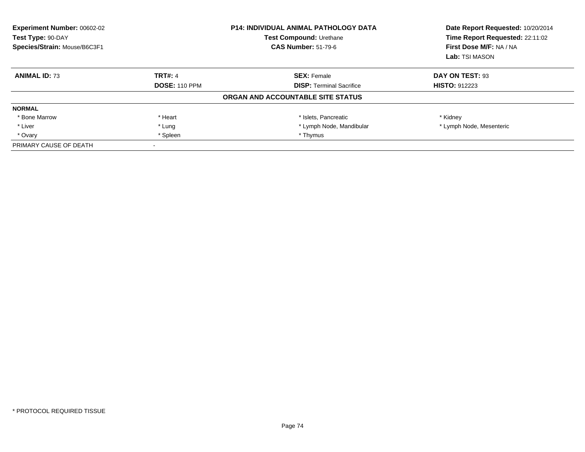| Experiment Number: 00602-02<br>Test Type: 90-DAY<br>Species/Strain: Mouse/B6C3F1 |                      | <b>P14: INDIVIDUAL ANIMAL PATHOLOGY DATA</b><br><b>Test Compound: Urethane</b><br><b>CAS Number: 51-79-6</b> | Date Report Requested: 10/20/2014<br>Time Report Requested: 22:11:02<br>First Dose M/F: NA / NA<br>Lab: TSI MASON |
|----------------------------------------------------------------------------------|----------------------|--------------------------------------------------------------------------------------------------------------|-------------------------------------------------------------------------------------------------------------------|
| <b>ANIMAL ID: 73</b>                                                             | <b>TRT#: 4</b>       | <b>SEX: Female</b>                                                                                           | DAY ON TEST: 93                                                                                                   |
|                                                                                  | <b>DOSE: 110 PPM</b> | <b>DISP:</b> Terminal Sacrifice                                                                              | <b>HISTO: 912223</b>                                                                                              |
|                                                                                  |                      | ORGAN AND ACCOUNTABLE SITE STATUS                                                                            |                                                                                                                   |
| <b>NORMAL</b>                                                                    |                      |                                                                                                              |                                                                                                                   |
| * Bone Marrow                                                                    | * Heart              | * Islets, Pancreatic                                                                                         | * Kidney                                                                                                          |
| * Liver                                                                          | * Lung               | * Lymph Node, Mandibular                                                                                     | * Lymph Node, Mesenteric                                                                                          |
| * Ovary                                                                          | * Spleen             | * Thymus                                                                                                     |                                                                                                                   |
| PRIMARY CAUSE OF DEATH                                                           |                      |                                                                                                              |                                                                                                                   |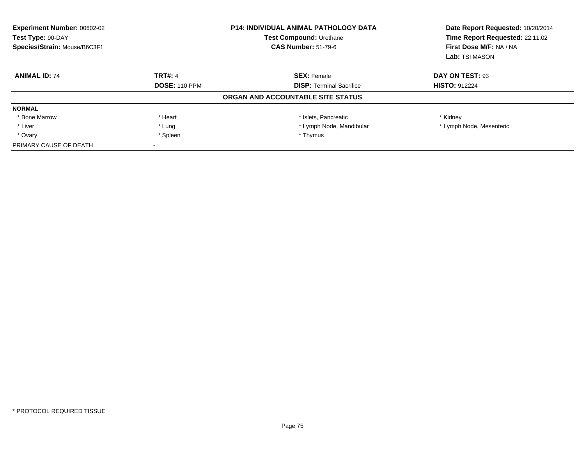| <b>Experiment Number: 00602-02</b><br>Test Type: 90-DAY<br>Species/Strain: Mouse/B6C3F1 |                      | <b>P14: INDIVIDUAL ANIMAL PATHOLOGY DATA</b><br>Test Compound: Urethane<br><b>CAS Number: 51-79-6</b> | Date Report Requested: 10/20/2014<br>Time Report Requested: 22:11:02<br>First Dose M/F: NA / NA<br>Lab: TSI MASON |
|-----------------------------------------------------------------------------------------|----------------------|-------------------------------------------------------------------------------------------------------|-------------------------------------------------------------------------------------------------------------------|
| <b>ANIMAL ID: 74</b>                                                                    | <b>TRT#: 4</b>       | <b>SEX: Female</b>                                                                                    | DAY ON TEST: 93                                                                                                   |
|                                                                                         | <b>DOSE: 110 PPM</b> | <b>DISP: Terminal Sacrifice</b>                                                                       | <b>HISTO: 912224</b>                                                                                              |
|                                                                                         |                      | ORGAN AND ACCOUNTABLE SITE STATUS                                                                     |                                                                                                                   |
| <b>NORMAL</b>                                                                           |                      |                                                                                                       |                                                                                                                   |
| * Bone Marrow                                                                           | * Heart              | * Islets, Pancreatic                                                                                  | * Kidney                                                                                                          |
| * Liver                                                                                 | * Lung               | * Lymph Node, Mandibular                                                                              | * Lymph Node, Mesenteric                                                                                          |
| * Ovary                                                                                 | * Spleen             | * Thymus                                                                                              |                                                                                                                   |
| PRIMARY CAUSE OF DEATH                                                                  |                      |                                                                                                       |                                                                                                                   |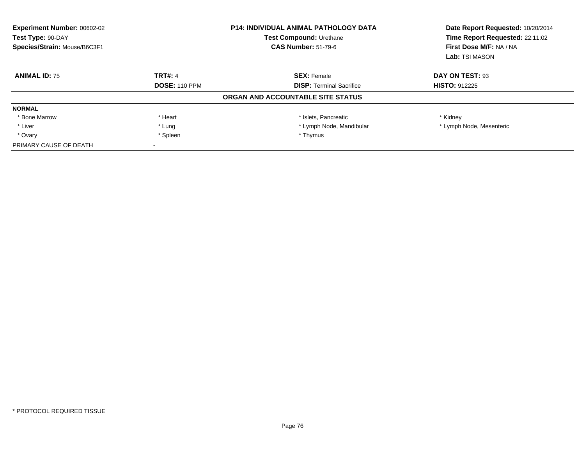| <b>Experiment Number: 00602-02</b><br>Test Type: 90-DAY<br>Species/Strain: Mouse/B6C3F1 |                      | <b>P14: INDIVIDUAL ANIMAL PATHOLOGY DATA</b><br>Test Compound: Urethane<br><b>CAS Number: 51-79-6</b> | Date Report Requested: 10/20/2014<br>Time Report Requested: 22:11:02<br>First Dose M/F: NA / NA<br>Lab: TSI MASON |
|-----------------------------------------------------------------------------------------|----------------------|-------------------------------------------------------------------------------------------------------|-------------------------------------------------------------------------------------------------------------------|
| <b>ANIMAL ID: 75</b>                                                                    | <b>TRT#: 4</b>       | <b>SEX: Female</b>                                                                                    | DAY ON TEST: 93                                                                                                   |
|                                                                                         | <b>DOSE: 110 PPM</b> | <b>DISP: Terminal Sacrifice</b>                                                                       | <b>HISTO: 912225</b>                                                                                              |
|                                                                                         |                      | ORGAN AND ACCOUNTABLE SITE STATUS                                                                     |                                                                                                                   |
| <b>NORMAL</b>                                                                           |                      |                                                                                                       |                                                                                                                   |
| * Bone Marrow                                                                           | * Heart              | * Islets, Pancreatic                                                                                  | * Kidney                                                                                                          |
| * Liver                                                                                 | * Lung               | * Lymph Node, Mandibular                                                                              | * Lymph Node, Mesenteric                                                                                          |
| * Ovary                                                                                 | * Spleen             | * Thymus                                                                                              |                                                                                                                   |
| PRIMARY CAUSE OF DEATH                                                                  |                      |                                                                                                       |                                                                                                                   |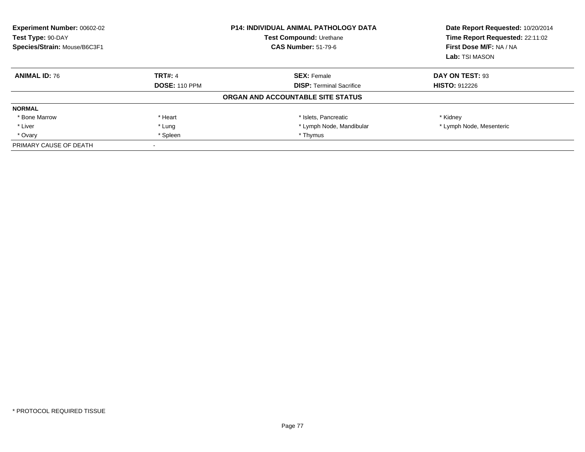| <b>Experiment Number: 00602-02</b><br>Test Type: 90-DAY<br>Species/Strain: Mouse/B6C3F1 |                      | <b>P14: INDIVIDUAL ANIMAL PATHOLOGY DATA</b><br>Test Compound: Urethane<br><b>CAS Number: 51-79-6</b> | Date Report Requested: 10/20/2014<br>Time Report Requested: 22:11:02<br>First Dose M/F: NA / NA<br>Lab: TSI MASON |
|-----------------------------------------------------------------------------------------|----------------------|-------------------------------------------------------------------------------------------------------|-------------------------------------------------------------------------------------------------------------------|
| <b>ANIMAL ID: 76</b>                                                                    | <b>TRT#: 4</b>       | <b>SEX: Female</b>                                                                                    | DAY ON TEST: 93                                                                                                   |
|                                                                                         | <b>DOSE: 110 PPM</b> | <b>DISP: Terminal Sacrifice</b>                                                                       | <b>HISTO: 912226</b>                                                                                              |
|                                                                                         |                      | ORGAN AND ACCOUNTABLE SITE STATUS                                                                     |                                                                                                                   |
| <b>NORMAL</b>                                                                           |                      |                                                                                                       |                                                                                                                   |
| * Bone Marrow                                                                           | * Heart              | * Islets, Pancreatic                                                                                  | * Kidney                                                                                                          |
| * Liver                                                                                 | * Lung               | * Lymph Node, Mandibular                                                                              | * Lymph Node, Mesenteric                                                                                          |
| * Ovary                                                                                 | * Spleen             | * Thymus                                                                                              |                                                                                                                   |
| PRIMARY CAUSE OF DEATH                                                                  |                      |                                                                                                       |                                                                                                                   |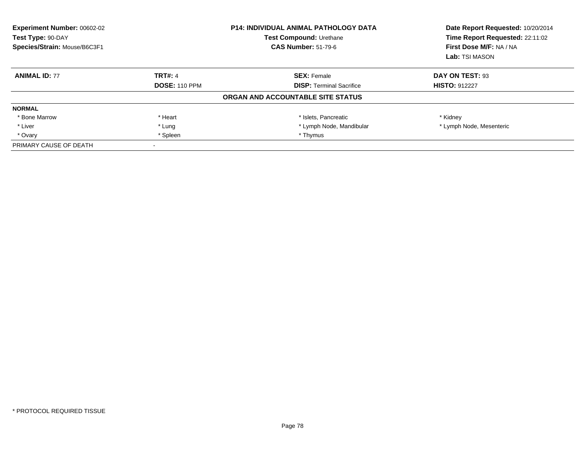| <b>Experiment Number: 00602-02</b><br>Test Type: 90-DAY<br>Species/Strain: Mouse/B6C3F1 |                      | <b>P14: INDIVIDUAL ANIMAL PATHOLOGY DATA</b><br>Test Compound: Urethane<br><b>CAS Number: 51-79-6</b> | Date Report Requested: 10/20/2014<br>Time Report Requested: 22:11:02<br>First Dose M/F: NA / NA<br>Lab: TSI MASON |
|-----------------------------------------------------------------------------------------|----------------------|-------------------------------------------------------------------------------------------------------|-------------------------------------------------------------------------------------------------------------------|
| <b>ANIMAL ID: 77</b>                                                                    | <b>TRT#: 4</b>       | <b>SEX: Female</b>                                                                                    | DAY ON TEST: 93                                                                                                   |
|                                                                                         | <b>DOSE: 110 PPM</b> | <b>DISP: Terminal Sacrifice</b>                                                                       | <b>HISTO: 912227</b>                                                                                              |
|                                                                                         |                      | ORGAN AND ACCOUNTABLE SITE STATUS                                                                     |                                                                                                                   |
| <b>NORMAL</b>                                                                           |                      |                                                                                                       |                                                                                                                   |
| * Bone Marrow                                                                           | * Heart              | * Islets, Pancreatic                                                                                  | * Kidney                                                                                                          |
| * Liver                                                                                 | * Lung               | * Lymph Node, Mandibular                                                                              | * Lymph Node, Mesenteric                                                                                          |
| * Ovary                                                                                 | * Spleen             | * Thymus                                                                                              |                                                                                                                   |
| PRIMARY CAUSE OF DEATH                                                                  |                      |                                                                                                       |                                                                                                                   |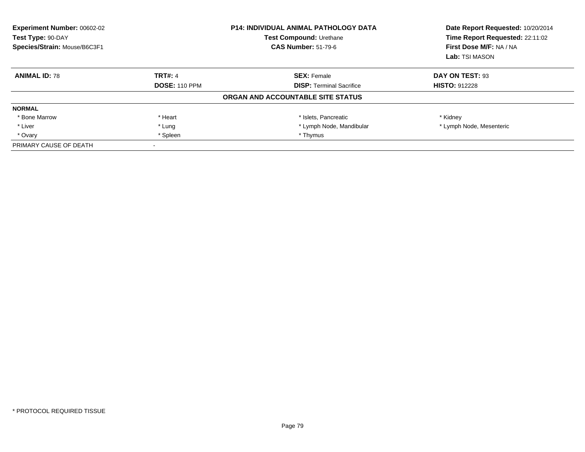| <b>Experiment Number: 00602-02</b><br>Test Type: 90-DAY<br>Species/Strain: Mouse/B6C3F1 |                      | <b>P14: INDIVIDUAL ANIMAL PATHOLOGY DATA</b><br>Test Compound: Urethane<br><b>CAS Number: 51-79-6</b> | Date Report Requested: 10/20/2014<br>Time Report Requested: 22:11:02<br>First Dose M/F: NA / NA<br>Lab: TSI MASON |
|-----------------------------------------------------------------------------------------|----------------------|-------------------------------------------------------------------------------------------------------|-------------------------------------------------------------------------------------------------------------------|
| <b>ANIMAL ID: 78</b>                                                                    | <b>TRT#: 4</b>       | <b>SEX: Female</b>                                                                                    | DAY ON TEST: 93                                                                                                   |
|                                                                                         | <b>DOSE: 110 PPM</b> | <b>DISP: Terminal Sacrifice</b>                                                                       | <b>HISTO: 912228</b>                                                                                              |
|                                                                                         |                      | ORGAN AND ACCOUNTABLE SITE STATUS                                                                     |                                                                                                                   |
| <b>NORMAL</b>                                                                           |                      |                                                                                                       |                                                                                                                   |
| * Bone Marrow                                                                           | * Heart              | * Islets, Pancreatic                                                                                  | * Kidney                                                                                                          |
| * Liver                                                                                 | * Lung               | * Lymph Node, Mandibular                                                                              | * Lymph Node, Mesenteric                                                                                          |
| * Ovary                                                                                 | * Spleen             | * Thymus                                                                                              |                                                                                                                   |
| PRIMARY CAUSE OF DEATH                                                                  |                      |                                                                                                       |                                                                                                                   |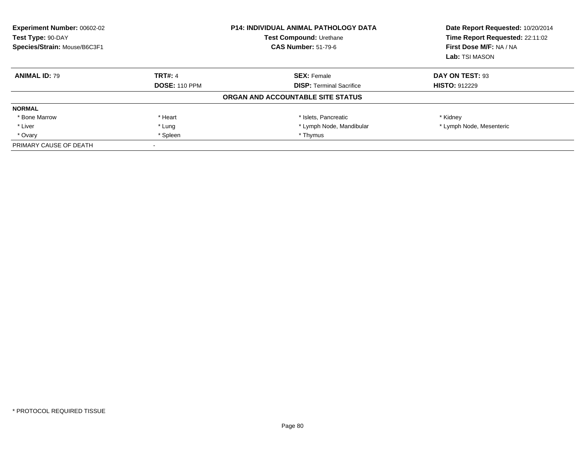| Experiment Number: 00602-02<br>Test Type: 90-DAY<br>Species/Strain: Mouse/B6C3F1 |                      | <b>P14: INDIVIDUAL ANIMAL PATHOLOGY DATA</b><br><b>Test Compound: Urethane</b><br><b>CAS Number: 51-79-6</b> | Date Report Requested: 10/20/2014<br>Time Report Requested: 22:11:02<br>First Dose M/F: NA / NA<br>Lab: TSI MASON |
|----------------------------------------------------------------------------------|----------------------|--------------------------------------------------------------------------------------------------------------|-------------------------------------------------------------------------------------------------------------------|
| <b>ANIMAL ID: 79</b>                                                             | <b>TRT#: 4</b>       | <b>SEX: Female</b>                                                                                           | DAY ON TEST: 93                                                                                                   |
|                                                                                  | <b>DOSE: 110 PPM</b> | <b>DISP:</b> Terminal Sacrifice                                                                              | <b>HISTO: 912229</b>                                                                                              |
|                                                                                  |                      | ORGAN AND ACCOUNTABLE SITE STATUS                                                                            |                                                                                                                   |
| <b>NORMAL</b>                                                                    |                      |                                                                                                              |                                                                                                                   |
| * Bone Marrow                                                                    | * Heart              | * Islets, Pancreatic                                                                                         | * Kidney                                                                                                          |
| * Liver                                                                          | * Lung               | * Lymph Node, Mandibular                                                                                     | * Lymph Node, Mesenteric                                                                                          |
| * Ovary                                                                          | * Spleen             | * Thymus                                                                                                     |                                                                                                                   |
| PRIMARY CAUSE OF DEATH                                                           |                      |                                                                                                              |                                                                                                                   |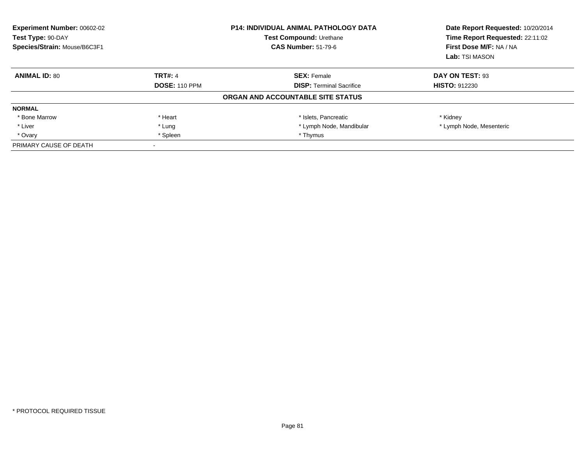| <b>Experiment Number: 00602-02</b><br>Test Type: 90-DAY<br>Species/Strain: Mouse/B6C3F1 |                      | <b>P14: INDIVIDUAL ANIMAL PATHOLOGY DATA</b><br>Test Compound: Urethane<br><b>CAS Number: 51-79-6</b> | Date Report Requested: 10/20/2014<br>Time Report Requested: 22:11:02<br>First Dose M/F: NA / NA<br>Lab: TSI MASON |
|-----------------------------------------------------------------------------------------|----------------------|-------------------------------------------------------------------------------------------------------|-------------------------------------------------------------------------------------------------------------------|
| <b>ANIMAL ID: 80</b>                                                                    | <b>TRT#: 4</b>       | <b>SEX: Female</b>                                                                                    | DAY ON TEST: 93                                                                                                   |
|                                                                                         | <b>DOSE: 110 PPM</b> | <b>DISP: Terminal Sacrifice</b>                                                                       | <b>HISTO: 912230</b>                                                                                              |
|                                                                                         |                      | ORGAN AND ACCOUNTABLE SITE STATUS                                                                     |                                                                                                                   |
| <b>NORMAL</b>                                                                           |                      |                                                                                                       |                                                                                                                   |
| * Bone Marrow                                                                           | * Heart              | * Islets, Pancreatic                                                                                  | * Kidney                                                                                                          |
| * Liver                                                                                 | * Lung               | * Lymph Node, Mandibular                                                                              | * Lymph Node, Mesenteric                                                                                          |
| * Ovary                                                                                 | * Spleen             | * Thymus                                                                                              |                                                                                                                   |
| PRIMARY CAUSE OF DEATH                                                                  |                      |                                                                                                       |                                                                                                                   |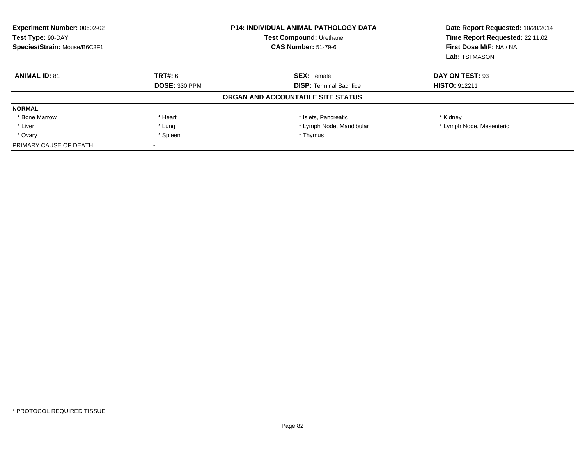| <b>Experiment Number: 00602-02</b><br>Test Type: 90-DAY<br>Species/Strain: Mouse/B6C3F1 |                      | <b>P14: INDIVIDUAL ANIMAL PATHOLOGY DATA</b><br>Test Compound: Urethane<br><b>CAS Number: 51-79-6</b> | Date Report Requested: 10/20/2014<br>Time Report Requested: 22:11:02<br>First Dose M/F: NA / NA<br>Lab: TSI MASON |
|-----------------------------------------------------------------------------------------|----------------------|-------------------------------------------------------------------------------------------------------|-------------------------------------------------------------------------------------------------------------------|
| <b>ANIMAL ID: 81</b>                                                                    | <b>TRT#: 6</b>       | <b>SEX: Female</b>                                                                                    | DAY ON TEST: 93                                                                                                   |
|                                                                                         | <b>DOSE: 330 PPM</b> | <b>DISP: Terminal Sacrifice</b>                                                                       | <b>HISTO: 912211</b>                                                                                              |
|                                                                                         |                      | ORGAN AND ACCOUNTABLE SITE STATUS                                                                     |                                                                                                                   |
| <b>NORMAL</b>                                                                           |                      |                                                                                                       |                                                                                                                   |
| * Bone Marrow                                                                           | * Heart              | * Islets, Pancreatic                                                                                  | * Kidney                                                                                                          |
| * Liver                                                                                 | * Lung               | * Lymph Node, Mandibular                                                                              | * Lymph Node, Mesenteric                                                                                          |
| * Ovary                                                                                 | * Spleen             | * Thymus                                                                                              |                                                                                                                   |
| PRIMARY CAUSE OF DEATH                                                                  |                      |                                                                                                       |                                                                                                                   |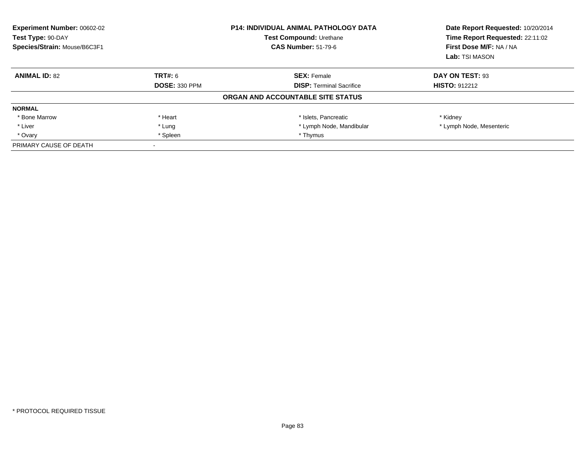| <b>Experiment Number: 00602-02</b><br>Test Type: 90-DAY<br>Species/Strain: Mouse/B6C3F1 |                      | <b>P14: INDIVIDUAL ANIMAL PATHOLOGY DATA</b><br>Test Compound: Urethane<br><b>CAS Number: 51-79-6</b> | Date Report Requested: 10/20/2014<br>Time Report Requested: 22:11:02<br>First Dose M/F: NA / NA<br>Lab: TSI MASON |
|-----------------------------------------------------------------------------------------|----------------------|-------------------------------------------------------------------------------------------------------|-------------------------------------------------------------------------------------------------------------------|
| <b>ANIMAL ID: 82</b>                                                                    | TRT#: 6              | <b>SEX: Female</b>                                                                                    | DAY ON TEST: 93                                                                                                   |
|                                                                                         | <b>DOSE: 330 PPM</b> | <b>DISP: Terminal Sacrifice</b>                                                                       | <b>HISTO: 912212</b>                                                                                              |
|                                                                                         |                      | ORGAN AND ACCOUNTABLE SITE STATUS                                                                     |                                                                                                                   |
| <b>NORMAL</b>                                                                           |                      |                                                                                                       |                                                                                                                   |
| * Bone Marrow                                                                           | * Heart              | * Islets, Pancreatic                                                                                  | * Kidney                                                                                                          |
| * Liver                                                                                 | * Lung               | * Lymph Node, Mandibular                                                                              | * Lymph Node, Mesenteric                                                                                          |
| * Ovary                                                                                 | * Spleen             | * Thymus                                                                                              |                                                                                                                   |
| PRIMARY CAUSE OF DEATH                                                                  |                      |                                                                                                       |                                                                                                                   |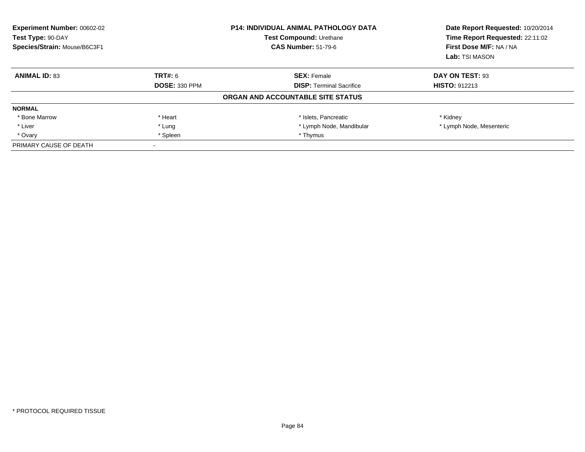| <b>Experiment Number: 00602-02</b><br>Test Type: 90-DAY<br>Species/Strain: Mouse/B6C3F1 |                      | <b>P14: INDIVIDUAL ANIMAL PATHOLOGY DATA</b><br>Test Compound: Urethane<br><b>CAS Number: 51-79-6</b> | Date Report Requested: 10/20/2014<br>Time Report Requested: 22:11:02<br>First Dose M/F: NA / NA<br>Lab: TSI MASON |
|-----------------------------------------------------------------------------------------|----------------------|-------------------------------------------------------------------------------------------------------|-------------------------------------------------------------------------------------------------------------------|
| <b>ANIMAL ID: 83</b>                                                                    | <b>TRT#: 6</b>       | <b>SEX: Female</b>                                                                                    | DAY ON TEST: 93                                                                                                   |
|                                                                                         | <b>DOSE: 330 PPM</b> | <b>DISP: Terminal Sacrifice</b>                                                                       | <b>HISTO: 912213</b>                                                                                              |
|                                                                                         |                      | ORGAN AND ACCOUNTABLE SITE STATUS                                                                     |                                                                                                                   |
| <b>NORMAL</b>                                                                           |                      |                                                                                                       |                                                                                                                   |
| * Bone Marrow                                                                           | * Heart              | * Islets, Pancreatic                                                                                  | * Kidney                                                                                                          |
| * Liver                                                                                 | * Lung               | * Lymph Node, Mandibular                                                                              | * Lymph Node, Mesenteric                                                                                          |
| * Ovary                                                                                 | * Spleen             | * Thymus                                                                                              |                                                                                                                   |
| PRIMARY CAUSE OF DEATH                                                                  |                      |                                                                                                       |                                                                                                                   |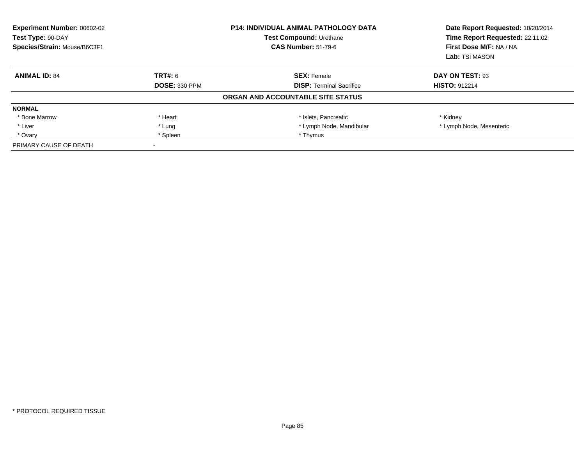| <b>Experiment Number: 00602-02</b><br>Test Type: 90-DAY<br>Species/Strain: Mouse/B6C3F1 |                      | <b>P14: INDIVIDUAL ANIMAL PATHOLOGY DATA</b><br>Test Compound: Urethane<br><b>CAS Number: 51-79-6</b> | Date Report Requested: 10/20/2014<br>Time Report Requested: 22:11:02<br>First Dose M/F: NA / NA<br>Lab: TSI MASON |
|-----------------------------------------------------------------------------------------|----------------------|-------------------------------------------------------------------------------------------------------|-------------------------------------------------------------------------------------------------------------------|
| <b>ANIMAL ID: 84</b>                                                                    | <b>TRT#: 6</b>       | <b>SEX: Female</b>                                                                                    | DAY ON TEST: 93                                                                                                   |
|                                                                                         | <b>DOSE: 330 PPM</b> | <b>DISP: Terminal Sacrifice</b>                                                                       | <b>HISTO: 912214</b>                                                                                              |
|                                                                                         |                      | ORGAN AND ACCOUNTABLE SITE STATUS                                                                     |                                                                                                                   |
| <b>NORMAL</b>                                                                           |                      |                                                                                                       |                                                                                                                   |
| * Bone Marrow                                                                           | * Heart              | * Islets, Pancreatic                                                                                  | * Kidney                                                                                                          |
| * Liver                                                                                 | * Lung               | * Lymph Node, Mandibular                                                                              | * Lymph Node, Mesenteric                                                                                          |
| * Ovary                                                                                 | * Spleen             | * Thymus                                                                                              |                                                                                                                   |
| PRIMARY CAUSE OF DEATH                                                                  |                      |                                                                                                       |                                                                                                                   |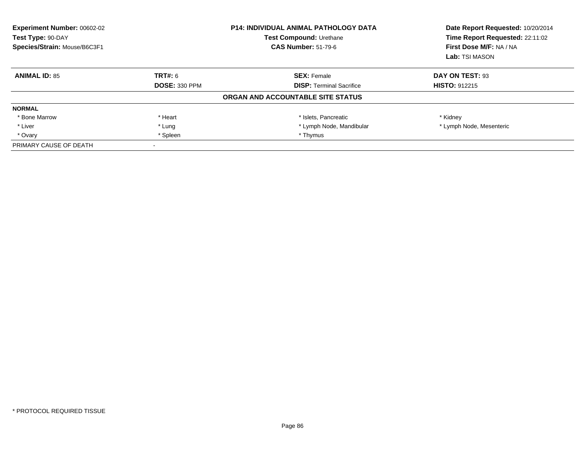| Experiment Number: 00602-02<br>Test Type: 90-DAY<br>Species/Strain: Mouse/B6C3F1 |                      | <b>P14: INDIVIDUAL ANIMAL PATHOLOGY DATA</b><br>Test Compound: Urethane<br><b>CAS Number: 51-79-6</b> | Date Report Requested: 10/20/2014<br>Time Report Requested: 22:11:02<br>First Dose M/F: NA / NA<br>Lab: TSI MASON |
|----------------------------------------------------------------------------------|----------------------|-------------------------------------------------------------------------------------------------------|-------------------------------------------------------------------------------------------------------------------|
| <b>ANIMAL ID: 85</b>                                                             | TRT#: 6              | <b>SEX: Female</b>                                                                                    | DAY ON TEST: 93                                                                                                   |
|                                                                                  | <b>DOSE: 330 PPM</b> | <b>DISP:</b> Terminal Sacrifice                                                                       | <b>HISTO: 912215</b>                                                                                              |
|                                                                                  |                      | ORGAN AND ACCOUNTABLE SITE STATUS                                                                     |                                                                                                                   |
| <b>NORMAL</b>                                                                    |                      |                                                                                                       |                                                                                                                   |
| * Bone Marrow                                                                    | * Heart              | * Islets, Pancreatic                                                                                  | * Kidney                                                                                                          |
| * Liver                                                                          | * Lung               | * Lymph Node, Mandibular                                                                              | * Lymph Node, Mesenteric                                                                                          |
| * Ovary                                                                          | * Spleen             | * Thymus                                                                                              |                                                                                                                   |
| PRIMARY CAUSE OF DEATH                                                           |                      |                                                                                                       |                                                                                                                   |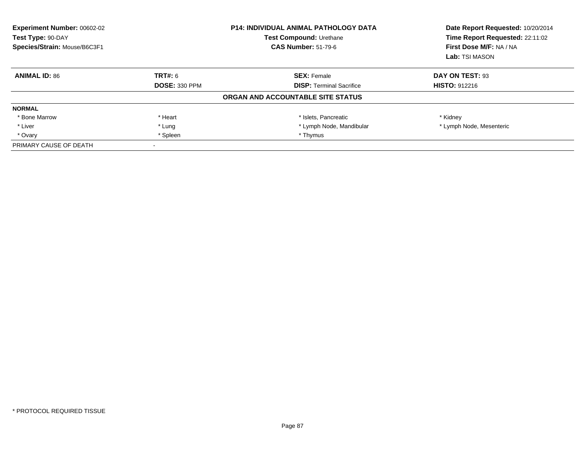| <b>Experiment Number: 00602-02</b><br>Test Type: 90-DAY<br>Species/Strain: Mouse/B6C3F1 |                      | <b>P14: INDIVIDUAL ANIMAL PATHOLOGY DATA</b><br>Test Compound: Urethane<br><b>CAS Number: 51-79-6</b> | Date Report Requested: 10/20/2014<br>Time Report Requested: 22:11:02<br>First Dose M/F: NA / NA<br>Lab: TSI MASON |
|-----------------------------------------------------------------------------------------|----------------------|-------------------------------------------------------------------------------------------------------|-------------------------------------------------------------------------------------------------------------------|
| <b>ANIMAL ID: 86</b>                                                                    | <b>TRT#: 6</b>       | <b>SEX: Female</b>                                                                                    | DAY ON TEST: 93                                                                                                   |
|                                                                                         | <b>DOSE: 330 PPM</b> | <b>DISP: Terminal Sacrifice</b>                                                                       | <b>HISTO: 912216</b>                                                                                              |
|                                                                                         |                      | ORGAN AND ACCOUNTABLE SITE STATUS                                                                     |                                                                                                                   |
| <b>NORMAL</b>                                                                           |                      |                                                                                                       |                                                                                                                   |
| * Bone Marrow                                                                           | * Heart              | * Islets, Pancreatic                                                                                  | * Kidney                                                                                                          |
| * Liver                                                                                 | * Lung               | * Lymph Node, Mandibular                                                                              | * Lymph Node, Mesenteric                                                                                          |
| * Ovary                                                                                 | * Spleen             | * Thymus                                                                                              |                                                                                                                   |
| PRIMARY CAUSE OF DEATH                                                                  |                      |                                                                                                       |                                                                                                                   |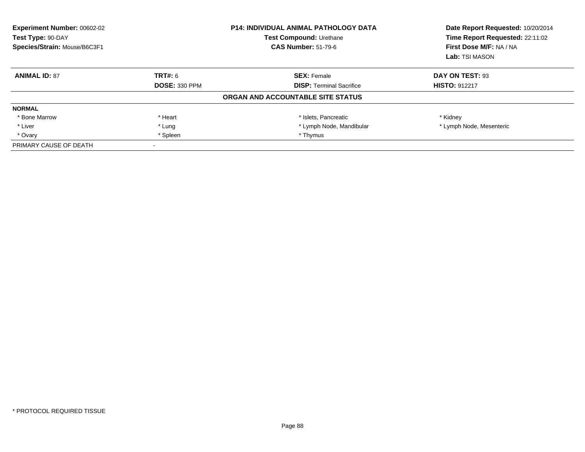| <b>Experiment Number: 00602-02</b><br>Test Type: 90-DAY<br>Species/Strain: Mouse/B6C3F1 |                      | <b>P14: INDIVIDUAL ANIMAL PATHOLOGY DATA</b><br>Test Compound: Urethane<br><b>CAS Number: 51-79-6</b> | Date Report Requested: 10/20/2014<br>Time Report Requested: 22:11:02<br>First Dose M/F: NA / NA<br>Lab: TSI MASON |
|-----------------------------------------------------------------------------------------|----------------------|-------------------------------------------------------------------------------------------------------|-------------------------------------------------------------------------------------------------------------------|
| <b>ANIMAL ID: 87</b>                                                                    | <b>TRT#: 6</b>       | <b>SEX: Female</b>                                                                                    | DAY ON TEST: 93                                                                                                   |
|                                                                                         | <b>DOSE: 330 PPM</b> | <b>DISP: Terminal Sacrifice</b>                                                                       | <b>HISTO: 912217</b>                                                                                              |
|                                                                                         |                      | ORGAN AND ACCOUNTABLE SITE STATUS                                                                     |                                                                                                                   |
| <b>NORMAL</b>                                                                           |                      |                                                                                                       |                                                                                                                   |
| * Bone Marrow                                                                           | * Heart              | * Islets, Pancreatic                                                                                  | * Kidney                                                                                                          |
| * Liver                                                                                 | * Lung               | * Lymph Node, Mandibular                                                                              | * Lymph Node, Mesenteric                                                                                          |
| * Ovary                                                                                 | * Spleen             | * Thymus                                                                                              |                                                                                                                   |
| PRIMARY CAUSE OF DEATH                                                                  |                      |                                                                                                       |                                                                                                                   |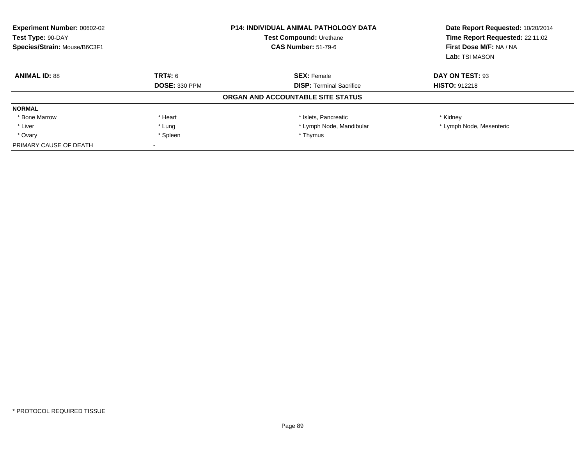| <b>Experiment Number: 00602-02</b><br>Test Type: 90-DAY<br>Species/Strain: Mouse/B6C3F1 |                      | <b>P14: INDIVIDUAL ANIMAL PATHOLOGY DATA</b><br>Test Compound: Urethane<br><b>CAS Number: 51-79-6</b> | Date Report Requested: 10/20/2014<br>Time Report Requested: 22:11:02<br>First Dose M/F: NA / NA<br>Lab: TSI MASON |
|-----------------------------------------------------------------------------------------|----------------------|-------------------------------------------------------------------------------------------------------|-------------------------------------------------------------------------------------------------------------------|
| <b>ANIMAL ID: 88</b>                                                                    | <b>TRT#: 6</b>       | <b>SEX: Female</b>                                                                                    | DAY ON TEST: 93                                                                                                   |
|                                                                                         | <b>DOSE: 330 PPM</b> | <b>DISP: Terminal Sacrifice</b>                                                                       | <b>HISTO: 912218</b>                                                                                              |
|                                                                                         |                      | ORGAN AND ACCOUNTABLE SITE STATUS                                                                     |                                                                                                                   |
| <b>NORMAL</b>                                                                           |                      |                                                                                                       |                                                                                                                   |
| * Bone Marrow                                                                           | * Heart              | * Islets, Pancreatic                                                                                  | * Kidney                                                                                                          |
| * Liver                                                                                 | * Lung               | * Lymph Node, Mandibular                                                                              | * Lymph Node, Mesenteric                                                                                          |
| * Ovary                                                                                 | * Spleen             | * Thymus                                                                                              |                                                                                                                   |
| PRIMARY CAUSE OF DEATH                                                                  |                      |                                                                                                       |                                                                                                                   |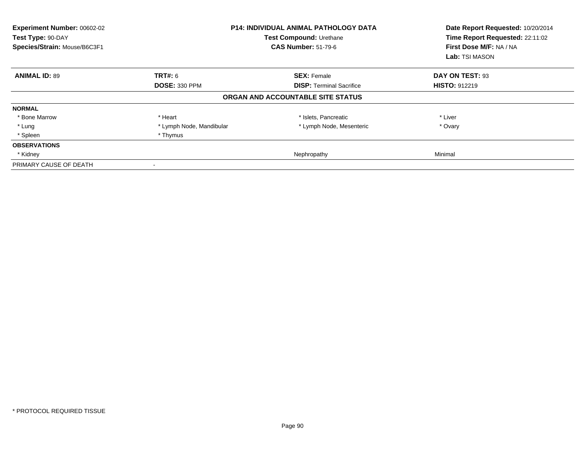| Experiment Number: 00602-02<br>Test Type: 90-DAY<br>Species/Strain: Mouse/B6C3F1 |                          | <b>P14: INDIVIDUAL ANIMAL PATHOLOGY DATA</b><br>Test Compound: Urethane<br><b>CAS Number: 51-79-6</b> | Date Report Requested: 10/20/2014<br>Time Report Requested: 22:11:02<br>First Dose M/F: NA / NA<br>Lab: TSI MASON |
|----------------------------------------------------------------------------------|--------------------------|-------------------------------------------------------------------------------------------------------|-------------------------------------------------------------------------------------------------------------------|
| <b>ANIMAL ID: 89</b>                                                             | <b>TRT#: 6</b>           | <b>SEX: Female</b>                                                                                    | DAY ON TEST: 93                                                                                                   |
|                                                                                  | <b>DOSE: 330 PPM</b>     | <b>DISP: Terminal Sacrifice</b>                                                                       | <b>HISTO: 912219</b>                                                                                              |
|                                                                                  |                          | ORGAN AND ACCOUNTABLE SITE STATUS                                                                     |                                                                                                                   |
| <b>NORMAL</b>                                                                    |                          |                                                                                                       |                                                                                                                   |
| * Bone Marrow                                                                    | * Heart                  | * Islets, Pancreatic                                                                                  | * Liver                                                                                                           |
| * Lung                                                                           | * Lymph Node, Mandibular | * Lymph Node, Mesenteric                                                                              | * Ovary                                                                                                           |
| * Spleen                                                                         | * Thymus                 |                                                                                                       |                                                                                                                   |
| <b>OBSERVATIONS</b>                                                              |                          |                                                                                                       |                                                                                                                   |
| * Kidney                                                                         |                          | Nephropathy                                                                                           | Minimal                                                                                                           |
| PRIMARY CAUSE OF DEATH                                                           |                          |                                                                                                       |                                                                                                                   |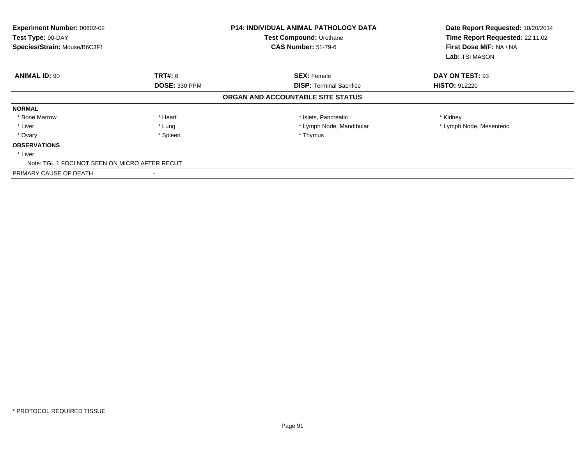| Experiment Number: 00602-02<br>Test Type: 90-DAY<br>Species/Strain: Mouse/B6C3F1 |                      | <b>P14: INDIVIDUAL ANIMAL PATHOLOGY DATA</b><br>Test Compound: Urethane<br><b>CAS Number: 51-79-6</b> | Date Report Requested: 10/20/2014<br>Time Report Requested: 22:11:02<br>First Dose M/F: NA / NA<br>Lab: TSI MASON |
|----------------------------------------------------------------------------------|----------------------|-------------------------------------------------------------------------------------------------------|-------------------------------------------------------------------------------------------------------------------|
| <b>ANIMAL ID: 90</b>                                                             | <b>TRT#:</b> 6       | <b>SEX: Female</b>                                                                                    | DAY ON TEST: 93                                                                                                   |
|                                                                                  | <b>DOSE: 330 PPM</b> | <b>DISP:</b> Terminal Sacrifice                                                                       | <b>HISTO: 912220</b>                                                                                              |
|                                                                                  |                      | ORGAN AND ACCOUNTABLE SITE STATUS                                                                     |                                                                                                                   |
| <b>NORMAL</b>                                                                    |                      |                                                                                                       |                                                                                                                   |
| * Bone Marrow                                                                    | * Heart              | * Islets, Pancreatic                                                                                  | * Kidney                                                                                                          |
| * Liver                                                                          | * Lung               | * Lymph Node, Mandibular                                                                              | * Lymph Node, Mesenteric                                                                                          |
| * Ovary                                                                          | * Spleen             | * Thymus                                                                                              |                                                                                                                   |
| <b>OBSERVATIONS</b>                                                              |                      |                                                                                                       |                                                                                                                   |
| * Liver                                                                          |                      |                                                                                                       |                                                                                                                   |
| Note: TGL 1 FOCI NOT SEEN ON MICRO AFTER RECUT                                   |                      |                                                                                                       |                                                                                                                   |
| PRIMARY CAUSE OF DEATH                                                           |                      |                                                                                                       |                                                                                                                   |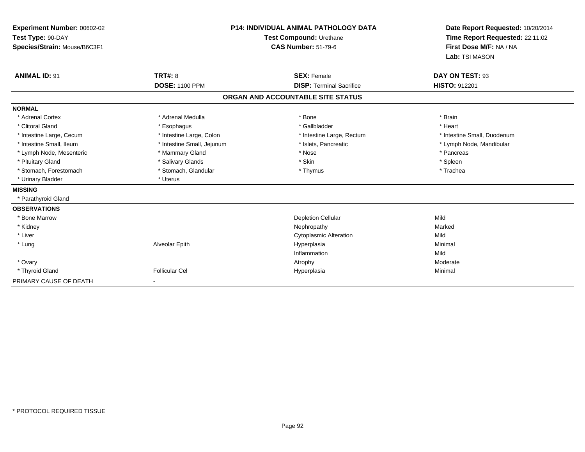| Experiment Number: 00602-02<br>Test Type: 90-DAY<br>Species/Strain: Mouse/B6C3F1<br><b>ANIMAL ID: 91</b> | <b>TRT#: 8</b><br><b>DOSE: 1100 PPM</b> | <b>P14: INDIVIDUAL ANIMAL PATHOLOGY DATA</b><br>Test Compound: Urethane<br><b>CAS Number: 51-79-6</b><br><b>SEX: Female</b><br><b>DISP: Terminal Sacrifice</b> | Date Report Requested: 10/20/2014<br>Time Report Requested: 22:11:02<br>First Dose M/F: NA / NA<br>Lab: TSI MASON<br>DAY ON TEST: 93<br><b>HISTO: 912201</b> |
|----------------------------------------------------------------------------------------------------------|-----------------------------------------|----------------------------------------------------------------------------------------------------------------------------------------------------------------|--------------------------------------------------------------------------------------------------------------------------------------------------------------|
|                                                                                                          |                                         | ORGAN AND ACCOUNTABLE SITE STATUS                                                                                                                              |                                                                                                                                                              |
| <b>NORMAL</b>                                                                                            |                                         |                                                                                                                                                                |                                                                                                                                                              |
| * Adrenal Cortex                                                                                         | * Adrenal Medulla                       | * Bone                                                                                                                                                         | * Brain                                                                                                                                                      |
| * Clitoral Gland                                                                                         | * Esophagus                             | * Gallbladder                                                                                                                                                  | * Heart                                                                                                                                                      |
| * Intestine Large, Cecum                                                                                 | * Intestine Large, Colon                | * Intestine Large, Rectum                                                                                                                                      | * Intestine Small, Duodenum                                                                                                                                  |
| * Intestine Small. Ileum                                                                                 | * Intestine Small, Jejunum              | * Islets, Pancreatic                                                                                                                                           | * Lymph Node, Mandibular                                                                                                                                     |
| * Lymph Node, Mesenteric                                                                                 | * Mammary Gland                         | * Nose                                                                                                                                                         | * Pancreas                                                                                                                                                   |
| * Pituitary Gland                                                                                        | * Salivary Glands                       | * Skin                                                                                                                                                         | * Spleen                                                                                                                                                     |
| * Stomach, Forestomach                                                                                   | * Stomach, Glandular                    | * Thymus                                                                                                                                                       | * Trachea                                                                                                                                                    |
| * Urinary Bladder                                                                                        | * Uterus                                |                                                                                                                                                                |                                                                                                                                                              |
| <b>MISSING</b>                                                                                           |                                         |                                                                                                                                                                |                                                                                                                                                              |
| * Parathyroid Gland                                                                                      |                                         |                                                                                                                                                                |                                                                                                                                                              |
| <b>OBSERVATIONS</b>                                                                                      |                                         |                                                                                                                                                                |                                                                                                                                                              |
| * Bone Marrow                                                                                            |                                         | <b>Depletion Cellular</b>                                                                                                                                      | Mild                                                                                                                                                         |
| * Kidney                                                                                                 |                                         | Nephropathy                                                                                                                                                    | Marked                                                                                                                                                       |
| * Liver                                                                                                  |                                         | <b>Cytoplasmic Alteration</b>                                                                                                                                  | Mild                                                                                                                                                         |
| * Lung                                                                                                   | Alveolar Epith                          | Hyperplasia                                                                                                                                                    | Minimal                                                                                                                                                      |
|                                                                                                          |                                         | Inflammation                                                                                                                                                   | Mild                                                                                                                                                         |
| * Ovary                                                                                                  |                                         | Atrophy                                                                                                                                                        | Moderate                                                                                                                                                     |
| * Thyroid Gland                                                                                          | <b>Follicular Cel</b>                   | Hyperplasia                                                                                                                                                    | Minimal                                                                                                                                                      |
| PRIMARY CAUSE OF DEATH                                                                                   | $\blacksquare$                          |                                                                                                                                                                |                                                                                                                                                              |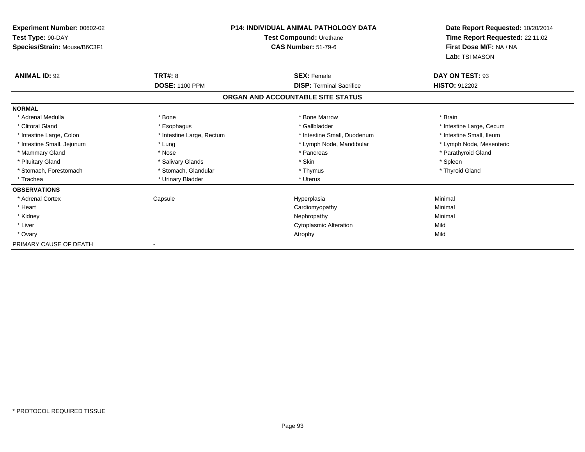| <b>Experiment Number: 00602-02</b><br>Test Type: 90-DAY<br>Species/Strain: Mouse/B6C3F1 |                           | <b>P14: INDIVIDUAL ANIMAL PATHOLOGY DATA</b><br>Test Compound: Urethane<br><b>CAS Number: 51-79-6</b> | Date Report Requested: 10/20/2014<br>Time Report Requested: 22:11:02<br>First Dose M/F: NA / NA |
|-----------------------------------------------------------------------------------------|---------------------------|-------------------------------------------------------------------------------------------------------|-------------------------------------------------------------------------------------------------|
|                                                                                         |                           |                                                                                                       | Lab: TSI MASON                                                                                  |
| <b>ANIMAL ID: 92</b>                                                                    | <b>TRT#: 8</b>            | <b>SEX: Female</b>                                                                                    | DAY ON TEST: 93                                                                                 |
|                                                                                         | <b>DOSE: 1100 PPM</b>     | <b>DISP: Terminal Sacrifice</b>                                                                       | <b>HISTO: 912202</b>                                                                            |
|                                                                                         |                           | ORGAN AND ACCOUNTABLE SITE STATUS                                                                     |                                                                                                 |
| <b>NORMAL</b>                                                                           |                           |                                                                                                       |                                                                                                 |
| * Adrenal Medulla                                                                       | * Bone                    | * Bone Marrow                                                                                         | * Brain                                                                                         |
| * Clitoral Gland                                                                        | * Esophagus               | * Gallbladder                                                                                         | * Intestine Large, Cecum                                                                        |
| * Intestine Large, Colon                                                                | * Intestine Large, Rectum | * Intestine Small, Duodenum                                                                           | * Intestine Small, Ileum                                                                        |
| * Intestine Small, Jejunum                                                              | * Lung                    | * Lymph Node, Mandibular                                                                              | * Lymph Node, Mesenteric                                                                        |
| * Mammary Gland                                                                         | * Nose                    | * Pancreas                                                                                            | * Parathyroid Gland                                                                             |
| * Pituitary Gland                                                                       | * Salivary Glands         | * Skin                                                                                                | * Spleen                                                                                        |
| * Stomach, Forestomach                                                                  | * Stomach, Glandular      | * Thymus                                                                                              | * Thyroid Gland                                                                                 |
| * Trachea                                                                               | * Urinary Bladder         | * Uterus                                                                                              |                                                                                                 |
| <b>OBSERVATIONS</b>                                                                     |                           |                                                                                                       |                                                                                                 |
| * Adrenal Cortex                                                                        | Capsule                   | Hyperplasia                                                                                           | Minimal                                                                                         |
| * Heart                                                                                 |                           | Cardiomyopathy                                                                                        | Minimal                                                                                         |
| * Kidney                                                                                |                           | Nephropathy                                                                                           | Minimal                                                                                         |
| * Liver                                                                                 |                           | <b>Cytoplasmic Alteration</b>                                                                         | Mild                                                                                            |
| * Ovary                                                                                 |                           | Atrophy                                                                                               | Mild                                                                                            |
| PRIMARY CAUSE OF DEATH                                                                  |                           |                                                                                                       |                                                                                                 |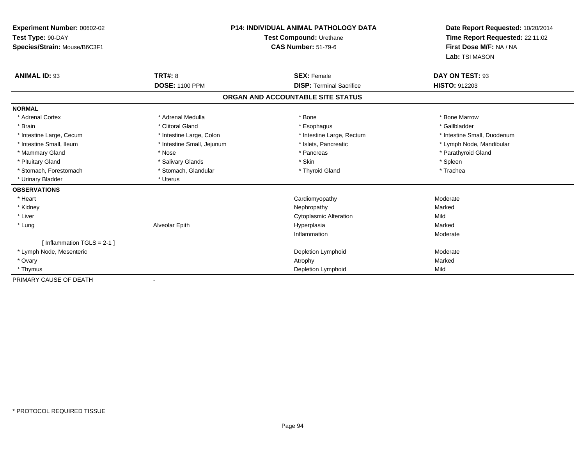| Experiment Number: 00602-02  | <b>P14: INDIVIDUAL ANIMAL PATHOLOGY DATA</b><br>Test Compound: Urethane |                                   | Date Report Requested: 10/20/2014 |  |
|------------------------------|-------------------------------------------------------------------------|-----------------------------------|-----------------------------------|--|
| Test Type: 90-DAY            |                                                                         |                                   | Time Report Requested: 22:11:02   |  |
| Species/Strain: Mouse/B6C3F1 |                                                                         | <b>CAS Number: 51-79-6</b>        | First Dose M/F: NA / NA           |  |
|                              |                                                                         |                                   | Lab: TSI MASON                    |  |
| <b>ANIMAL ID: 93</b>         | <b>TRT#: 8</b>                                                          | <b>SEX: Female</b>                | DAY ON TEST: 93                   |  |
|                              | <b>DOSE: 1100 PPM</b>                                                   | <b>DISP: Terminal Sacrifice</b>   | <b>HISTO: 912203</b>              |  |
|                              |                                                                         | ORGAN AND ACCOUNTABLE SITE STATUS |                                   |  |
| <b>NORMAL</b>                |                                                                         |                                   |                                   |  |
| * Adrenal Cortex             | * Adrenal Medulla                                                       | * Bone                            | * Bone Marrow                     |  |
| * Brain                      | * Clitoral Gland                                                        | * Esophagus                       | * Gallbladder                     |  |
| * Intestine Large, Cecum     | * Intestine Large, Colon                                                | * Intestine Large, Rectum         | * Intestine Small, Duodenum       |  |
| * Intestine Small, Ileum     | * Intestine Small, Jejunum                                              | * Islets, Pancreatic              | * Lymph Node, Mandibular          |  |
| * Mammary Gland              | * Nose                                                                  | * Pancreas                        | * Parathyroid Gland               |  |
| * Pituitary Gland            | * Salivary Glands                                                       | * Skin                            | * Spleen                          |  |
| * Stomach, Forestomach       | * Stomach, Glandular                                                    | * Thyroid Gland                   | * Trachea                         |  |
| * Urinary Bladder            | * Uterus                                                                |                                   |                                   |  |
| <b>OBSERVATIONS</b>          |                                                                         |                                   |                                   |  |
| * Heart                      |                                                                         | Cardiomyopathy                    | Moderate                          |  |
| * Kidney                     |                                                                         | Nephropathy                       | Marked                            |  |
| * Liver                      |                                                                         | <b>Cytoplasmic Alteration</b>     | Mild                              |  |
| * Lung                       | Alveolar Epith                                                          | Hyperplasia                       | Marked                            |  |
|                              |                                                                         | Inflammation                      | Moderate                          |  |
| [Inflammation TGLS = $2-1$ ] |                                                                         |                                   |                                   |  |
| * Lymph Node, Mesenteric     |                                                                         | Depletion Lymphoid                | Moderate                          |  |
| * Ovary                      |                                                                         | Atrophy                           | Marked                            |  |
| * Thymus                     |                                                                         | Depletion Lymphoid                | Mild                              |  |
| PRIMARY CAUSE OF DEATH       |                                                                         |                                   |                                   |  |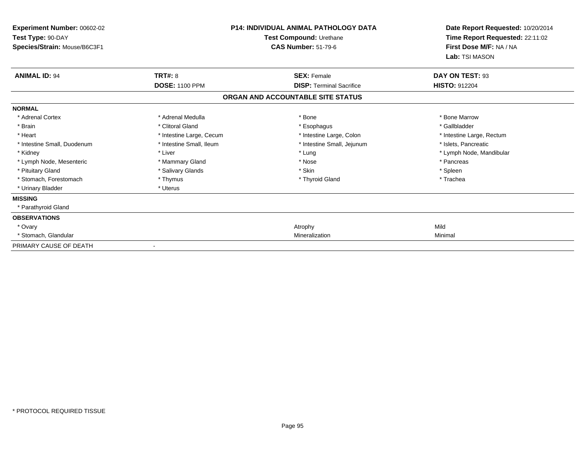| <b>P14: INDIVIDUAL ANIMAL PATHOLOGY DATA</b><br><b>Experiment Number: 00602-02</b><br>Test Type: 90-DAY<br>Test Compound: Urethane<br><b>CAS Number: 51-79-6</b><br>Species/Strain: Mouse/B6C3F1 |                          |                                   |                           |
|--------------------------------------------------------------------------------------------------------------------------------------------------------------------------------------------------|--------------------------|-----------------------------------|---------------------------|
| <b>ANIMAL ID: 94</b>                                                                                                                                                                             | <b>TRT#: 8</b>           | <b>SEX: Female</b>                | DAY ON TEST: 93           |
|                                                                                                                                                                                                  | <b>DOSE: 1100 PPM</b>    | <b>DISP: Terminal Sacrifice</b>   | <b>HISTO: 912204</b>      |
|                                                                                                                                                                                                  |                          | ORGAN AND ACCOUNTABLE SITE STATUS |                           |
| <b>NORMAL</b>                                                                                                                                                                                    |                          |                                   |                           |
| * Adrenal Cortex                                                                                                                                                                                 | * Adrenal Medulla        | * Bone                            | * Bone Marrow             |
| * Brain                                                                                                                                                                                          | * Clitoral Gland         | * Esophagus                       | * Gallbladder             |
| * Heart                                                                                                                                                                                          | * Intestine Large, Cecum | * Intestine Large, Colon          | * Intestine Large, Rectum |
| * Intestine Small, Duodenum                                                                                                                                                                      | * Intestine Small. Ileum | * Intestine Small, Jejunum        | * Islets. Pancreatic      |
| * Kidney                                                                                                                                                                                         | * Liver                  | * Lung                            | * Lymph Node, Mandibular  |
| * Lymph Node, Mesenteric                                                                                                                                                                         | * Mammary Gland          | * Nose                            | * Pancreas                |
| * Pituitary Gland                                                                                                                                                                                | * Salivary Glands        | * Skin                            | * Spleen                  |
| * Stomach, Forestomach                                                                                                                                                                           | * Thymus                 | * Thyroid Gland                   | * Trachea                 |
| * Urinary Bladder                                                                                                                                                                                | * Uterus                 |                                   |                           |
| <b>MISSING</b>                                                                                                                                                                                   |                          |                                   |                           |
| * Parathyroid Gland                                                                                                                                                                              |                          |                                   |                           |
| <b>OBSERVATIONS</b>                                                                                                                                                                              |                          |                                   |                           |
| * Ovary                                                                                                                                                                                          |                          | Atrophy                           | Mild                      |
| * Stomach, Glandular                                                                                                                                                                             |                          | Mineralization                    | Minimal                   |
| PRIMARY CAUSE OF DEATH                                                                                                                                                                           |                          |                                   |                           |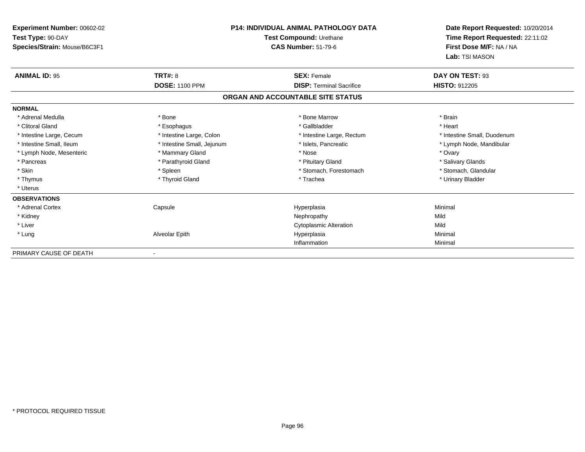| <b>Experiment Number: 00602-02</b>                |                            | <b>P14: INDIVIDUAL ANIMAL PATHOLOGY DATA</b>          | Date Report Requested: 10/20/2014                          |
|---------------------------------------------------|----------------------------|-------------------------------------------------------|------------------------------------------------------------|
| Test Type: 90-DAY<br>Species/Strain: Mouse/B6C3F1 |                            | Test Compound: Urethane<br><b>CAS Number: 51-79-6</b> | Time Report Requested: 22:11:02<br>First Dose M/F: NA / NA |
|                                                   |                            |                                                       | Lab: TSI MASON                                             |
| <b>ANIMAL ID: 95</b>                              | TRT#: 8                    | <b>SEX: Female</b>                                    | DAY ON TEST: 93                                            |
|                                                   | <b>DOSE: 1100 PPM</b>      | <b>DISP: Terminal Sacrifice</b>                       | <b>HISTO: 912205</b>                                       |
|                                                   |                            | ORGAN AND ACCOUNTABLE SITE STATUS                     |                                                            |
| <b>NORMAL</b>                                     |                            |                                                       |                                                            |
| * Adrenal Medulla                                 | * Bone                     | * Bone Marrow                                         | * Brain                                                    |
| * Clitoral Gland                                  | * Esophagus                | * Gallbladder                                         | * Heart                                                    |
| * Intestine Large, Cecum                          | * Intestine Large, Colon   | * Intestine Large, Rectum                             | * Intestine Small, Duodenum                                |
| * Intestine Small, Ileum                          | * Intestine Small, Jejunum | * Islets, Pancreatic                                  | * Lymph Node, Mandibular                                   |
| * Lymph Node, Mesenteric                          | * Mammary Gland            | * Nose                                                | * Ovary                                                    |
| * Pancreas                                        | * Parathyroid Gland        | * Pituitary Gland                                     | * Salivary Glands                                          |
| * Skin                                            | * Spleen                   | * Stomach, Forestomach                                | * Stomach, Glandular                                       |
| * Thymus                                          | * Thyroid Gland            | * Trachea                                             | * Urinary Bladder                                          |
| * Uterus                                          |                            |                                                       |                                                            |
| <b>OBSERVATIONS</b>                               |                            |                                                       |                                                            |
| * Adrenal Cortex                                  | Capsule                    | Hyperplasia                                           | Minimal                                                    |
| * Kidney                                          |                            | Nephropathy                                           | Mild                                                       |
| * Liver                                           |                            | <b>Cytoplasmic Alteration</b>                         | Mild                                                       |
| * Lung                                            | Alveolar Epith             | Hyperplasia                                           | Minimal                                                    |
|                                                   |                            | Inflammation                                          | Minimal                                                    |
| PRIMARY CAUSE OF DEATH                            |                            |                                                       |                                                            |

-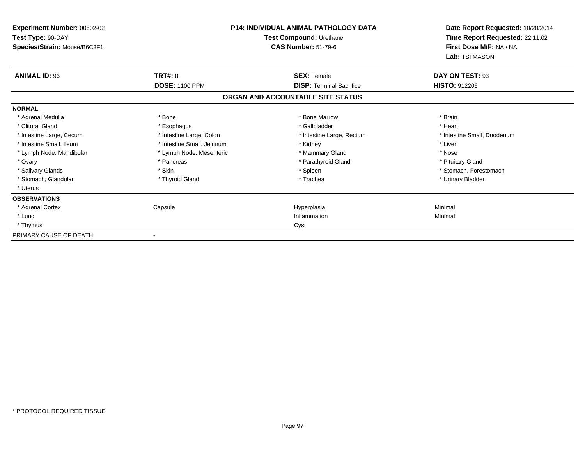| Experiment Number: 00602-02<br>Test Type: 90-DAY<br>Species/Strain: Mouse/B6C3F1 | <b>P14: INDIVIDUAL ANIMAL PATHOLOGY DATA</b><br>Test Compound: Urethane<br><b>CAS Number: 51-79-6</b> |                                   |                             | Date Report Requested: 10/20/2014<br>Time Report Requested: 22:11:02<br>First Dose M/F: NA / NA<br>Lab: TSI MASON |
|----------------------------------------------------------------------------------|-------------------------------------------------------------------------------------------------------|-----------------------------------|-----------------------------|-------------------------------------------------------------------------------------------------------------------|
| <b>ANIMAL ID: 96</b>                                                             | <b>TRT#: 8</b>                                                                                        | <b>SEX: Female</b>                | DAY ON TEST: 93             |                                                                                                                   |
|                                                                                  | <b>DOSE: 1100 PPM</b>                                                                                 | <b>DISP: Terminal Sacrifice</b>   | <b>HISTO: 912206</b>        |                                                                                                                   |
|                                                                                  |                                                                                                       | ORGAN AND ACCOUNTABLE SITE STATUS |                             |                                                                                                                   |
| <b>NORMAL</b>                                                                    |                                                                                                       |                                   |                             |                                                                                                                   |
| * Adrenal Medulla                                                                | * Bone                                                                                                | * Bone Marrow                     | * Brain                     |                                                                                                                   |
| * Clitoral Gland                                                                 | * Esophagus                                                                                           | * Gallbladder                     | * Heart                     |                                                                                                                   |
| * Intestine Large, Cecum                                                         | * Intestine Large, Colon                                                                              | * Intestine Large, Rectum         | * Intestine Small, Duodenum |                                                                                                                   |
| * Intestine Small. Ileum                                                         | * Intestine Small, Jejunum                                                                            | * Kidney                          | * Liver                     |                                                                                                                   |
| * Lymph Node, Mandibular                                                         | * Lymph Node, Mesenteric                                                                              | * Mammary Gland                   | * Nose                      |                                                                                                                   |
| * Ovary                                                                          | * Pancreas                                                                                            | * Parathyroid Gland               | * Pituitary Gland           |                                                                                                                   |
| * Salivary Glands                                                                | * Skin                                                                                                | * Spleen                          | * Stomach, Forestomach      |                                                                                                                   |
| * Stomach, Glandular                                                             | * Thyroid Gland                                                                                       | * Trachea                         | * Urinary Bladder           |                                                                                                                   |
| * Uterus                                                                         |                                                                                                       |                                   |                             |                                                                                                                   |
| <b>OBSERVATIONS</b>                                                              |                                                                                                       |                                   |                             |                                                                                                                   |
| * Adrenal Cortex                                                                 | Capsule                                                                                               | Hyperplasia                       | Minimal                     |                                                                                                                   |
| * Lung                                                                           |                                                                                                       | Inflammation                      | Minimal                     |                                                                                                                   |
| * Thymus                                                                         |                                                                                                       | Cyst                              |                             |                                                                                                                   |
| PRIMARY CAUSE OF DEATH                                                           |                                                                                                       |                                   |                             |                                                                                                                   |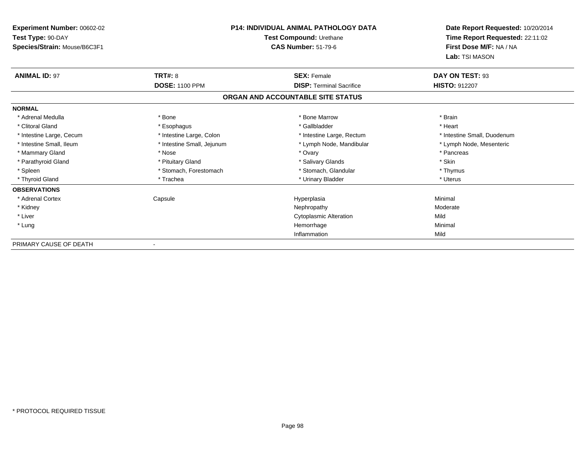| Experiment Number: 00602-02                       |                            | <b>P14: INDIVIDUAL ANIMAL PATHOLOGY DATA</b>          | Date Report Requested: 10/20/2014<br>Time Report Requested: 22:11:02<br>First Dose M/F: NA / NA<br>Lab: TSI MASON |
|---------------------------------------------------|----------------------------|-------------------------------------------------------|-------------------------------------------------------------------------------------------------------------------|
| Test Type: 90-DAY<br>Species/Strain: Mouse/B6C3F1 |                            | Test Compound: Urethane<br><b>CAS Number: 51-79-6</b> |                                                                                                                   |
| <b>ANIMAL ID: 97</b>                              | <b>TRT#: 8</b>             | <b>SEX: Female</b>                                    | DAY ON TEST: 93                                                                                                   |
|                                                   | <b>DOSE: 1100 PPM</b>      | <b>DISP: Terminal Sacrifice</b>                       | <b>HISTO: 912207</b>                                                                                              |
|                                                   |                            | ORGAN AND ACCOUNTABLE SITE STATUS                     |                                                                                                                   |
| <b>NORMAL</b>                                     |                            |                                                       |                                                                                                                   |
| * Adrenal Medulla                                 | * Bone                     | * Bone Marrow                                         | * Brain                                                                                                           |
| * Clitoral Gland                                  | * Esophagus                | * Gallbladder                                         | * Heart                                                                                                           |
| * Intestine Large, Cecum                          | * Intestine Large, Colon   | * Intestine Large, Rectum                             | * Intestine Small, Duodenum                                                                                       |
| * Intestine Small, Ileum                          | * Intestine Small, Jejunum | * Lymph Node, Mandibular                              | * Lymph Node, Mesenteric                                                                                          |
| * Mammary Gland                                   | * Nose                     | * Ovary                                               | * Pancreas                                                                                                        |
| * Parathyroid Gland                               | * Pituitary Gland          | * Salivary Glands                                     | * Skin                                                                                                            |
| * Spleen                                          | * Stomach, Forestomach     | * Stomach, Glandular                                  | * Thymus                                                                                                          |
| * Thyroid Gland                                   | * Trachea                  | * Urinary Bladder                                     | * Uterus                                                                                                          |
| <b>OBSERVATIONS</b>                               |                            |                                                       |                                                                                                                   |
| * Adrenal Cortex                                  | Capsule                    | Hyperplasia                                           | Minimal                                                                                                           |
| * Kidney                                          |                            | Nephropathy                                           | Moderate                                                                                                          |
| * Liver                                           |                            | <b>Cytoplasmic Alteration</b>                         | Mild                                                                                                              |
| * Lung                                            |                            | Hemorrhage                                            | Minimal                                                                                                           |
|                                                   |                            | Inflammation                                          | Mild                                                                                                              |
| PRIMARY CAUSE OF DEATH                            | $\overline{\phantom{a}}$   |                                                       |                                                                                                                   |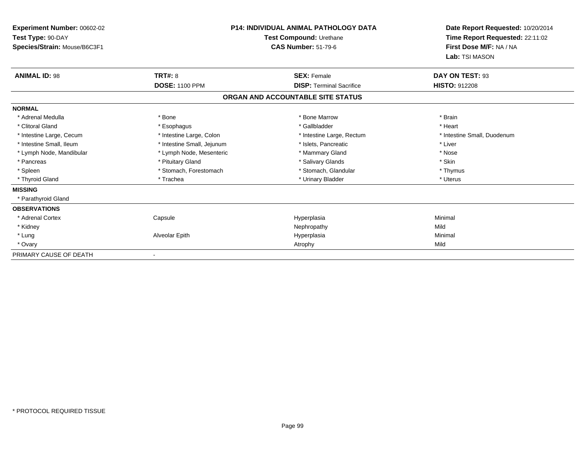| <b>Experiment Number: 00602-02</b><br>Test Type: 90-DAY<br>Species/Strain: Mouse/B6C3F1 |                            | <b>P14: INDIVIDUAL ANIMAL PATHOLOGY DATA</b><br>Test Compound: Urethane<br><b>CAS Number: 51-79-6</b> | Date Report Requested: 10/20/2014<br>Time Report Requested: 22:11:02<br>First Dose M/F: NA / NA<br>Lab: TSI MASON |
|-----------------------------------------------------------------------------------------|----------------------------|-------------------------------------------------------------------------------------------------------|-------------------------------------------------------------------------------------------------------------------|
| <b>ANIMAL ID: 98</b>                                                                    | <b>TRT#: 8</b>             | <b>SEX: Female</b>                                                                                    | DAY ON TEST: 93                                                                                                   |
|                                                                                         | <b>DOSE: 1100 PPM</b>      | <b>DISP: Terminal Sacrifice</b>                                                                       | <b>HISTO: 912208</b>                                                                                              |
|                                                                                         |                            | ORGAN AND ACCOUNTABLE SITE STATUS                                                                     |                                                                                                                   |
| <b>NORMAL</b>                                                                           |                            |                                                                                                       |                                                                                                                   |
| * Adrenal Medulla                                                                       | * Bone                     | * Bone Marrow                                                                                         | * Brain                                                                                                           |
| * Clitoral Gland                                                                        | * Esophagus                | * Gallbladder                                                                                         | * Heart                                                                                                           |
| * Intestine Large, Cecum                                                                | * Intestine Large, Colon   | * Intestine Large, Rectum                                                                             | * Intestine Small, Duodenum                                                                                       |
| * Intestine Small, Ileum                                                                | * Intestine Small, Jejunum | * Islets, Pancreatic                                                                                  | * Liver                                                                                                           |
| * Lymph Node, Mandibular                                                                | * Lymph Node, Mesenteric   | * Mammary Gland                                                                                       | * Nose                                                                                                            |
| * Pancreas                                                                              | * Pituitary Gland          | * Salivary Glands                                                                                     | * Skin                                                                                                            |
| * Spleen                                                                                | * Stomach, Forestomach     | * Stomach, Glandular                                                                                  | * Thymus                                                                                                          |
| * Thyroid Gland                                                                         | * Trachea                  | * Urinary Bladder                                                                                     | * Uterus                                                                                                          |
| <b>MISSING</b>                                                                          |                            |                                                                                                       |                                                                                                                   |
| * Parathyroid Gland                                                                     |                            |                                                                                                       |                                                                                                                   |
| <b>OBSERVATIONS</b>                                                                     |                            |                                                                                                       |                                                                                                                   |
| * Adrenal Cortex                                                                        | Capsule                    | Hyperplasia                                                                                           | Minimal                                                                                                           |
| * Kidney                                                                                |                            | Nephropathy                                                                                           | Mild                                                                                                              |
| * Lung                                                                                  | Alveolar Epith             | Hyperplasia                                                                                           | Minimal                                                                                                           |
| * Ovary                                                                                 |                            | Atrophy                                                                                               | Mild                                                                                                              |
| PRIMARY CAUSE OF DEATH                                                                  |                            |                                                                                                       |                                                                                                                   |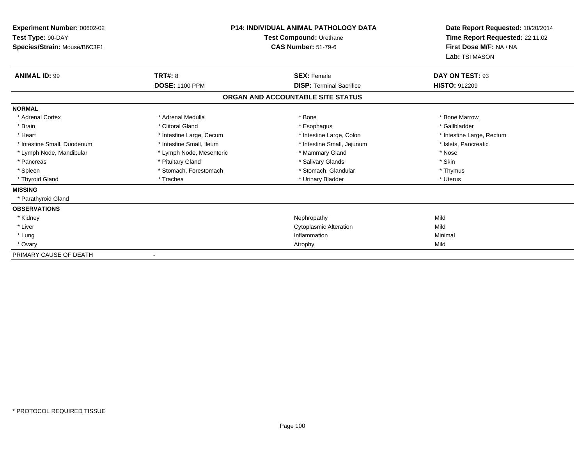| <b>Experiment Number: 00602-02</b><br>Test Type: 90-DAY<br>Species/Strain: Mouse/B6C3F1 | <b>P14: INDIVIDUAL ANIMAL PATHOLOGY DATA</b><br>Test Compound: Urethane<br><b>CAS Number: 51-79-6</b> |                                   | Date Report Requested: 10/20/2014<br>Time Report Requested: 22:11:02<br>First Dose M/F: NA / NA<br>Lab: TSI MASON |
|-----------------------------------------------------------------------------------------|-------------------------------------------------------------------------------------------------------|-----------------------------------|-------------------------------------------------------------------------------------------------------------------|
| <b>ANIMAL ID: 99</b>                                                                    | TRT#: 8                                                                                               | <b>SEX: Female</b>                | DAY ON TEST: 93                                                                                                   |
|                                                                                         | <b>DOSE: 1100 PPM</b>                                                                                 | <b>DISP: Terminal Sacrifice</b>   | <b>HISTO: 912209</b>                                                                                              |
|                                                                                         |                                                                                                       | ORGAN AND ACCOUNTABLE SITE STATUS |                                                                                                                   |
| <b>NORMAL</b>                                                                           |                                                                                                       |                                   |                                                                                                                   |
| * Adrenal Cortex                                                                        | * Adrenal Medulla                                                                                     | * Bone                            | * Bone Marrow                                                                                                     |
| * Brain                                                                                 | * Clitoral Gland                                                                                      | * Esophagus                       | * Gallbladder                                                                                                     |
| * Heart                                                                                 | * Intestine Large, Cecum                                                                              | * Intestine Large, Colon          | * Intestine Large, Rectum                                                                                         |
| * Intestine Small, Duodenum                                                             | * Intestine Small, Ileum                                                                              | * Intestine Small, Jejunum        | * Islets, Pancreatic                                                                                              |
| * Lymph Node, Mandibular                                                                | * Lymph Node, Mesenteric                                                                              | * Mammary Gland                   | * Nose                                                                                                            |
| * Pancreas                                                                              | * Pituitary Gland                                                                                     | * Salivary Glands                 | * Skin                                                                                                            |
| * Spleen                                                                                | * Stomach, Forestomach                                                                                | * Stomach, Glandular              | * Thymus                                                                                                          |
| * Thyroid Gland                                                                         | * Trachea                                                                                             | * Urinary Bladder                 | * Uterus                                                                                                          |
| <b>MISSING</b>                                                                          |                                                                                                       |                                   |                                                                                                                   |
| * Parathyroid Gland                                                                     |                                                                                                       |                                   |                                                                                                                   |
| <b>OBSERVATIONS</b>                                                                     |                                                                                                       |                                   |                                                                                                                   |
| * Kidney                                                                                |                                                                                                       | Nephropathy                       | Mild                                                                                                              |
| * Liver                                                                                 |                                                                                                       | <b>Cytoplasmic Alteration</b>     | Mild                                                                                                              |
| * Lung                                                                                  |                                                                                                       | Inflammation                      | Minimal                                                                                                           |
| * Ovary                                                                                 |                                                                                                       | Atrophy                           | Mild                                                                                                              |
| PRIMARY CAUSE OF DEATH                                                                  |                                                                                                       |                                   |                                                                                                                   |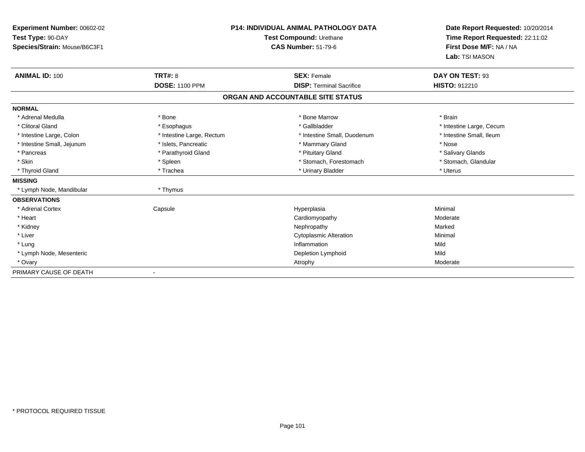| Experiment Number: 00602-02<br>Test Type: 90-DAY<br>Species/Strain: Mouse/B6C3F1 |                           | <b>P14: INDIVIDUAL ANIMAL PATHOLOGY DATA</b><br>Test Compound: Urethane<br><b>CAS Number: 51-79-6</b> | Date Report Requested: 10/20/2014<br>Time Report Requested: 22:11:02<br>First Dose M/F: NA / NA<br>Lab: TSI MASON |
|----------------------------------------------------------------------------------|---------------------------|-------------------------------------------------------------------------------------------------------|-------------------------------------------------------------------------------------------------------------------|
| <b>ANIMAL ID: 100</b>                                                            | <b>TRT#: 8</b>            | <b>SEX: Female</b>                                                                                    | DAY ON TEST: 93                                                                                                   |
|                                                                                  | <b>DOSE: 1100 PPM</b>     | <b>DISP: Terminal Sacrifice</b>                                                                       | HISTO: 912210                                                                                                     |
|                                                                                  |                           | ORGAN AND ACCOUNTABLE SITE STATUS                                                                     |                                                                                                                   |
| <b>NORMAL</b>                                                                    |                           |                                                                                                       |                                                                                                                   |
| * Adrenal Medulla                                                                | * Bone                    | * Bone Marrow                                                                                         | * Brain                                                                                                           |
| * Clitoral Gland                                                                 | * Esophagus               | * Gallbladder                                                                                         | * Intestine Large, Cecum                                                                                          |
| * Intestine Large, Colon                                                         | * Intestine Large, Rectum | * Intestine Small, Duodenum                                                                           | * Intestine Small, Ileum                                                                                          |
| * Intestine Small, Jejunum                                                       | * Islets, Pancreatic      | * Mammary Gland                                                                                       | * Nose                                                                                                            |
| * Pancreas                                                                       | * Parathyroid Gland       | * Pituitary Gland                                                                                     | * Salivary Glands                                                                                                 |
| * Skin                                                                           | * Spleen                  | * Stomach, Forestomach                                                                                | * Stomach, Glandular                                                                                              |
| * Thyroid Gland                                                                  | * Trachea                 | * Urinary Bladder                                                                                     | * Uterus                                                                                                          |
| <b>MISSING</b>                                                                   |                           |                                                                                                       |                                                                                                                   |
| * Lymph Node, Mandibular                                                         | * Thymus                  |                                                                                                       |                                                                                                                   |
| <b>OBSERVATIONS</b>                                                              |                           |                                                                                                       |                                                                                                                   |
| * Adrenal Cortex                                                                 | Capsule                   | Hyperplasia                                                                                           | Minimal                                                                                                           |
| * Heart                                                                          |                           | Cardiomyopathy                                                                                        | Moderate                                                                                                          |
| * Kidney                                                                         |                           | Nephropathy                                                                                           | Marked                                                                                                            |
| * Liver                                                                          |                           | <b>Cytoplasmic Alteration</b>                                                                         | Minimal                                                                                                           |
| * Lung                                                                           |                           | Inflammation                                                                                          | Mild                                                                                                              |
| * Lymph Node, Mesenteric                                                         |                           | Depletion Lymphoid                                                                                    | Mild                                                                                                              |
| * Ovary                                                                          |                           | Atrophy                                                                                               | Moderate                                                                                                          |
| PRIMARY CAUSE OF DEATH                                                           |                           |                                                                                                       |                                                                                                                   |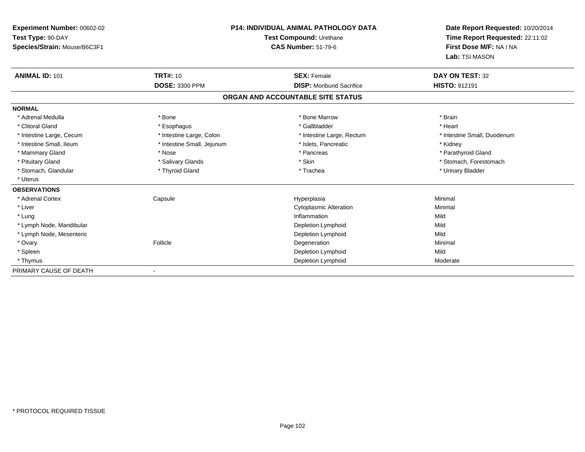| Experiment Number: 00602-02  |                            | <b>P14: INDIVIDUAL ANIMAL PATHOLOGY DATA</b> |                                 |
|------------------------------|----------------------------|----------------------------------------------|---------------------------------|
| Test Type: 90-DAY            | Test Compound: Urethane    |                                              | Time Report Requested: 22:11:02 |
| Species/Strain: Mouse/B6C3F1 |                            | <b>CAS Number: 51-79-6</b>                   | First Dose M/F: NA / NA         |
|                              |                            |                                              | Lab: TSI MASON                  |
| <b>ANIMAL ID: 101</b>        | <b>TRT#: 10</b>            | <b>SEX: Female</b>                           | DAY ON TEST: 32                 |
|                              | DOSE: 3300 PPM             | <b>DISP:</b> Moribund Sacrifice              | HISTO: 912191                   |
|                              |                            | ORGAN AND ACCOUNTABLE SITE STATUS            |                                 |
| <b>NORMAL</b>                |                            |                                              |                                 |
| * Adrenal Medulla            | * Bone                     | * Bone Marrow                                | * Brain                         |
| * Clitoral Gland             | * Esophagus                | * Gallbladder                                | * Heart                         |
| * Intestine Large, Cecum     | * Intestine Large, Colon   | * Intestine Large, Rectum                    | * Intestine Small, Duodenum     |
| * Intestine Small, Ileum     | * Intestine Small, Jejunum | * Islets, Pancreatic                         | * Kidney                        |
| * Mammary Gland              | * Nose                     | * Pancreas                                   | * Parathyroid Gland             |
| * Pituitary Gland            | * Salivary Glands          | * Skin                                       | * Stomach, Forestomach          |
| * Stomach, Glandular         | * Thyroid Gland            | * Trachea                                    | * Urinary Bladder               |
| * Uterus                     |                            |                                              |                                 |
| <b>OBSERVATIONS</b>          |                            |                                              |                                 |
| * Adrenal Cortex             | Capsule                    | Hyperplasia                                  | Minimal                         |
| * Liver                      |                            | <b>Cytoplasmic Alteration</b>                | Minimal                         |
| * Lung                       |                            | Inflammation                                 | Mild                            |
| * Lymph Node, Mandibular     |                            | Depletion Lymphoid                           | Mild                            |
| * Lymph Node, Mesenteric     |                            | Depletion Lymphoid                           | Mild                            |
| * Ovary                      | Follicle                   | Degeneration                                 | Minimal                         |
| * Spleen                     |                            | Depletion Lymphoid                           | Mild                            |
| * Thymus                     |                            | Depletion Lymphoid                           | Moderate                        |
| PRIMARY CAUSE OF DEATH       |                            |                                              |                                 |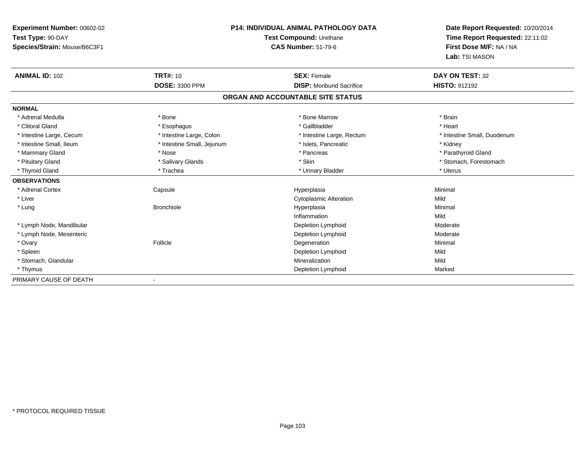| Experiment Number: 00602-02  | <b>P14: INDIVIDUAL ANIMAL PATHOLOGY DATA</b><br>Test Compound: Urethane |                                   | Date Report Requested: 10/20/2014 |
|------------------------------|-------------------------------------------------------------------------|-----------------------------------|-----------------------------------|
| Test Type: 90-DAY            |                                                                         |                                   | Time Report Requested: 22:11:02   |
| Species/Strain: Mouse/B6C3F1 |                                                                         | <b>CAS Number: 51-79-6</b>        | First Dose M/F: NA / NA           |
|                              |                                                                         |                                   | Lab: TSI MASON                    |
| <b>ANIMAL ID: 102</b>        | <b>TRT#: 10</b>                                                         | <b>SEX: Female</b>                | DAY ON TEST: 32                   |
|                              | <b>DOSE: 3300 PPM</b>                                                   | <b>DISP:</b> Moribund Sacrifice   | <b>HISTO: 912192</b>              |
|                              |                                                                         | ORGAN AND ACCOUNTABLE SITE STATUS |                                   |
| <b>NORMAL</b>                |                                                                         |                                   |                                   |
| * Adrenal Medulla            | * Bone                                                                  | * Bone Marrow                     | * Brain                           |
| * Clitoral Gland             | * Esophagus                                                             | * Gallbladder                     | * Heart                           |
| * Intestine Large, Cecum     | * Intestine Large, Colon                                                | * Intestine Large, Rectum         | * Intestine Small, Duodenum       |
| * Intestine Small, Ileum     | * Intestine Small, Jejunum                                              | * Islets, Pancreatic              | * Kidney                          |
| * Mammary Gland              | * Nose                                                                  | * Pancreas                        | * Parathyroid Gland               |
| * Pituitary Gland            | * Salivary Glands                                                       | * Skin                            | * Stomach, Forestomach            |
| * Thyroid Gland              | * Trachea                                                               | * Urinary Bladder                 | * Uterus                          |
| <b>OBSERVATIONS</b>          |                                                                         |                                   |                                   |
| * Adrenal Cortex             | Capsule                                                                 | Hyperplasia                       | Minimal                           |
| * Liver                      |                                                                         | <b>Cytoplasmic Alteration</b>     | Mild                              |
| * Lung                       | <b>Bronchiole</b>                                                       | Hyperplasia                       | Minimal                           |
|                              |                                                                         | Inflammation                      | Mild                              |
| * Lymph Node, Mandibular     |                                                                         | Depletion Lymphoid                | Moderate                          |
| * Lymph Node, Mesenteric     |                                                                         | Depletion Lymphoid                | Moderate                          |
| * Ovary                      | Follicle                                                                | Degeneration                      | Minimal                           |
| * Spleen                     |                                                                         | Depletion Lymphoid                | Mild                              |
| * Stomach, Glandular         |                                                                         | Mineralization                    | Mild                              |
| * Thymus                     |                                                                         | Depletion Lymphoid                | Marked                            |
| PRIMARY CAUSE OF DEATH       |                                                                         |                                   |                                   |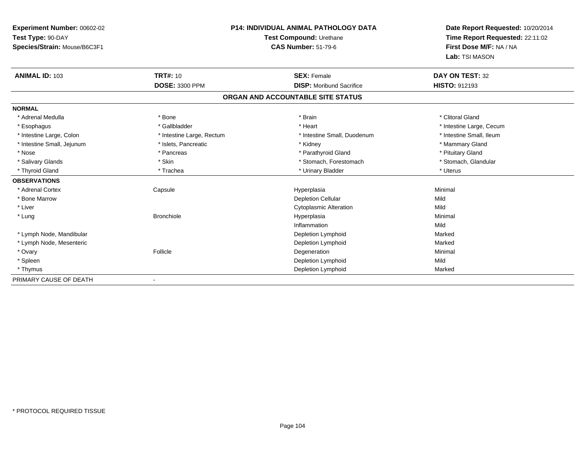| Experiment Number: 00602-02  | <b>P14: INDIVIDUAL ANIMAL PATHOLOGY DATA</b><br>Test Compound: Urethane |                                   | Date Report Requested: 10/20/2014 |
|------------------------------|-------------------------------------------------------------------------|-----------------------------------|-----------------------------------|
| Test Type: 90-DAY            |                                                                         |                                   | Time Report Requested: 22:11:02   |
| Species/Strain: Mouse/B6C3F1 |                                                                         | <b>CAS Number: 51-79-6</b>        | First Dose M/F: NA / NA           |
|                              |                                                                         |                                   | Lab: TSI MASON                    |
| <b>ANIMAL ID: 103</b>        | <b>TRT#: 10</b>                                                         | <b>SEX: Female</b>                | DAY ON TEST: 32                   |
|                              | DOSE: 3300 PPM                                                          | <b>DISP:</b> Moribund Sacrifice   | <b>HISTO: 912193</b>              |
|                              |                                                                         | ORGAN AND ACCOUNTABLE SITE STATUS |                                   |
| <b>NORMAL</b>                |                                                                         |                                   |                                   |
| * Adrenal Medulla            | * Bone                                                                  | * Brain                           | * Clitoral Gland                  |
| * Esophagus                  | * Gallbladder                                                           | * Heart                           | * Intestine Large, Cecum          |
| * Intestine Large, Colon     | * Intestine Large, Rectum                                               | * Intestine Small, Duodenum       | * Intestine Small, Ileum          |
| * Intestine Small, Jejunum   | * Islets, Pancreatic                                                    | * Kidney                          | * Mammary Gland                   |
| * Nose                       | * Pancreas                                                              | * Parathyroid Gland               | * Pituitary Gland                 |
| * Salivary Glands            | * Skin                                                                  | * Stomach, Forestomach            | * Stomach, Glandular              |
| * Thyroid Gland              | * Trachea                                                               | * Urinary Bladder                 | * Uterus                          |
| <b>OBSERVATIONS</b>          |                                                                         |                                   |                                   |
| * Adrenal Cortex             | Capsule                                                                 | Hyperplasia                       | Minimal                           |
| * Bone Marrow                |                                                                         | <b>Depletion Cellular</b>         | Mild                              |
| * Liver                      |                                                                         | <b>Cytoplasmic Alteration</b>     | Mild                              |
| * Lung                       | <b>Bronchiole</b>                                                       | Hyperplasia                       | Minimal                           |
|                              |                                                                         | Inflammation                      | Mild                              |
| * Lymph Node, Mandibular     |                                                                         | Depletion Lymphoid                | Marked                            |
| * Lymph Node, Mesenteric     |                                                                         | Depletion Lymphoid                | Marked                            |
| * Ovary                      | Follicle                                                                | Degeneration                      | Minimal                           |
| * Spleen                     |                                                                         | Depletion Lymphoid                | Mild                              |
| * Thymus                     |                                                                         | Depletion Lymphoid                | Marked                            |
| PRIMARY CAUSE OF DEATH       |                                                                         |                                   |                                   |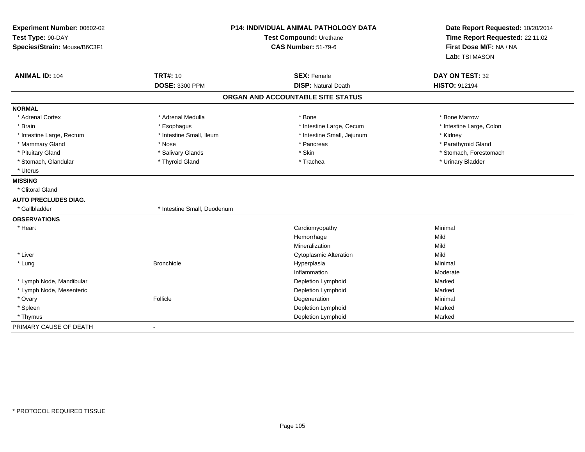| Experiment Number: 00602-02<br>Test Type: 90-DAY<br>Species/Strain: Mouse/B6C3F1 | <b>P14: INDIVIDUAL ANIMAL PATHOLOGY DATA</b><br>Test Compound: Urethane<br><b>CAS Number: 51-79-6</b> |                                   | Date Report Requested: 10/20/2014<br>Time Report Requested: 22:11:02<br>First Dose M/F: NA / NA<br>Lab: TSI MASON |  |
|----------------------------------------------------------------------------------|-------------------------------------------------------------------------------------------------------|-----------------------------------|-------------------------------------------------------------------------------------------------------------------|--|
| <b>ANIMAL ID: 104</b>                                                            | <b>TRT#: 10</b>                                                                                       | <b>SEX: Female</b>                | DAY ON TEST: 32                                                                                                   |  |
|                                                                                  | <b>DOSE: 3300 PPM</b>                                                                                 | <b>DISP: Natural Death</b>        | <b>HISTO: 912194</b>                                                                                              |  |
|                                                                                  |                                                                                                       | ORGAN AND ACCOUNTABLE SITE STATUS |                                                                                                                   |  |
| <b>NORMAL</b>                                                                    |                                                                                                       |                                   |                                                                                                                   |  |
| * Adrenal Cortex                                                                 | * Adrenal Medulla                                                                                     | * Bone                            | * Bone Marrow                                                                                                     |  |
| * Brain                                                                          | * Esophagus                                                                                           | * Intestine Large, Cecum          | * Intestine Large, Colon                                                                                          |  |
| * Intestine Large, Rectum                                                        | * Intestine Small, Ileum                                                                              | * Intestine Small, Jejunum        | * Kidney                                                                                                          |  |
| * Mammary Gland                                                                  | * Nose                                                                                                | * Pancreas                        | * Parathyroid Gland                                                                                               |  |
| * Pituitary Gland                                                                | * Salivary Glands                                                                                     | * Skin                            | * Stomach, Forestomach                                                                                            |  |
| * Stomach, Glandular                                                             | * Thyroid Gland                                                                                       | * Trachea                         | * Urinary Bladder                                                                                                 |  |
| * Uterus                                                                         |                                                                                                       |                                   |                                                                                                                   |  |
| <b>MISSING</b>                                                                   |                                                                                                       |                                   |                                                                                                                   |  |
| * Clitoral Gland                                                                 |                                                                                                       |                                   |                                                                                                                   |  |
| <b>AUTO PRECLUDES DIAG.</b>                                                      |                                                                                                       |                                   |                                                                                                                   |  |
| * Gallbladder                                                                    | * Intestine Small, Duodenum                                                                           |                                   |                                                                                                                   |  |
| <b>OBSERVATIONS</b>                                                              |                                                                                                       |                                   |                                                                                                                   |  |
| * Heart                                                                          |                                                                                                       | Cardiomyopathy                    | Minimal                                                                                                           |  |
|                                                                                  |                                                                                                       | Hemorrhage                        | Mild                                                                                                              |  |
|                                                                                  |                                                                                                       | Mineralization                    | Mild                                                                                                              |  |
| * Liver                                                                          |                                                                                                       | <b>Cytoplasmic Alteration</b>     | Mild                                                                                                              |  |
| * Lung                                                                           | <b>Bronchiole</b>                                                                                     | Hyperplasia                       | Minimal                                                                                                           |  |
|                                                                                  |                                                                                                       | Inflammation                      | Moderate                                                                                                          |  |
| * Lymph Node, Mandibular                                                         |                                                                                                       | Depletion Lymphoid                | Marked                                                                                                            |  |
| * Lymph Node, Mesenteric                                                         |                                                                                                       | Depletion Lymphoid                | Marked                                                                                                            |  |
| * Ovary                                                                          | Follicle                                                                                              | Degeneration                      | Minimal                                                                                                           |  |
| * Spleen                                                                         |                                                                                                       | Depletion Lymphoid                | Marked                                                                                                            |  |
| * Thymus                                                                         |                                                                                                       | Depletion Lymphoid                | Marked                                                                                                            |  |
| PRIMARY CAUSE OF DEATH                                                           | $\sim$                                                                                                |                                   |                                                                                                                   |  |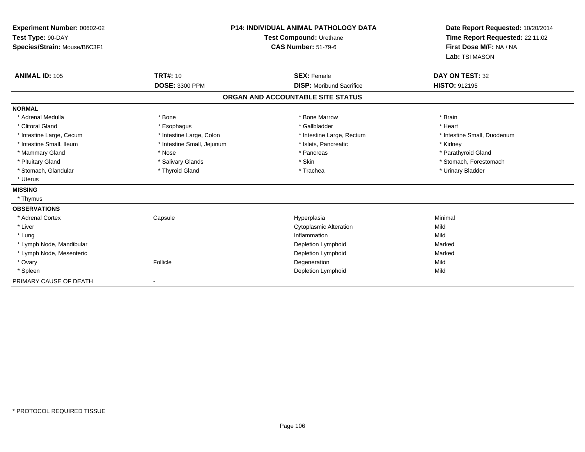| Experiment Number: 00602-02<br>Test Type: 90-DAY<br>Species/Strain: Mouse/B6C3F1<br><b>ANIMAL ID: 105</b> | <b>TRT#: 10</b>            | <b>P14: INDIVIDUAL ANIMAL PATHOLOGY DATA</b><br>Test Compound: Urethane<br><b>CAS Number: 51-79-6</b><br><b>SEX: Female</b> | Date Report Requested: 10/20/2014<br>Time Report Requested: 22:11:02<br>First Dose M/F: NA / NA<br>Lab: TSI MASON<br>DAY ON TEST: 32 |
|-----------------------------------------------------------------------------------------------------------|----------------------------|-----------------------------------------------------------------------------------------------------------------------------|--------------------------------------------------------------------------------------------------------------------------------------|
|                                                                                                           | <b>DOSE: 3300 PPM</b>      | <b>DISP:</b> Moribund Sacrifice                                                                                             | <b>HISTO: 912195</b>                                                                                                                 |
|                                                                                                           |                            | ORGAN AND ACCOUNTABLE SITE STATUS                                                                                           |                                                                                                                                      |
| <b>NORMAL</b>                                                                                             |                            |                                                                                                                             |                                                                                                                                      |
| * Adrenal Medulla                                                                                         | * Bone                     | * Bone Marrow                                                                                                               | * Brain                                                                                                                              |
| * Clitoral Gland                                                                                          | * Esophagus                | * Gallbladder                                                                                                               | * Heart                                                                                                                              |
| * Intestine Large, Cecum                                                                                  | * Intestine Large, Colon   | * Intestine Large, Rectum                                                                                                   | * Intestine Small, Duodenum                                                                                                          |
| * Intestine Small, Ileum                                                                                  | * Intestine Small, Jejunum | * Islets. Pancreatic                                                                                                        | * Kidney                                                                                                                             |
| * Mammary Gland                                                                                           | * Nose                     | * Pancreas                                                                                                                  | * Parathyroid Gland                                                                                                                  |
| * Pituitary Gland                                                                                         | * Salivary Glands          | * Skin                                                                                                                      | * Stomach, Forestomach                                                                                                               |
| * Stomach, Glandular                                                                                      | * Thyroid Gland            | * Trachea                                                                                                                   | * Urinary Bladder                                                                                                                    |
| * Uterus                                                                                                  |                            |                                                                                                                             |                                                                                                                                      |
| <b>MISSING</b>                                                                                            |                            |                                                                                                                             |                                                                                                                                      |
| * Thymus                                                                                                  |                            |                                                                                                                             |                                                                                                                                      |
| <b>OBSERVATIONS</b>                                                                                       |                            |                                                                                                                             |                                                                                                                                      |
| * Adrenal Cortex                                                                                          | Capsule                    | Hyperplasia                                                                                                                 | Minimal                                                                                                                              |
| * Liver                                                                                                   |                            | <b>Cytoplasmic Alteration</b>                                                                                               | Mild                                                                                                                                 |
| * Lung                                                                                                    |                            | Inflammation                                                                                                                | Mild                                                                                                                                 |
| * Lymph Node, Mandibular                                                                                  |                            | Depletion Lymphoid                                                                                                          | Marked                                                                                                                               |
| * Lymph Node, Mesenteric                                                                                  |                            | Depletion Lymphoid                                                                                                          | Marked                                                                                                                               |
| * Ovary                                                                                                   | Follicle                   | Degeneration                                                                                                                | Mild                                                                                                                                 |
| * Spleen                                                                                                  |                            | Depletion Lymphoid                                                                                                          | Mild                                                                                                                                 |
| PRIMARY CAUSE OF DEATH                                                                                    |                            |                                                                                                                             |                                                                                                                                      |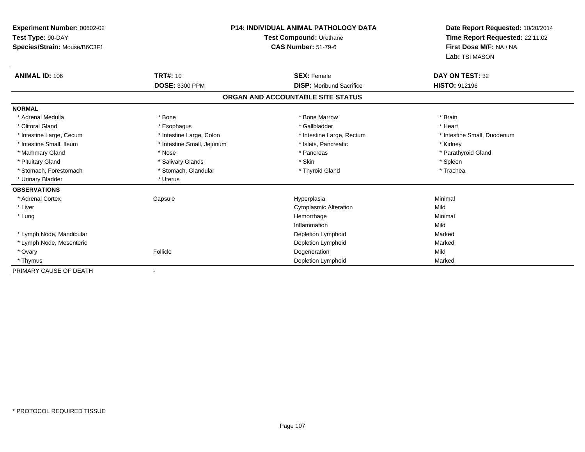| Experiment Number: 00602-02  | <b>P14: INDIVIDUAL ANIMAL PATHOLOGY DATA</b><br>Test Compound: Urethane |                                   | Date Report Requested: 10/20/2014 |  |
|------------------------------|-------------------------------------------------------------------------|-----------------------------------|-----------------------------------|--|
| Test Type: 90-DAY            |                                                                         |                                   | Time Report Requested: 22:11:02   |  |
| Species/Strain: Mouse/B6C3F1 |                                                                         | <b>CAS Number: 51-79-6</b>        | First Dose M/F: NA / NA           |  |
|                              |                                                                         |                                   | Lab: TSI MASON                    |  |
| <b>ANIMAL ID: 106</b>        | <b>TRT#: 10</b>                                                         | <b>SEX: Female</b>                | DAY ON TEST: 32                   |  |
|                              | DOSE: 3300 PPM                                                          | <b>DISP: Moribund Sacrifice</b>   | HISTO: 912196                     |  |
|                              |                                                                         | ORGAN AND ACCOUNTABLE SITE STATUS |                                   |  |
| <b>NORMAL</b>                |                                                                         |                                   |                                   |  |
| * Adrenal Medulla            | * Bone                                                                  | * Bone Marrow                     | * Brain                           |  |
| * Clitoral Gland             | * Esophagus                                                             | * Gallbladder                     | * Heart                           |  |
| * Intestine Large, Cecum     | * Intestine Large, Colon                                                | * Intestine Large, Rectum         | * Intestine Small, Duodenum       |  |
| * Intestine Small, Ileum     | * Intestine Small, Jejunum                                              | * Islets, Pancreatic              | * Kidney                          |  |
| * Mammary Gland              | * Nose                                                                  | * Pancreas                        | * Parathyroid Gland               |  |
| * Pituitary Gland            | * Salivary Glands                                                       | * Skin                            | * Spleen                          |  |
| * Stomach, Forestomach       | * Stomach, Glandular                                                    | * Thyroid Gland                   | * Trachea                         |  |
| * Urinary Bladder            | * Uterus                                                                |                                   |                                   |  |
| <b>OBSERVATIONS</b>          |                                                                         |                                   |                                   |  |
| * Adrenal Cortex             | Capsule                                                                 | Hyperplasia                       | Minimal                           |  |
| * Liver                      |                                                                         | <b>Cytoplasmic Alteration</b>     | Mild                              |  |
| * Lung                       |                                                                         | Hemorrhage                        | Minimal                           |  |
|                              |                                                                         | Inflammation                      | Mild                              |  |
| * Lymph Node, Mandibular     |                                                                         | Depletion Lymphoid                | Marked                            |  |
| * Lymph Node, Mesenteric     |                                                                         | Depletion Lymphoid                | Marked                            |  |
| * Ovary                      | Follicle                                                                | Degeneration                      | Mild                              |  |
| * Thymus                     |                                                                         | Depletion Lymphoid                | Marked                            |  |
| PRIMARY CAUSE OF DEATH       |                                                                         |                                   |                                   |  |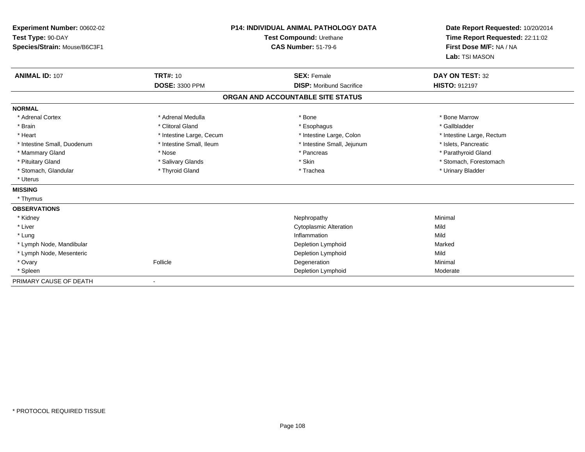| Experiment Number: 00602-02  | <b>P14: INDIVIDUAL ANIMAL PATHOLOGY DATA</b><br>Test Compound: Urethane |                                   | Date Report Requested: 10/20/2014 |  |
|------------------------------|-------------------------------------------------------------------------|-----------------------------------|-----------------------------------|--|
| Test Type: 90-DAY            |                                                                         |                                   | Time Report Requested: 22:11:02   |  |
| Species/Strain: Mouse/B6C3F1 |                                                                         | <b>CAS Number: 51-79-6</b>        | First Dose M/F: NA / NA           |  |
|                              |                                                                         |                                   | Lab: TSI MASON                    |  |
| <b>ANIMAL ID: 107</b>        | <b>TRT#: 10</b>                                                         | <b>SEX: Female</b>                | DAY ON TEST: 32                   |  |
|                              | <b>DOSE: 3300 PPM</b>                                                   | <b>DISP:</b> Moribund Sacrifice   | <b>HISTO: 912197</b>              |  |
|                              |                                                                         | ORGAN AND ACCOUNTABLE SITE STATUS |                                   |  |
| <b>NORMAL</b>                |                                                                         |                                   |                                   |  |
| * Adrenal Cortex             | * Adrenal Medulla                                                       | * Bone                            | * Bone Marrow                     |  |
| * Brain                      | * Clitoral Gland                                                        | * Esophagus                       | * Gallbladder                     |  |
| * Heart                      | * Intestine Large, Cecum                                                | * Intestine Large, Colon          | * Intestine Large, Rectum         |  |
| * Intestine Small, Duodenum  | * Intestine Small, Ileum                                                | * Intestine Small, Jejunum        | * Islets, Pancreatic              |  |
| * Mammary Gland              | * Nose                                                                  | * Pancreas                        | * Parathyroid Gland               |  |
| * Pituitary Gland            | * Salivary Glands                                                       | * Skin                            | * Stomach, Forestomach            |  |
| * Stomach, Glandular         | * Thyroid Gland                                                         | * Trachea                         | * Urinary Bladder                 |  |
| * Uterus                     |                                                                         |                                   |                                   |  |
| <b>MISSING</b>               |                                                                         |                                   |                                   |  |
| * Thymus                     |                                                                         |                                   |                                   |  |
| <b>OBSERVATIONS</b>          |                                                                         |                                   |                                   |  |
| * Kidney                     |                                                                         | Nephropathy                       | Minimal                           |  |
| * Liver                      |                                                                         | <b>Cytoplasmic Alteration</b>     | Mild                              |  |
| * Lung                       |                                                                         | Inflammation                      | Mild                              |  |
| * Lymph Node, Mandibular     |                                                                         | Depletion Lymphoid                | Marked                            |  |
| * Lymph Node, Mesenteric     |                                                                         | Depletion Lymphoid                | Mild                              |  |
| * Ovary                      | Follicle                                                                | Degeneration                      | Minimal                           |  |
| * Spleen                     |                                                                         | Depletion Lymphoid                | Moderate                          |  |
| PRIMARY CAUSE OF DEATH       |                                                                         |                                   |                                   |  |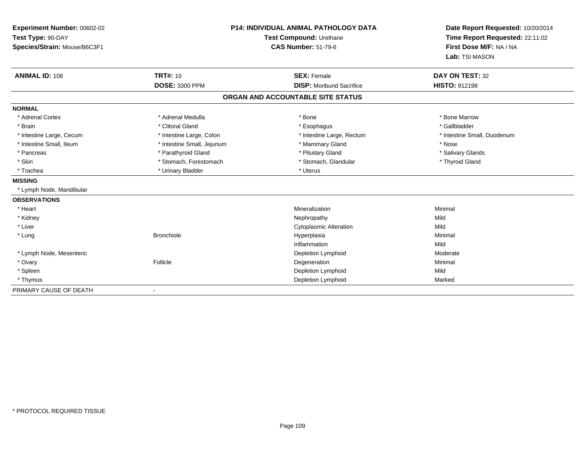| Experiment Number: 00602-02<br>Test Type: 90-DAY<br>Species/Strain: Mouse/B6C3F1<br><b>ANIMAL ID: 108</b> | <b>TRT#: 10</b>            | <b>P14: INDIVIDUAL ANIMAL PATHOLOGY DATA</b><br>Test Compound: Urethane<br><b>CAS Number: 51-79-6</b><br><b>SEX: Female</b> | Date Report Requested: 10/20/2014<br>Time Report Requested: 22:11:02<br>First Dose M/F: NA / NA<br>Lab: TSI MASON<br><b>DAY ON TEST: 32</b> |
|-----------------------------------------------------------------------------------------------------------|----------------------------|-----------------------------------------------------------------------------------------------------------------------------|---------------------------------------------------------------------------------------------------------------------------------------------|
|                                                                                                           | DOSE: 3300 PPM             | <b>DISP:</b> Moribund Sacrifice                                                                                             | <b>HISTO: 912198</b>                                                                                                                        |
|                                                                                                           |                            | ORGAN AND ACCOUNTABLE SITE STATUS                                                                                           |                                                                                                                                             |
| <b>NORMAL</b>                                                                                             |                            |                                                                                                                             |                                                                                                                                             |
| * Adrenal Cortex                                                                                          | * Adrenal Medulla          | * Bone                                                                                                                      | * Bone Marrow                                                                                                                               |
| * Brain                                                                                                   | * Clitoral Gland           | * Esophagus                                                                                                                 | * Gallbladder                                                                                                                               |
| * Intestine Large, Cecum                                                                                  | * Intestine Large, Colon   | * Intestine Large, Rectum                                                                                                   | * Intestine Small, Duodenum                                                                                                                 |
| * Intestine Small, Ileum                                                                                  | * Intestine Small, Jejunum | * Mammary Gland                                                                                                             | * Nose                                                                                                                                      |
| * Pancreas                                                                                                | * Parathyroid Gland        | * Pituitary Gland                                                                                                           | * Salivary Glands                                                                                                                           |
| * Skin                                                                                                    | * Stomach, Forestomach     | * Stomach, Glandular                                                                                                        | * Thyroid Gland                                                                                                                             |
| * Trachea                                                                                                 | * Urinary Bladder          | * Uterus                                                                                                                    |                                                                                                                                             |
| <b>MISSING</b>                                                                                            |                            |                                                                                                                             |                                                                                                                                             |
| * Lymph Node, Mandibular                                                                                  |                            |                                                                                                                             |                                                                                                                                             |
| <b>OBSERVATIONS</b>                                                                                       |                            |                                                                                                                             |                                                                                                                                             |
| * Heart                                                                                                   |                            | Mineralization                                                                                                              | Minimal                                                                                                                                     |
| * Kidney                                                                                                  |                            | Nephropathy                                                                                                                 | Mild                                                                                                                                        |
| * Liver                                                                                                   |                            | <b>Cytoplasmic Alteration</b>                                                                                               | Mild                                                                                                                                        |
| * Lung                                                                                                    | <b>Bronchiole</b>          | Hyperplasia                                                                                                                 | Minimal                                                                                                                                     |
|                                                                                                           |                            | Inflammation                                                                                                                | Mild                                                                                                                                        |
| * Lymph Node, Mesenteric                                                                                  |                            | Depletion Lymphoid                                                                                                          | Moderate                                                                                                                                    |
| * Ovary                                                                                                   | Follicle                   | Degeneration                                                                                                                | Minimal                                                                                                                                     |
| * Spleen                                                                                                  |                            | Depletion Lymphoid                                                                                                          | Mild                                                                                                                                        |
| * Thymus                                                                                                  |                            | Depletion Lymphoid                                                                                                          | Marked                                                                                                                                      |
| PRIMARY CAUSE OF DEATH                                                                                    | $\overline{\phantom{a}}$   |                                                                                                                             |                                                                                                                                             |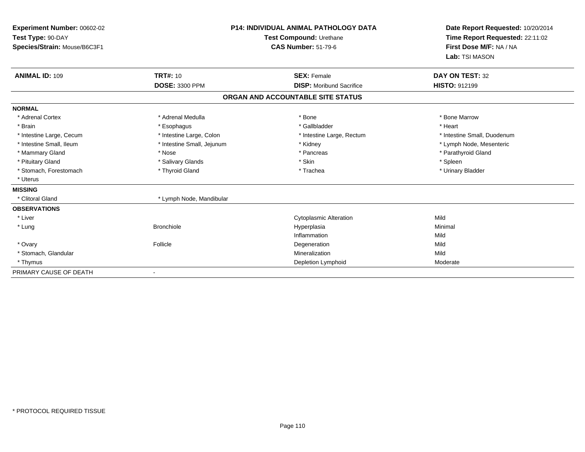| <b>Experiment Number: 00602-02</b><br>Test Type: 90-DAY<br>Species/Strain: Mouse/B6C3F1 |                            | P14: INDIVIDUAL ANIMAL PATHOLOGY DATA<br>Test Compound: Urethane<br><b>CAS Number: 51-79-6</b> | Date Report Requested: 10/20/2014<br>Time Report Requested: 22:11:02<br>First Dose M/F: NA / NA<br>Lab: TSI MASON |
|-----------------------------------------------------------------------------------------|----------------------------|------------------------------------------------------------------------------------------------|-------------------------------------------------------------------------------------------------------------------|
| <b>ANIMAL ID: 109</b>                                                                   | <b>TRT#: 10</b>            | <b>SEX: Female</b>                                                                             | DAY ON TEST: 32                                                                                                   |
|                                                                                         | <b>DOSE: 3300 PPM</b>      | <b>DISP:</b> Moribund Sacrifice                                                                | <b>HISTO: 912199</b>                                                                                              |
|                                                                                         |                            | ORGAN AND ACCOUNTABLE SITE STATUS                                                              |                                                                                                                   |
| <b>NORMAL</b>                                                                           |                            |                                                                                                |                                                                                                                   |
| * Adrenal Cortex                                                                        | * Adrenal Medulla          | * Bone                                                                                         | * Bone Marrow                                                                                                     |
| * Brain                                                                                 | * Esophagus                | * Gallbladder                                                                                  | * Heart                                                                                                           |
| * Intestine Large, Cecum                                                                | * Intestine Large, Colon   | * Intestine Large, Rectum                                                                      | * Intestine Small, Duodenum                                                                                       |
| * Intestine Small. Ileum                                                                | * Intestine Small, Jejunum | * Kidney                                                                                       | * Lymph Node, Mesenteric                                                                                          |
| * Mammary Gland                                                                         | * Nose                     | * Pancreas                                                                                     | * Parathyroid Gland                                                                                               |
| * Pituitary Gland                                                                       | * Salivary Glands          | * Skin                                                                                         | * Spleen                                                                                                          |
| * Stomach, Forestomach                                                                  | * Thyroid Gland            | * Trachea                                                                                      | * Urinary Bladder                                                                                                 |
| * Uterus                                                                                |                            |                                                                                                |                                                                                                                   |
| <b>MISSING</b>                                                                          |                            |                                                                                                |                                                                                                                   |
| * Clitoral Gland                                                                        | * Lymph Node, Mandibular   |                                                                                                |                                                                                                                   |
| <b>OBSERVATIONS</b>                                                                     |                            |                                                                                                |                                                                                                                   |
| * Liver                                                                                 |                            | <b>Cytoplasmic Alteration</b>                                                                  | Mild                                                                                                              |
| * Lung                                                                                  | <b>Bronchiole</b>          | Hyperplasia                                                                                    | Minimal                                                                                                           |
|                                                                                         |                            | Inflammation                                                                                   | Mild                                                                                                              |
| * Ovary                                                                                 | Follicle                   | Degeneration                                                                                   | Mild                                                                                                              |
| * Stomach, Glandular                                                                    |                            | Mineralization                                                                                 | Mild                                                                                                              |
| * Thymus                                                                                |                            | Depletion Lymphoid                                                                             | Moderate                                                                                                          |
| PRIMARY CAUSE OF DEATH                                                                  |                            |                                                                                                |                                                                                                                   |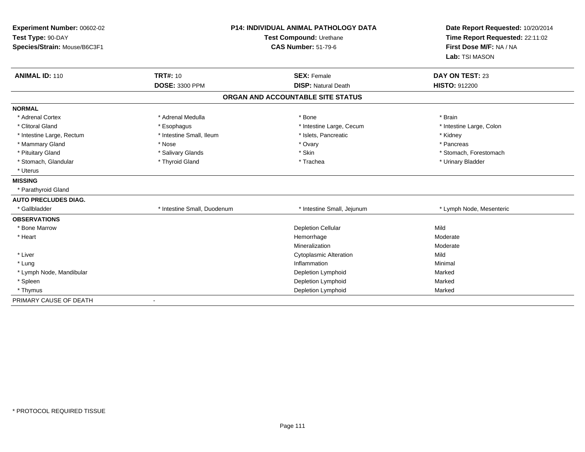| Experiment Number: 00602-02<br>Test Type: 90-DAY<br>Species/Strain: Mouse/B6C3F1<br><b>ANIMAL ID: 110</b> | <b>TRT#: 10</b>             | <b>P14: INDIVIDUAL ANIMAL PATHOLOGY DATA</b><br>Test Compound: Urethane<br><b>CAS Number: 51-79-6</b><br><b>SEX: Female</b> | Date Report Requested: 10/20/2014<br>Time Report Requested: 22:11:02<br>First Dose M/F: NA / NA<br>Lab: TSI MASON<br>DAY ON TEST: 23 |
|-----------------------------------------------------------------------------------------------------------|-----------------------------|-----------------------------------------------------------------------------------------------------------------------------|--------------------------------------------------------------------------------------------------------------------------------------|
|                                                                                                           | <b>DOSE: 3300 PPM</b>       | <b>DISP: Natural Death</b>                                                                                                  | <b>HISTO: 912200</b>                                                                                                                 |
|                                                                                                           |                             | ORGAN AND ACCOUNTABLE SITE STATUS                                                                                           |                                                                                                                                      |
| <b>NORMAL</b>                                                                                             |                             |                                                                                                                             |                                                                                                                                      |
| * Adrenal Cortex                                                                                          | * Adrenal Medulla           | * Bone                                                                                                                      | * Brain                                                                                                                              |
| * Clitoral Gland                                                                                          | * Esophagus                 | * Intestine Large, Cecum                                                                                                    | * Intestine Large, Colon                                                                                                             |
| * Intestine Large, Rectum                                                                                 | * Intestine Small, Ileum    | * Islets, Pancreatic                                                                                                        | * Kidney                                                                                                                             |
| * Mammary Gland                                                                                           | * Nose                      | * Ovary                                                                                                                     | * Pancreas                                                                                                                           |
| * Pituitary Gland                                                                                         | * Salivary Glands           | * Skin                                                                                                                      | * Stomach. Forestomach                                                                                                               |
| * Stomach, Glandular                                                                                      | * Thyroid Gland             | * Trachea                                                                                                                   | * Urinary Bladder                                                                                                                    |
| * Uterus                                                                                                  |                             |                                                                                                                             |                                                                                                                                      |
| <b>MISSING</b>                                                                                            |                             |                                                                                                                             |                                                                                                                                      |
| * Parathyroid Gland                                                                                       |                             |                                                                                                                             |                                                                                                                                      |
| <b>AUTO PRECLUDES DIAG.</b>                                                                               |                             |                                                                                                                             |                                                                                                                                      |
| * Gallbladder                                                                                             | * Intestine Small, Duodenum | * Intestine Small, Jejunum                                                                                                  | * Lymph Node, Mesenteric                                                                                                             |
| <b>OBSERVATIONS</b>                                                                                       |                             |                                                                                                                             |                                                                                                                                      |
| * Bone Marrow                                                                                             |                             | <b>Depletion Cellular</b>                                                                                                   | Mild                                                                                                                                 |
| * Heart                                                                                                   |                             | Hemorrhage                                                                                                                  | Moderate                                                                                                                             |
|                                                                                                           |                             | Mineralization                                                                                                              | Moderate                                                                                                                             |
| * Liver                                                                                                   |                             | <b>Cytoplasmic Alteration</b>                                                                                               | Mild                                                                                                                                 |
| * Lung                                                                                                    |                             | Inflammation                                                                                                                | Minimal                                                                                                                              |
| * Lymph Node, Mandibular                                                                                  |                             | Depletion Lymphoid                                                                                                          | Marked                                                                                                                               |
| * Spleen                                                                                                  |                             | Depletion Lymphoid                                                                                                          | Marked                                                                                                                               |
| * Thymus                                                                                                  |                             | Depletion Lymphoid                                                                                                          | Marked                                                                                                                               |
| PRIMARY CAUSE OF DEATH                                                                                    | $\overline{\phantom{a}}$    |                                                                                                                             |                                                                                                                                      |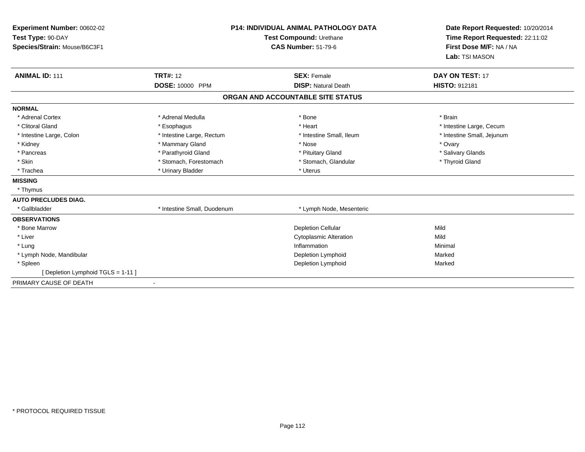| Experiment Number: 00602-02<br>Test Type: 90-DAY<br>Species/Strain: Mouse/B6C3F1<br><b>ANIMAL ID: 111</b> | <b>TRT#: 12</b>             | <b>P14: INDIVIDUAL ANIMAL PATHOLOGY DATA</b><br>Test Compound: Urethane<br><b>CAS Number: 51-79-6</b><br><b>SEX: Female</b> | Date Report Requested: 10/20/2014<br>Time Report Requested: 22:11:02<br>First Dose M/F: NA / NA<br>Lab: TSI MASON<br>DAY ON TEST: 17 |
|-----------------------------------------------------------------------------------------------------------|-----------------------------|-----------------------------------------------------------------------------------------------------------------------------|--------------------------------------------------------------------------------------------------------------------------------------|
|                                                                                                           | DOSE: 10000 PPM             | <b>DISP: Natural Death</b>                                                                                                  | <b>HISTO: 912181</b>                                                                                                                 |
|                                                                                                           |                             | ORGAN AND ACCOUNTABLE SITE STATUS                                                                                           |                                                                                                                                      |
| <b>NORMAL</b>                                                                                             |                             |                                                                                                                             |                                                                                                                                      |
| * Adrenal Cortex                                                                                          | * Adrenal Medulla           | * Bone                                                                                                                      | * Brain                                                                                                                              |
| * Clitoral Gland                                                                                          | * Esophagus                 | * Heart                                                                                                                     | * Intestine Large, Cecum                                                                                                             |
| * Intestine Large, Colon                                                                                  | * Intestine Large, Rectum   | * Intestine Small, Ileum                                                                                                    | * Intestine Small, Jejunum                                                                                                           |
| * Kidney                                                                                                  | * Mammary Gland             | * Nose                                                                                                                      | * Ovary                                                                                                                              |
| * Pancreas                                                                                                | * Parathyroid Gland         | * Pituitary Gland                                                                                                           | * Salivary Glands                                                                                                                    |
| * Skin                                                                                                    | * Stomach, Forestomach      | * Stomach, Glandular                                                                                                        | * Thyroid Gland                                                                                                                      |
| * Trachea                                                                                                 | * Urinary Bladder           | * Uterus                                                                                                                    |                                                                                                                                      |
| <b>MISSING</b>                                                                                            |                             |                                                                                                                             |                                                                                                                                      |
| * Thymus                                                                                                  |                             |                                                                                                                             |                                                                                                                                      |
| <b>AUTO PRECLUDES DIAG.</b>                                                                               |                             |                                                                                                                             |                                                                                                                                      |
| * Gallbladder                                                                                             | * Intestine Small, Duodenum | * Lymph Node, Mesenteric                                                                                                    |                                                                                                                                      |
| <b>OBSERVATIONS</b>                                                                                       |                             |                                                                                                                             |                                                                                                                                      |
| * Bone Marrow                                                                                             |                             | <b>Depletion Cellular</b>                                                                                                   | Mild                                                                                                                                 |
| * Liver                                                                                                   |                             | <b>Cytoplasmic Alteration</b>                                                                                               | Mild                                                                                                                                 |
| * Lung                                                                                                    |                             | Inflammation                                                                                                                | Minimal                                                                                                                              |
| * Lymph Node, Mandibular                                                                                  |                             | Depletion Lymphoid                                                                                                          | Marked                                                                                                                               |
| * Spleen                                                                                                  |                             | Depletion Lymphoid                                                                                                          | Marked                                                                                                                               |
| [ Depletion Lymphoid TGLS = 1-11 ]                                                                        |                             |                                                                                                                             |                                                                                                                                      |
| PRIMARY CAUSE OF DEATH                                                                                    |                             |                                                                                                                             |                                                                                                                                      |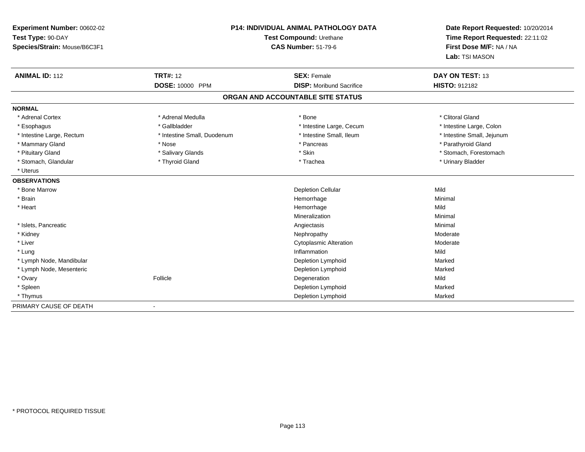| Experiment Number: 00602-02  |                             | P14: INDIVIDUAL ANIMAL PATHOLOGY DATA | Date Report Requested: 10/20/2014 |
|------------------------------|-----------------------------|---------------------------------------|-----------------------------------|
| Test Type: 90-DAY            | Test Compound: Urethane     |                                       | Time Report Requested: 22:11:02   |
| Species/Strain: Mouse/B6C3F1 |                             | <b>CAS Number: 51-79-6</b>            | First Dose M/F: NA / NA           |
|                              |                             |                                       | Lab: TSI MASON                    |
| <b>ANIMAL ID: 112</b>        | <b>TRT#: 12</b>             | <b>SEX: Female</b>                    | DAY ON TEST: 13                   |
|                              | DOSE: 10000 PPM             | <b>DISP: Moribund Sacrifice</b>       | HISTO: 912182                     |
|                              |                             | ORGAN AND ACCOUNTABLE SITE STATUS     |                                   |
| <b>NORMAL</b>                |                             |                                       |                                   |
| * Adrenal Cortex             | * Adrenal Medulla           | * Bone                                | * Clitoral Gland                  |
| * Esophagus                  | * Gallbladder               | * Intestine Large, Cecum              | * Intestine Large, Colon          |
| * Intestine Large, Rectum    | * Intestine Small, Duodenum | * Intestine Small, Ileum              | * Intestine Small, Jejunum        |
| * Mammary Gland              | * Nose                      | * Pancreas                            | * Parathyroid Gland               |
| * Pituitary Gland            | * Salivary Glands           | * Skin                                | * Stomach, Forestomach            |
| * Stomach, Glandular         | * Thyroid Gland             | * Trachea                             | * Urinary Bladder                 |
| * Uterus                     |                             |                                       |                                   |
| <b>OBSERVATIONS</b>          |                             |                                       |                                   |
| * Bone Marrow                |                             | <b>Depletion Cellular</b>             | Mild                              |
| * Brain                      |                             | Hemorrhage                            | Minimal                           |
| * Heart                      |                             | Hemorrhage                            | Mild                              |
|                              |                             | Mineralization                        | Minimal                           |
| * Islets, Pancreatic         |                             | Angiectasis                           | Minimal                           |
| * Kidney                     |                             | Nephropathy                           | Moderate                          |
| * Liver                      |                             | <b>Cytoplasmic Alteration</b>         | Moderate                          |
| * Lung                       |                             | Inflammation                          | Mild                              |
| * Lymph Node, Mandibular     |                             | Depletion Lymphoid                    | Marked                            |
| * Lymph Node, Mesenteric     |                             | Depletion Lymphoid                    | Marked                            |
| * Ovary                      | Follicle                    | Degeneration                          | Mild                              |
| * Spleen                     |                             | Depletion Lymphoid                    | Marked                            |
| * Thymus                     |                             | Depletion Lymphoid                    | Marked                            |
| PRIMARY CAUSE OF DEATH       |                             |                                       |                                   |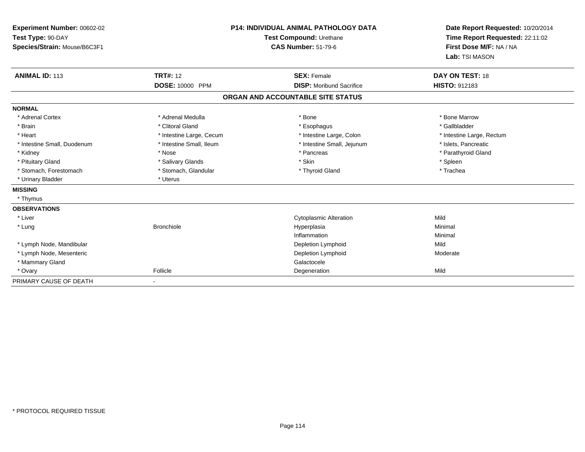| Experiment Number: 00602-02<br>Test Type: 90-DAY<br>Species/Strain: Mouse/B6C3F1 |                          | <b>P14: INDIVIDUAL ANIMAL PATHOLOGY DATA</b><br>Test Compound: Urethane<br><b>CAS Number: 51-79-6</b> | Date Report Requested: 10/20/2014<br>Time Report Requested: 22:11:02<br>First Dose M/F: NA / NA<br>Lab: TSI MASON |
|----------------------------------------------------------------------------------|--------------------------|-------------------------------------------------------------------------------------------------------|-------------------------------------------------------------------------------------------------------------------|
| <b>ANIMAL ID: 113</b>                                                            | <b>TRT#: 12</b>          | <b>SEX: Female</b><br><b>DISP:</b> Moribund Sacrifice                                                 | DAY ON TEST: 18<br><b>HISTO: 912183</b>                                                                           |
|                                                                                  | DOSE: 10000 PPM          |                                                                                                       |                                                                                                                   |
|                                                                                  |                          | ORGAN AND ACCOUNTABLE SITE STATUS                                                                     |                                                                                                                   |
| <b>NORMAL</b>                                                                    |                          |                                                                                                       |                                                                                                                   |
| * Adrenal Cortex                                                                 | * Adrenal Medulla        | * Bone                                                                                                | * Bone Marrow                                                                                                     |
| * Brain                                                                          | * Clitoral Gland         | * Esophagus                                                                                           | * Gallbladder                                                                                                     |
| * Heart                                                                          | * Intestine Large, Cecum | * Intestine Large, Colon                                                                              | * Intestine Large, Rectum                                                                                         |
| * Intestine Small, Duodenum                                                      | * Intestine Small, Ileum | * Intestine Small, Jejunum                                                                            | * Islets, Pancreatic                                                                                              |
| * Kidney                                                                         | * Nose                   | * Pancreas                                                                                            | * Parathyroid Gland                                                                                               |
| * Pituitary Gland                                                                | * Salivary Glands        | * Skin                                                                                                | * Spleen                                                                                                          |
| * Stomach, Forestomach                                                           | * Stomach, Glandular     | * Thyroid Gland                                                                                       | * Trachea                                                                                                         |
| * Urinary Bladder                                                                | * Uterus                 |                                                                                                       |                                                                                                                   |
| <b>MISSING</b>                                                                   |                          |                                                                                                       |                                                                                                                   |
| * Thymus                                                                         |                          |                                                                                                       |                                                                                                                   |
| <b>OBSERVATIONS</b>                                                              |                          |                                                                                                       |                                                                                                                   |
| * Liver                                                                          |                          | <b>Cytoplasmic Alteration</b>                                                                         | Mild                                                                                                              |
| * Lung                                                                           | <b>Bronchiole</b>        | Hyperplasia                                                                                           | Minimal                                                                                                           |
|                                                                                  |                          | Inflammation                                                                                          | Minimal                                                                                                           |
| * Lymph Node, Mandibular                                                         |                          | <b>Depletion Lymphoid</b>                                                                             | Mild                                                                                                              |
| * Lymph Node, Mesenteric                                                         |                          | Depletion Lymphoid                                                                                    | Moderate                                                                                                          |
| * Mammary Gland                                                                  |                          | Galactocele                                                                                           |                                                                                                                   |
| * Ovary                                                                          | Follicle                 | Degeneration                                                                                          | Mild                                                                                                              |
| PRIMARY CAUSE OF DEATH                                                           |                          |                                                                                                       |                                                                                                                   |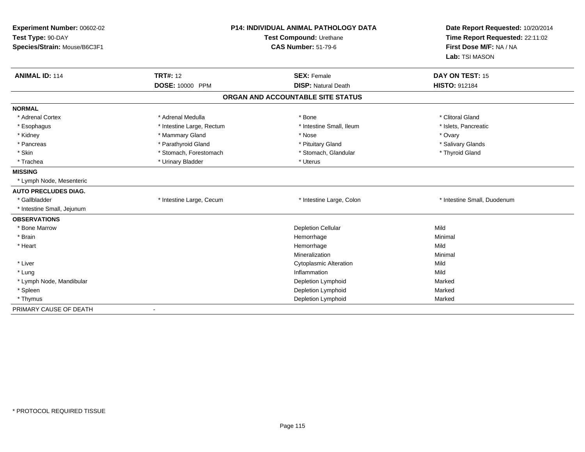| Experiment Number: 00602-02<br>Test Type: 90-DAY<br>Species/Strain: Mouse/B6C3F1 |                           | <b>P14: INDIVIDUAL ANIMAL PATHOLOGY DATA</b><br>Test Compound: Urethane<br><b>CAS Number: 51-79-6</b> | Date Report Requested: 10/20/2014<br>Time Report Requested: 22:11:02<br>First Dose M/F: NA / NA<br>Lab: TSI MASON |
|----------------------------------------------------------------------------------|---------------------------|-------------------------------------------------------------------------------------------------------|-------------------------------------------------------------------------------------------------------------------|
| <b>ANIMAL ID: 114</b>                                                            | <b>TRT#: 12</b>           | <b>SEX: Female</b>                                                                                    | DAY ON TEST: 15                                                                                                   |
|                                                                                  | DOSE: 10000 PPM           | <b>DISP: Natural Death</b>                                                                            | <b>HISTO: 912184</b>                                                                                              |
|                                                                                  |                           | ORGAN AND ACCOUNTABLE SITE STATUS                                                                     |                                                                                                                   |
| <b>NORMAL</b>                                                                    |                           |                                                                                                       |                                                                                                                   |
| * Adrenal Cortex                                                                 | * Adrenal Medulla         | * Bone                                                                                                | * Clitoral Gland                                                                                                  |
| * Esophagus                                                                      | * Intestine Large, Rectum | * Intestine Small, Ileum                                                                              | * Islets, Pancreatic                                                                                              |
| * Kidney                                                                         | * Mammary Gland           | * Nose                                                                                                | * Ovary                                                                                                           |
| * Pancreas                                                                       | * Parathyroid Gland       | * Pituitary Gland                                                                                     | * Salivary Glands                                                                                                 |
| * Skin                                                                           | * Stomach, Forestomach    | * Stomach, Glandular                                                                                  | * Thyroid Gland                                                                                                   |
| * Trachea                                                                        | * Urinary Bladder         | * Uterus                                                                                              |                                                                                                                   |
| <b>MISSING</b>                                                                   |                           |                                                                                                       |                                                                                                                   |
| * Lymph Node, Mesenteric                                                         |                           |                                                                                                       |                                                                                                                   |
| <b>AUTO PRECLUDES DIAG.</b>                                                      |                           |                                                                                                       |                                                                                                                   |
| * Gallbladder                                                                    | * Intestine Large, Cecum  | * Intestine Large, Colon                                                                              | * Intestine Small, Duodenum                                                                                       |
| * Intestine Small, Jejunum                                                       |                           |                                                                                                       |                                                                                                                   |
| <b>OBSERVATIONS</b>                                                              |                           |                                                                                                       |                                                                                                                   |
| * Bone Marrow                                                                    |                           | <b>Depletion Cellular</b>                                                                             | Mild                                                                                                              |
| * Brain                                                                          |                           | Hemorrhage                                                                                            | Minimal                                                                                                           |
| * Heart                                                                          |                           | Hemorrhage                                                                                            | Mild                                                                                                              |
|                                                                                  |                           | Mineralization                                                                                        | Minimal                                                                                                           |
| * Liver                                                                          |                           | <b>Cytoplasmic Alteration</b>                                                                         | Mild                                                                                                              |
| * Lung                                                                           |                           | Inflammation                                                                                          | Mild                                                                                                              |
| * Lymph Node, Mandibular                                                         |                           | Depletion Lymphoid                                                                                    | Marked                                                                                                            |
| * Spleen                                                                         |                           | Depletion Lymphoid                                                                                    | Marked                                                                                                            |
| * Thymus                                                                         |                           | Depletion Lymphoid                                                                                    | Marked                                                                                                            |
| PRIMARY CAUSE OF DEATH                                                           |                           |                                                                                                       |                                                                                                                   |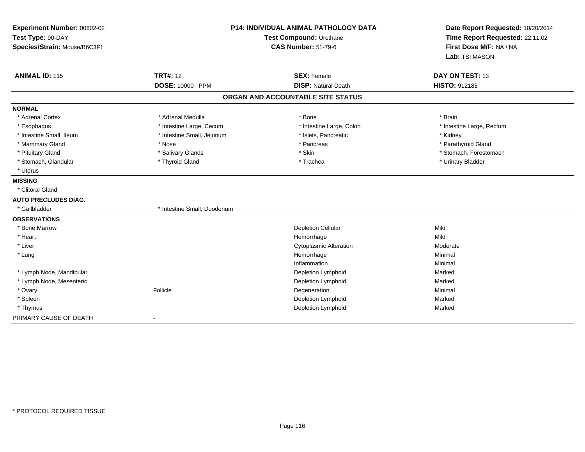| Experiment Number: 00602-02<br>Test Type: 90-DAY |                             | <b>P14: INDIVIDUAL ANIMAL PATHOLOGY DATA</b><br>Test Compound: Urethane | Date Report Requested: 10/20/2014<br>Time Report Requested: 22:11:02 |
|--------------------------------------------------|-----------------------------|-------------------------------------------------------------------------|----------------------------------------------------------------------|
| Species/Strain: Mouse/B6C3F1                     |                             | <b>CAS Number: 51-79-6</b>                                              | First Dose M/F: NA / NA<br>Lab: TSI MASON                            |
| <b>ANIMAL ID: 115</b>                            | <b>TRT#: 12</b>             | <b>SEX: Female</b>                                                      | DAY ON TEST: 13                                                      |
|                                                  | DOSE: 10000 PPM             | <b>DISP: Natural Death</b>                                              | HISTO: 912185                                                        |
|                                                  |                             | ORGAN AND ACCOUNTABLE SITE STATUS                                       |                                                                      |
| <b>NORMAL</b>                                    |                             |                                                                         |                                                                      |
| * Adrenal Cortex                                 | * Adrenal Medulla           | * Bone                                                                  | * Brain                                                              |
| * Esophagus                                      | * Intestine Large, Cecum    | * Intestine Large, Colon                                                | * Intestine Large, Rectum                                            |
| * Intestine Small, Ileum                         | * Intestine Small, Jejunum  | * Islets, Pancreatic                                                    | * Kidney                                                             |
| * Mammary Gland                                  | * Nose                      | * Pancreas                                                              | * Parathyroid Gland                                                  |
| * Pituitary Gland                                | * Salivary Glands           | * Skin                                                                  | * Stomach, Forestomach                                               |
| * Stomach, Glandular                             | * Thyroid Gland             | * Trachea                                                               | * Urinary Bladder                                                    |
| * Uterus                                         |                             |                                                                         |                                                                      |
| <b>MISSING</b>                                   |                             |                                                                         |                                                                      |
| * Clitoral Gland                                 |                             |                                                                         |                                                                      |
| <b>AUTO PRECLUDES DIAG.</b>                      |                             |                                                                         |                                                                      |
| * Gallbladder                                    | * Intestine Small, Duodenum |                                                                         |                                                                      |
| <b>OBSERVATIONS</b>                              |                             |                                                                         |                                                                      |
| * Bone Marrow                                    |                             | <b>Depletion Cellular</b>                                               | Mild                                                                 |
| * Heart                                          |                             | Hemorrhage                                                              | Mild                                                                 |
| * Liver                                          |                             | <b>Cytoplasmic Alteration</b>                                           | Moderate                                                             |
| * Lung                                           |                             | Hemorrhage                                                              | Minimal                                                              |
|                                                  |                             | Inflammation                                                            | Minimal                                                              |
| * Lymph Node, Mandibular                         |                             | Depletion Lymphoid                                                      | Marked                                                               |
| * Lymph Node, Mesenteric                         |                             | Depletion Lymphoid                                                      | Marked                                                               |
| * Ovary                                          | Follicle                    | Degeneration                                                            | Minimal                                                              |
| * Spleen                                         |                             | Depletion Lymphoid                                                      | Marked                                                               |
| * Thymus                                         |                             | Depletion Lymphoid                                                      | Marked                                                               |
| PRIMARY CAUSE OF DEATH                           | $\sim$                      |                                                                         |                                                                      |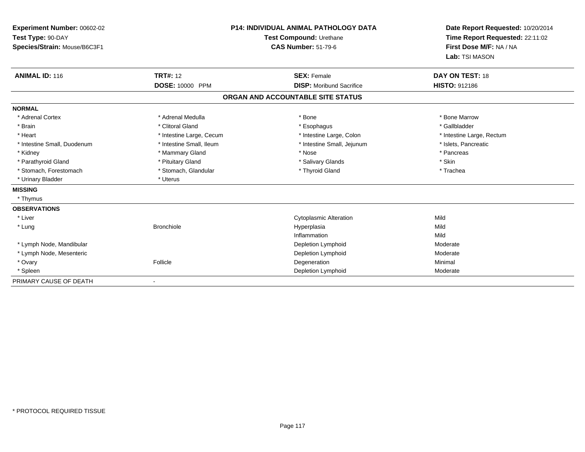| Experiment Number: 00602-02<br>Test Type: 90-DAY<br>Species/Strain: Mouse/B6C3F1<br><b>ANIMAL ID: 116</b> | <b>TRT#: 12</b>          | <b>P14: INDIVIDUAL ANIMAL PATHOLOGY DATA</b><br>Test Compound: Urethane<br><b>CAS Number: 51-79-6</b><br><b>SEX: Female</b> | Date Report Requested: 10/20/2014<br>Time Report Requested: 22:11:02<br>First Dose M/F: NA / NA<br>Lab: TSI MASON<br>DAY ON TEST: 18 |
|-----------------------------------------------------------------------------------------------------------|--------------------------|-----------------------------------------------------------------------------------------------------------------------------|--------------------------------------------------------------------------------------------------------------------------------------|
|                                                                                                           | DOSE: 10000 PPM          | <b>DISP:</b> Moribund Sacrifice                                                                                             | <b>HISTO: 912186</b>                                                                                                                 |
|                                                                                                           |                          | ORGAN AND ACCOUNTABLE SITE STATUS                                                                                           |                                                                                                                                      |
| <b>NORMAL</b>                                                                                             |                          |                                                                                                                             |                                                                                                                                      |
| * Adrenal Cortex                                                                                          | * Adrenal Medulla        | * Bone                                                                                                                      | * Bone Marrow                                                                                                                        |
| * Brain                                                                                                   | * Clitoral Gland         | * Esophagus                                                                                                                 | * Gallbladder                                                                                                                        |
| * Heart                                                                                                   | * Intestine Large, Cecum | * Intestine Large, Colon                                                                                                    | * Intestine Large, Rectum                                                                                                            |
| * Intestine Small, Duodenum                                                                               | * Intestine Small, Ileum | * Intestine Small, Jejunum                                                                                                  | * Islets, Pancreatic                                                                                                                 |
| * Kidney                                                                                                  | * Mammary Gland          | * Nose                                                                                                                      | * Pancreas                                                                                                                           |
| * Parathyroid Gland                                                                                       | * Pituitary Gland        | * Salivary Glands                                                                                                           | * Skin                                                                                                                               |
| * Stomach, Forestomach                                                                                    | * Stomach, Glandular     | * Thyroid Gland                                                                                                             | * Trachea                                                                                                                            |
| * Urinary Bladder                                                                                         | * Uterus                 |                                                                                                                             |                                                                                                                                      |
| <b>MISSING</b>                                                                                            |                          |                                                                                                                             |                                                                                                                                      |
| * Thymus                                                                                                  |                          |                                                                                                                             |                                                                                                                                      |
| <b>OBSERVATIONS</b>                                                                                       |                          |                                                                                                                             |                                                                                                                                      |
| * Liver                                                                                                   |                          | <b>Cytoplasmic Alteration</b>                                                                                               | Mild                                                                                                                                 |
| * Lung                                                                                                    | <b>Bronchiole</b>        | Hyperplasia                                                                                                                 | Mild                                                                                                                                 |
|                                                                                                           |                          | Inflammation                                                                                                                | Mild                                                                                                                                 |
| * Lymph Node, Mandibular                                                                                  |                          | Depletion Lymphoid                                                                                                          | Moderate                                                                                                                             |
| * Lymph Node, Mesenteric                                                                                  |                          | Depletion Lymphoid                                                                                                          | Moderate                                                                                                                             |
| * Ovary                                                                                                   | Follicle                 | Degeneration                                                                                                                | Minimal                                                                                                                              |
| * Spleen                                                                                                  |                          | Depletion Lymphoid                                                                                                          | Moderate                                                                                                                             |
| PRIMARY CAUSE OF DEATH                                                                                    |                          |                                                                                                                             |                                                                                                                                      |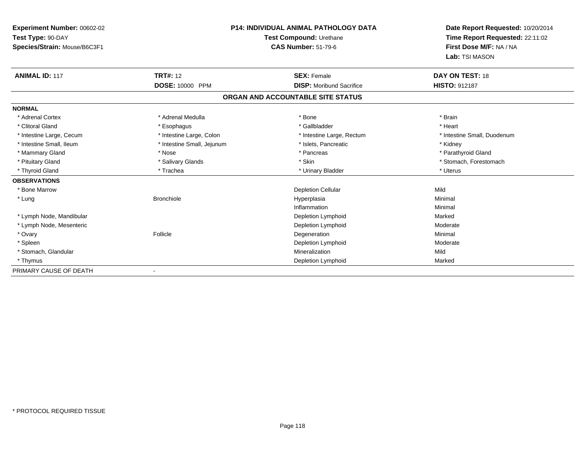| Experiment Number: 00602-02  | <b>P14: INDIVIDUAL ANIMAL PATHOLOGY DATA</b> |                                   | Date Report Requested: 10/20/2014 |
|------------------------------|----------------------------------------------|-----------------------------------|-----------------------------------|
| Test Type: 90-DAY            |                                              | Test Compound: Urethane           | Time Report Requested: 22:11:02   |
| Species/Strain: Mouse/B6C3F1 |                                              | <b>CAS Number: 51-79-6</b>        | First Dose M/F: NA / NA           |
|                              |                                              |                                   | Lab: TSI MASON                    |
| <b>ANIMAL ID: 117</b>        | <b>TRT#: 12</b>                              | <b>SEX: Female</b>                | DAY ON TEST: 18                   |
|                              | DOSE: 10000 PPM                              | <b>DISP: Moribund Sacrifice</b>   | HISTO: 912187                     |
|                              |                                              | ORGAN AND ACCOUNTABLE SITE STATUS |                                   |
| <b>NORMAL</b>                |                                              |                                   |                                   |
| * Adrenal Cortex             | * Adrenal Medulla                            | * Bone                            | * Brain                           |
| * Clitoral Gland             | * Esophagus                                  | * Gallbladder                     | * Heart                           |
| * Intestine Large, Cecum     | * Intestine Large, Colon                     | * Intestine Large, Rectum         | * Intestine Small, Duodenum       |
| * Intestine Small, Ileum     | * Intestine Small, Jejunum                   | * Islets, Pancreatic              | * Kidney                          |
| * Mammary Gland              | * Nose                                       | * Pancreas                        | * Parathyroid Gland               |
| * Pituitary Gland            | * Salivary Glands                            | * Skin                            | * Stomach, Forestomach            |
| * Thyroid Gland              | * Trachea                                    | * Urinary Bladder                 | * Uterus                          |
| <b>OBSERVATIONS</b>          |                                              |                                   |                                   |
| * Bone Marrow                |                                              | <b>Depletion Cellular</b>         | Mild                              |
| * Lung                       | <b>Bronchiole</b>                            | Hyperplasia                       | Minimal                           |
|                              |                                              | Inflammation                      | Minimal                           |
| * Lymph Node, Mandibular     |                                              | Depletion Lymphoid                | Marked                            |
| * Lymph Node, Mesenteric     |                                              | Depletion Lymphoid                | Moderate                          |
| * Ovary                      | Follicle                                     | Degeneration                      | Minimal                           |
| * Spleen                     |                                              | Depletion Lymphoid                | Moderate                          |
| * Stomach, Glandular         |                                              | Mineralization                    | Mild                              |
| * Thymus                     |                                              | Depletion Lymphoid                | Marked                            |
| PRIMARY CAUSE OF DEATH       |                                              |                                   |                                   |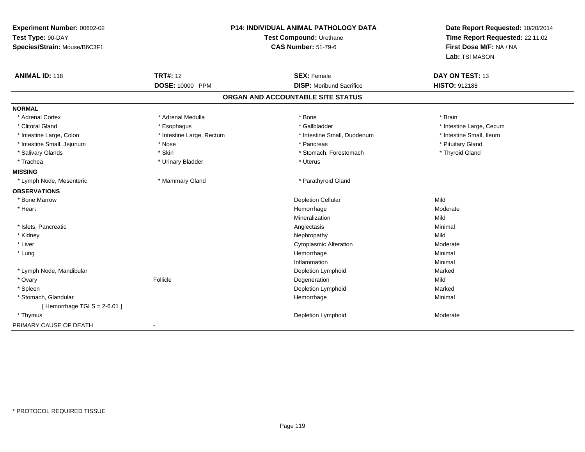| Experiment Number: 00602-02<br>Test Type: 90-DAY<br>Species/Strain: Mouse/B6C3F1 | P14: INDIVIDUAL ANIMAL PATHOLOGY DATA<br>Test Compound: Urethane<br><b>CAS Number: 51-79-6</b> |                                   | Date Report Requested: 10/20/2014<br>Time Report Requested: 22:11:02<br>First Dose M/F: NA / NA<br>Lab: TSI MASON |
|----------------------------------------------------------------------------------|------------------------------------------------------------------------------------------------|-----------------------------------|-------------------------------------------------------------------------------------------------------------------|
| <b>ANIMAL ID: 118</b>                                                            | <b>TRT#: 12</b>                                                                                | <b>SEX: Female</b>                | DAY ON TEST: 13                                                                                                   |
|                                                                                  | DOSE: 10000 PPM                                                                                | <b>DISP:</b> Moribund Sacrifice   | <b>HISTO: 912188</b>                                                                                              |
|                                                                                  |                                                                                                | ORGAN AND ACCOUNTABLE SITE STATUS |                                                                                                                   |
| <b>NORMAL</b>                                                                    |                                                                                                |                                   |                                                                                                                   |
| * Adrenal Cortex                                                                 | * Adrenal Medulla                                                                              | * Bone                            | * Brain                                                                                                           |
| * Clitoral Gland                                                                 | * Esophagus                                                                                    | * Gallbladder                     | * Intestine Large, Cecum                                                                                          |
| * Intestine Large, Colon                                                         | * Intestine Large, Rectum                                                                      | * Intestine Small, Duodenum       | * Intestine Small. Ileum                                                                                          |
| * Intestine Small, Jejunum                                                       | * Nose                                                                                         | * Pancreas                        | * Pituitary Gland                                                                                                 |
| * Salivary Glands                                                                | * Skin                                                                                         | * Stomach, Forestomach            | * Thyroid Gland                                                                                                   |
| * Trachea                                                                        | * Urinary Bladder                                                                              | * Uterus                          |                                                                                                                   |
| <b>MISSING</b>                                                                   |                                                                                                |                                   |                                                                                                                   |
| * Lymph Node, Mesenteric                                                         | * Mammary Gland                                                                                | * Parathyroid Gland               |                                                                                                                   |
| <b>OBSERVATIONS</b>                                                              |                                                                                                |                                   |                                                                                                                   |
| * Bone Marrow                                                                    |                                                                                                | <b>Depletion Cellular</b>         | Mild                                                                                                              |
| * Heart                                                                          |                                                                                                | Hemorrhage                        | Moderate                                                                                                          |
|                                                                                  |                                                                                                | Mineralization                    | Mild                                                                                                              |
| * Islets, Pancreatic                                                             |                                                                                                | Angiectasis                       | Minimal                                                                                                           |
| * Kidney                                                                         |                                                                                                | Nephropathy                       | Mild                                                                                                              |
| * Liver                                                                          |                                                                                                | <b>Cytoplasmic Alteration</b>     | Moderate                                                                                                          |
| * Lung                                                                           |                                                                                                | Hemorrhage                        | Minimal                                                                                                           |
|                                                                                  |                                                                                                | Inflammation                      | Minimal                                                                                                           |
| * Lymph Node, Mandibular                                                         |                                                                                                | <b>Depletion Lymphoid</b>         | Marked                                                                                                            |
| * Ovary                                                                          | Follicle                                                                                       | Degeneration                      | Mild                                                                                                              |
| * Spleen                                                                         |                                                                                                | Depletion Lymphoid                | Marked                                                                                                            |
| * Stomach, Glandular                                                             |                                                                                                | Hemorrhage                        | Minimal                                                                                                           |
| [Hemorrhage TGLS = $2-6.01$ ]                                                    |                                                                                                |                                   |                                                                                                                   |
| * Thymus                                                                         |                                                                                                | Depletion Lymphoid                | Moderate                                                                                                          |
| PRIMARY CAUSE OF DEATH                                                           | $\blacksquare$                                                                                 |                                   |                                                                                                                   |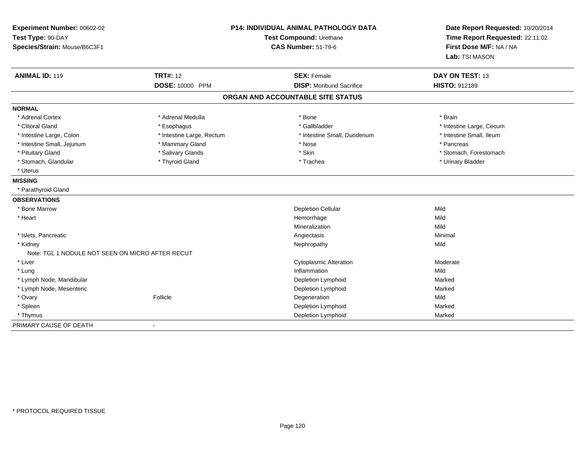| Experiment Number: 00602-02<br>Test Type: 90-DAY<br>Species/Strain: Mouse/B6C3F1 |                           | P14: INDIVIDUAL ANIMAL PATHOLOGY DATA<br>Test Compound: Urethane<br><b>CAS Number: 51-79-6</b> |                          |
|----------------------------------------------------------------------------------|---------------------------|------------------------------------------------------------------------------------------------|--------------------------|
| <b>ANIMAL ID: 119</b>                                                            | <b>TRT#: 12</b>           | <b>SEX: Female</b>                                                                             | DAY ON TEST: 13          |
|                                                                                  | DOSE: 10000 PPM           | <b>DISP:</b> Moribund Sacrifice                                                                | <b>HISTO: 912189</b>     |
|                                                                                  |                           | ORGAN AND ACCOUNTABLE SITE STATUS                                                              |                          |
| <b>NORMAL</b>                                                                    |                           |                                                                                                |                          |
| * Adrenal Cortex                                                                 | * Adrenal Medulla         | * Bone                                                                                         | * Brain                  |
| * Clitoral Gland                                                                 | * Esophagus               | * Gallbladder                                                                                  | * Intestine Large, Cecum |
| * Intestine Large, Colon                                                         | * Intestine Large, Rectum | * Intestine Small, Duodenum                                                                    | * Intestine Small, Ileum |
| * Intestine Small, Jejunum                                                       | * Mammary Gland           | * Nose                                                                                         | * Pancreas               |
| * Pituitary Gland                                                                | * Salivary Glands         | * Skin                                                                                         | * Stomach, Forestomach   |
| * Stomach, Glandular                                                             | * Thyroid Gland           | * Trachea                                                                                      | * Urinary Bladder        |
| * Uterus                                                                         |                           |                                                                                                |                          |
| <b>MISSING</b>                                                                   |                           |                                                                                                |                          |
| * Parathyroid Gland                                                              |                           |                                                                                                |                          |
| <b>OBSERVATIONS</b>                                                              |                           |                                                                                                |                          |
| * Bone Marrow                                                                    |                           | <b>Depletion Cellular</b>                                                                      | Mild                     |
| * Heart                                                                          |                           | Hemorrhage                                                                                     | Mild                     |
|                                                                                  |                           | Mineralization                                                                                 | Mild                     |
| * Islets. Pancreatic                                                             |                           | Angiectasis                                                                                    | Minimal                  |
| * Kidney                                                                         |                           | Nephropathy                                                                                    | Mild                     |
| Note: TGL 1 NODULE NOT SEEN ON MICRO AFTER RECUT                                 |                           |                                                                                                |                          |
| * Liver                                                                          |                           | <b>Cytoplasmic Alteration</b>                                                                  | Moderate                 |
| * Lung                                                                           |                           | Inflammation                                                                                   | Mild                     |
| * Lymph Node, Mandibular                                                         |                           | Depletion Lymphoid                                                                             | Marked                   |
| * Lymph Node, Mesenteric                                                         |                           | Depletion Lymphoid                                                                             | Marked                   |
| * Ovary                                                                          | Follicle                  | Degeneration                                                                                   | Mild                     |
| * Spleen                                                                         |                           | Depletion Lymphoid                                                                             | Marked                   |
| * Thymus                                                                         |                           | Depletion Lymphoid                                                                             | Marked                   |
| PRIMARY CAUSE OF DEATH                                                           |                           |                                                                                                |                          |